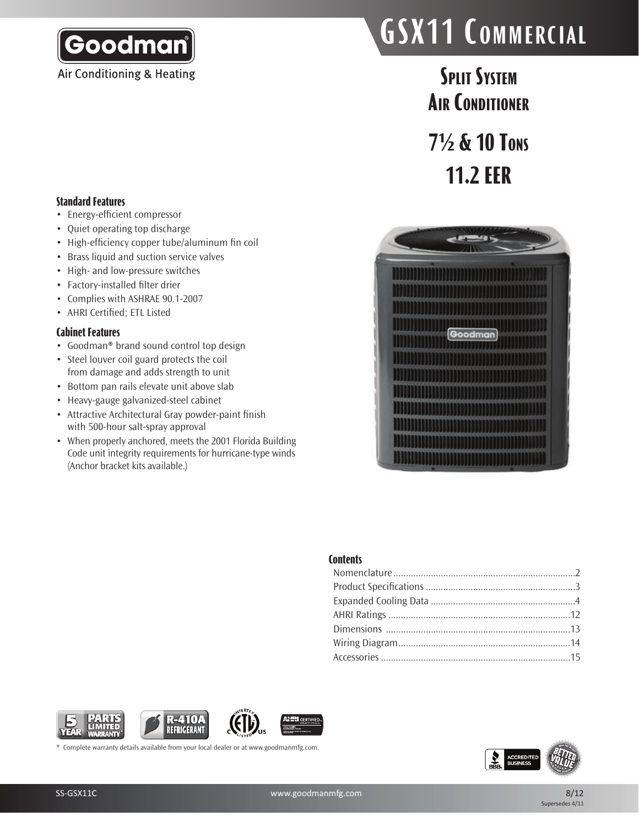## Goodman

Air Conditioning & Heating

#### **Standard Features**

- • Energy-efficient compressor
- • Quiet operating top discharge
- High-efficiency copper tube/aluminum fin coil
- Brass liquid and suction service valves
- High- and low-pressure switches
- Factory-installed filter drier
- • Complies with ASHRAE 90.1-2007
- • AHRI Certified; ETL Listed

#### **Cabinet Features**

- Goodman® brand sound control top design
- Steel louver coil guard protects the coil from damage and adds strength to unit
- Bottom pan rails elevate unit above slab
- • Heavy-gauge galvanized-steel cabinet
- Attractive Architectural Gray powder-paint finish with 500-hour salt-spray approval
- When properly anchored, meets the 2001 Florida Building Code unit integrity requirements for hurricane-type winds (Anchor bracket kits available.)

# **GSX11 Commercial**

**Split System AIR CONDITIONER 7½ & 10 Tons 11.2 EER**



#### **Contents**



\* Complete warranty details available from your local dealer or at www.goodmanmfg.com.

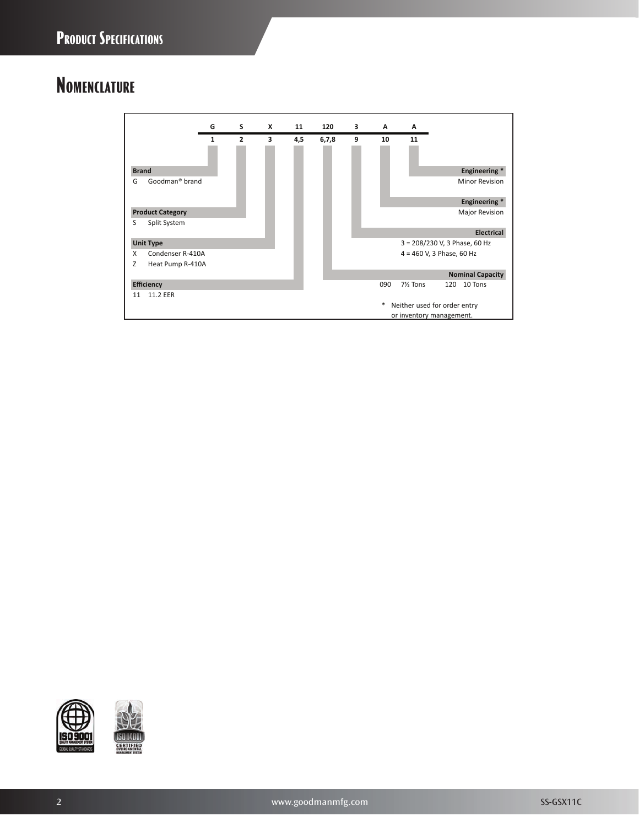#### **Nomenclature**



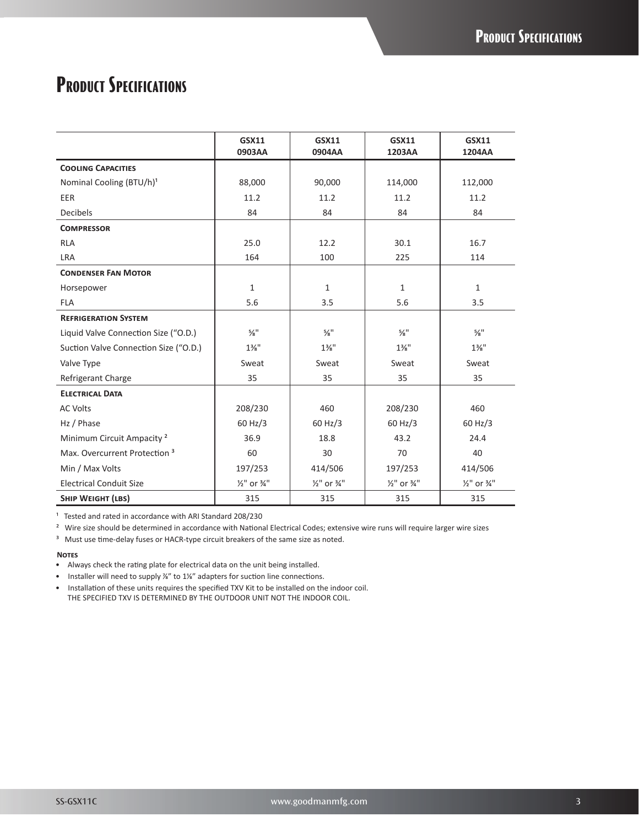#### **PRODUCT SPECIFICATIONS**

|                                          | <b>GSX11</b><br>0903AA      | <b>GSX11</b><br>0904AA             | <b>GSX11</b><br>1203AA      | <b>GSX11</b><br>1204AA      |
|------------------------------------------|-----------------------------|------------------------------------|-----------------------------|-----------------------------|
| <b>COOLING CAPACITIES</b>                |                             |                                    |                             |                             |
| Nominal Cooling (BTU/h) <sup>1</sup>     | 88,000                      | 90,000                             | 114,000                     | 112,000                     |
| EER                                      | 11.2                        | 11.2                               | 11.2                        | 11.2                        |
| <b>Decibels</b>                          | 84                          | 84                                 | 84                          | 84                          |
| <b>COMPRESSOR</b>                        |                             |                                    |                             |                             |
| <b>RLA</b>                               | 25.0                        | 12.2                               | 30.1                        | 16.7                        |
| LRA                                      | 164                         | 100                                | 225                         | 114                         |
| <b>CONDENSER FAN MOTOR</b>               |                             |                                    |                             |                             |
| Horsepower                               | $\mathbf{1}$                | $\mathbf{1}$                       | $\mathbf{1}$                | $\mathbf{1}$                |
| <b>FLA</b>                               | 5.6                         | 3.5                                | 5.6                         | 3.5                         |
| <b>REFRIGERATION SYSTEM</b>              |                             |                                    |                             |                             |
| Liquid Valve Connection Size ("O.D.)     | $\frac{5}{8}$ <sup>11</sup> | $\frac{5}{8}$ <sup>11</sup>        | $\frac{5}{8}$ <sup>11</sup> | $\frac{5}{8}$ <sup>11</sup> |
| Suction Valve Connection Size ("O.D.)    | $1\frac{3}{8}$ "            | $1\frac{3}{8}$ "                   | $1\frac{3}{8}$ "            | $1\frac{3}{8}$ "            |
| Valve Type                               | Sweat                       | Sweat                              | Sweat                       | Sweat                       |
| Refrigerant Charge                       | 35                          | 35                                 | 35                          | 35                          |
| <b>ELECTRICAL DATA</b>                   |                             |                                    |                             |                             |
| <b>AC Volts</b>                          | 208/230                     | 460                                | 208/230                     | 460                         |
| Hz / Phase                               | 60 Hz/3                     | 60 Hz/3                            | 60 Hz/3                     | $60$ Hz/3                   |
| Minimum Circuit Ampacity <sup>2</sup>    | 36.9                        | 18.8                               | 43.2                        | 24.4                        |
| Max. Overcurrent Protection <sup>3</sup> | 60                          | 30                                 | 70                          | 40                          |
| Min / Max Volts                          | 197/253                     | 414/506                            | 197/253                     | 414/506                     |
| <b>Electrical Conduit Size</b>           | 1/ <sub>2</sub> " or 3/4"   | $\frac{1}{2}$ " or $\frac{3}{4}$ " | 1/ <sub>2</sub> " or 3/4"   | 1/ <sub>2</sub> " or 3/4"   |
| <b>SHIP WEIGHT (LBS)</b>                 | 315                         | 315                                | 315                         | 315                         |

<sup>1</sup> Tested and rated in accordance with ARI Standard 208/230

<sup>2</sup> Wire size should be determined in accordance with National Electrical Codes; extensive wire runs will require larger wire sizes

<sup>3</sup> Must use time-delay fuses or HACR-type circuit breakers of the same size as noted.

#### **Notes**

• Always check the rating plate for electrical data on the unit being installed.

• Installer will need to supply <sup>74</sup>" to 1<sup>14"</sup> adapters for suction line connections.

• Installation of these units requires the specified TXV Kit to be installed on the indoor coil. THE SPECIFIED TXV IS DETERMINED BY THE OUTDOOR UNIT NOT THE INDOOR COIL.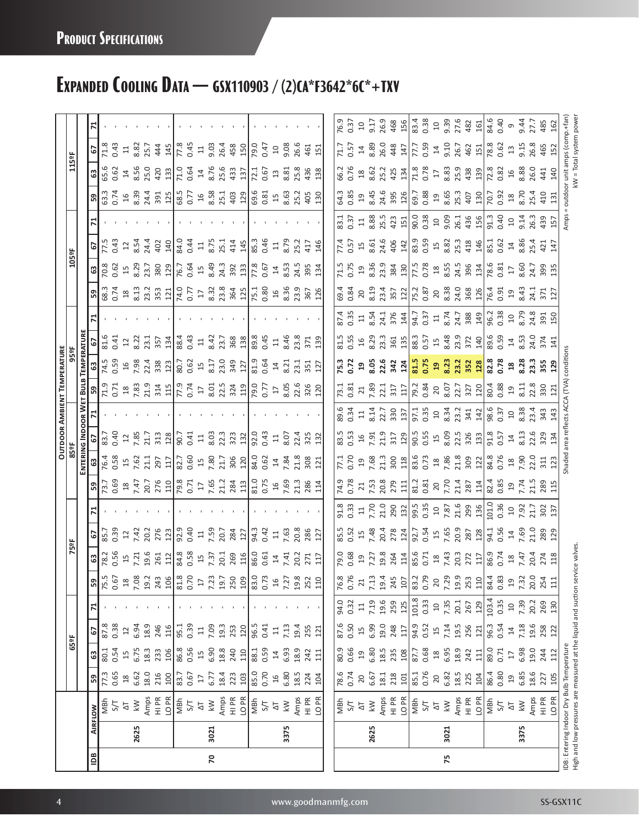### **Expanded Cooling Data — GSX110903 / (2)CA\*F3642\*6C\*+TXV**

|    |      |                                                                 |                         |                         |                            |                                                             |                                                                                                                                                                                                                                                                                                                                                      |                                                                                                                                                       |  |                                                                                                                                                                                                                                                                                                                                                           |                                                                                                                                                                                                                                | <b>OUTDOOR AMBIENT TEMPERATURE</b> |                                                                                                                                                                                                                                                                                                                                                                                           |                                                                                                                      |                                                                                                                                                                                                                                                                                                                          |                                                                        |                                                                                                                                                                                                                                                                                                      |                                                                                                                                                                                                                                                                                                                       |                                                                                                                                                                                                                                                                                                                     |                                                                                                                                                                                                                                                                                                                     |                                                                                                                                                                                                                                                                                                                       |                                                                                                                                                                                                                                                                                                                                                           |  |
|----|------|-----------------------------------------------------------------|-------------------------|-------------------------|----------------------------|-------------------------------------------------------------|------------------------------------------------------------------------------------------------------------------------------------------------------------------------------------------------------------------------------------------------------------------------------------------------------------------------------------------------------|-------------------------------------------------------------------------------------------------------------------------------------------------------|--|-----------------------------------------------------------------------------------------------------------------------------------------------------------------------------------------------------------------------------------------------------------------------------------------------------------------------------------------------------------|--------------------------------------------------------------------------------------------------------------------------------------------------------------------------------------------------------------------------------|------------------------------------|-------------------------------------------------------------------------------------------------------------------------------------------------------------------------------------------------------------------------------------------------------------------------------------------------------------------------------------------------------------------------------------------|----------------------------------------------------------------------------------------------------------------------|--------------------------------------------------------------------------------------------------------------------------------------------------------------------------------------------------------------------------------------------------------------------------------------------------------------------------|------------------------------------------------------------------------|------------------------------------------------------------------------------------------------------------------------------------------------------------------------------------------------------------------------------------------------------------------------------------------------------|-----------------------------------------------------------------------------------------------------------------------------------------------------------------------------------------------------------------------------------------------------------------------------------------------------------------------|---------------------------------------------------------------------------------------------------------------------------------------------------------------------------------------------------------------------------------------------------------------------------------------------------------------------|---------------------------------------------------------------------------------------------------------------------------------------------------------------------------------------------------------------------------------------------------------------------------------------------------------------------|-----------------------------------------------------------------------------------------------------------------------------------------------------------------------------------------------------------------------------------------------------------------------------------------------------------------------|-----------------------------------------------------------------------------------------------------------------------------------------------------------------------------------------------------------------------------------------------------------------------------------------------------------------------------------------------------------|--|
|    |      |                                                                 |                         |                         | 65°F                       |                                                             |                                                                                                                                                                                                                                                                                                                                                      | 75°F                                                                                                                                                  |  |                                                                                                                                                                                                                                                                                                                                                           |                                                                                                                                                                                                                                |                                    |                                                                                                                                                                                                                                                                                                                                                                                           |                                                                                                                      |                                                                                                                                                                                                                                                                                                                          |                                                                        |                                                                                                                                                                                                                                                                                                      | 105°F                                                                                                                                                                                                                                                                                                                 |                                                                                                                                                                                                                                                                                                                     |                                                                                                                                                                                                                                                                                                                     | 115°F                                                                                                                                                                                                                                                                                                                 |                                                                                                                                                                                                                                                                                                                                                           |  |
|    |      |                                                                 |                         |                         |                            |                                                             |                                                                                                                                                                                                                                                                                                                                                      |                                                                                                                                                       |  |                                                                                                                                                                                                                                                                                                                                                           | <b>NTER</b>                                                                                                                                                                                                                    |                                    | ℥                                                                                                                                                                                                                                                                                                                                                                                         |                                                                                                                      |                                                                                                                                                                                                                                                                                                                          |                                                                        |                                                                                                                                                                                                                                                                                                      |                                                                                                                                                                                                                                                                                                                       |                                                                                                                                                                                                                                                                                                                     |                                                                                                                                                                                                                                                                                                                     |                                                                                                                                                                                                                                                                                                                       |                                                                                                                                                                                                                                                                                                                                                           |  |
| Вq |      | AIRFLOW                                                         | 59                      | ය]                      | 5                          |                                                             |                                                                                                                                                                                                                                                                                                                                                      |                                                                                                                                                       |  |                                                                                                                                                                                                                                                                                                                                                           |                                                                                                                                                                                                                                |                                    |                                                                                                                                                                                                                                                                                                                                                                                           |                                                                                                                      |                                                                                                                                                                                                                                                                                                                          |                                                                        |                                                                                                                                                                                                                                                                                                      |                                                                                                                                                                                                                                                                                                                       |                                                                                                                                                                                                                                                                                                                     |                                                                                                                                                                                                                                                                                                                     |                                                                                                                                                                                                                                                                                                                       |                                                                                                                                                                                                                                                                                                                                                           |  |
|    |      | MBh                                                             | 77.3                    | 80.1                    | 87.8                       |                                                             | $\frac{1}{2}$<br>$\frac{1}{2}$<br>$\frac{1}{2}$<br>$\frac{1}{2}$<br>$\frac{1}{2}$<br>$\frac{1}{2}$<br>$\frac{1}{2}$<br>$\frac{1}{2}$<br>$\frac{1}{2}$<br>$\frac{1}{2}$<br>$\frac{1}{2}$<br>$\frac{1}{2}$<br>$\frac{1}{2}$<br>$\frac{1}{2}$<br>$\frac{1}{2}$<br>$\frac{1}{2}$<br>$\frac{1}{2}$<br>$\frac{1}{2}$<br>$\frac{1}{2}$<br>$\frac{1}{2}$<br> | $\frac{3}{2}$<br>$\frac{2}{2}$<br>$\frac{5}{2}$<br>$\frac{5}{2}$<br>$\frac{5}{2}$<br>$\frac{5}{2}$<br>$\frac{5}{2}$<br>$\frac{5}{2}$<br>$\frac{1}{2}$ |  | $\frac{3}{2}$ $\frac{1}{2}$ $\frac{1}{2}$ $\frac{3}{2}$ $\frac{3}{2}$ $\frac{4}{2}$ $\frac{5}{2}$ $\frac{1}{2}$ $\frac{3}{2}$ $\frac{3}{2}$ $\frac{1}{2}$ $\frac{3}{2}$ $\frac{5}{2}$ $\frac{1}{2}$ $\frac{3}{2}$ $\frac{3}{2}$ $\frac{1}{2}$ $\frac{3}{2}$ $\frac{3}{2}$ $\frac{3}{2}$ $\frac{1}{2}$ $\frac{3}{2}$ $\frac{3}{2}$ $\frac{3}{2}$ $\frac{3$ |                                                                                                                                                                                                                                |                                    |                                                                                                                                                                                                                                                                                                                                                                                           |                                                                                                                      | $74.5$ $99.5$ $23.3$ $29.5$                                                                                                                                                                                                                                                                                              | 81.6                                                                   | $B$ $\left[ 8.3 \right]$ $B$ $3.3 \right)$ $B$ $1$ $1$ $1$ $2.5$ $1.2 \right)$ $B$ $2.8$ $B$ $1$ $1.2$ $B$ $1.2$ $B$ $1.2$ $B$ $1.2$ $B$ $1.2$ $B$ $1.2$ $B$ $1.2$ $B$ $1.2$ $B$ $1.2$ $B$ $1.2$ $B$ $1.2$ $B$ $1.2$ $B$ $1.2$ $B$ $1.2$ $B$ $1.2$ $B$ $1.2$ $B$ $1.2$ $B$ $1.2$ $B$ $1.2$ $B$ $1.2$ | $38.3373$ $32.583$ $32.583$ $33.583$ $33.583$ $33.583$ $33.583$ $33.583$ $33.583$ $33.583$ $33.583$ $33.583$ $33.583$ $33.583$ $33.583$ $33.583$ $33.583$ $33.583$ $33.583$ $33.583$ $33.583$ $33.583$ $33.583$ $33.583$ $33.$                                                                                        | $\frac{6}{2}$ $\frac{1}{2}$ $\frac{1}{2}$ $\frac{3}{2}$ $\frac{4}{3}$ $\frac{4}{4}$ $\frac{3}{2}$ $\frac{4}{3}$ $\frac{1}{6}$ $\frac{3}{4}$ $\frac{4}{3}$ $\frac{1}{6}$ $\frac{1}{3}$ $\frac{3}{4}$ $\frac{4}{3}$ $\frac{4}{3}$ $\frac{4}{3}$ $\frac{4}{3}$ $\frac{4}{3}$ $\frac{4}{3}$ $\frac{4}{3}$ $\frac{4}{3}$ |                                                                                                                                                                                                                                                                                                                     | $\frac{6}{6562}$ $\frac{1}{2}$ $\frac{4}{350}$ $\frac{2}{350}$ $\frac{2}{350}$                                                                                                                                                                                                                                        |                                                                                                                                                                                                                                                                                                                                                           |  |
|    |      | 5                                                               | 0.65                    | 0.54                    | 0.38                       |                                                             |                                                                                                                                                                                                                                                                                                                                                      |                                                                                                                                                       |  |                                                                                                                                                                                                                                                                                                                                                           |                                                                                                                                                                                                                                |                                    |                                                                                                                                                                                                                                                                                                                                                                                           |                                                                                                                      |                                                                                                                                                                                                                                                                                                                          |                                                                        |                                                                                                                                                                                                                                                                                                      |                                                                                                                                                                                                                                                                                                                       |                                                                                                                                                                                                                                                                                                                     |                                                                                                                                                                                                                                                                                                                     |                                                                                                                                                                                                                                                                                                                       |                                                                                                                                                                                                                                                                                                                                                           |  |
|    | 2625 | $\lesssim$<br>$\overline{\mathcal{L}}$                          | 6.62<br>$^{26}$         | 6.75<br>$\overline{1}$  | 6.94<br>$\overline{12}$    |                                                             |                                                                                                                                                                                                                                                                                                                                                      |                                                                                                                                                       |  |                                                                                                                                                                                                                                                                                                                                                           |                                                                                                                                                                                                                                |                                    |                                                                                                                                                                                                                                                                                                                                                                                           |                                                                                                                      |                                                                                                                                                                                                                                                                                                                          | $\frac{2}{3} \times \frac{2}{3} \times \frac{1}{3} \times \frac{1}{2}$ |                                                                                                                                                                                                                                                                                                      |                                                                                                                                                                                                                                                                                                                       |                                                                                                                                                                                                                                                                                                                     |                                                                                                                                                                                                                                                                                                                     |                                                                                                                                                                                                                                                                                                                       | $\begin{bmatrix} 1 & 8 & 2 \\ 8 & 2 & 1 \\ 2 & 3 & 1 \\ 3 & 4 & 5 \end{bmatrix}$                                                                                                                                                                                                                                                                          |  |
|    |      | Amps                                                            | 18.0                    | 18.3                    | 18.9                       |                                                             |                                                                                                                                                                                                                                                                                                                                                      |                                                                                                                                                       |  |                                                                                                                                                                                                                                                                                                                                                           |                                                                                                                                                                                                                                |                                    |                                                                                                                                                                                                                                                                                                                                                                                           |                                                                                                                      |                                                                                                                                                                                                                                                                                                                          |                                                                        |                                                                                                                                                                                                                                                                                                      |                                                                                                                                                                                                                                                                                                                       |                                                                                                                                                                                                                                                                                                                     |                                                                                                                                                                                                                                                                                                                     |                                                                                                                                                                                                                                                                                                                       |                                                                                                                                                                                                                                                                                                                                                           |  |
|    |      | HI PR                                                           | 216                     | 233                     | 246                        |                                                             |                                                                                                                                                                                                                                                                                                                                                      |                                                                                                                                                       |  |                                                                                                                                                                                                                                                                                                                                                           |                                                                                                                                                                                                                                |                                    |                                                                                                                                                                                                                                                                                                                                                                                           |                                                                                                                      |                                                                                                                                                                                                                                                                                                                          |                                                                        |                                                                                                                                                                                                                                                                                                      |                                                                                                                                                                                                                                                                                                                       |                                                                                                                                                                                                                                                                                                                     |                                                                                                                                                                                                                                                                                                                     |                                                                                                                                                                                                                                                                                                                       |                                                                                                                                                                                                                                                                                                                                                           |  |
|    |      | LO PR                                                           | 100                     | 106                     | 116                        |                                                             |                                                                                                                                                                                                                                                                                                                                                      |                                                                                                                                                       |  |                                                                                                                                                                                                                                                                                                                                                           |                                                                                                                                                                                                                                |                                    |                                                                                                                                                                                                                                                                                                                                                                                           |                                                                                                                      |                                                                                                                                                                                                                                                                                                                          |                                                                        |                                                                                                                                                                                                                                                                                                      |                                                                                                                                                                                                                                                                                                                       |                                                                                                                                                                                                                                                                                                                     |                                                                                                                                                                                                                                                                                                                     |                                                                                                                                                                                                                                                                                                                       |                                                                                                                                                                                                                                                                                                                                                           |  |
|    |      | ns<br>이 지                                                       | 83.7                    | 86.8<br>0.56            | 95.1                       |                                                             |                                                                                                                                                                                                                                                                                                                                                      |                                                                                                                                                       |  |                                                                                                                                                                                                                                                                                                                                                           |                                                                                                                                                                                                                                |                                    |                                                                                                                                                                                                                                                                                                                                                                                           |                                                                                                                      | $\sqrt{8}$ $\frac{2}{3}$ $\frac{1}{3}$ $\frac{1}{3}$ $\frac{1}{3}$ $\frac{3}{3}$ $\frac{3}{4}$ $\frac{1}{2}$ $\frac{1}{3}$ $\frac{3}{4}$ $\frac{1}{3}$ $\frac{1}{3}$ $\frac{1}{3}$ $\frac{1}{3}$ $\frac{1}{2}$ $\frac{1}{2}$ $\frac{1}{2}$ $\frac{1}{2}$ $\frac{1}{2}$ $\frac{1}{2}$ $\frac{1}{2}$ $\frac{1}{2}$ $\frac$ |                                                                        |                                                                                                                                                                                                                                                                                                      |                                                                                                                                                                                                                                                                                                                       |                                                                                                                                                                                                                                                                                                                     |                                                                                                                                                                                                                                                                                                                     | $\begin{bmatrix} 1.0 & 0.64 \\ 0.64 & 0.8 \\ 0.8 & 0.9 \\ 0.9 & 0.9 \\ 0.9 & 0.9 \\ 0.9 & 0.9 \\ 0.0 & 0.9 \\ 0.0 & 0.9 \\ 0.0 & 0.9 \\ 0.0 & 0.9 \\ 0.0 & 0.9 \\ 0.0 & 0.9 \\ 0.0 & 0.9 \\ 0.0 & 0.9 \\ 0.0 & 0.9 \\ 0.0 & 0.9 \\ 0.0 & 0.9 \\ 0.0 & 0.9 \\ 0.0 & 0.9 \\ 0.0 & 0.9 \\ 0.0 & 0.9 \\ 0$                |                                                                                                                                                                                                                                                                                                                                                           |  |
|    |      |                                                                 | 0.67                    |                         | 0.39                       |                                                             |                                                                                                                                                                                                                                                                                                                                                      |                                                                                                                                                       |  |                                                                                                                                                                                                                                                                                                                                                           |                                                                                                                                                                                                                                |                                    |                                                                                                                                                                                                                                                                                                                                                                                           |                                                                                                                      |                                                                                                                                                                                                                                                                                                                          |                                                                        |                                                                                                                                                                                                                                                                                                      |                                                                                                                                                                                                                                                                                                                       |                                                                                                                                                                                                                                                                                                                     |                                                                                                                                                                                                                                                                                                                     |                                                                                                                                                                                                                                                                                                                       |                                                                                                                                                                                                                                                                                                                                                           |  |
|    |      |                                                                 | $\overline{\mathbb{L}}$ | 15                      | $\Xi$                      |                                                             |                                                                                                                                                                                                                                                                                                                                                      |                                                                                                                                                       |  |                                                                                                                                                                                                                                                                                                                                                           |                                                                                                                                                                                                                                |                                    |                                                                                                                                                                                                                                                                                                                                                                                           |                                                                                                                      |                                                                                                                                                                                                                                                                                                                          |                                                                        |                                                                                                                                                                                                                                                                                                      |                                                                                                                                                                                                                                                                                                                       |                                                                                                                                                                                                                                                                                                                     |                                                                                                                                                                                                                                                                                                                     |                                                                                                                                                                                                                                                                                                                       |                                                                                                                                                                                                                                                                                                                                                           |  |
| 20 | 3021 | $\overline{\mathsf{k}\mathsf{W}}$                               | 6.77                    | 6.90                    |                            |                                                             |                                                                                                                                                                                                                                                                                                                                                      |                                                                                                                                                       |  |                                                                                                                                                                                                                                                                                                                                                           |                                                                                                                                                                                                                                |                                    |                                                                                                                                                                                                                                                                                                                                                                                           |                                                                                                                      |                                                                                                                                                                                                                                                                                                                          |                                                                        |                                                                                                                                                                                                                                                                                                      |                                                                                                                                                                                                                                                                                                                       |                                                                                                                                                                                                                                                                                                                     |                                                                                                                                                                                                                                                                                                                     |                                                                                                                                                                                                                                                                                                                       |                                                                                                                                                                                                                                                                                                                                                           |  |
|    |      | Amps                                                            | 18.4                    | 18.8                    | 7.09<br>19.3               |                                                             |                                                                                                                                                                                                                                                                                                                                                      |                                                                                                                                                       |  |                                                                                                                                                                                                                                                                                                                                                           |                                                                                                                                                                                                                                |                                    |                                                                                                                                                                                                                                                                                                                                                                                           |                                                                                                                      |                                                                                                                                                                                                                                                                                                                          |                                                                        |                                                                                                                                                                                                                                                                                                      |                                                                                                                                                                                                                                                                                                                       |                                                                                                                                                                                                                                                                                                                     |                                                                                                                                                                                                                                                                                                                     |                                                                                                                                                                                                                                                                                                                       |                                                                                                                                                                                                                                                                                                                                                           |  |
|    |      | HI PR<br>LO PR                                                  | 223                     | 240                     | 253                        |                                                             |                                                                                                                                                                                                                                                                                                                                                      |                                                                                                                                                       |  |                                                                                                                                                                                                                                                                                                                                                           |                                                                                                                                                                                                                                |                                    |                                                                                                                                                                                                                                                                                                                                                                                           |                                                                                                                      |                                                                                                                                                                                                                                                                                                                          |                                                                        |                                                                                                                                                                                                                                                                                                      |                                                                                                                                                                                                                                                                                                                       |                                                                                                                                                                                                                                                                                                                     |                                                                                                                                                                                                                                                                                                                     |                                                                                                                                                                                                                                                                                                                       |                                                                                                                                                                                                                                                                                                                                                           |  |
|    |      |                                                                 | 103                     | 110                     | 120                        |                                                             |                                                                                                                                                                                                                                                                                                                                                      |                                                                                                                                                       |  |                                                                                                                                                                                                                                                                                                                                                           |                                                                                                                                                                                                                                |                                    |                                                                                                                                                                                                                                                                                                                                                                                           |                                                                                                                      |                                                                                                                                                                                                                                                                                                                          |                                                                        |                                                                                                                                                                                                                                                                                                      |                                                                                                                                                                                                                                                                                                                       |                                                                                                                                                                                                                                                                                                                     |                                                                                                                                                                                                                                                                                                                     |                                                                                                                                                                                                                                                                                                                       |                                                                                                                                                                                                                                                                                                                                                           |  |
|    |      | $\frac{27}{140}$                                                | 85.0<br>0.70            | 88.1                    | 96.5                       |                                                             |                                                                                                                                                                                                                                                                                                                                                      |                                                                                                                                                       |  |                                                                                                                                                                                                                                                                                                                                                           |                                                                                                                                                                                                                                |                                    |                                                                                                                                                                                                                                                                                                                                                                                           |                                                                                                                      |                                                                                                                                                                                                                                                                                                                          | 89.8<br>0.45                                                           |                                                                                                                                                                                                                                                                                                      |                                                                                                                                                                                                                                                                                                                       |                                                                                                                                                                                                                                                                                                                     |                                                                                                                                                                                                                                                                                                                     | $72.1$<br>0.67                                                                                                                                                                                                                                                                                                        |                                                                                                                                                                                                                                                                                                                                                           |  |
|    |      |                                                                 |                         | 0.59                    | 0.41                       |                                                             |                                                                                                                                                                                                                                                                                                                                                      |                                                                                                                                                       |  |                                                                                                                                                                                                                                                                                                                                                           |                                                                                                                                                                                                                                |                                    |                                                                                                                                                                                                                                                                                                                                                                                           |                                                                                                                      |                                                                                                                                                                                                                                                                                                                          |                                                                        |                                                                                                                                                                                                                                                                                                      |                                                                                                                                                                                                                                                                                                                       |                                                                                                                                                                                                                                                                                                                     |                                                                                                                                                                                                                                                                                                                     |                                                                                                                                                                                                                                                                                                                       |                                                                                                                                                                                                                                                                                                                                                           |  |
|    |      | $\overline{\Delta}$                                             | $\frac{16}{1}$          | $\overline{1}$          | $11$                       |                                                             |                                                                                                                                                                                                                                                                                                                                                      |                                                                                                                                                       |  |                                                                                                                                                                                                                                                                                                                                                           |                                                                                                                                                                                                                                |                                    |                                                                                                                                                                                                                                                                                                                                                                                           |                                                                                                                      |                                                                                                                                                                                                                                                                                                                          | $\Xi$                                                                  |                                                                                                                                                                                                                                                                                                      |                                                                                                                                                                                                                                                                                                                       |                                                                                                                                                                                                                                                                                                                     |                                                                                                                                                                                                                                                                                                                     |                                                                                                                                                                                                                                                                                                                       |                                                                                                                                                                                                                                                                                                                                                           |  |
|    | 3375 | $\leq$                                                          | 6.80                    | 6.93                    | 7.13                       |                                                             |                                                                                                                                                                                                                                                                                                                                                      |                                                                                                                                                       |  |                                                                                                                                                                                                                                                                                                                                                           |                                                                                                                                                                                                                                | $13.074$<br>$23.33$<br>$33.32$     |                                                                                                                                                                                                                                                                                                                                                                                           |                                                                                                                      |                                                                                                                                                                                                                                                                                                                          | 8.46<br>23.8<br>371<br>139                                             |                                                                                                                                                                                                                                                                                                      |                                                                                                                                                                                                                                                                                                                       |                                                                                                                                                                                                                                                                                                                     |                                                                                                                                                                                                                                                                                                                     | $13.808$<br>$0.808$<br>$0.438$                                                                                                                                                                                                                                                                                        | 288641                                                                                                                                                                                                                                                                                                                                                    |  |
|    |      | Amps                                                            | 18.5                    | 18.9                    |                            |                                                             |                                                                                                                                                                                                                                                                                                                                                      |                                                                                                                                                       |  |                                                                                                                                                                                                                                                                                                                                                           |                                                                                                                                                                                                                                |                                    |                                                                                                                                                                                                                                                                                                                                                                                           |                                                                                                                      |                                                                                                                                                                                                                                                                                                                          |                                                                        |                                                                                                                                                                                                                                                                                                      |                                                                                                                                                                                                                                                                                                                       |                                                                                                                                                                                                                                                                                                                     |                                                                                                                                                                                                                                                                                                                     |                                                                                                                                                                                                                                                                                                                       |                                                                                                                                                                                                                                                                                                                                                           |  |
|    |      |                                                                 | 224                     | 242                     | 19.4<br>25<br>12<br>12     |                                                             |                                                                                                                                                                                                                                                                                                                                                      |                                                                                                                                                       |  |                                                                                                                                                                                                                                                                                                                                                           |                                                                                                                                                                                                                                |                                    |                                                                                                                                                                                                                                                                                                                                                                                           |                                                                                                                      |                                                                                                                                                                                                                                                                                                                          |                                                                        |                                                                                                                                                                                                                                                                                                      |                                                                                                                                                                                                                                                                                                                       |                                                                                                                                                                                                                                                                                                                     |                                                                                                                                                                                                                                                                                                                     |                                                                                                                                                                                                                                                                                                                       |                                                                                                                                                                                                                                                                                                                                                           |  |
|    |      | HIPR<br>LOPR                                                    | 104                     | 11                      |                            |                                                             |                                                                                                                                                                                                                                                                                                                                                      |                                                                                                                                                       |  |                                                                                                                                                                                                                                                                                                                                                           |                                                                                                                                                                                                                                |                                    |                                                                                                                                                                                                                                                                                                                                                                                           |                                                                                                                      |                                                                                                                                                                                                                                                                                                                          |                                                                        |                                                                                                                                                                                                                                                                                                      |                                                                                                                                                                                                                                                                                                                       | 417<br>146                                                                                                                                                                                                                                                                                                          |                                                                                                                                                                                                                                                                                                                     |                                                                                                                                                                                                                                                                                                                       |                                                                                                                                                                                                                                                                                                                                                           |  |
|    |      |                                                                 |                         |                         |                            |                                                             |                                                                                                                                                                                                                                                                                                                                                      |                                                                                                                                                       |  |                                                                                                                                                                                                                                                                                                                                                           |                                                                                                                                                                                                                                |                                    |                                                                                                                                                                                                                                                                                                                                                                                           |                                                                                                                      |                                                                                                                                                                                                                                                                                                                          |                                                                        |                                                                                                                                                                                                                                                                                                      |                                                                                                                                                                                                                                                                                                                       |                                                                                                                                                                                                                                                                                                                     |                                                                                                                                                                                                                                                                                                                     |                                                                                                                                                                                                                                                                                                                       |                                                                                                                                                                                                                                                                                                                                                           |  |
|    |      | 다 강<br>이                                                        | 78.6<br>0.74            | 80.9                    | 87.6                       | 94.0                                                        |                                                                                                                                                                                                                                                                                                                                                      |                                                                                                                                                       |  |                                                                                                                                                                                                                                                                                                                                                           |                                                                                                                                                                                                                                |                                    |                                                                                                                                                                                                                                                                                                                                                                                           |                                                                                                                      |                                                                                                                                                                                                                                                                                                                          |                                                                        |                                                                                                                                                                                                                                                                                                      |                                                                                                                                                                                                                                                                                                                       |                                                                                                                                                                                                                                                                                                                     |                                                                                                                                                                                                                                                                                                                     |                                                                                                                                                                                                                                                                                                                       | 71.7                                                                                                                                                                                                                                                                                                                                                      |  |
|    |      |                                                                 |                         |                         |                            |                                                             |                                                                                                                                                                                                                                                                                                                                                      |                                                                                                                                                       |  |                                                                                                                                                                                                                                                                                                                                                           |                                                                                                                                                                                                                                |                                    |                                                                                                                                                                                                                                                                                                                                                                                           |                                                                                                                      |                                                                                                                                                                                                                                                                                                                          |                                                                        |                                                                                                                                                                                                                                                                                                      |                                                                                                                                                                                                                                                                                                                       |                                                                                                                                                                                                                                                                                                                     |                                                                                                                                                                                                                                                                                                                     |                                                                                                                                                                                                                                                                                                                       |                                                                                                                                                                                                                                                                                                                                                           |  |
|    |      |                                                                 | 20                      | $\overline{a}$          | 15                         | $\Xi$                                                       |                                                                                                                                                                                                                                                                                                                                                      |                                                                                                                                                       |  |                                                                                                                                                                                                                                                                                                                                                           |                                                                                                                                                                                                                                |                                    |                                                                                                                                                                                                                                                                                                                                                                                           |                                                                                                                      |                                                                                                                                                                                                                                                                                                                          |                                                                        |                                                                                                                                                                                                                                                                                                      |                                                                                                                                                                                                                                                                                                                       |                                                                                                                                                                                                                                                                                                                     |                                                                                                                                                                                                                                                                                                                     |                                                                                                                                                                                                                                                                                                                       |                                                                                                                                                                                                                                                                                                                                                           |  |
|    | 2625 | $\lesssim$                                                      | 6.67<br>18.1            | 6.80                    |                            |                                                             |                                                                                                                                                                                                                                                                                                                                                      |                                                                                                                                                       |  |                                                                                                                                                                                                                                                                                                                                                           |                                                                                                                                                                                                                                |                                    |                                                                                                                                                                                                                                                                                                                                                                                           |                                                                                                                      |                                                                                                                                                                                                                                                                                                                          |                                                                        |                                                                                                                                                                                                                                                                                                      |                                                                                                                                                                                                                                                                                                                       |                                                                                                                                                                                                                                                                                                                     |                                                                                                                                                                                                                                                                                                                     |                                                                                                                                                                                                                                                                                                                       |                                                                                                                                                                                                                                                                                                                                                           |  |
|    |      | Amps                                                            |                         | $18.5$<br>$235$         | 6.99<br>19.0<br>248<br>117 | 7.19<br>19.6<br>25<br>21                                    |                                                                                                                                                                                                                                                                                                                                                      |                                                                                                                                                       |  |                                                                                                                                                                                                                                                                                                                                                           |                                                                                                                                                                                                                                |                                    |                                                                                                                                                                                                                                                                                                                                                                                           |                                                                                                                      |                                                                                                                                                                                                                                                                                                                          |                                                                        |                                                                                                                                                                                                                                                                                                      |                                                                                                                                                                                                                                                                                                                       |                                                                                                                                                                                                                                                                                                                     |                                                                                                                                                                                                                                                                                                                     |                                                                                                                                                                                                                                                                                                                       |                                                                                                                                                                                                                                                                                                                                                           |  |
|    |      | HI PR                                                           | 218                     |                         |                            |                                                             |                                                                                                                                                                                                                                                                                                                                                      |                                                                                                                                                       |  |                                                                                                                                                                                                                                                                                                                                                           |                                                                                                                                                                                                                                |                                    |                                                                                                                                                                                                                                                                                                                                                                                           |                                                                                                                      |                                                                                                                                                                                                                                                                                                                          |                                                                        |                                                                                                                                                                                                                                                                                                      |                                                                                                                                                                                                                                                                                                                       |                                                                                                                                                                                                                                                                                                                     |                                                                                                                                                                                                                                                                                                                     |                                                                                                                                                                                                                                                                                                                       |                                                                                                                                                                                                                                                                                                                                                           |  |
|    |      | LO PR                                                           | 101                     | 108                     |                            |                                                             |                                                                                                                                                                                                                                                                                                                                                      |                                                                                                                                                       |  |                                                                                                                                                                                                                                                                                                                                                           |                                                                                                                                                                                                                                |                                    |                                                                                                                                                                                                                                                                                                                                                                                           |                                                                                                                      |                                                                                                                                                                                                                                                                                                                          |                                                                        |                                                                                                                                                                                                                                                                                                      |                                                                                                                                                                                                                                                                                                                       |                                                                                                                                                                                                                                                                                                                     |                                                                                                                                                                                                                                                                                                                     |                                                                                                                                                                                                                                                                                                                       |                                                                                                                                                                                                                                                                                                                                                           |  |
|    |      | MBh                                                             | 85.1<br>0.76            | 87.7                    | 94.9                       | $\frac{101.8}{0.33}$                                        |                                                                                                                                                                                                                                                                                                                                                      |                                                                                                                                                       |  |                                                                                                                                                                                                                                                                                                                                                           |                                                                                                                                                                                                                                |                                    |                                                                                                                                                                                                                                                                                                                                                                                           |                                                                                                                      |                                                                                                                                                                                                                                                                                                                          |                                                                        |                                                                                                                                                                                                                                                                                                      |                                                                                                                                                                                                                                                                                                                       |                                                                                                                                                                                                                                                                                                                     |                                                                                                                                                                                                                                                                                                                     |                                                                                                                                                                                                                                                                                                                       |                                                                                                                                                                                                                                                                                                                                                           |  |
|    |      | $\frac{1}{\sqrt{2}}$                                            |                         | 0.68                    | 0.52                       |                                                             |                                                                                                                                                                                                                                                                                                                                                      |                                                                                                                                                       |  |                                                                                                                                                                                                                                                                                                                                                           |                                                                                                                                                                                                                                |                                    |                                                                                                                                                                                                                                                                                                                                                                                           |                                                                                                                      |                                                                                                                                                                                                                                                                                                                          |                                                                        |                                                                                                                                                                                                                                                                                                      |                                                                                                                                                                                                                                                                                                                       |                                                                                                                                                                                                                                                                                                                     |                                                                                                                                                                                                                                                                                                                     |                                                                                                                                                                                                                                                                                                                       |                                                                                                                                                                                                                                                                                                                                                           |  |
|    |      |                                                                 | 20                      | $\frac{8}{10}$          | 15                         |                                                             |                                                                                                                                                                                                                                                                                                                                                      |                                                                                                                                                       |  |                                                                                                                                                                                                                                                                                                                                                           |                                                                                                                                                                                                                                |                                    |                                                                                                                                                                                                                                                                                                                                                                                           |                                                                                                                      |                                                                                                                                                                                                                                                                                                                          |                                                                        |                                                                                                                                                                                                                                                                                                      |                                                                                                                                                                                                                                                                                                                       |                                                                                                                                                                                                                                                                                                                     |                                                                                                                                                                                                                                                                                                                     |                                                                                                                                                                                                                                                                                                                       |                                                                                                                                                                                                                                                                                                                                                           |  |
| 75 | 3021 | $\kappa$                                                        | 6.82<br>18.5<br>225     | 6.95<br>18.9<br>242     |                            |                                                             |                                                                                                                                                                                                                                                                                                                                                      |                                                                                                                                                       |  |                                                                                                                                                                                                                                                                                                                                                           |                                                                                                                                                                                                                                |                                    |                                                                                                                                                                                                                                                                                                                                                                                           |                                                                                                                      |                                                                                                                                                                                                                                                                                                                          |                                                                        |                                                                                                                                                                                                                                                                                                      |                                                                                                                                                                                                                                                                                                                       |                                                                                                                                                                                                                                                                                                                     |                                                                                                                                                                                                                                                                                                                     |                                                                                                                                                                                                                                                                                                                       |                                                                                                                                                                                                                                                                                                                                                           |  |
|    |      | Amps                                                            |                         |                         |                            |                                                             |                                                                                                                                                                                                                                                                                                                                                      |                                                                                                                                                       |  |                                                                                                                                                                                                                                                                                                                                                           |                                                                                                                                                                                                                                |                                    |                                                                                                                                                                                                                                                                                                                                                                                           |                                                                                                                      |                                                                                                                                                                                                                                                                                                                          |                                                                        |                                                                                                                                                                                                                                                                                                      |                                                                                                                                                                                                                                                                                                                       |                                                                                                                                                                                                                                                                                                                     |                                                                                                                                                                                                                                                                                                                     |                                                                                                                                                                                                                                                                                                                       |                                                                                                                                                                                                                                                                                                                                                           |  |
|    |      | HI PR<br>LO PR                                                  | 104                     | 111                     | 7.14<br>19.5<br>256<br>121 | $\begin{array}{c} 10 \\ 7.35 \\ 20.1 \\ 267 \\ \end{array}$ |                                                                                                                                                                                                                                                                                                                                                      |                                                                                                                                                       |  |                                                                                                                                                                                                                                                                                                                                                           |                                                                                                                                                                                                                                |                                    |                                                                                                                                                                                                                                                                                                                                                                                           |                                                                                                                      |                                                                                                                                                                                                                                                                                                                          |                                                                        |                                                                                                                                                                                                                                                                                                      |                                                                                                                                                                                                                                                                                                                       |                                                                                                                                                                                                                                                                                                                     |                                                                                                                                                                                                                                                                                                                     |                                                                                                                                                                                                                                                                                                                       |                                                                                                                                                                                                                                                                                                                                                           |  |
|    |      | MBh                                                             |                         | 89.0                    | 96.3                       |                                                             |                                                                                                                                                                                                                                                                                                                                                      |                                                                                                                                                       |  | $\begin{array}{c} 3.85 \\ 4.87 \\ 5.87 \\ 6.98 \\ 7.89 \\ 7.81 \\ 7.83 \\ 8.91 \\ 7.83 \\ 7.83 \\ 7.83 \\ 7.83 \\ 7.83 \\ 7.83 \\ 7.83 \\ 7.83 \\ 7.83 \\ 7.83 \\ 7.83 \\ 7.83 \\ 7.83 \\ 7.83 \\ 7.83 \\ 7.83 \\ 7.83 \\ 7.83 \\ 7.83 \\ 7.83 \\ 7.83 \\ 7.83 \\ 7.83 \\ 7.83 \\ 7.83 \\ 7.83 \\ 7.83 \\ 7.$                                             | $7.7998$ $7.898$ $7.398$ $7.398$ $7.898$ $7.898$ $7.898$ $7.898$ $7.898$ $7.898$ $7.898$ $7.898$ $7.898$ $7.898$ $7.898$ $7.898$ $7.898$ $7.898$ $7.898$ $7.898$ $7.898$ $7.898$ $7.898$ $7.898$ $7.898$ $7.898$ $7.898$ $7.8$ |                                    | $8.37 \frac{1}{3} \frac{3}{2} \frac{1}{2} \frac{1}{2} \frac{3}{2} \frac{1}{2} \frac{1}{2} \frac{1}{2} \frac{1}{2} \frac{1}{2} \frac{1}{2} \frac{1}{2} \frac{1}{2} \frac{1}{2} \frac{1}{2} \frac{1}{2} \frac{1}{2} \frac{1}{2} \frac{1}{2} \frac{1}{2} \frac{1}{2} \frac{1}{2} \frac{1}{2} \frac{1}{2} \frac{1}{2} \frac{1}{2} \frac{1}{2} \frac{1}{2} \frac{1}{2} \frac{1}{2} \frac{1}{2$ | <u>is a signal distribution di sensita sua di sensita sua di sensita di sensita signali sensita sua di sensita s</u> |                                                                                                                                                                                                                                                                                                                          |                                                                        |                                                                                                                                                                                                                                                                                                      | $7.5$ 9 $\frac{3}{2}$ $\frac{3}{2}$ $\frac{3}{2}$ $\frac{3}{2}$ $\frac{3}{2}$ $\frac{3}{2}$ $\frac{3}{2}$ $\frac{3}{2}$ $\frac{3}{2}$ $\frac{3}{2}$ $\frac{3}{2}$ $\frac{3}{2}$ $\frac{3}{2}$ $\frac{3}{2}$ $\frac{3}{2}$ $\frac{3}{2}$ $\frac{3}{2}$ $\frac{3}{2}$ $\frac{3}{2}$ $\frac{3}{2}$ $\frac{3}{2}$ $\frac$ | $7.5$ 5 5 $\frac{3}{2}$ 6 $\frac{4}{2}$ 6 $\frac{3}{2}$ 6 $\frac{3}{2}$ 6 $\frac{3}{2}$ 6 $\frac{3}{2}$ 6 $\frac{3}{2}$ 6 $\frac{3}{2}$ 6 $\frac{3}{2}$ 6 $\frac{3}{2}$ 6 $\frac{3}{2}$ 6 $\frac{3}{2}$ 6 $\frac{3}{2}$ 6 $\frac{3}{2}$ 6 $\frac{3}{2}$ 6 $\frac{3}{2}$ 6 $\frac{3}{2}$ 7 7 7                       | $\frac{3}{6}$ $\frac{3}{6}$ $\frac{3}{6}$ $\frac{4}{3}$ $\frac{4}{3}$ $\frac{4}{3}$ $\frac{4}{3}$ $\frac{5}{6}$ $\frac{8}{6}$ $\frac{5}{6}$ $\frac{3}{6}$ $\frac{5}{6}$ $\frac{3}{6}$ $\frac{5}{6}$ $\frac{3}{6}$ $\frac{5}{6}$ $\frac{3}{6}$ $\frac{5}{6}$ $\frac{5}{6}$ $\frac{5}{6}$ $\frac{5}{6}$ $\frac{5}{6}$ | $60.58$ $\frac{2}{3}$ $\frac{2}{3}$ $\frac{2}{3}$ $\frac{1}{3}$ $\frac{1}{3}$ $\frac{2}{3}$ $\frac{2}{3}$ $\frac{2}{3}$ $\frac{2}{3}$ $\frac{2}{3}$ $\frac{2}{3}$ $\frac{2}{3}$ $\frac{2}{3}$ $\frac{2}{3}$ $\frac{2}{3}$ $\frac{2}{3}$ $\frac{2}{3}$ $\frac{2}{3}$ $\frac{2}{3}$ $\frac{2}{3}$ $\frac{2}{3}$ $\frac$ | $\frac{16}{16} \frac{17}{16} \frac{17}{16} \frac{17}{16} \frac{17}{16} \frac{17}{16} \frac{17}{16} \frac{17}{16} \frac{17}{16} \frac{17}{16} \frac{17}{16} \frac{17}{16} \frac{17}{16} \frac{17}{16} \frac{17}{16} \frac{17}{16} \frac{17}{16} \frac{17}{16} \frac{17}{16} \frac{17}{16} \frac{17}{16} \frac{17}{16} \frac{17}{16} \frac{17}{16} \frac{1$ |  |
|    |      | 5/7                                                             | 86.4<br>0.80            | 0.71                    | 0.54                       | 103.4<br>0.35                                               |                                                                                                                                                                                                                                                                                                                                                      |                                                                                                                                                       |  |                                                                                                                                                                                                                                                                                                                                                           |                                                                                                                                                                                                                                |                                    |                                                                                                                                                                                                                                                                                                                                                                                           |                                                                                                                      |                                                                                                                                                                                                                                                                                                                          |                                                                        |                                                                                                                                                                                                                                                                                                      |                                                                                                                                                                                                                                                                                                                       |                                                                                                                                                                                                                                                                                                                     |                                                                                                                                                                                                                                                                                                                     |                                                                                                                                                                                                                                                                                                                       |                                                                                                                                                                                                                                                                                                                                                           |  |
|    |      | $\Delta\mathsf{T}$                                              |                         | $\overline{\mathbb{L}}$ | $\overline{1}$             |                                                             |                                                                                                                                                                                                                                                                                                                                                      |                                                                                                                                                       |  |                                                                                                                                                                                                                                                                                                                                                           |                                                                                                                                                                                                                                |                                    |                                                                                                                                                                                                                                                                                                                                                                                           |                                                                                                                      |                                                                                                                                                                                                                                                                                                                          |                                                                        |                                                                                                                                                                                                                                                                                                      |                                                                                                                                                                                                                                                                                                                       |                                                                                                                                                                                                                                                                                                                     |                                                                                                                                                                                                                                                                                                                     |                                                                                                                                                                                                                                                                                                                       |                                                                                                                                                                                                                                                                                                                                                           |  |
|    | 3375 | $\lesssim$                                                      | $19$<br>$6.85$          | 6.98                    | 7.18                       | $\frac{10}{7.39}$                                           |                                                                                                                                                                                                                                                                                                                                                      |                                                                                                                                                       |  |                                                                                                                                                                                                                                                                                                                                                           |                                                                                                                                                                                                                                |                                    |                                                                                                                                                                                                                                                                                                                                                                                           |                                                                                                                      |                                                                                                                                                                                                                                                                                                                          |                                                                        |                                                                                                                                                                                                                                                                                                      |                                                                                                                                                                                                                                                                                                                       |                                                                                                                                                                                                                                                                                                                     |                                                                                                                                                                                                                                                                                                                     |                                                                                                                                                                                                                                                                                                                       |                                                                                                                                                                                                                                                                                                                                                           |  |
|    |      | Amps<br>HI PR                                                   | 18.6                    | 19.0                    | 19.6                       | 20.2                                                        |                                                                                                                                                                                                                                                                                                                                                      |                                                                                                                                                       |  |                                                                                                                                                                                                                                                                                                                                                           |                                                                                                                                                                                                                                |                                    |                                                                                                                                                                                                                                                                                                                                                                                           |                                                                                                                      |                                                                                                                                                                                                                                                                                                                          |                                                                        |                                                                                                                                                                                                                                                                                                      |                                                                                                                                                                                                                                                                                                                       |                                                                                                                                                                                                                                                                                                                     |                                                                                                                                                                                                                                                                                                                     |                                                                                                                                                                                                                                                                                                                       |                                                                                                                                                                                                                                                                                                                                                           |  |
|    |      |                                                                 | 227                     | 244                     | 258<br>122                 | 269<br>130                                                  |                                                                                                                                                                                                                                                                                                                                                      |                                                                                                                                                       |  |                                                                                                                                                                                                                                                                                                                                                           |                                                                                                                                                                                                                                |                                    |                                                                                                                                                                                                                                                                                                                                                                                           |                                                                                                                      |                                                                                                                                                                                                                                                                                                                          |                                                                        |                                                                                                                                                                                                                                                                                                      |                                                                                                                                                                                                                                                                                                                       |                                                                                                                                                                                                                                                                                                                     |                                                                                                                                                                                                                                                                                                                     |                                                                                                                                                                                                                                                                                                                       |                                                                                                                                                                                                                                                                                                                                                           |  |
|    |      | LO PR                                                           | 105                     | 112                     |                            |                                                             |                                                                                                                                                                                                                                                                                                                                                      |                                                                                                                                                       |  |                                                                                                                                                                                                                                                                                                                                                           |                                                                                                                                                                                                                                |                                    |                                                                                                                                                                                                                                                                                                                                                                                           |                                                                                                                      |                                                                                                                                                                                                                                                                                                                          |                                                                        |                                                                                                                                                                                                                                                                                                      |                                                                                                                                                                                                                                                                                                                       |                                                                                                                                                                                                                                                                                                                     |                                                                                                                                                                                                                                                                                                                     |                                                                                                                                                                                                                                                                                                                       |                                                                                                                                                                                                                                                                                                                                                           |  |
|    |      | IDB: Entering Indoor Dry Bulb Temperature                       |                         |                         |                            |                                                             |                                                                                                                                                                                                                                                                                                                                                      |                                                                                                                                                       |  |                                                                                                                                                                                                                                                                                                                                                           |                                                                                                                                                                                                                                |                                    |                                                                                                                                                                                                                                                                                                                                                                                           | CA (TVA)                                                                                                             | conditions                                                                                                                                                                                                                                                                                                               |                                                                        |                                                                                                                                                                                                                                                                                                      |                                                                                                                                                                                                                                                                                                                       |                                                                                                                                                                                                                                                                                                                     |                                                                                                                                                                                                                                                                                                                     |                                                                                                                                                                                                                                                                                                                       |                                                                                                                                                                                                                                                                                                                                                           |  |
|    |      | High and low pressures are measured at the liquid and suction s |                         |                         |                            |                                                             |                                                                                                                                                                                                                                                                                                                                                      | service valves                                                                                                                                        |  |                                                                                                                                                                                                                                                                                                                                                           |                                                                                                                                                                                                                                |                                    |                                                                                                                                                                                                                                                                                                                                                                                           |                                                                                                                      |                                                                                                                                                                                                                                                                                                                          |                                                                        |                                                                                                                                                                                                                                                                                                      |                                                                                                                                                                                                                                                                                                                       |                                                                                                                                                                                                                                                                                                                     |                                                                                                                                                                                                                                                                                                                     |                                                                                                                                                                                                                                                                                                                       |                                                                                                                                                                                                                                                                                                                                                           |  |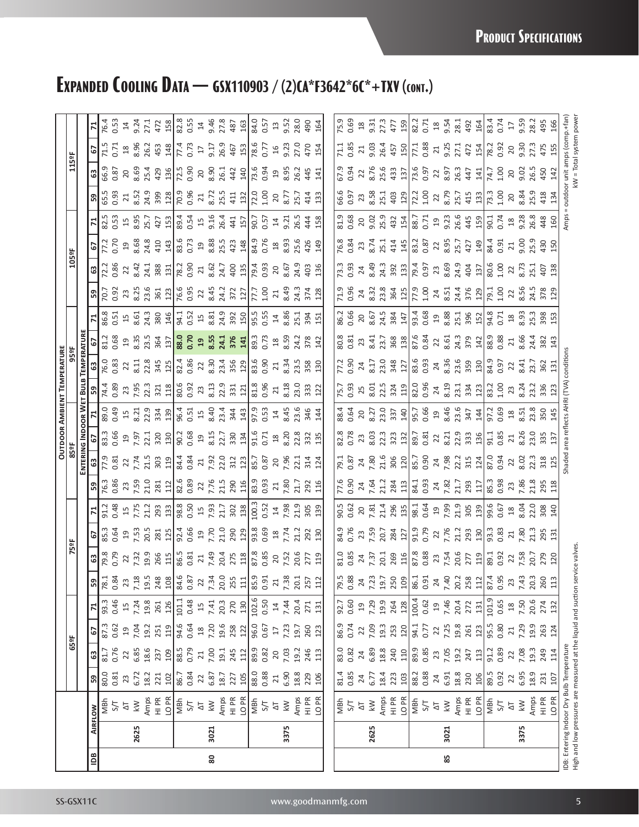|     |      |                                                                  |              |                | 65°F                    |                                                            |                   |                                                                                                                                                                                                                                                                                                                      |                                                                                                                                                                                                                                                                                                                                  |                                                                                                                                                                                                                                                                                                                                    |                                                                                                                                                                                                                                                                                                                                                                                                                                                           |                                                                                                                                                                                                                               |                                                                                                                                                                                                                                                                                                                                                                                         |  |                                                                                                                                                                                                                                                                                                                                                                                |                                                                                                                                                                                                                                                                                                                       |                                                                                                                                                                                                                                                                         |                                                                                                                                                                                                                                                                                           |                                                                                                                                                                                                                        |                                                                                                                                                                                                                                                                                                                      |                                                                                                                                                                                                                                                                                                                                                           |
|-----|------|------------------------------------------------------------------|--------------|----------------|-------------------------|------------------------------------------------------------|-------------------|----------------------------------------------------------------------------------------------------------------------------------------------------------------------------------------------------------------------------------------------------------------------------------------------------------------------|----------------------------------------------------------------------------------------------------------------------------------------------------------------------------------------------------------------------------------------------------------------------------------------------------------------------------------|------------------------------------------------------------------------------------------------------------------------------------------------------------------------------------------------------------------------------------------------------------------------------------------------------------------------------------|-----------------------------------------------------------------------------------------------------------------------------------------------------------------------------------------------------------------------------------------------------------------------------------------------------------------------------------------------------------------------------------------------------------------------------------------------------------|-------------------------------------------------------------------------------------------------------------------------------------------------------------------------------------------------------------------------------|-----------------------------------------------------------------------------------------------------------------------------------------------------------------------------------------------------------------------------------------------------------------------------------------------------------------------------------------------------------------------------------------|--|--------------------------------------------------------------------------------------------------------------------------------------------------------------------------------------------------------------------------------------------------------------------------------------------------------------------------------------------------------------------------------|-----------------------------------------------------------------------------------------------------------------------------------------------------------------------------------------------------------------------------------------------------------------------------------------------------------------------|-------------------------------------------------------------------------------------------------------------------------------------------------------------------------------------------------------------------------------------------------------------------------|-------------------------------------------------------------------------------------------------------------------------------------------------------------------------------------------------------------------------------------------------------------------------------------------|------------------------------------------------------------------------------------------------------------------------------------------------------------------------------------------------------------------------|----------------------------------------------------------------------------------------------------------------------------------------------------------------------------------------------------------------------------------------------------------------------------------------------------------------------|-----------------------------------------------------------------------------------------------------------------------------------------------------------------------------------------------------------------------------------------------------------------------------------------------------------------------------------------------------------|
|     |      |                                                                  |              |                |                         |                                                            |                   |                                                                                                                                                                                                                                                                                                                      |                                                                                                                                                                                                                                                                                                                                  |                                                                                                                                                                                                                                                                                                                                    |                                                                                                                                                                                                                                                                                                                                                                                                                                                           |                                                                                                                                                                                                                               |                                                                                                                                                                                                                                                                                                                                                                                         |  |                                                                                                                                                                                                                                                                                                                                                                                |                                                                                                                                                                                                                                                                                                                       |                                                                                                                                                                                                                                                                         |                                                                                                                                                                                                                                                                                           |                                                                                                                                                                                                                        |                                                                                                                                                                                                                                                                                                                      |                                                                                                                                                                                                                                                                                                                                                           |
| 1DB |      | <b>AIRFLOW</b>                                                   | 59           |                |                         |                                                            |                   |                                                                                                                                                                                                                                                                                                                      |                                                                                                                                                                                                                                                                                                                                  |                                                                                                                                                                                                                                                                                                                                    |                                                                                                                                                                                                                                                                                                                                                                                                                                                           |                                                                                                                                                                                                                               |                                                                                                                                                                                                                                                                                                                                                                                         |  |                                                                                                                                                                                                                                                                                                                                                                                |                                                                                                                                                                                                                                                                                                                       |                                                                                                                                                                                                                                                                         |                                                                                                                                                                                                                                                                                           |                                                                                                                                                                                                                        |                                                                                                                                                                                                                                                                                                                      |                                                                                                                                                                                                                                                                                                                                                           |
|     |      | MBh                                                              | 80.0         | 81.7           | 87.3                    |                                                            | 78.               | $3\frac{1}{2}$ $\frac{8}{2}$ $\frac{8}{2}$ $\frac{1}{2}$ $\frac{1}{2}$ $\frac{1}{2}$ $\frac{1}{2}$ $\frac{1}{2}$ $\frac{1}{2}$ $\frac{1}{2}$ $\frac{1}{2}$ $\frac{1}{2}$ $\frac{1}{2}$ $\frac{1}{2}$ $\frac{1}{2}$ $\frac{1}{2}$ $\frac{1}{2}$ $\frac{1}{2}$ $\frac{1}{2}$ $\frac{1}{2}$ $\frac{1}{2}$ $\frac{1}{2}$ | $\frac{6}{36}$ $\frac{13}{36}$ $\frac{36}{36}$ $\frac{53}{36}$ $\frac{23}{36}$ $\frac{13}{36}$ $\frac{36}{36}$ $\frac{21}{36}$ $\frac{23}{36}$ $\frac{21}{36}$ $\frac{23}{36}$ $\frac{21}{36}$ $\frac{23}{36}$ $\frac{21}{36}$ $\frac{23}{36}$ $\frac{21}{36}$ $\frac{23}{36}$ $\frac{21}{36}$ $\frac{23$                        | $\mathbf{B}$ $\mathbf{R}$ $\mathbf{S}$ $\mathbf{S}$ $\mathbf{S}$ $\mathbf{S}$ $\mathbf{S}$ $\mathbf{S}$ $\mathbf{S}$ $\mathbf{S}$ $\mathbf{S}$ $\mathbf{S}$ $\mathbf{S}$ $\mathbf{S}$ $\mathbf{S}$ $\mathbf{S}$ $\mathbf{S}$ $\mathbf{S}$ $\mathbf{S}$ $\mathbf{S}$ $\mathbf{S}$ $\mathbf{S}$ $\mathbf{S}$ $\mathbf{S}$ $\mathbf{$ |                                                                                                                                                                                                                                                                                                                                                                                                                                                           |                                                                                                                                                                                                                               |                                                                                                                                                                                                                                                                                                                                                                                         |  | $B[5]$ $\overline{S}$ $\overline{S}$ $\overline{S}$ $\overline{S}$ $\overline{S}$ $\overline{S}$ $\overline{S}$ $\overline{S}$ $\overline{S}$ $\overline{S}$ $\overline{S}$ $\overline{S}$ $\overline{S}$ $\overline{S}$ $\overline{S}$ $\overline{S}$ $\overline{S}$ $\overline{S}$ $\overline{S}$ $\overline{S}$ $\overline{S}$ $\overline{S}$ $\overline{S}$ $\overline{S}$ | $3/2$ $\frac{3}{2}$ $\frac{3}{2}$ $\frac{3}{2}$ $\frac{3}{2}$ $\frac{3}{2}$ $\frac{3}{2}$ $\frac{3}{2}$ $\frac{3}{2}$ $\frac{3}{2}$ $\frac{3}{2}$ $\frac{3}{2}$ $\frac{3}{2}$ $\frac{3}{2}$ $\frac{3}{2}$ $\frac{3}{2}$ $\frac{3}{2}$ $\frac{3}{2}$ $\frac{3}{2}$ $\frac{3}{2}$ $\frac{3}{2}$ $\frac{3}{2}$ $\frac{3$ | $5\frac{1}{2}$ $\frac{1}{2}$ $\frac{2}{5}$ $\frac{9}{2}$ $\frac{83}{2}$ $\frac{33}{2}$ $\frac{43}{2}$ $\frac{1}{2}$ $\frac{83}{2}$ $\frac{1}{2}$ $\frac{33}{2}$ $\frac{43}{2}$ $\frac{33}{2}$ $\frac{5}{2}$ $\frac{63}{2}$ $\frac{33}{2}$ $\frac{33}{2}$ $\frac{43}{2}$ | $7\frac{1}{3}$ $\frac{1}{3}$ $\frac{3}{5}$ $\frac{3}{5}$ $\frac{5}{12}$ $\frac{5}{3}$ $\frac{1}{2}$ $\frac{3}{2}$ $\frac{4}{3}$ $\frac{5}{2}$ $\frac{2}{3}$ $\frac{4}{3}$ $\frac{5}{4}$ $\frac{5}{2}$ $\frac{3}{4}$ $\frac{4}{5}$ $\frac{3}{2}$ $\frac{4}{3}$ $\frac{3}{4}$ $\frac{4}{5}$ | <mark>ង</mark> ៤ និង ១ និង ១ និង ៥ និង ១ និង ៥ និង ៥ និង ៥ និង ៤ និង ៤ និង ៤ និង ៤ និង ៤ និង ៤ និង ៤ និង ៤ និង                                                                                                         | $5\frac{1}{2}$ $\frac{1}{2}$ $\frac{2}{3}$ $\frac{3}{2}$ $\frac{3}{2}$ $\frac{3}{2}$ $\frac{3}{2}$ $\frac{3}{2}$ $\frac{3}{2}$ $\frac{3}{2}$ $\frac{3}{2}$ $\frac{3}{2}$ $\frac{3}{2}$ $\frac{3}{2}$ $\frac{3}{2}$ $\frac{3}{2}$ $\frac{3}{2}$ $\frac{3}{2}$ $\frac{3}{2}$ $\frac{3}{2}$ $\frac{3}{2}$ $\frac{3}{2}$ | $\frac{1}{2}$ $\frac{1}{2}$ $\frac{3}{2}$ $\frac{3}{2}$ $\frac{4}{2}$ $\frac{5}{2}$ $\frac{1}{2}$ $\frac{3}{2}$ $\frac{1}{2}$ $\frac{3}{2}$ $\frac{3}{2}$ $\frac{5}{2}$ $\frac{3}{2}$ $\frac{5}{2}$ $\frac{3}{2}$ $\frac{5}{2}$ $\frac{3}{2}$ $\frac{5}{2}$ $\frac{3}{2}$ $\frac{5}{2}$ $\frac{3}{2}$ $\frac{5}{2}$ $\frac{3}{2}$ $\frac{5}{2}$ $\frac{3$ |
|     |      | 5/7                                                              | 0.81         | 0.76           | 0.62                    | 0.46                                                       | $\ddot{\circ}$    |                                                                                                                                                                                                                                                                                                                      |                                                                                                                                                                                                                                                                                                                                  |                                                                                                                                                                                                                                                                                                                                    |                                                                                                                                                                                                                                                                                                                                                                                                                                                           |                                                                                                                                                                                                                               |                                                                                                                                                                                                                                                                                                                                                                                         |  |                                                                                                                                                                                                                                                                                                                                                                                |                                                                                                                                                                                                                                                                                                                       |                                                                                                                                                                                                                                                                         |                                                                                                                                                                                                                                                                                           |                                                                                                                                                                                                                        |                                                                                                                                                                                                                                                                                                                      |                                                                                                                                                                                                                                                                                                                                                           |
|     |      | $\overline{\Delta}$                                              | 23           | $\overline{2}$ | $\overline{a}$          | $\overline{\mathfrak{u}}$                                  | 23                |                                                                                                                                                                                                                                                                                                                      |                                                                                                                                                                                                                                                                                                                                  |                                                                                                                                                                                                                                                                                                                                    |                                                                                                                                                                                                                                                                                                                                                                                                                                                           |                                                                                                                                                                                                                               |                                                                                                                                                                                                                                                                                                                                                                                         |  |                                                                                                                                                                                                                                                                                                                                                                                |                                                                                                                                                                                                                                                                                                                       |                                                                                                                                                                                                                                                                         |                                                                                                                                                                                                                                                                                           |                                                                                                                                                                                                                        |                                                                                                                                                                                                                                                                                                                      |                                                                                                                                                                                                                                                                                                                                                           |
|     | 2625 | $\leq$                                                           | 6.72         | 6.85           | 7.04                    | 7.24                                                       | 7.18              |                                                                                                                                                                                                                                                                                                                      |                                                                                                                                                                                                                                                                                                                                  |                                                                                                                                                                                                                                                                                                                                    |                                                                                                                                                                                                                                                                                                                                                                                                                                                           |                                                                                                                                                                                                                               |                                                                                                                                                                                                                                                                                                                                                                                         |  |                                                                                                                                                                                                                                                                                                                                                                                |                                                                                                                                                                                                                                                                                                                       |                                                                                                                                                                                                                                                                         |                                                                                                                                                                                                                                                                                           |                                                                                                                                                                                                                        |                                                                                                                                                                                                                                                                                                                      |                                                                                                                                                                                                                                                                                                                                                           |
|     |      |                                                                  | 18.2         | 18.6           | 19.2                    | 19.8                                                       | 19.5              |                                                                                                                                                                                                                                                                                                                      |                                                                                                                                                                                                                                                                                                                                  |                                                                                                                                                                                                                                                                                                                                    |                                                                                                                                                                                                                                                                                                                                                                                                                                                           |                                                                                                                                                                                                                               |                                                                                                                                                                                                                                                                                                                                                                                         |  |                                                                                                                                                                                                                                                                                                                                                                                |                                                                                                                                                                                                                                                                                                                       |                                                                                                                                                                                                                                                                         |                                                                                                                                                                                                                                                                                           |                                                                                                                                                                                                                        |                                                                                                                                                                                                                                                                                                                      |                                                                                                                                                                                                                                                                                                                                                           |
|     |      | Amps<br>HI PR                                                    | 221          | 237            | 251                     | 261                                                        | 248               |                                                                                                                                                                                                                                                                                                                      |                                                                                                                                                                                                                                                                                                                                  |                                                                                                                                                                                                                                                                                                                                    |                                                                                                                                                                                                                                                                                                                                                                                                                                                           |                                                                                                                                                                                                                               |                                                                                                                                                                                                                                                                                                                                                                                         |  |                                                                                                                                                                                                                                                                                                                                                                                |                                                                                                                                                                                                                                                                                                                       |                                                                                                                                                                                                                                                                         |                                                                                                                                                                                                                                                                                           |                                                                                                                                                                                                                        |                                                                                                                                                                                                                                                                                                                      |                                                                                                                                                                                                                                                                                                                                                           |
|     |      | LO <sub>PR</sub>                                                 | 102          | 109            | 119                     | 126                                                        | 108               |                                                                                                                                                                                                                                                                                                                      |                                                                                                                                                                                                                                                                                                                                  |                                                                                                                                                                                                                                                                                                                                    |                                                                                                                                                                                                                                                                                                                                                                                                                                                           |                                                                                                                                                                                                                               |                                                                                                                                                                                                                                                                                                                                                                                         |  |                                                                                                                                                                                                                                                                                                                                                                                |                                                                                                                                                                                                                                                                                                                       |                                                                                                                                                                                                                                                                         |                                                                                                                                                                                                                                                                                           |                                                                                                                                                                                                                        |                                                                                                                                                                                                                                                                                                                      |                                                                                                                                                                                                                                                                                                                                                           |
|     |      | MBh                                                              | 86.7         | 88.5           | 94.6                    | 101.1                                                      | 84.               |                                                                                                                                                                                                                                                                                                                      |                                                                                                                                                                                                                                                                                                                                  |                                                                                                                                                                                                                                                                                                                                    |                                                                                                                                                                                                                                                                                                                                                                                                                                                           |                                                                                                                                                                                                                               |                                                                                                                                                                                                                                                                                                                                                                                         |  |                                                                                                                                                                                                                                                                                                                                                                                |                                                                                                                                                                                                                                                                                                                       |                                                                                                                                                                                                                                                                         |                                                                                                                                                                                                                                                                                           |                                                                                                                                                                                                                        |                                                                                                                                                                                                                                                                                                                      |                                                                                                                                                                                                                                                                                                                                                           |
|     |      | 5 <sup>7</sup>                                                   | 0.84         | 0.79           | 0.64                    | 0.48                                                       | $\overline{0.8}$  |                                                                                                                                                                                                                                                                                                                      |                                                                                                                                                                                                                                                                                                                                  |                                                                                                                                                                                                                                                                                                                                    |                                                                                                                                                                                                                                                                                                                                                                                                                                                           |                                                                                                                                                                                                                               |                                                                                                                                                                                                                                                                                                                                                                                         |  |                                                                                                                                                                                                                                                                                                                                                                                |                                                                                                                                                                                                                                                                                                                       |                                                                                                                                                                                                                                                                         |                                                                                                                                                                                                                                                                                           |                                                                                                                                                                                                                        |                                                                                                                                                                                                                                                                                                                      |                                                                                                                                                                                                                                                                                                                                                           |
|     |      | $\overline{\Delta}$                                              | 22           | $21$           | $\frac{\infty}{2}$      |                                                            | $\overline{2}$    |                                                                                                                                                                                                                                                                                                                      |                                                                                                                                                                                                                                                                                                                                  |                                                                                                                                                                                                                                                                                                                                    |                                                                                                                                                                                                                                                                                                                                                                                                                                                           |                                                                                                                                                                                                                               |                                                                                                                                                                                                                                                                                                                                                                                         |  |                                                                                                                                                                                                                                                                                                                                                                                |                                                                                                                                                                                                                                                                                                                       |                                                                                                                                                                                                                                                                         |                                                                                                                                                                                                                                                                                           |                                                                                                                                                                                                                        |                                                                                                                                                                                                                                                                                                                      |                                                                                                                                                                                                                                                                                                                                                           |
| 80  | 3021 | $\overline{\mathsf{k}}$                                          | 6.87         | 7.00           | 7.20                    | $15$<br>7.41                                               | $7.\overline{3}$  |                                                                                                                                                                                                                                                                                                                      |                                                                                                                                                                                                                                                                                                                                  |                                                                                                                                                                                                                                                                                                                                    |                                                                                                                                                                                                                                                                                                                                                                                                                                                           |                                                                                                                                                                                                                               |                                                                                                                                                                                                                                                                                                                                                                                         |  |                                                                                                                                                                                                                                                                                                                                                                                |                                                                                                                                                                                                                                                                                                                       |                                                                                                                                                                                                                                                                         |                                                                                                                                                                                                                                                                                           |                                                                                                                                                                                                                        |                                                                                                                                                                                                                                                                                                                      |                                                                                                                                                                                                                                                                                                                                                           |
|     |      |                                                                  | 18.7         | 19.1           | 19.6                    | 20.3                                                       | 20.               |                                                                                                                                                                                                                                                                                                                      |                                                                                                                                                                                                                                                                                                                                  |                                                                                                                                                                                                                                                                                                                                    |                                                                                                                                                                                                                                                                                                                                                                                                                                                           |                                                                                                                                                                                                                               |                                                                                                                                                                                                                                                                                                                                                                                         |  |                                                                                                                                                                                                                                                                                                                                                                                |                                                                                                                                                                                                                                                                                                                       |                                                                                                                                                                                                                                                                         |                                                                                                                                                                                                                                                                                           |                                                                                                                                                                                                                        |                                                                                                                                                                                                                                                                                                                      |                                                                                                                                                                                                                                                                                                                                                           |
|     |      | Amps<br>HI PR                                                    | 227          | 245            | 258                     | 270                                                        | <b>25</b>         |                                                                                                                                                                                                                                                                                                                      |                                                                                                                                                                                                                                                                                                                                  |                                                                                                                                                                                                                                                                                                                                    |                                                                                                                                                                                                                                                                                                                                                                                                                                                           |                                                                                                                                                                                                                               |                                                                                                                                                                                                                                                                                                                                                                                         |  |                                                                                                                                                                                                                                                                                                                                                                                |                                                                                                                                                                                                                                                                                                                       |                                                                                                                                                                                                                                                                         |                                                                                                                                                                                                                                                                                           |                                                                                                                                                                                                                        |                                                                                                                                                                                                                                                                                                                      |                                                                                                                                                                                                                                                                                                                                                           |
|     |      | LO <sub>PR</sub>                                                 | 105          | 112            | 122                     | 130                                                        | $\Xi$             |                                                                                                                                                                                                                                                                                                                      |                                                                                                                                                                                                                                                                                                                                  |                                                                                                                                                                                                                                                                                                                                    |                                                                                                                                                                                                                                                                                                                                                                                                                                                           |                                                                                                                                                                                                                               |                                                                                                                                                                                                                                                                                                                                                                                         |  |                                                                                                                                                                                                                                                                                                                                                                                |                                                                                                                                                                                                                                                                                                                       |                                                                                                                                                                                                                                                                         |                                                                                                                                                                                                                                                                                           |                                                                                                                                                                                                                        |                                                                                                                                                                                                                                                                                                                      |                                                                                                                                                                                                                                                                                                                                                           |
|     |      | $\frac{25}{15}$                                                  | 88.0<br>0.88 | 89.9<br>0.82   |                         |                                                            | 85.               |                                                                                                                                                                                                                                                                                                                      |                                                                                                                                                                                                                                                                                                                                  |                                                                                                                                                                                                                                                                                                                                    |                                                                                                                                                                                                                                                                                                                                                                                                                                                           |                                                                                                                                                                                                                               |                                                                                                                                                                                                                                                                                                                                                                                         |  |                                                                                                                                                                                                                                                                                                                                                                                |                                                                                                                                                                                                                                                                                                                       |                                                                                                                                                                                                                                                                         |                                                                                                                                                                                                                                                                                           |                                                                                                                                                                                                                        |                                                                                                                                                                                                                                                                                                                      |                                                                                                                                                                                                                                                                                                                                                           |
|     |      |                                                                  |              |                | 96.0<br>0.67            | 102.6<br>0.50                                              | $\overline{0.9}$  |                                                                                                                                                                                                                                                                                                                      |                                                                                                                                                                                                                                                                                                                                  |                                                                                                                                                                                                                                                                                                                                    |                                                                                                                                                                                                                                                                                                                                                                                                                                                           |                                                                                                                                                                                                                               |                                                                                                                                                                                                                                                                                                                                                                                         |  |                                                                                                                                                                                                                                                                                                                                                                                |                                                                                                                                                                                                                                                                                                                       |                                                                                                                                                                                                                                                                         |                                                                                                                                                                                                                                                                                           |                                                                                                                                                                                                                        |                                                                                                                                                                                                                                                                                                                      |                                                                                                                                                                                                                                                                                                                                                           |
|     |      | $\overline{\Delta}$                                              | 21           | $20\,$         | $\overline{\mathbb{L}}$ | $\overline{a}$                                             | $\overline{21}$   |                                                                                                                                                                                                                                                                                                                      |                                                                                                                                                                                                                                                                                                                                  |                                                                                                                                                                                                                                                                                                                                    |                                                                                                                                                                                                                                                                                                                                                                                                                                                           |                                                                                                                                                                                                                               |                                                                                                                                                                                                                                                                                                                                                                                         |  |                                                                                                                                                                                                                                                                                                                                                                                |                                                                                                                                                                                                                                                                                                                       |                                                                                                                                                                                                                                                                         |                                                                                                                                                                                                                                                                                           |                                                                                                                                                                                                                        |                                                                                                                                                                                                                                                                                                                      |                                                                                                                                                                                                                                                                                                                                                           |
|     | 3375 | $\leq$                                                           | 6.90         | 7.03           | 7.23                    | 7.44                                                       | 7.38              |                                                                                                                                                                                                                                                                                                                      |                                                                                                                                                                                                                                                                                                                                  |                                                                                                                                                                                                                                                                                                                                    |                                                                                                                                                                                                                                                                                                                                                                                                                                                           |                                                                                                                                                                                                                               |                                                                                                                                                                                                                                                                                                                                                                                         |  |                                                                                                                                                                                                                                                                                                                                                                                |                                                                                                                                                                                                                                                                                                                       |                                                                                                                                                                                                                                                                         |                                                                                                                                                                                                                                                                                           |                                                                                                                                                                                                                        |                                                                                                                                                                                                                                                                                                                      |                                                                                                                                                                                                                                                                                                                                                           |
|     |      | Amps                                                             | 18.8         | 19.2           | 19.7                    | 20.4                                                       | 20.               |                                                                                                                                                                                                                                                                                                                      |                                                                                                                                                                                                                                                                                                                                  |                                                                                                                                                                                                                                                                                                                                    |                                                                                                                                                                                                                                                                                                                                                                                                                                                           |                                                                                                                                                                                                                               |                                                                                                                                                                                                                                                                                                                                                                                         |  |                                                                                                                                                                                                                                                                                                                                                                                |                                                                                                                                                                                                                                                                                                                       |                                                                                                                                                                                                                                                                         |                                                                                                                                                                                                                                                                                           |                                                                                                                                                                                                                        |                                                                                                                                                                                                                                                                                                                      |                                                                                                                                                                                                                                                                                                                                                           |
|     |      | HI PR                                                            | 229          | 246            | 260                     | 271                                                        | 257               |                                                                                                                                                                                                                                                                                                                      |                                                                                                                                                                                                                                                                                                                                  |                                                                                                                                                                                                                                                                                                                                    |                                                                                                                                                                                                                                                                                                                                                                                                                                                           |                                                                                                                                                                                                                               |                                                                                                                                                                                                                                                                                                                                                                                         |  |                                                                                                                                                                                                                                                                                                                                                                                |                                                                                                                                                                                                                                                                                                                       |                                                                                                                                                                                                                                                                         |                                                                                                                                                                                                                                                                                           |                                                                                                                                                                                                                        |                                                                                                                                                                                                                                                                                                                      |                                                                                                                                                                                                                                                                                                                                                           |
|     |      | LO <sub>PR</sub>                                                 | 106          | 13             | 123                     | 131                                                        | 112               |                                                                                                                                                                                                                                                                                                                      |                                                                                                                                                                                                                                                                                                                                  |                                                                                                                                                                                                                                                                                                                                    |                                                                                                                                                                                                                                                                                                                                                                                                                                                           |                                                                                                                                                                                                                               |                                                                                                                                                                                                                                                                                                                                                                                         |  |                                                                                                                                                                                                                                                                                                                                                                                |                                                                                                                                                                                                                                                                                                                       |                                                                                                                                                                                                                                                                         |                                                                                                                                                                                                                                                                                           |                                                                                                                                                                                                                        |                                                                                                                                                                                                                                                                                                                      |                                                                                                                                                                                                                                                                                                                                                           |
|     |      |                                                                  |              |                |                         |                                                            |                   |                                                                                                                                                                                                                                                                                                                      |                                                                                                                                                                                                                                                                                                                                  |                                                                                                                                                                                                                                                                                                                                    |                                                                                                                                                                                                                                                                                                                                                                                                                                                           |                                                                                                                                                                                                                               |                                                                                                                                                                                                                                                                                                                                                                                         |  |                                                                                                                                                                                                                                                                                                                                                                                |                                                                                                                                                                                                                                                                                                                       |                                                                                                                                                                                                                                                                         |                                                                                                                                                                                                                                                                                           |                                                                                                                                                                                                                        |                                                                                                                                                                                                                                                                                                                      |                                                                                                                                                                                                                                                                                                                                                           |
|     |      |                                                                  | 81.4         | 83.0           | 86.9                    | 92.7                                                       | 79.i              |                                                                                                                                                                                                                                                                                                                      |                                                                                                                                                                                                                                                                                                                                  |                                                                                                                                                                                                                                                                                                                                    |                                                                                                                                                                                                                                                                                                                                                                                                                                                           |                                                                                                                                                                                                                               |                                                                                                                                                                                                                                                                                                                                                                                         |  |                                                                                                                                                                                                                                                                                                                                                                                |                                                                                                                                                                                                                                                                                                                       |                                                                                                                                                                                                                                                                         |                                                                                                                                                                                                                                                                                           |                                                                                                                                                                                                                        |                                                                                                                                                                                                                                                                                                                      |                                                                                                                                                                                                                                                                                                                                                           |
|     |      | NBM<br>S/T                                                       | 0.85         | 0.82           | 0.74                    | 0.60                                                       | $\overline{0}$ .  |                                                                                                                                                                                                                                                                                                                      |                                                                                                                                                                                                                                                                                                                                  |                                                                                                                                                                                                                                                                                                                                    |                                                                                                                                                                                                                                                                                                                                                                                                                                                           |                                                                                                                                                                                                                               |                                                                                                                                                                                                                                                                                                                                                                                         |  |                                                                                                                                                                                                                                                                                                                                                                                |                                                                                                                                                                                                                                                                                                                       |                                                                                                                                                                                                                                                                         |                                                                                                                                                                                                                                                                                           |                                                                                                                                                                                                                        |                                                                                                                                                                                                                                                                                                                      |                                                                                                                                                                                                                                                                                                                                                           |
|     |      | $\overline{\Delta}$                                              | 24           | 24             | 22                      | $\overline{c}$                                             | $\overline{24}$   |                                                                                                                                                                                                                                                                                                                      |                                                                                                                                                                                                                                                                                                                                  |                                                                                                                                                                                                                                                                                                                                    |                                                                                                                                                                                                                                                                                                                                                                                                                                                           |                                                                                                                                                                                                                               |                                                                                                                                                                                                                                                                                                                                                                                         |  |                                                                                                                                                                                                                                                                                                                                                                                |                                                                                                                                                                                                                                                                                                                       |                                                                                                                                                                                                                                                                         |                                                                                                                                                                                                                                                                                           |                                                                                                                                                                                                                        |                                                                                                                                                                                                                                                                                                                      |                                                                                                                                                                                                                                                                                                                                                           |
|     | 2625 | $\leq$                                                           | 6.77         | 6.89           | 7.09                    | 7.29                                                       | 7.2               |                                                                                                                                                                                                                                                                                                                      |                                                                                                                                                                                                                                                                                                                                  |                                                                                                                                                                                                                                                                                                                                    |                                                                                                                                                                                                                                                                                                                                                                                                                                                           |                                                                                                                                                                                                                               |                                                                                                                                                                                                                                                                                                                                                                                         |  |                                                                                                                                                                                                                                                                                                                                                                                |                                                                                                                                                                                                                                                                                                                       |                                                                                                                                                                                                                                                                         |                                                                                                                                                                                                                                                                                           |                                                                                                                                                                                                                        |                                                                                                                                                                                                                                                                                                                      |                                                                                                                                                                                                                                                                                                                                                           |
|     |      | Amps                                                             | 18.4         | 18.8           | 19.3                    | 19.9                                                       | $\overline{19}$ . |                                                                                                                                                                                                                                                                                                                      |                                                                                                                                                                                                                                                                                                                                  |                                                                                                                                                                                                                                                                                                                                    |                                                                                                                                                                                                                                                                                                                                                                                                                                                           |                                                                                                                                                                                                                               |                                                                                                                                                                                                                                                                                                                                                                                         |  |                                                                                                                                                                                                                                                                                                                                                                                |                                                                                                                                                                                                                                                                                                                       |                                                                                                                                                                                                                                                                         |                                                                                                                                                                                                                                                                                           |                                                                                                                                                                                                                        |                                                                                                                                                                                                                                                                                                                      |                                                                                                                                                                                                                                                                                                                                                           |
|     |      | HI PR                                                            | 223          | 240            | 253                     | 264                                                        | 250               |                                                                                                                                                                                                                                                                                                                      |                                                                                                                                                                                                                                                                                                                                  |                                                                                                                                                                                                                                                                                                                                    |                                                                                                                                                                                                                                                                                                                                                                                                                                                           |                                                                                                                                                                                                                               |                                                                                                                                                                                                                                                                                                                                                                                         |  |                                                                                                                                                                                                                                                                                                                                                                                |                                                                                                                                                                                                                                                                                                                       |                                                                                                                                                                                                                                                                         |                                                                                                                                                                                                                                                                                           |                                                                                                                                                                                                                        |                                                                                                                                                                                                                                                                                                                      |                                                                                                                                                                                                                                                                                                                                                           |
|     |      | LO <sub>PR</sub>                                                 | 103          | 110            | 120                     | 128                                                        | 105               |                                                                                                                                                                                                                                                                                                                      |                                                                                                                                                                                                                                                                                                                                  |                                                                                                                                                                                                                                                                                                                                    |                                                                                                                                                                                                                                                                                                                                                                                                                                                           |                                                                                                                                                                                                                               |                                                                                                                                                                                                                                                                                                                                                                                         |  |                                                                                                                                                                                                                                                                                                                                                                                |                                                                                                                                                                                                                                                                                                                       |                                                                                                                                                                                                                                                                         |                                                                                                                                                                                                                                                                                           |                                                                                                                                                                                                                        |                                                                                                                                                                                                                                                                                                                      |                                                                                                                                                                                                                                                                                                                                                           |
|     |      | $\frac{25}{148}$                                                 | 88.2<br>0.88 | 89.9           | 94.1<br>0.77            |                                                            | 86.               |                                                                                                                                                                                                                                                                                                                      |                                                                                                                                                                                                                                                                                                                                  |                                                                                                                                                                                                                                                                                                                                    |                                                                                                                                                                                                                                                                                                                                                                                                                                                           |                                                                                                                                                                                                                               |                                                                                                                                                                                                                                                                                                                                                                                         |  |                                                                                                                                                                                                                                                                                                                                                                                |                                                                                                                                                                                                                                                                                                                       |                                                                                                                                                                                                                                                                         |                                                                                                                                                                                                                                                                                           |                                                                                                                                                                                                                        |                                                                                                                                                                                                                                                                                                                      |                                                                                                                                                                                                                                                                                                                                                           |
|     |      |                                                                  |              | 0.85           |                         | $\begin{array}{c} 100.4 \\ 0.62 \\ 19 \end{array}$         | 0.9               |                                                                                                                                                                                                                                                                                                                      |                                                                                                                                                                                                                                                                                                                                  |                                                                                                                                                                                                                                                                                                                                    |                                                                                                                                                                                                                                                                                                                                                                                                                                                           |                                                                                                                                                                                                                               |                                                                                                                                                                                                                                                                                                                                                                                         |  |                                                                                                                                                                                                                                                                                                                                                                                |                                                                                                                                                                                                                                                                                                                       |                                                                                                                                                                                                                                                                         |                                                                                                                                                                                                                                                                                           |                                                                                                                                                                                                                        |                                                                                                                                                                                                                                                                                                                      |                                                                                                                                                                                                                                                                                                                                                           |
|     |      | $\overline{\mathcal{L}}$                                         | 24           | 23             | 22                      |                                                            | $\overline{24}$   |                                                                                                                                                                                                                                                                                                                      |                                                                                                                                                                                                                                                                                                                                  |                                                                                                                                                                                                                                                                                                                                    |                                                                                                                                                                                                                                                                                                                                                                                                                                                           |                                                                                                                                                                                                                               |                                                                                                                                                                                                                                                                                                                                                                                         |  |                                                                                                                                                                                                                                                                                                                                                                                |                                                                                                                                                                                                                                                                                                                       |                                                                                                                                                                                                                                                                         |                                                                                                                                                                                                                                                                                           |                                                                                                                                                                                                                        |                                                                                                                                                                                                                                                                                                                      |                                                                                                                                                                                                                                                                                                                                                           |
| 85  | 3021 | $\overline{\mathsf{k}}$                                          | 6.91         | 7.05           | 7.25                    | 7.46                                                       | 7.4(              |                                                                                                                                                                                                                                                                                                                      |                                                                                                                                                                                                                                                                                                                                  |                                                                                                                                                                                                                                                                                                                                    |                                                                                                                                                                                                                                                                                                                                                                                                                                                           |                                                                                                                                                                                                                               |                                                                                                                                                                                                                                                                                                                                                                                         |  |                                                                                                                                                                                                                                                                                                                                                                                |                                                                                                                                                                                                                                                                                                                       |                                                                                                                                                                                                                                                                         |                                                                                                                                                                                                                                                                                           |                                                                                                                                                                                                                        |                                                                                                                                                                                                                                                                                                                      |                                                                                                                                                                                                                                                                                                                                                           |
|     |      | Amps<br>HI PR                                                    | 18.8<br>230  | 19.2<br>247    | 19.8                    | 20.4<br>272                                                | 20.<br>258        |                                                                                                                                                                                                                                                                                                                      |                                                                                                                                                                                                                                                                                                                                  |                                                                                                                                                                                                                                                                                                                                    |                                                                                                                                                                                                                                                                                                                                                                                                                                                           |                                                                                                                                                                                                                               |                                                                                                                                                                                                                                                                                                                                                                                         |  |                                                                                                                                                                                                                                                                                                                                                                                |                                                                                                                                                                                                                                                                                                                       |                                                                                                                                                                                                                                                                         |                                                                                                                                                                                                                                                                                           |                                                                                                                                                                                                                        |                                                                                                                                                                                                                                                                                                                      |                                                                                                                                                                                                                                                                                                                                                           |
|     |      | LO PR                                                            | 106          | 113            | 261<br>123              | 131                                                        | $\Xi$             |                                                                                                                                                                                                                                                                                                                      | $\frac{3}{8}$ , $\frac{5}{8}$ , $\frac{3}{8}$ , $\frac{5}{12}$ , $\frac{3}{8}$ , $\frac{1}{2}$ , $\frac{1}{2}$ , $\frac{5}{8}$ , $\frac{2}{8}$ , $\frac{1}{2}$ , $\frac{1}{2}$ , $\frac{5}{8}$ , $\frac{2}{8}$ , $\frac{1}{2}$ , $\frac{1}{2}$ , $\frac{5}{8}$ , $\frac{3}{8}$ , $\frac{1}{2}$ , $\frac{1}{2}$ , $\frac{3}{8}$ , |                                                                                                                                                                                                                                                                                                                                    | $\frac{3}{22}\times\frac{3}{22}\times\frac{3}{22}\times\frac{3}{22}\times\frac{3}{22}\times\frac{3}{22}\times\frac{3}{22}\times\frac{3}{22}\times\frac{3}{22}\times\frac{3}{22}\times\frac{3}{22}\times\frac{3}{22}\times\frac{3}{22}\times\frac{3}{22}\times\frac{3}{22}\times\frac{3}{22}\times\frac{3}{22}\times\frac{3}{22}\times\frac{3}{22}\times\frac{3}{22}\times\frac{3}{22}\times\frac{3}{22}\times\frac{3}{22}\times\frac{3}{22}\times\frac{3$ | sa de 2012 de 2013 de 2014 de 2014 de 2014 de 2014 de 2014 de 2014 de 2014 de 2014 de 2014 de 2014 de 2014 de<br>1915 de 2015 de 2015 de 2014 de 2015 de 2014 de 2014 de 2014 de 2014 de 2014 de 2014 de 2014 de 2014 de 2014 | $\overline{R}$<br>$\overline{S}$ $\overline{S}$ $\overline{S}$ $\overline{S}$ $\overline{S}$ $\overline{S}$ $\overline{S}$ $\overline{S}$ $\overline{S}$ $\overline{S}$ $\overline{S}$ $\overline{S}$ $\overline{S}$ $\overline{S}$ $\overline{S}$ $\overline{S}$ $\overline{S}$ $\overline{S}$ $\overline{S}$ $\overline{S}$ $\overline{S}$ $\overline{S}$ $\overline{S}$ $\overline{$ |  |                                                                                                                                                                                                                                                                                                                                                                                | no 3 x 3 x 3 mln 5 m 3 x 3 x 4 mlg 5 x 5 x 5 x 5 x 7 4 m                                                                                                                                                                                                                                                              |                                                                                                                                                                                                                                                                         |                                                                                                                                                                                                                                                                                           | ៤០ និង និង មី មី មី ដូច មី ដូច មី ដូច មី ដូច មី ដូច មី ដូច មី ដូច មី ដូច មី ដូច មី ដូច មី ដូច មី ដូច<br>ក្នុង ដូច មី ដូច មី ដូច មី ដូច មី ដូច មី ដូច មី ដូច មី ដូច មី ដូច មី ដូច មី ដូច មី ដូច មី ដូច មី ដូច មី ដូច មី | ri 83 5 3 4 5 6 7 5 8 5 7 7 8 5 7 7 8 7 8 9 8 7 7 8 7 8 7 9 7 8 9 7 7 8 7 9 7 8 9 7 8 7 7 8 9 7 8 7 9 7 8 7 7                                                                                                                                                                                                        |                                                                                                                                                                                                                                                                                                                                                           |
|     |      | MBh                                                              |              |                |                         |                                                            | 87.               |                                                                                                                                                                                                                                                                                                                      |                                                                                                                                                                                                                                                                                                                                  |                                                                                                                                                                                                                                                                                                                                    |                                                                                                                                                                                                                                                                                                                                                                                                                                                           |                                                                                                                                                                                                                               |                                                                                                                                                                                                                                                                                                                                                                                         |  |                                                                                                                                                                                                                                                                                                                                                                                |                                                                                                                                                                                                                                                                                                                       |                                                                                                                                                                                                                                                                         |                                                                                                                                                                                                                                                                                           |                                                                                                                                                                                                                        |                                                                                                                                                                                                                                                                                                                      |                                                                                                                                                                                                                                                                                                                                                           |
|     |      | 5/7                                                              | 89.5<br>0.92 | 91.2<br>0.89   | 95.5<br>0.80            |                                                            | 0.9               |                                                                                                                                                                                                                                                                                                                      |                                                                                                                                                                                                                                                                                                                                  |                                                                                                                                                                                                                                                                                                                                    |                                                                                                                                                                                                                                                                                                                                                                                                                                                           |                                                                                                                                                                                                                               |                                                                                                                                                                                                                                                                                                                                                                                         |  |                                                                                                                                                                                                                                                                                                                                                                                |                                                                                                                                                                                                                                                                                                                       |                                                                                                                                                                                                                                                                         |                                                                                                                                                                                                                                                                                           |                                                                                                                                                                                                                        |                                                                                                                                                                                                                                                                                                                      |                                                                                                                                                                                                                                                                                                                                                           |
|     |      | $\Delta\mathsf{T}$                                               | 22           | 22             | $\overline{21}$         | $\begin{array}{c} 101.9 \\ 0.65 \\ 18 \\ 7.50 \end{array}$ | 23                |                                                                                                                                                                                                                                                                                                                      |                                                                                                                                                                                                                                                                                                                                  |                                                                                                                                                                                                                                                                                                                                    |                                                                                                                                                                                                                                                                                                                                                                                                                                                           |                                                                                                                                                                                                                               |                                                                                                                                                                                                                                                                                                                                                                                         |  |                                                                                                                                                                                                                                                                                                                                                                                |                                                                                                                                                                                                                                                                                                                       |                                                                                                                                                                                                                                                                         |                                                                                                                                                                                                                                                                                           |                                                                                                                                                                                                                        |                                                                                                                                                                                                                                                                                                                      |                                                                                                                                                                                                                                                                                                                                                           |
|     | 3375 | $\leq$                                                           | 6.95         | 7.08           | 7.29                    |                                                            | 7.4               |                                                                                                                                                                                                                                                                                                                      |                                                                                                                                                                                                                                                                                                                                  |                                                                                                                                                                                                                                                                                                                                    |                                                                                                                                                                                                                                                                                                                                                                                                                                                           |                                                                                                                                                                                                                               |                                                                                                                                                                                                                                                                                                                                                                                         |  |                                                                                                                                                                                                                                                                                                                                                                                |                                                                                                                                                                                                                                                                                                                       |                                                                                                                                                                                                                                                                         |                                                                                                                                                                                                                                                                                           |                                                                                                                                                                                                                        |                                                                                                                                                                                                                                                                                                                      |                                                                                                                                                                                                                                                                                                                                                           |
|     |      | Amps                                                             | 18.9         | 19.3           | 19.9                    | 20.6                                                       | 20.               |                                                                                                                                                                                                                                                                                                                      |                                                                                                                                                                                                                                                                                                                                  |                                                                                                                                                                                                                                                                                                                                    |                                                                                                                                                                                                                                                                                                                                                                                                                                                           |                                                                                                                                                                                                                               |                                                                                                                                                                                                                                                                                                                                                                                         |  |                                                                                                                                                                                                                                                                                                                                                                                |                                                                                                                                                                                                                                                                                                                       |                                                                                                                                                                                                                                                                         |                                                                                                                                                                                                                                                                                           |                                                                                                                                                                                                                        |                                                                                                                                                                                                                                                                                                                      |                                                                                                                                                                                                                                                                                                                                                           |
|     |      | HI PR                                                            | 231          | 249            | 263<br>124              | 274<br>132                                                 | 26 H              |                                                                                                                                                                                                                                                                                                                      |                                                                                                                                                                                                                                                                                                                                  |                                                                                                                                                                                                                                                                                                                                    |                                                                                                                                                                                                                                                                                                                                                                                                                                                           |                                                                                                                                                                                                                               |                                                                                                                                                                                                                                                                                                                                                                                         |  |                                                                                                                                                                                                                                                                                                                                                                                |                                                                                                                                                                                                                                                                                                                       |                                                                                                                                                                                                                                                                         |                                                                                                                                                                                                                                                                                           |                                                                                                                                                                                                                        |                                                                                                                                                                                                                                                                                                                      |                                                                                                                                                                                                                                                                                                                                                           |
|     |      | LO PR                                                            | 107          | 114            |                         |                                                            |                   |                                                                                                                                                                                                                                                                                                                      |                                                                                                                                                                                                                                                                                                                                  |                                                                                                                                                                                                                                                                                                                                    |                                                                                                                                                                                                                                                                                                                                                                                                                                                           |                                                                                                                                                                                                                               |                                                                                                                                                                                                                                                                                                                                                                                         |  |                                                                                                                                                                                                                                                                                                                                                                                |                                                                                                                                                                                                                                                                                                                       |                                                                                                                                                                                                                                                                         |                                                                                                                                                                                                                                                                                           |                                                                                                                                                                                                                        |                                                                                                                                                                                                                                                                                                                      |                                                                                                                                                                                                                                                                                                                                                           |
|     |      | DB: Entering Indoor Dry Bulb Temperature                         |              |                |                         |                                                            |                   |                                                                                                                                                                                                                                                                                                                      |                                                                                                                                                                                                                                                                                                                                  |                                                                                                                                                                                                                                                                                                                                    |                                                                                                                                                                                                                                                                                                                                                                                                                                                           |                                                                                                                                                                                                                               |                                                                                                                                                                                                                                                                                                                                                                                         |  |                                                                                                                                                                                                                                                                                                                                                                                |                                                                                                                                                                                                                                                                                                                       |                                                                                                                                                                                                                                                                         |                                                                                                                                                                                                                                                                                           |                                                                                                                                                                                                                        |                                                                                                                                                                                                                                                                                                                      |                                                                                                                                                                                                                                                                                                                                                           |
|     |      | High and low pressures are measured at the liquid and suction se |              |                |                         |                                                            |                   | e valve                                                                                                                                                                                                                                                                                                              |                                                                                                                                                                                                                                                                                                                                  |                                                                                                                                                                                                                                                                                                                                    |                                                                                                                                                                                                                                                                                                                                                                                                                                                           |                                                                                                                                                                                                                               |                                                                                                                                                                                                                                                                                                                                                                                         |  |                                                                                                                                                                                                                                                                                                                                                                                |                                                                                                                                                                                                                                                                                                                       |                                                                                                                                                                                                                                                                         |                                                                                                                                                                                                                                                                                           |                                                                                                                                                                                                                        |                                                                                                                                                                                                                                                                                                                      |                                                                                                                                                                                                                                                                                                                                                           |

**Expanded Cooling Data — GSX110903 / (2)CA\*F3642\*6C\*+TXV (cont.)**

#### **Product Specifications Product Specifications**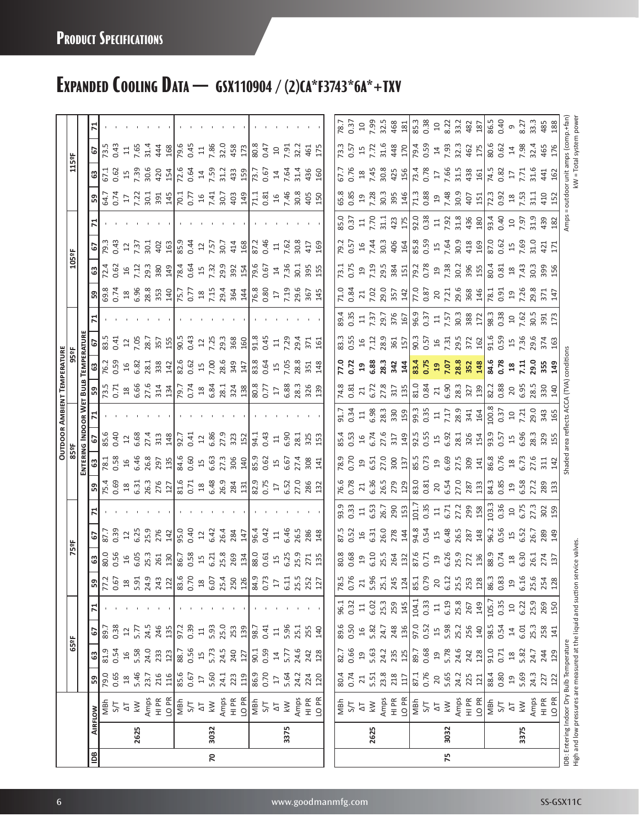### **Expanded Cooling Data — GSX110904 / (2)CA\*F3743\*6A\*+TXV**

|    |      |                                                                                                            |                         |                       |                         |                      |                                                                                                                                                                                                                                                                                                                                      |                |                                                                                                                                                                                                                                                                                                                                    |                                                                                                                                                                                                                                                                                                                                      |                                                                                                                                                                                                                                                                                                                                                                                                                                                    | <b>OUTDOOR AMBIENT TEMPERATURI</b> |                                                                                                                                                                                                                                       |   |                                                                                                                                                                                                                                                                                                                                                                            |                                                                                                                                                                                                                                                                                                               |                                                                                                                |                                                                                                                                                                                                                                                                                                                                                           |                                                                                                                                                                                                                                                                                                                        |                                                                                                                                                                                                                                                                                                                                                                                                     |                                                                                                                                                                                                                                                                                                               |                                                                                                                                                                                                                                                                                                                                                           |  |
|----|------|------------------------------------------------------------------------------------------------------------|-------------------------|-----------------------|-------------------------|----------------------|--------------------------------------------------------------------------------------------------------------------------------------------------------------------------------------------------------------------------------------------------------------------------------------------------------------------------------------|----------------|------------------------------------------------------------------------------------------------------------------------------------------------------------------------------------------------------------------------------------------------------------------------------------------------------------------------------------|--------------------------------------------------------------------------------------------------------------------------------------------------------------------------------------------------------------------------------------------------------------------------------------------------------------------------------------|----------------------------------------------------------------------------------------------------------------------------------------------------------------------------------------------------------------------------------------------------------------------------------------------------------------------------------------------------------------------------------------------------------------------------------------------------|------------------------------------|---------------------------------------------------------------------------------------------------------------------------------------------------------------------------------------------------------------------------------------|---|----------------------------------------------------------------------------------------------------------------------------------------------------------------------------------------------------------------------------------------------------------------------------------------------------------------------------------------------------------------------------|---------------------------------------------------------------------------------------------------------------------------------------------------------------------------------------------------------------------------------------------------------------------------------------------------------------|----------------------------------------------------------------------------------------------------------------|-----------------------------------------------------------------------------------------------------------------------------------------------------------------------------------------------------------------------------------------------------------------------------------------------------------------------------------------------------------|------------------------------------------------------------------------------------------------------------------------------------------------------------------------------------------------------------------------------------------------------------------------------------------------------------------------|-----------------------------------------------------------------------------------------------------------------------------------------------------------------------------------------------------------------------------------------------------------------------------------------------------------------------------------------------------------------------------------------------------|---------------------------------------------------------------------------------------------------------------------------------------------------------------------------------------------------------------------------------------------------------------------------------------------------------------|-----------------------------------------------------------------------------------------------------------------------------------------------------------------------------------------------------------------------------------------------------------------------------------------------------------------------------------------------------------|--|
|    |      |                                                                                                            |                         | 65°F                  |                         |                      |                                                                                                                                                                                                                                                                                                                                      | 75°F           |                                                                                                                                                                                                                                                                                                                                    |                                                                                                                                                                                                                                                                                                                                      |                                                                                                                                                                                                                                                                                                                                                                                                                                                    |                                    |                                                                                                                                                                                                                                       |   |                                                                                                                                                                                                                                                                                                                                                                            |                                                                                                                                                                                                                                                                                                               |                                                                                                                | 105°F                                                                                                                                                                                                                                                                                                                                                     |                                                                                                                                                                                                                                                                                                                        |                                                                                                                                                                                                                                                                                                                                                                                                     | 115°F                                                                                                                                                                                                                                                                                                         |                                                                                                                                                                                                                                                                                                                                                           |  |
|    |      |                                                                                                            |                         |                       |                         |                      |                                                                                                                                                                                                                                                                                                                                      |                |                                                                                                                                                                                                                                                                                                                                    |                                                                                                                                                                                                                                                                                                                                      |                                                                                                                                                                                                                                                                                                                                                                                                                                                    |                                    |                                                                                                                                                                                                                                       | ᆱ | TEMPERATUR                                                                                                                                                                                                                                                                                                                                                                 |                                                                                                                                                                                                                                                                                                               |                                                                                                                |                                                                                                                                                                                                                                                                                                                                                           |                                                                                                                                                                                                                                                                                                                        |                                                                                                                                                                                                                                                                                                                                                                                                     |                                                                                                                                                                                                                                                                                                               |                                                                                                                                                                                                                                                                                                                                                           |  |
| Вq |      | AIRFLOW                                                                                                    | 59                      | ශී                    | 6                       |                      |                                                                                                                                                                                                                                                                                                                                      |                |                                                                                                                                                                                                                                                                                                                                    |                                                                                                                                                                                                                                                                                                                                      |                                                                                                                                                                                                                                                                                                                                                                                                                                                    |                                    |                                                                                                                                                                                                                                       |   |                                                                                                                                                                                                                                                                                                                                                                            |                                                                                                                                                                                                                                                                                                               |                                                                                                                |                                                                                                                                                                                                                                                                                                                                                           |                                                                                                                                                                                                                                                                                                                        |                                                                                                                                                                                                                                                                                                                                                                                                     |                                                                                                                                                                                                                                                                                                               |                                                                                                                                                                                                                                                                                                                                                           |  |
|    |      | MBh                                                                                                        | 79.0                    |                       | 89.7                    |                      |                                                                                                                                                                                                                                                                                                                                      |                | 87.7<br>0.39                                                                                                                                                                                                                                                                                                                       |                                                                                                                                                                                                                                                                                                                                      |                                                                                                                                                                                                                                                                                                                                                                                                                                                    |                                    |                                                                                                                                                                                                                                       |   |                                                                                                                                                                                                                                                                                                                                                                            | 83.                                                                                                                                                                                                                                                                                                           |                                                                                                                |                                                                                                                                                                                                                                                                                                                                                           |                                                                                                                                                                                                                                                                                                                        |                                                                                                                                                                                                                                                                                                                                                                                                     |                                                                                                                                                                                                                                                                                                               |                                                                                                                                                                                                                                                                                                                                                           |  |
|    |      | 5 <sup>1</sup>                                                                                             | 0.65                    | 0.54                  | 0.38                    |                      |                                                                                                                                                                                                                                                                                                                                      |                |                                                                                                                                                                                                                                                                                                                                    |                                                                                                                                                                                                                                                                                                                                      |                                                                                                                                                                                                                                                                                                                                                                                                                                                    |                                    |                                                                                                                                                                                                                                       |   |                                                                                                                                                                                                                                                                                                                                                                            | 0.41                                                                                                                                                                                                                                                                                                          |                                                                                                                |                                                                                                                                                                                                                                                                                                                                                           |                                                                                                                                                                                                                                                                                                                        |                                                                                                                                                                                                                                                                                                                                                                                                     |                                                                                                                                                                                                                                                                                                               |                                                                                                                                                                                                                                                                                                                                                           |  |
|    | 2625 | $\leq$<br>$\overline{\Delta}$                                                                              | 5.46<br>$\frac{8}{10}$  | 5.58<br>$\frac{1}{6}$ | 5.77<br>$\overline{12}$ |                      |                                                                                                                                                                                                                                                                                                                                      |                |                                                                                                                                                                                                                                                                                                                                    |                                                                                                                                                                                                                                                                                                                                      |                                                                                                                                                                                                                                                                                                                                                                                                                                                    |                                    |                                                                                                                                                                                                                                       |   |                                                                                                                                                                                                                                                                                                                                                                            |                                                                                                                                                                                                                                                                                                               |                                                                                                                |                                                                                                                                                                                                                                                                                                                                                           |                                                                                                                                                                                                                                                                                                                        |                                                                                                                                                                                                                                                                                                                                                                                                     |                                                                                                                                                                                                                                                                                                               |                                                                                                                                                                                                                                                                                                                                                           |  |
|    |      | Amps                                                                                                       | 23.7                    | 24.0                  | 24.5                    |                      |                                                                                                                                                                                                                                                                                                                                      |                |                                                                                                                                                                                                                                                                                                                                    |                                                                                                                                                                                                                                                                                                                                      |                                                                                                                                                                                                                                                                                                                                                                                                                                                    |                                    |                                                                                                                                                                                                                                       |   |                                                                                                                                                                                                                                                                                                                                                                            |                                                                                                                                                                                                                                                                                                               |                                                                                                                |                                                                                                                                                                                                                                                                                                                                                           |                                                                                                                                                                                                                                                                                                                        |                                                                                                                                                                                                                                                                                                                                                                                                     |                                                                                                                                                                                                                                                                                                               |                                                                                                                                                                                                                                                                                                                                                           |  |
|    |      | HI PR                                                                                                      | 216                     | 233                   | 246                     |                      |                                                                                                                                                                                                                                                                                                                                      |                |                                                                                                                                                                                                                                                                                                                                    |                                                                                                                                                                                                                                                                                                                                      |                                                                                                                                                                                                                                                                                                                                                                                                                                                    |                                    |                                                                                                                                                                                                                                       |   |                                                                                                                                                                                                                                                                                                                                                                            |                                                                                                                                                                                                                                                                                                               |                                                                                                                |                                                                                                                                                                                                                                                                                                                                                           |                                                                                                                                                                                                                                                                                                                        |                                                                                                                                                                                                                                                                                                                                                                                                     |                                                                                                                                                                                                                                                                                                               |                                                                                                                                                                                                                                                                                                                                                           |  |
|    |      | LO <sub>PR</sub>                                                                                           | 116                     | 123                   | 135                     |                      | $\frac{1}{2}$<br>$\frac{1}{2}$ , $\frac{1}{2}$ , $\frac{1}{2}$ , $\frac{1}{2}$ , $\frac{1}{2}$ , $\frac{1}{2}$ , $\frac{1}{2}$ , $\frac{1}{2}$ , $\frac{1}{2}$ , $\frac{1}{2}$ , $\frac{1}{2}$ , $\frac{1}{2}$ , $\frac{1}{2}$ , $\frac{1}{2}$ , $\frac{1}{2}$ , $\frac{1}{2}$ , $\frac{1}{2}$ , $\frac{1}{2}$ , $\frac{1}{2}$ , $\$ |                | $\begin{array}{c}\n 18.58 \\  19.58 \\  19.53 \\  19.53 \\  19.53 \\  19.53 \\  19.53 \\  19.53 \\  19.53 \\  19.53 \\  19.53 \\  19.53 \\  19.53 \\  19.53 \\  19.53 \\  19.53 \\  19.53 \\  19.53 \\  19.53 \\  19.53 \\  19.53 \\  19.53 \\  19.53 \\  19.53 \\  19.53 \\  19.53 \\  19.53 \\  19.53 \\  19.53 \\  19.53 \\  1$ | $\frac{1}{2}$<br>$\frac{1}{2}$ , $\frac{1}{2}$ , $\frac{1}{2}$ , $\frac{1}{2}$ , $\frac{1}{2}$ , $\frac{1}{2}$ , $\frac{1}{2}$ , $\frac{1}{2}$ , $\frac{1}{2}$ , $\frac{1}{2}$ , $\frac{1}{2}$ , $\frac{1}{2}$ , $\frac{1}{2}$ , $\frac{1}{2}$ , $\frac{1}{2}$ , $\frac{1}{2}$ , $\frac{1}{2}$ , $\frac{1}{2}$ , $\frac{1}{2}$ , $\$ | $\begin{array}{l} 78.36 \end{array} \begin{array}{l} 64.36 \end{array} \begin{array}{l} 64.37 \end{array} \begin{array}{l} 64.37 \end{array} \begin{array}{l} 64.37 \end{array} \begin{array}{l} 64.37 \end{array} \begin{array}{l} 64.37 \end{array} \begin{array}{l} 64.37 \end{array} \begin{array}{l} 64.37 \end{array} \begin{array}{l} 64.37 \end{array} \begin{array}{l} 64.37 \end{array} \begin{array}{l} 64.37 \end{array} \begin{array$ |                                    |                                                                                                                                                                                                                                       |   | $\begin{array}{l} 76.99 \text{ } \begin{array}{l} 62.99 \text{ } \\ 76.99 \text{ } \\ 62.99 \text{ } \\ 76.99 \text{ } \\ 87.99 \text{ } \\ 98.99 \text{ } \\ 109.99 \text{ } \\ 109.99 \text{ } \\ 109.99 \text{ } \\ 109.99 \text{ } \\ 109.99 \text{ } \\ 109.99 \text{ } \\ 109.99 \text{ } \\ 109.99 \text{ } \\ 109.99 \text{ } \\ 109.99 \text{ } \\ 109.99 \text{$ | $\begin{array}{c} 1257 \\ 1500 \\ 1500 \\ 1500 \\ 1500 \\ 1500 \\ 1500 \\ 1500 \\ 1500 \\ 1500 \\ 1500 \\ 1500 \\ 1500 \\ 1500 \\ 1500 \\ 1500 \\ 1500 \\ 1500 \\ 1500 \\ 1500 \\ 1500 \\ 1500 \\ 1500 \\ 1500 \\ 1500 \\ 1500 \\ 1500 \\ 1500 \\ 1500 \\ 1500 \\ 1500 \\ 1500 \\ 1500 \\ 1500 \\ 1500 \\ 15$ |                                                                                                                | $\frac{a}{b}$ $\frac{1}{2}$ $\frac{a}{3}$ $\frac{a}{5}$ $\frac{a}{5}$ $\frac{a}{5}$ $\frac{a}{5}$ $\frac{a}{5}$ $\frac{a}{5}$ $\frac{a}{5}$ $\frac{a}{5}$ $\frac{a}{5}$ $\frac{a}{5}$ $\frac{a}{5}$ $\frac{a}{5}$ $\frac{a}{5}$ $\frac{a}{5}$ $\frac{a}{5}$ $\frac{a}{5}$ $\frac{a}{5}$ $\frac{a}{5}$ $\frac{a}{5}$ $\frac{a}{5}$ $\frac{a}{5}$ $\frac{a$ | $S$ $\frac{1}{2}$ $\frac{1}{2}$ $\frac{1}{2}$ $\frac{1}{2}$ $\frac{1}{2}$ $\frac{1}{2}$ $\frac{1}{2}$ $\frac{1}{2}$ $\frac{1}{2}$ $\frac{1}{2}$ $\frac{1}{2}$ $\frac{1}{2}$ $\frac{1}{2}$ $\frac{1}{2}$ $\frac{1}{2}$ $\frac{1}{2}$ $\frac{1}{2}$ $\frac{1}{2}$ $\frac{1}{2}$ $\frac{1}{2}$ $\frac{1}{2}$ $\frac{1}{2$ | $B$ <sub>1</sub> $G \overline{G}$ $D \overline{G}$ $D \overline{G}$ $D \overline{G}$ $D \overline{G}$ $D \overline{G}$ $D \overline{G}$ $D \overline{G}$ $D \overline{G}$ $D \overline{G}$ $D \overline{G}$ $D \overline{G}$ $D \overline{G}$ $D \overline{G}$ $D \overline{G}$ $D \overline{G}$ $D \overline{G}$ $D \overline{G}$ $D \overline{G}$ $D \overline{G}$ $D \overline{G}$ $D \overline$ | $\frac{3}{2}$ $\frac{1}{2}$ $\frac{1}{2}$ $\frac{3}{2}$ $\frac{3}{2}$ $\frac{3}{2}$ $\frac{4}{2}$ $\frac{5}{2}$ $\frac{4}{2}$ $\frac{1}{2}$ $\frac{6}{2}$ $\frac{5}{2}$ $\frac{3}{2}$ $\frac{3}{2}$ $\frac{3}{2}$ $\frac{6}{2}$                                                                               | $\frac{1}{2}$ $\frac{1}{2}$ $\frac{1}{2}$ $\frac{1}{2}$ $\frac{1}{2}$ $\frac{1}{2}$ $\frac{1}{2}$ $\frac{1}{2}$ $\frac{1}{2}$ $\frac{1}{2}$ $\frac{1}{2}$ $\frac{1}{2}$ $\frac{1}{2}$ $\frac{1}{2}$ $\frac{1}{2}$ $\frac{1}{2}$ $\frac{1}{2}$ $\frac{1}{2}$ $\frac{1}{2}$ $\frac{1}{2}$ $\frac{1}{2}$ $\frac{1}{2}$ $\frac{1}{2}$ $\frac{1}{2}$ $\frac{1$ |  |
|    |      | ns<br>지<br>성                                                                                               | 85.6<br>0.67            | 88.7                  | 97.2                    |                      |                                                                                                                                                                                                                                                                                                                                      |                |                                                                                                                                                                                                                                                                                                                                    |                                                                                                                                                                                                                                                                                                                                      |                                                                                                                                                                                                                                                                                                                                                                                                                                                    |                                    |                                                                                                                                                                                                                                       |   |                                                                                                                                                                                                                                                                                                                                                                            |                                                                                                                                                                                                                                                                                                               |                                                                                                                |                                                                                                                                                                                                                                                                                                                                                           |                                                                                                                                                                                                                                                                                                                        |                                                                                                                                                                                                                                                                                                                                                                                                     |                                                                                                                                                                                                                                                                                                               |                                                                                                                                                                                                                                                                                                                                                           |  |
|    |      |                                                                                                            |                         | 0.56                  | 0.39                    |                      |                                                                                                                                                                                                                                                                                                                                      |                |                                                                                                                                                                                                                                                                                                                                    |                                                                                                                                                                                                                                                                                                                                      |                                                                                                                                                                                                                                                                                                                                                                                                                                                    |                                    |                                                                                                                                                                                                                                       |   |                                                                                                                                                                                                                                                                                                                                                                            |                                                                                                                                                                                                                                                                                                               |                                                                                                                |                                                                                                                                                                                                                                                                                                                                                           |                                                                                                                                                                                                                                                                                                                        |                                                                                                                                                                                                                                                                                                                                                                                                     |                                                                                                                                                                                                                                                                                                               |                                                                                                                                                                                                                                                                                                                                                           |  |
|    |      |                                                                                                            | $\overline{\mathbb{L}}$ | $15$                  | $\Xi$                   |                      |                                                                                                                                                                                                                                                                                                                                      |                |                                                                                                                                                                                                                                                                                                                                    |                                                                                                                                                                                                                                                                                                                                      |                                                                                                                                                                                                                                                                                                                                                                                                                                                    |                                    |                                                                                                                                                                                                                                       |   |                                                                                                                                                                                                                                                                                                                                                                            |                                                                                                                                                                                                                                                                                                               |                                                                                                                |                                                                                                                                                                                                                                                                                                                                                           |                                                                                                                                                                                                                                                                                                                        |                                                                                                                                                                                                                                                                                                                                                                                                     |                                                                                                                                                                                                                                                                                                               |                                                                                                                                                                                                                                                                                                                                                           |  |
| 20 | 3032 | $\lesssim$                                                                                                 |                         | 5.73                  |                         |                      |                                                                                                                                                                                                                                                                                                                                      |                |                                                                                                                                                                                                                                                                                                                                    |                                                                                                                                                                                                                                                                                                                                      |                                                                                                                                                                                                                                                                                                                                                                                                                                                    |                                    |                                                                                                                                                                                                                                       |   |                                                                                                                                                                                                                                                                                                                                                                            |                                                                                                                                                                                                                                                                                                               |                                                                                                                |                                                                                                                                                                                                                                                                                                                                                           |                                                                                                                                                                                                                                                                                                                        |                                                                                                                                                                                                                                                                                                                                                                                                     |                                                                                                                                                                                                                                                                                                               |                                                                                                                                                                                                                                                                                                                                                           |  |
|    |      | Amps                                                                                                       | 5.60<br>24.1            | 24.5                  | 5.93<br>25.0<br>253     |                      |                                                                                                                                                                                                                                                                                                                                      |                |                                                                                                                                                                                                                                                                                                                                    |                                                                                                                                                                                                                                                                                                                                      |                                                                                                                                                                                                                                                                                                                                                                                                                                                    |                                    |                                                                                                                                                                                                                                       |   |                                                                                                                                                                                                                                                                                                                                                                            |                                                                                                                                                                                                                                                                                                               |                                                                                                                |                                                                                                                                                                                                                                                                                                                                                           |                                                                                                                                                                                                                                                                                                                        |                                                                                                                                                                                                                                                                                                                                                                                                     |                                                                                                                                                                                                                                                                                                               |                                                                                                                                                                                                                                                                                                                                                           |  |
|    |      | HI PR<br>LO PR                                                                                             | 223                     | 240                   |                         |                      |                                                                                                                                                                                                                                                                                                                                      |                |                                                                                                                                                                                                                                                                                                                                    |                                                                                                                                                                                                                                                                                                                                      |                                                                                                                                                                                                                                                                                                                                                                                                                                                    |                                    |                                                                                                                                                                                                                                       |   |                                                                                                                                                                                                                                                                                                                                                                            |                                                                                                                                                                                                                                                                                                               |                                                                                                                |                                                                                                                                                                                                                                                                                                                                                           |                                                                                                                                                                                                                                                                                                                        |                                                                                                                                                                                                                                                                                                                                                                                                     |                                                                                                                                                                                                                                                                                                               |                                                                                                                                                                                                                                                                                                                                                           |  |
|    |      |                                                                                                            | 119                     | 127                   | 139                     |                      |                                                                                                                                                                                                                                                                                                                                      |                |                                                                                                                                                                                                                                                                                                                                    |                                                                                                                                                                                                                                                                                                                                      |                                                                                                                                                                                                                                                                                                                                                                                                                                                    |                                    |                                                                                                                                                                                                                                       |   |                                                                                                                                                                                                                                                                                                                                                                            |                                                                                                                                                                                                                                                                                                               |                                                                                                                |                                                                                                                                                                                                                                                                                                                                                           |                                                                                                                                                                                                                                                                                                                        |                                                                                                                                                                                                                                                                                                                                                                                                     |                                                                                                                                                                                                                                                                                                               |                                                                                                                                                                                                                                                                                                                                                           |  |
|    |      | MBh                                                                                                        | 86.9<br>0.70            | 90.1                  | 98.7                    |                      |                                                                                                                                                                                                                                                                                                                                      |                | 96.4<br>0.42<br>6.46<br>286<br>286                                                                                                                                                                                                                                                                                                 |                                                                                                                                                                                                                                                                                                                                      |                                                                                                                                                                                                                                                                                                                                                                                                                                                    |                                    |                                                                                                                                                                                                                                       |   |                                                                                                                                                                                                                                                                                                                                                                            | 91.8<br>0.45                                                                                                                                                                                                                                                                                                  |                                                                                                                |                                                                                                                                                                                                                                                                                                                                                           |                                                                                                                                                                                                                                                                                                                        |                                                                                                                                                                                                                                                                                                                                                                                                     | 73.7<br>0.67                                                                                                                                                                                                                                                                                                  |                                                                                                                                                                                                                                                                                                                                                           |  |
|    |      | 5/7                                                                                                        |                         | 0.59                  | 0.41                    |                      |                                                                                                                                                                                                                                                                                                                                      |                |                                                                                                                                                                                                                                                                                                                                    |                                                                                                                                                                                                                                                                                                                                      |                                                                                                                                                                                                                                                                                                                                                                                                                                                    |                                    |                                                                                                                                                                                                                                       |   |                                                                                                                                                                                                                                                                                                                                                                            |                                                                                                                                                                                                                                                                                                               |                                                                                                                |                                                                                                                                                                                                                                                                                                                                                           |                                                                                                                                                                                                                                                                                                                        |                                                                                                                                                                                                                                                                                                                                                                                                     |                                                                                                                                                                                                                                                                                                               |                                                                                                                                                                                                                                                                                                                                                           |  |
|    |      | $\overline{\Delta}$                                                                                        | $\overline{\Box}$       | $\overline{1}$        | $\Xi$                   |                      |                                                                                                                                                                                                                                                                                                                                      |                |                                                                                                                                                                                                                                                                                                                                    |                                                                                                                                                                                                                                                                                                                                      |                                                                                                                                                                                                                                                                                                                                                                                                                                                    |                                    |                                                                                                                                                                                                                                       |   |                                                                                                                                                                                                                                                                                                                                                                            | $\Xi$                                                                                                                                                                                                                                                                                                         |                                                                                                                |                                                                                                                                                                                                                                                                                                                                                           |                                                                                                                                                                                                                                                                                                                        |                                                                                                                                                                                                                                                                                                                                                                                                     |                                                                                                                                                                                                                                                                                                               |                                                                                                                                                                                                                                                                                                                                                           |  |
|    | 3375 | $\lesssim$                                                                                                 | 5.64                    | 5.77                  | 5.96                    |                      |                                                                                                                                                                                                                                                                                                                                      |                |                                                                                                                                                                                                                                                                                                                                    |                                                                                                                                                                                                                                                                                                                                      |                                                                                                                                                                                                                                                                                                                                                                                                                                                    |                                    |                                                                                                                                                                                                                                       |   |                                                                                                                                                                                                                                                                                                                                                                            | 7.29                                                                                                                                                                                                                                                                                                          |                                                                                                                |                                                                                                                                                                                                                                                                                                                                                           |                                                                                                                                                                                                                                                                                                                        |                                                                                                                                                                                                                                                                                                                                                                                                     |                                                                                                                                                                                                                                                                                                               |                                                                                                                                                                                                                                                                                                                                                           |  |
|    |      | Amps                                                                                                       | 24.2                    | 24.6                  | 25.1                    |                      |                                                                                                                                                                                                                                                                                                                                      |                |                                                                                                                                                                                                                                                                                                                                    |                                                                                                                                                                                                                                                                                                                                      |                                                                                                                                                                                                                                                                                                                                                                                                                                                    | $13.581$<br>$0.3331$               |                                                                                                                                                                                                                                       |   |                                                                                                                                                                                                                                                                                                                                                                            |                                                                                                                                                                                                                                                                                                               |                                                                                                                |                                                                                                                                                                                                                                                                                                                                                           | 87.3<br>0.46<br>7.62 8<br>41                                                                                                                                                                                                                                                                                           |                                                                                                                                                                                                                                                                                                                                                                                                     | $14.480$<br>$7.436$                                                                                                                                                                                                                                                                                           |                                                                                                                                                                                                                                                                                                                                                           |  |
|    |      |                                                                                                            | 224                     | 242                   | 255                     |                      |                                                                                                                                                                                                                                                                                                                                      |                |                                                                                                                                                                                                                                                                                                                                    |                                                                                                                                                                                                                                                                                                                                      |                                                                                                                                                                                                                                                                                                                                                                                                                                                    |                                    |                                                                                                                                                                                                                                       |   |                                                                                                                                                                                                                                                                                                                                                                            | $\frac{29.4}{371}$                                                                                                                                                                                                                                                                                            |                                                                                                                |                                                                                                                                                                                                                                                                                                                                                           |                                                                                                                                                                                                                                                                                                                        |                                                                                                                                                                                                                                                                                                                                                                                                     |                                                                                                                                                                                                                                                                                                               |                                                                                                                                                                                                                                                                                                                                                           |  |
|    |      | HI PR<br>LO PR                                                                                             | 120                     | 128                   | 140                     |                      |                                                                                                                                                                                                                                                                                                                                      |                | 148                                                                                                                                                                                                                                                                                                                                |                                                                                                                                                                                                                                                                                                                                      |                                                                                                                                                                                                                                                                                                                                                                                                                                                    |                                    |                                                                                                                                                                                                                                       |   |                                                                                                                                                                                                                                                                                                                                                                            |                                                                                                                                                                                                                                                                                                               |                                                                                                                |                                                                                                                                                                                                                                                                                                                                                           | 169                                                                                                                                                                                                                                                                                                                    |                                                                                                                                                                                                                                                                                                                                                                                                     |                                                                                                                                                                                                                                                                                                               |                                                                                                                                                                                                                                                                                                                                                           |  |
|    |      |                                                                                                            |                         |                       |                         |                      |                                                                                                                                                                                                                                                                                                                                      |                |                                                                                                                                                                                                                                                                                                                                    |                                                                                                                                                                                                                                                                                                                                      |                                                                                                                                                                                                                                                                                                                                                                                                                                                    |                                    |                                                                                                                                                                                                                                       |   |                                                                                                                                                                                                                                                                                                                                                                            |                                                                                                                                                                                                                                                                                                               |                                                                                                                |                                                                                                                                                                                                                                                                                                                                                           |                                                                                                                                                                                                                                                                                                                        |                                                                                                                                                                                                                                                                                                                                                                                                     |                                                                                                                                                                                                                                                                                                               |                                                                                                                                                                                                                                                                                                                                                           |  |
|    |      |                                                                                                            |                         | 82.7                  | 89.6                    | 96.1                 |                                                                                                                                                                                                                                                                                                                                      |                |                                                                                                                                                                                                                                                                                                                                    |                                                                                                                                                                                                                                                                                                                                      |                                                                                                                                                                                                                                                                                                                                                                                                                                                    |                                    |                                                                                                                                                                                                                                       |   |                                                                                                                                                                                                                                                                                                                                                                            |                                                                                                                                                                                                                                                                                                               |                                                                                                                |                                                                                                                                                                                                                                                                                                                                                           |                                                                                                                                                                                                                                                                                                                        |                                                                                                                                                                                                                                                                                                                                                                                                     | 67.7                                                                                                                                                                                                                                                                                                          | 73.3                                                                                                                                                                                                                                                                                                                                                      |  |
|    |      | TV<br>S/T                                                                                                  | 80.74<br>0.74           |                       |                         | 0.32                 |                                                                                                                                                                                                                                                                                                                                      |                |                                                                                                                                                                                                                                                                                                                                    |                                                                                                                                                                                                                                                                                                                                      |                                                                                                                                                                                                                                                                                                                                                                                                                                                    |                                    |                                                                                                                                                                                                                                       |   |                                                                                                                                                                                                                                                                                                                                                                            |                                                                                                                                                                                                                                                                                                               |                                                                                                                |                                                                                                                                                                                                                                                                                                                                                           |                                                                                                                                                                                                                                                                                                                        |                                                                                                                                                                                                                                                                                                                                                                                                     |                                                                                                                                                                                                                                                                                                               |                                                                                                                                                                                                                                                                                                                                                           |  |
|    |      | $\overline{\Delta}$                                                                                        | $21\,$                  | $\overline{c}$        | 16                      | $\Xi$                |                                                                                                                                                                                                                                                                                                                                      |                |                                                                                                                                                                                                                                                                                                                                    |                                                                                                                                                                                                                                                                                                                                      |                                                                                                                                                                                                                                                                                                                                                                                                                                                    |                                    |                                                                                                                                                                                                                                       |   |                                                                                                                                                                                                                                                                                                                                                                            |                                                                                                                                                                                                                                                                                                               |                                                                                                                |                                                                                                                                                                                                                                                                                                                                                           |                                                                                                                                                                                                                                                                                                                        |                                                                                                                                                                                                                                                                                                                                                                                                     |                                                                                                                                                                                                                                                                                                               |                                                                                                                                                                                                                                                                                                                                                           |  |
|    | 2625 | $\lesssim$                                                                                                 | 5.51                    | 5.63                  | 5.82                    |                      |                                                                                                                                                                                                                                                                                                                                      |                |                                                                                                                                                                                                                                                                                                                                    |                                                                                                                                                                                                                                                                                                                                      |                                                                                                                                                                                                                                                                                                                                                                                                                                                    |                                    |                                                                                                                                                                                                                                       |   |                                                                                                                                                                                                                                                                                                                                                                            |                                                                                                                                                                                                                                                                                                               |                                                                                                                |                                                                                                                                                                                                                                                                                                                                                           |                                                                                                                                                                                                                                                                                                                        |                                                                                                                                                                                                                                                                                                                                                                                                     |                                                                                                                                                                                                                                                                                                               |                                                                                                                                                                                                                                                                                                                                                           |  |
|    |      | Amps<br>HI PR                                                                                              |                         | 24.2                  | 24.7                    | 6.02<br>25.3         |                                                                                                                                                                                                                                                                                                                                      |                |                                                                                                                                                                                                                                                                                                                                    |                                                                                                                                                                                                                                                                                                                                      |                                                                                                                                                                                                                                                                                                                                                                                                                                                    |                                    |                                                                                                                                                                                                                                       |   |                                                                                                                                                                                                                                                                                                                                                                            |                                                                                                                                                                                                                                                                                                               |                                                                                                                |                                                                                                                                                                                                                                                                                                                                                           |                                                                                                                                                                                                                                                                                                                        |                                                                                                                                                                                                                                                                                                                                                                                                     |                                                                                                                                                                                                                                                                                                               |                                                                                                                                                                                                                                                                                                                                                           |  |
|    |      |                                                                                                            | 23.8<br>218<br>117      | 235                   | 248                     | 259                  |                                                                                                                                                                                                                                                                                                                                      |                |                                                                                                                                                                                                                                                                                                                                    |                                                                                                                                                                                                                                                                                                                                      |                                                                                                                                                                                                                                                                                                                                                                                                                                                    |                                    |                                                                                                                                                                                                                                       |   |                                                                                                                                                                                                                                                                                                                                                                            |                                                                                                                                                                                                                                                                                                               |                                                                                                                |                                                                                                                                                                                                                                                                                                                                                           |                                                                                                                                                                                                                                                                                                                        |                                                                                                                                                                                                                                                                                                                                                                                                     |                                                                                                                                                                                                                                                                                                               |                                                                                                                                                                                                                                                                                                                                                           |  |
|    |      | LO <sub>PR</sub>                                                                                           |                         | 125                   | $\frac{136}{1}$         | $\frac{145}{2}$      |                                                                                                                                                                                                                                                                                                                                      |                |                                                                                                                                                                                                                                                                                                                                    |                                                                                                                                                                                                                                                                                                                                      |                                                                                                                                                                                                                                                                                                                                                                                                                                                    |                                    |                                                                                                                                                                                                                                       |   |                                                                                                                                                                                                                                                                                                                                                                            |                                                                                                                                                                                                                                                                                                               |                                                                                                                |                                                                                                                                                                                                                                                                                                                                                           |                                                                                                                                                                                                                                                                                                                        |                                                                                                                                                                                                                                                                                                                                                                                                     |                                                                                                                                                                                                                                                                                                               |                                                                                                                                                                                                                                                                                                                                                           |  |
|    |      | NBh<br>S/T<br>47                                                                                           | 87.1<br>0.76            | 89.7                  | 97.0                    | $\frac{104.1}{0.33}$ |                                                                                                                                                                                                                                                                                                                                      |                |                                                                                                                                                                                                                                                                                                                                    |                                                                                                                                                                                                                                                                                                                                      |                                                                                                                                                                                                                                                                                                                                                                                                                                                    |                                    |                                                                                                                                                                                                                                       |   |                                                                                                                                                                                                                                                                                                                                                                            |                                                                                                                                                                                                                                                                                                               |                                                                                                                |                                                                                                                                                                                                                                                                                                                                                           |                                                                                                                                                                                                                                                                                                                        |                                                                                                                                                                                                                                                                                                                                                                                                     |                                                                                                                                                                                                                                                                                                               |                                                                                                                                                                                                                                                                                                                                                           |  |
|    |      |                                                                                                            |                         | 0.68                  | 0.52                    |                      |                                                                                                                                                                                                                                                                                                                                      |                |                                                                                                                                                                                                                                                                                                                                    |                                                                                                                                                                                                                                                                                                                                      |                                                                                                                                                                                                                                                                                                                                                                                                                                                    |                                    |                                                                                                                                                                                                                                       |   |                                                                                                                                                                                                                                                                                                                                                                            |                                                                                                                                                                                                                                                                                                               |                                                                                                                |                                                                                                                                                                                                                                                                                                                                                           |                                                                                                                                                                                                                                                                                                                        |                                                                                                                                                                                                                                                                                                                                                                                                     |                                                                                                                                                                                                                                                                                                               |                                                                                                                                                                                                                                                                                                                                                           |  |
|    |      |                                                                                                            | $20$                    | $\overline{a}$        | 15                      | $\Xi$                |                                                                                                                                                                                                                                                                                                                                      |                |                                                                                                                                                                                                                                                                                                                                    |                                                                                                                                                                                                                                                                                                                                      |                                                                                                                                                                                                                                                                                                                                                                                                                                                    |                                    |                                                                                                                                                                                                                                       |   |                                                                                                                                                                                                                                                                                                                                                                            |                                                                                                                                                                                                                                                                                                               |                                                                                                                |                                                                                                                                                                                                                                                                                                                                                           |                                                                                                                                                                                                                                                                                                                        |                                                                                                                                                                                                                                                                                                                                                                                                     |                                                                                                                                                                                                                                                                                                               |                                                                                                                                                                                                                                                                                                                                                           |  |
| 75 | 3032 | $\lesssim$                                                                                                 | 5.65<br>24.2            | 5.78                  | 5.98                    | 6.19                 |                                                                                                                                                                                                                                                                                                                                      |                |                                                                                                                                                                                                                                                                                                                                    |                                                                                                                                                                                                                                                                                                                                      |                                                                                                                                                                                                                                                                                                                                                                                                                                                    |                                    |                                                                                                                                                                                                                                       |   |                                                                                                                                                                                                                                                                                                                                                                            |                                                                                                                                                                                                                                                                                                               |                                                                                                                |                                                                                                                                                                                                                                                                                                                                                           |                                                                                                                                                                                                                                                                                                                        |                                                                                                                                                                                                                                                                                                                                                                                                     |                                                                                                                                                                                                                                                                                                               |                                                                                                                                                                                                                                                                                                                                                           |  |
|    |      | Amps                                                                                                       |                         | 24.6                  | 25.2                    | 25.8                 |                                                                                                                                                                                                                                                                                                                                      |                |                                                                                                                                                                                                                                                                                                                                    |                                                                                                                                                                                                                                                                                                                                      |                                                                                                                                                                                                                                                                                                                                                                                                                                                    |                                    |                                                                                                                                                                                                                                       |   |                                                                                                                                                                                                                                                                                                                                                                            |                                                                                                                                                                                                                                                                                                               |                                                                                                                |                                                                                                                                                                                                                                                                                                                                                           |                                                                                                                                                                                                                                                                                                                        |                                                                                                                                                                                                                                                                                                                                                                                                     |                                                                                                                                                                                                                                                                                                               |                                                                                                                                                                                                                                                                                                                                                           |  |
|    |      | LO <sub>PR</sub><br>HI PR                                                                                  | 225<br>121              | 128<br>242            | 140                     | 149<br>267           |                                                                                                                                                                                                                                                                                                                                      |                | 87.5<br>0.52 = 5.63 = 5.63 = 5.63 = 5.63 = 5.63 = 5.63 = 6.76 = 6.76 = 6.76 = 6.76 = 6.76 = 7.87 = 6.76 = 7.87 = 6.76<br>0.76 = 7.97 = 7.97 = 7.97 = 7.97 = 7.97 = 7.98 = 7.98 = 7.98 = 7.98 = 7.98 = 7.98 = 7.98 = 7.98 = 7.98 = 7                                                                                                |                                                                                                                                                                                                                                                                                                                                      |                                                                                                                                                                                                                                                                                                                                                                                                                                                    |                                    |                                                                                                                                                                                                                                       |   |                                                                                                                                                                                                                                                                                                                                                                            |                                                                                                                                                                                                                                                                                                               |                                                                                                                |                                                                                                                                                                                                                                                                                                                                                           |                                                                                                                                                                                                                                                                                                                        |                                                                                                                                                                                                                                                                                                                                                                                                     |                                                                                                                                                                                                                                                                                                               |                                                                                                                                                                                                                                                                                                                                                           |  |
|    |      | MBh                                                                                                        |                         | 91.0                  | 98.5                    |                      |                                                                                                                                                                                                                                                                                                                                      |                |                                                                                                                                                                                                                                                                                                                                    |                                                                                                                                                                                                                                                                                                                                      | $\frac{8}{8}$ $\frac{3}{8}$ $\frac{5}{8}$ $\frac{5}{8}$ $\frac{1}{8}$ $\frac{5}{8}$ $\frac{5}{8}$ $\frac{1}{8}$ $\frac{1}{8}$ $\frac{5}{8}$ $\frac{3}{8}$ $\frac{5}{8}$ $\frac{3}{8}$ $\frac{5}{8}$ $\frac{3}{8}$ $\frac{5}{8}$ $\frac{3}{8}$ $\frac{1}{8}$ $\frac{5}{8}$ $\frac{3}{8}$ $\frac{1}{8}$ $\frac{3}{8}$                                                                                                                                |                                    | $\frac{1}{2}$ 3 3 3 3 3 5 5 $\frac{1}{2}$ 3 3 4 5 5 6 5 6 5 6 7 7 8 9 5 6 7 7 8 9 7 7 8 9 7 7 8 9 7 7 8 9 7 7 8 9 7 8 9 7 8 9 7 8 9 7 8 9 7 8 9 7 8 9 7 8 9 7 8 9 7 8 9 7 8 9 7 8 9 7 8 9 7 8 9 7 8 9 7 8 9 7 8 9 7 8 9 7 8 9 7 8 9 7 |   |                                                                                                                                                                                                                                                                                                                                                                            |                                                                                                                                                                                                                                                                                                               | 80 1 1 2 2 3 2 4 5 6 7 7 8 9 8 7 8 9 9 9 0 1 2 9 9 9 1 8 9 9 1 8 9 9 1 8 9 9 1 8 9 9 1 9 9 9 1 9 9 1 9 9 1 9 9 | rs<br>2010 - 2020 - 2020 - 2020 - 2020 - 2020 - 2020 - 2020 - 2020 - 2020 - 2020 - 2020 - 2020 - 2020 - 2020 - 2020<br>2020 - 2020 - 2020 - 2020 - 2020 - 2020 - 2020 - 2020 - 2020 - 2020 - 2020 - 2020 - 2020 - 2020 - 2020 - 2020                                                                                                                      |                                                                                                                                                                                                                                                                                                                        |                                                                                                                                                                                                                                                                                                                                                                                                     | $\begin{array}{c} 168 \\ 0.78 \\ 0.89 \\ 0.72 \\ 0.84 \\ 0.01 \\ 0.01 \\ 0.01 \\ 0.01 \\ 0.01 \\ 0.01 \\ 0.01 \\ 0.01 \\ 0.01 \\ 0.01 \\ 0.01 \\ 0.01 \\ 0.01 \\ 0.01 \\ 0.01 \\ 0.01 \\ 0.01 \\ 0.01 \\ 0.01 \\ 0.01 \\ 0.01 \\ 0.01 \\ 0.01 \\ 0.01 \\ 0.01 \\ 0.01 \\ 0.01 \\ 0.01 \\ 0.01 \\ 0.01 \\ 0.0$ |                                                                                                                                                                                                                                                                                                                                                           |  |
|    |      | 5/7                                                                                                        | 88.4<br>0.80            | 0.71                  | 0.54                    | 105.7<br>0.35        |                                                                                                                                                                                                                                                                                                                                      |                |                                                                                                                                                                                                                                                                                                                                    |                                                                                                                                                                                                                                                                                                                                      |                                                                                                                                                                                                                                                                                                                                                                                                                                                    |                                    |                                                                                                                                                                                                                                       |   |                                                                                                                                                                                                                                                                                                                                                                            |                                                                                                                                                                                                                                                                                                               |                                                                                                                |                                                                                                                                                                                                                                                                                                                                                           |                                                                                                                                                                                                                                                                                                                        |                                                                                                                                                                                                                                                                                                                                                                                                     |                                                                                                                                                                                                                                                                                                               |                                                                                                                                                                                                                                                                                                                                                           |  |
|    |      | $\overline{\mathcal{L}}$                                                                                   | $\Xi$                   | $18$                  | $\overline{a}$          | $\Xi$                |                                                                                                                                                                                                                                                                                                                                      |                | 96.56<br>0.56<br>0.52<br>0.82<br>20<br>20<br>20                                                                                                                                                                                                                                                                                    |                                                                                                                                                                                                                                                                                                                                      |                                                                                                                                                                                                                                                                                                                                                                                                                                                    |                                    |                                                                                                                                                                                                                                       |   |                                                                                                                                                                                                                                                                                                                                                                            |                                                                                                                                                                                                                                                                                                               |                                                                                                                |                                                                                                                                                                                                                                                                                                                                                           |                                                                                                                                                                                                                                                                                                                        |                                                                                                                                                                                                                                                                                                                                                                                                     |                                                                                                                                                                                                                                                                                                               |                                                                                                                                                                                                                                                                                                                                                           |  |
|    | 3375 | $\leq$                                                                                                     | 5.69                    | 5.82                  | 6.01                    | 6.22                 |                                                                                                                                                                                                                                                                                                                                      |                |                                                                                                                                                                                                                                                                                                                                    |                                                                                                                                                                                                                                                                                                                                      |                                                                                                                                                                                                                                                                                                                                                                                                                                                    |                                    |                                                                                                                                                                                                                                       |   |                                                                                                                                                                                                                                                                                                                                                                            |                                                                                                                                                                                                                                                                                                               |                                                                                                                |                                                                                                                                                                                                                                                                                                                                                           |                                                                                                                                                                                                                                                                                                                        |                                                                                                                                                                                                                                                                                                                                                                                                     |                                                                                                                                                                                                                                                                                                               |                                                                                                                                                                                                                                                                                                                                                           |  |
|    |      | Amps                                                                                                       | 24.3                    | 24.7                  | 25.3                    | 25.9                 |                                                                                                                                                                                                                                                                                                                                      |                |                                                                                                                                                                                                                                                                                                                                    |                                                                                                                                                                                                                                                                                                                                      |                                                                                                                                                                                                                                                                                                                                                                                                                                                    |                                    |                                                                                                                                                                                                                                       |   |                                                                                                                                                                                                                                                                                                                                                                            |                                                                                                                                                                                                                                                                                                               |                                                                                                                |                                                                                                                                                                                                                                                                                                                                                           |                                                                                                                                                                                                                                                                                                                        |                                                                                                                                                                                                                                                                                                                                                                                                     |                                                                                                                                                                                                                                                                                                               |                                                                                                                                                                                                                                                                                                                                                           |  |
|    |      | HI PR                                                                                                      | 227                     | 244<br>129            | 258<br>141              | 269<br>150           |                                                                                                                                                                                                                                                                                                                                      |                |                                                                                                                                                                                                                                                                                                                                    |                                                                                                                                                                                                                                                                                                                                      |                                                                                                                                                                                                                                                                                                                                                                                                                                                    |                                    |                                                                                                                                                                                                                                       |   |                                                                                                                                                                                                                                                                                                                                                                            |                                                                                                                                                                                                                                                                                                               |                                                                                                                |                                                                                                                                                                                                                                                                                                                                                           |                                                                                                                                                                                                                                                                                                                        |                                                                                                                                                                                                                                                                                                                                                                                                     |                                                                                                                                                                                                                                                                                                               |                                                                                                                                                                                                                                                                                                                                                           |  |
|    |      | LO <sub>PR</sub>                                                                                           | 122                     |                       |                         |                      |                                                                                                                                                                                                                                                                                                                                      |                |                                                                                                                                                                                                                                                                                                                                    |                                                                                                                                                                                                                                                                                                                                      |                                                                                                                                                                                                                                                                                                                                                                                                                                                    |                                    |                                                                                                                                                                                                                                       |   |                                                                                                                                                                                                                                                                                                                                                                            |                                                                                                                                                                                                                                                                                                               |                                                                                                                |                                                                                                                                                                                                                                                                                                                                                           |                                                                                                                                                                                                                                                                                                                        |                                                                                                                                                                                                                                                                                                                                                                                                     |                                                                                                                                                                                                                                                                                                               |                                                                                                                                                                                                                                                                                                                                                           |  |
|    |      | High and low pressures are measured at the liquid and suction<br>IDB: Entering Indoor Dry Bulb Temperature |                         |                       |                         |                      |                                                                                                                                                                                                                                                                                                                                      | service valves |                                                                                                                                                                                                                                                                                                                                    |                                                                                                                                                                                                                                                                                                                                      |                                                                                                                                                                                                                                                                                                                                                                                                                                                    |                                    |                                                                                                                                                                                                                                       |   |                                                                                                                                                                                                                                                                                                                                                                            |                                                                                                                                                                                                                                                                                                               |                                                                                                                |                                                                                                                                                                                                                                                                                                                                                           |                                                                                                                                                                                                                                                                                                                        |                                                                                                                                                                                                                                                                                                                                                                                                     | $W = Total system$                                                                                                                                                                                                                                                                                            |                                                                                                                                                                                                                                                                                                                                                           |  |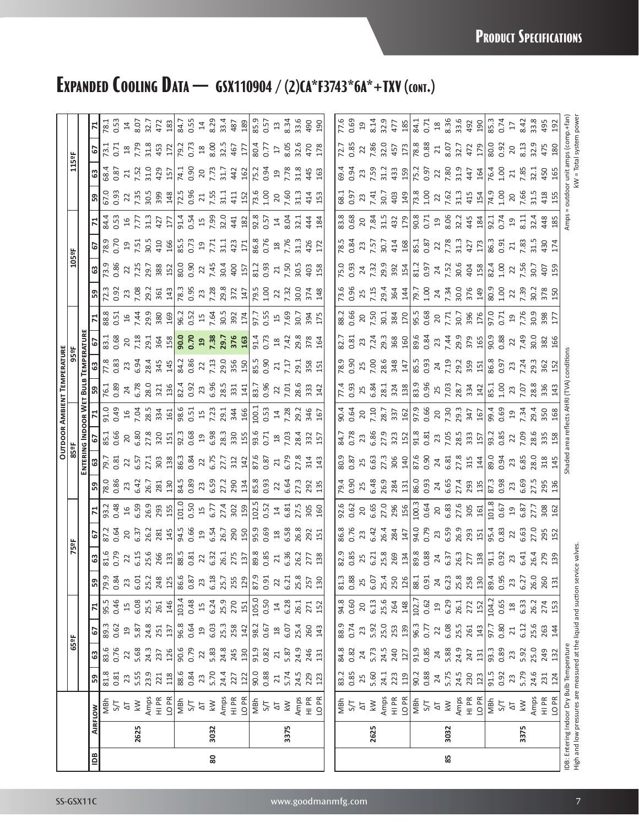|    |      |                                                                  |      |      |                |                |                |                                                                                                                                                                                                                                                                                                               |                                            |                                                                                                                                                                                                                                                                                                           |                                                                                                                                                                                                                                                                                         |                                                                                                                                                                                                                               | OUTDOOR AMBIENT TEMPERATUR                                                                                                                                                                                                                                                                                                                                  |                                                                                                                                                                                                                                                                                                                                                                                        |                                                                                                                                                                                                                                                                                   |                                                                                                                                                                                                                                                                                                                     |                                                                                                                                                                                                                                                                                                                                                 |                                                                                                                                                                                                                                                                                                                     |                                                                                                                                                                                                                                                                                                                                                           |  |                                                                                                                                                                                                                                                                                                                        |                                                                                                                                                                                                                                                                                                                                                   |                                                                                                                                                                                                                                  |
|----|------|------------------------------------------------------------------|------|------|----------------|----------------|----------------|---------------------------------------------------------------------------------------------------------------------------------------------------------------------------------------------------------------------------------------------------------------------------------------------------------------|--------------------------------------------|-----------------------------------------------------------------------------------------------------------------------------------------------------------------------------------------------------------------------------------------------------------------------------------------------------------|-----------------------------------------------------------------------------------------------------------------------------------------------------------------------------------------------------------------------------------------------------------------------------------------|-------------------------------------------------------------------------------------------------------------------------------------------------------------------------------------------------------------------------------|-------------------------------------------------------------------------------------------------------------------------------------------------------------------------------------------------------------------------------------------------------------------------------------------------------------------------------------------------------------|----------------------------------------------------------------------------------------------------------------------------------------------------------------------------------------------------------------------------------------------------------------------------------------------------------------------------------------------------------------------------------------|-----------------------------------------------------------------------------------------------------------------------------------------------------------------------------------------------------------------------------------------------------------------------------------|---------------------------------------------------------------------------------------------------------------------------------------------------------------------------------------------------------------------------------------------------------------------------------------------------------------------|-------------------------------------------------------------------------------------------------------------------------------------------------------------------------------------------------------------------------------------------------------------------------------------------------------------------------------------------------|---------------------------------------------------------------------------------------------------------------------------------------------------------------------------------------------------------------------------------------------------------------------------------------------------------------------|-----------------------------------------------------------------------------------------------------------------------------------------------------------------------------------------------------------------------------------------------------------------------------------------------------------------------------------------------------------|--|------------------------------------------------------------------------------------------------------------------------------------------------------------------------------------------------------------------------------------------------------------------------------------------------------------------------|---------------------------------------------------------------------------------------------------------------------------------------------------------------------------------------------------------------------------------------------------------------------------------------------------------------------------------------------------|----------------------------------------------------------------------------------------------------------------------------------------------------------------------------------------------------------------------------------|
|    |      |                                                                  |      |      | 65°F           |                |                | 75°F                                                                                                                                                                                                                                                                                                          |                                            |                                                                                                                                                                                                                                                                                                           |                                                                                                                                                                                                                                                                                         |                                                                                                                                                                                                                               |                                                                                                                                                                                                                                                                                                                                                             |                                                                                                                                                                                                                                                                                                                                                                                        |                                                                                                                                                                                                                                                                                   |                                                                                                                                                                                                                                                                                                                     |                                                                                                                                                                                                                                                                                                                                                 | 105°F                                                                                                                                                                                                                                                                                                               |                                                                                                                                                                                                                                                                                                                                                           |  | ᇥ                                                                                                                                                                                                                                                                                                                      |                                                                                                                                                                                                                                                                                                                                                   |                                                                                                                                                                                                                                  |
|    |      |                                                                  |      |      |                |                |                |                                                                                                                                                                                                                                                                                                               |                                            |                                                                                                                                                                                                                                                                                                           |                                                                                                                                                                                                                                                                                         |                                                                                                                                                                                                                               |                                                                                                                                                                                                                                                                                                                                                             |                                                                                                                                                                                                                                                                                                                                                                                        |                                                                                                                                                                                                                                                                                   |                                                                                                                                                                                                                                                                                                                     |                                                                                                                                                                                                                                                                                                                                                 |                                                                                                                                                                                                                                                                                                                     |                                                                                                                                                                                                                                                                                                                                                           |  |                                                                                                                                                                                                                                                                                                                        |                                                                                                                                                                                                                                                                                                                                                   |                                                                                                                                                                                                                                  |
| ₿  |      | AIRFLOW                                                          | 59   | ය    | 5              |                | 59             |                                                                                                                                                                                                                                                                                                               |                                            |                                                                                                                                                                                                                                                                                                           |                                                                                                                                                                                                                                                                                         |                                                                                                                                                                                                                               |                                                                                                                                                                                                                                                                                                                                                             |                                                                                                                                                                                                                                                                                                                                                                                        |                                                                                                                                                                                                                                                                                   |                                                                                                                                                                                                                                                                                                                     |                                                                                                                                                                                                                                                                                                                                                 |                                                                                                                                                                                                                                                                                                                     |                                                                                                                                                                                                                                                                                                                                                           |  |                                                                                                                                                                                                                                                                                                                        |                                                                                                                                                                                                                                                                                                                                                   |                                                                                                                                                                                                                                  |
|    |      | MBh                                                              | 81.8 | 83.6 | 89.3           | 95.5           | 79.9           |                                                                                                                                                                                                                                                                                                               | $5.53678787778597777887778877788838383835$ |                                                                                                                                                                                                                                                                                                           | $\frac{a}{b}$ $\frac{b}{c}$ $\frac{c}{d}$ $\frac{c}{d}$ $\frac{c}{d}$ $\frac{c}{d}$ $\frac{c}{d}$ $\frac{c}{d}$ $\frac{c}{d}$ $\frac{c}{d}$ $\frac{c}{d}$ $\frac{c}{d}$ $\frac{c}{d}$ $\frac{c}{d}$ $\frac{c}{d}$ $\frac{c}{d}$ $\frac{c}{d}$ $\frac{c}{d}$ $\frac{c}{d}$ $\frac{c}{d}$ |                                                                                                                                                                                                                               | $B$ $ $ $ $ $\tilde{E}$ $ $ $\tilde{S}$ $ $ $\tilde{S}$ $ $ $\tilde{S}$ $ $ $\tilde{S}$ $ $ $\tilde{S}$ $ $ $\tilde{S}$ $ $ $\tilde{S}$ $ $ $\tilde{S}$ $ $ $\tilde{S}$ $ $ $\tilde{S}$ $ $ $\tilde{S}$ $ $ $\tilde{S}$ $ $ $\tilde{S}$ $ $ $\tilde{S}$ $ $ $\tilde{S}$ $ $ $\tilde{S}$ $ $ $\tilde{S}$ $ $ $\tilde{S}$ $ $ $\til$                          | $\frac{3}{2}$ $\frac{1}{2}$ $\frac{3}{2}$ $\frac{3}{2}$ $\frac{3}{2}$ $\frac{4}{3}$ $\frac{4}{3}$ $\frac{1}{3}$ $\frac{3}{2}$ $\frac{3}{2}$ $\frac{3}{2}$ $\frac{5}{2}$ $\frac{5}{2}$ $\frac{5}{2}$ $\frac{1}{2}$ $\frac{1}{2}$ $\frac{3}{2}$ $\frac{3}{2}$ $\frac{5}{2}$ $\frac{1}{2}$ $\frac{1}{2}$ $\frac{3}{2}$ $\frac{3}{2}$ $\frac{5}{2}$                                        | $\frac{33.38}{33.8}$ $\frac{33.733}{33.8}$ $\frac{33.733}{33.8}$ $\frac{33.733}{33.8}$ $\frac{33.733}{33.8}$ $\frac{33.733}{33.8}$ $\frac{33.733}{33.8}$ $\frac{33.733}{33.8}$ $\frac{33.733}{33.8}$ $\frac{33.733}{33.8}$ $\frac{33.733}{33.8}$ $\frac{33.733}{33.8}$ $\frac{33$ | $\frac{1}{8}$ $\frac{1}{8}$ $\frac{3}{8}$ $\frac{1}{2}$ $\frac{4}{8}$ $\frac{3}{8}$ $\frac{3}{8}$ $\frac{4}{9}$ $\frac{1}{8}$ $\frac{1}{2}$ $\frac{1}{2}$ $\frac{1}{8}$ $\frac{1}{8}$ $\frac{1}{2}$ $\frac{1}{8}$ $\frac{1}{2}$ $\frac{1}{8}$ $\frac{1}{2}$ $\frac{1}{8}$ $\frac{1}{2}$ $\frac{1}{8}$ $\frac{1}{2}$ | $\mathbb{E}[\sum_{i=1}^{n} \sum_{i=1}^{n} \sum_{i=1}^{n} \sum_{i=1}^{n} \sum_{i=1}^{n} \sum_{i=1}^{n} \sum_{i=1}^{n} \sum_{i=1}^{n} \sum_{i=1}^{n} \sum_{i=1}^{n} \sum_{i=1}^{n} \sum_{i=1}^{n} \sum_{i=1}^{n} \sum_{i=1}^{n} \sum_{i=1}^{n} \sum_{i=1}^{n} \sum_{i=1}^{n} \sum_{i=1}^{n} \sum_{i=1}^{n} \sum_{i=1}^{n} \sum_{i=1}^{n} \sum_{i$ | $\frac{1}{2}$ $\frac{1}{2}$ $\frac{1}{2}$ $\frac{1}{2}$ $\frac{1}{2}$ $\frac{1}{2}$ $\frac{1}{2}$ $\frac{1}{2}$ $\frac{1}{2}$ $\frac{1}{2}$ $\frac{1}{2}$ $\frac{1}{2}$ $\frac{1}{2}$ $\frac{1}{2}$ $\frac{1}{2}$ $\frac{1}{2}$ $\frac{1}{2}$ $\frac{1}{2}$ $\frac{1}{2}$ $\frac{1}{2}$ $\frac{1}{2}$ $\frac{1}{2}$ | $\frac{1}{2}$ $\frac{1}{2}$ $\frac{1}{2}$ $\frac{1}{2}$ $\frac{1}{2}$ $\frac{1}{2}$ $\frac{1}{2}$ $\frac{1}{2}$ $\frac{1}{2}$ $\frac{1}{2}$ $\frac{1}{2}$ $\frac{1}{2}$ $\frac{1}{2}$ $\frac{1}{2}$ $\frac{1}{2}$ $\frac{1}{2}$ $\frac{1}{2}$ $\frac{1}{2}$ $\frac{1}{2}$ $\frac{1}{2}$ $\frac{1}{2}$ $\frac{1}{2}$ $\frac{1}{2}$ $\frac{1}{2}$ $\frac{1$ |  | $\frac{68}{4}$                                                                                                                                                                                                                                                                                                         | 입음 문                                                                                                                                                                                                                                                                                                                                              | $\frac{1}{2}$ $\frac{1}{2}$ $\frac{1}{2}$                                                                                                                                                                                        |
|    |      | 5 <sub>1</sub>                                                   | 0.81 | 0.76 | 0.62           | 0.46           | 0.84           |                                                                                                                                                                                                                                                                                                               |                                            |                                                                                                                                                                                                                                                                                                           |                                                                                                                                                                                                                                                                                         |                                                                                                                                                                                                                               |                                                                                                                                                                                                                                                                                                                                                             |                                                                                                                                                                                                                                                                                                                                                                                        |                                                                                                                                                                                                                                                                                   |                                                                                                                                                                                                                                                                                                                     |                                                                                                                                                                                                                                                                                                                                                 |                                                                                                                                                                                                                                                                                                                     |                                                                                                                                                                                                                                                                                                                                                           |  |                                                                                                                                                                                                                                                                                                                        |                                                                                                                                                                                                                                                                                                                                                   |                                                                                                                                                                                                                                  |
|    |      | $\overline{\Delta}$                                              |      | 22   | $\overline{a}$ | 15             | 23             | $\begin{array}{l} 6.95 \\ 6.75 \\ 7.87 \\ 8.95 \\ 7.75 \\ 8.95 \\ 9.75 \\ 9.75 \\ 9.75 \\ 9.75 \\ 9.75 \\ 9.75 \\ 9.75 \\ 9.75 \\ 9.75 \\ 9.75 \\ 9.75 \\ 9.75 \\ 9.75 \\ 9.75 \\ 9.75 \\ 9.75 \\ 9.75 \\ 9.75 \\ 9.75 \\ 9.75 \\ 9.75 \\ 9.75 \\ 9.75 \\ 9.75 \\ 9.75 \\ 9.75 \\ 9.75 \\ 9.75 \\ 9.75 \\ 9.$ |                                            | $\frac{33.8}{33.8}$ $\frac{33.8}{33.8}$ $\frac{33.2}{33.8}$ $\frac{15}{12.8}$ $\frac{55}{12.8}$ $\frac{75}{12.8}$ $\frac{33.8}{12.8}$ $\frac{33.8}{12.8}$ $\frac{33.8}{12.8}$ $\frac{33.8}{12.8}$ $\frac{33.8}{12.8}$ $\frac{33.8}{12.8}$                                                                 |                                                                                                                                                                                                                                                                                         | $2.3$ $3.3$ $3.4$ $4.4$ $3.5$ $3.4$ $3.4$ $3.4$ $3.4$ $3.4$ $3.4$ $3.4$ $3.4$ $3.4$ $3.4$ $3.4$ $3.4$ $3.4$ $3.4$ $3.4$ $3.4$ $3.4$ $3.4$ $3.4$ $3.4$ $3.4$ $3.4$ $3.4$ $3.4$ $3.4$ $3.4$ $3.4$ $3.4$ $3.4$ $3.4$ $3.4$ $3.4$ |                                                                                                                                                                                                                                                                                                                                                             |                                                                                                                                                                                                                                                                                                                                                                                        |                                                                                                                                                                                                                                                                                   |                                                                                                                                                                                                                                                                                                                     |                                                                                                                                                                                                                                                                                                                                                 |                                                                                                                                                                                                                                                                                                                     |                                                                                                                                                                                                                                                                                                                                                           |  | $\begin{array}{c}\n 11.733 \\  12.733 \\  13.733 \\  14.733 \\  15.733 \\  16.733 \\  17.733 \\  18.733 \\  19.733 \\  19.733 \\  19.733 \\  19.733 \\  19.733 \\  19.733 \\  19.733 \\  19.733 \\  19.733 \\  19.733 \\  19.733 \\  19.733 \\  19.733 \\  19.733 \\  19.733 \\  19.733 \\  19.733 \\  19.733 \\  19.$ | $\begin{array}{c} 28 \\ 20 \\ 21 \\ 22 \\ 23 \\ 24 \\ 25 \\ 26 \\ 27 \\ 28 \\ 29 \\ 20 \\ 21 \\ 22 \\ 23 \\ 24 \\ 26 \\ 27 \\ 28 \\ 29 \\ 20 \\ 20 \\ 27 \\ 28 \\ 29 \\ 20 \\ 20 \\ 27 \\ 28 \\ 29 \\ 20 \\ 20 \\ 27 \\ 28 \\ 29 \\ 20 \\ 27 \\ 29 \\ 20 \\ 27 \\ 28 \\ 29 \\ 29 \\ 20 \\ 20 \\ 27 \\ 29 \\ 20 \\ 27 \\ 29 \\ 29 \\ 20 \\ 20 \\ $ |                                                                                                                                                                                                                                  |
|    | 2625 | $\leq$                                                           | 5.55 | 5.68 | 5.87           | 6.08           | 6.01           |                                                                                                                                                                                                                                                                                                               |                                            |                                                                                                                                                                                                                                                                                                           |                                                                                                                                                                                                                                                                                         |                                                                                                                                                                                                                               |                                                                                                                                                                                                                                                                                                                                                             |                                                                                                                                                                                                                                                                                                                                                                                        |                                                                                                                                                                                                                                                                                   |                                                                                                                                                                                                                                                                                                                     |                                                                                                                                                                                                                                                                                                                                                 |                                                                                                                                                                                                                                                                                                                     |                                                                                                                                                                                                                                                                                                                                                           |  |                                                                                                                                                                                                                                                                                                                        |                                                                                                                                                                                                                                                                                                                                                   |                                                                                                                                                                                                                                  |
|    |      | Amps                                                             | 23.9 | 24.3 | 24.8           | 25.5           | 25.2           |                                                                                                                                                                                                                                                                                                               |                                            |                                                                                                                                                                                                                                                                                                           |                                                                                                                                                                                                                                                                                         |                                                                                                                                                                                                                               |                                                                                                                                                                                                                                                                                                                                                             |                                                                                                                                                                                                                                                                                                                                                                                        |                                                                                                                                                                                                                                                                                   |                                                                                                                                                                                                                                                                                                                     |                                                                                                                                                                                                                                                                                                                                                 |                                                                                                                                                                                                                                                                                                                     |                                                                                                                                                                                                                                                                                                                                                           |  |                                                                                                                                                                                                                                                                                                                        |                                                                                                                                                                                                                                                                                                                                                   |                                                                                                                                                                                                                                  |
|    |      | HI PR                                                            | 221  | 237  | 251            | 261            | 248            |                                                                                                                                                                                                                                                                                                               |                                            |                                                                                                                                                                                                                                                                                                           |                                                                                                                                                                                                                                                                                         |                                                                                                                                                                                                                               |                                                                                                                                                                                                                                                                                                                                                             |                                                                                                                                                                                                                                                                                                                                                                                        |                                                                                                                                                                                                                                                                                   |                                                                                                                                                                                                                                                                                                                     |                                                                                                                                                                                                                                                                                                                                                 |                                                                                                                                                                                                                                                                                                                     |                                                                                                                                                                                                                                                                                                                                                           |  |                                                                                                                                                                                                                                                                                                                        |                                                                                                                                                                                                                                                                                                                                                   |                                                                                                                                                                                                                                  |
|    |      | LO <sub>PR</sub>                                                 | 118  | 126  | 137            | 146            | 125            |                                                                                                                                                                                                                                                                                                               |                                            |                                                                                                                                                                                                                                                                                                           |                                                                                                                                                                                                                                                                                         |                                                                                                                                                                                                                               |                                                                                                                                                                                                                                                                                                                                                             |                                                                                                                                                                                                                                                                                                                                                                                        |                                                                                                                                                                                                                                                                                   |                                                                                                                                                                                                                                                                                                                     |                                                                                                                                                                                                                                                                                                                                                 |                                                                                                                                                                                                                                                                                                                     |                                                                                                                                                                                                                                                                                                                                                           |  |                                                                                                                                                                                                                                                                                                                        |                                                                                                                                                                                                                                                                                                                                                   |                                                                                                                                                                                                                                  |
|    |      | MBh<br>S/T                                                       | 88.6 | 90.6 | 96.8           | 103.4          | 86.6           |                                                                                                                                                                                                                                                                                                               |                                            |                                                                                                                                                                                                                                                                                                           |                                                                                                                                                                                                                                                                                         |                                                                                                                                                                                                                               |                                                                                                                                                                                                                                                                                                                                                             |                                                                                                                                                                                                                                                                                                                                                                                        |                                                                                                                                                                                                                                                                                   |                                                                                                                                                                                                                                                                                                                     |                                                                                                                                                                                                                                                                                                                                                 |                                                                                                                                                                                                                                                                                                                     |                                                                                                                                                                                                                                                                                                                                                           |  |                                                                                                                                                                                                                                                                                                                        |                                                                                                                                                                                                                                                                                                                                                   |                                                                                                                                                                                                                                  |
|    |      |                                                                  | 0.84 | 0.79 | 0.64           | 0.48           | 0.87           |                                                                                                                                                                                                                                                                                                               |                                            |                                                                                                                                                                                                                                                                                                           |                                                                                                                                                                                                                                                                                         |                                                                                                                                                                                                                               |                                                                                                                                                                                                                                                                                                                                                             |                                                                                                                                                                                                                                                                                                                                                                                        |                                                                                                                                                                                                                                                                                   |                                                                                                                                                                                                                                                                                                                     |                                                                                                                                                                                                                                                                                                                                                 |                                                                                                                                                                                                                                                                                                                     |                                                                                                                                                                                                                                                                                                                                                           |  |                                                                                                                                                                                                                                                                                                                        |                                                                                                                                                                                                                                                                                                                                                   |                                                                                                                                                                                                                                  |
|    |      | $\overline{\Delta}$                                              | 23   | 22   | $\overline{c}$ | 15             | 23             |                                                                                                                                                                                                                                                                                                               |                                            |                                                                                                                                                                                                                                                                                                           |                                                                                                                                                                                                                                                                                         |                                                                                                                                                                                                                               |                                                                                                                                                                                                                                                                                                                                                             |                                                                                                                                                                                                                                                                                                                                                                                        |                                                                                                                                                                                                                                                                                   |                                                                                                                                                                                                                                                                                                                     |                                                                                                                                                                                                                                                                                                                                                 |                                                                                                                                                                                                                                                                                                                     |                                                                                                                                                                                                                                                                                                                                                           |  |                                                                                                                                                                                                                                                                                                                        |                                                                                                                                                                                                                                                                                                                                                   |                                                                                                                                                                                                                                  |
| 80 | 3032 | $\leq$                                                           | 5.70 | 5.83 | 6.03           | 6.24           | 6.18           |                                                                                                                                                                                                                                                                                                               |                                            |                                                                                                                                                                                                                                                                                                           |                                                                                                                                                                                                                                                                                         |                                                                                                                                                                                                                               |                                                                                                                                                                                                                                                                                                                                                             |                                                                                                                                                                                                                                                                                                                                                                                        |                                                                                                                                                                                                                                                                                   |                                                                                                                                                                                                                                                                                                                     |                                                                                                                                                                                                                                                                                                                                                 |                                                                                                                                                                                                                                                                                                                     |                                                                                                                                                                                                                                                                                                                                                           |  |                                                                                                                                                                                                                                                                                                                        |                                                                                                                                                                                                                                                                                                                                                   |                                                                                                                                                                                                                                  |
|    |      | Amps                                                             | 24.4 | 24.8 | 25.3           | 25.9           | 25.7           |                                                                                                                                                                                                                                                                                                               |                                            |                                                                                                                                                                                                                                                                                                           |                                                                                                                                                                                                                                                                                         |                                                                                                                                                                                                                               |                                                                                                                                                                                                                                                                                                                                                             |                                                                                                                                                                                                                                                                                                                                                                                        |                                                                                                                                                                                                                                                                                   |                                                                                                                                                                                                                                                                                                                     |                                                                                                                                                                                                                                                                                                                                                 |                                                                                                                                                                                                                                                                                                                     |                                                                                                                                                                                                                                                                                                                                                           |  |                                                                                                                                                                                                                                                                                                                        |                                                                                                                                                                                                                                                                                                                                                   |                                                                                                                                                                                                                                  |
|    |      | HI PR                                                            | 227  | 245  | 258            | 270            | 255            |                                                                                                                                                                                                                                                                                                               |                                            |                                                                                                                                                                                                                                                                                                           |                                                                                                                                                                                                                                                                                         |                                                                                                                                                                                                                               |                                                                                                                                                                                                                                                                                                                                                             |                                                                                                                                                                                                                                                                                                                                                                                        |                                                                                                                                                                                                                                                                                   |                                                                                                                                                                                                                                                                                                                     |                                                                                                                                                                                                                                                                                                                                                 |                                                                                                                                                                                                                                                                                                                     |                                                                                                                                                                                                                                                                                                                                                           |  |                                                                                                                                                                                                                                                                                                                        |                                                                                                                                                                                                                                                                                                                                                   |                                                                                                                                                                                                                                  |
|    |      | LO <sub>PR</sub>                                                 | 122  | 130  | 142            | 151            | 129            |                                                                                                                                                                                                                                                                                                               |                                            |                                                                                                                                                                                                                                                                                                           |                                                                                                                                                                                                                                                                                         |                                                                                                                                                                                                                               |                                                                                                                                                                                                                                                                                                                                                             |                                                                                                                                                                                                                                                                                                                                                                                        |                                                                                                                                                                                                                                                                                   |                                                                                                                                                                                                                                                                                                                     |                                                                                                                                                                                                                                                                                                                                                 |                                                                                                                                                                                                                                                                                                                     |                                                                                                                                                                                                                                                                                                                                                           |  |                                                                                                                                                                                                                                                                                                                        |                                                                                                                                                                                                                                                                                                                                                   |                                                                                                                                                                                                                                  |
|    |      | MBh                                                              | 90.0 | 91.9 | 98.2           | 105.0          | 87.9           |                                                                                                                                                                                                                                                                                                               |                                            |                                                                                                                                                                                                                                                                                                           |                                                                                                                                                                                                                                                                                         |                                                                                                                                                                                                                               |                                                                                                                                                                                                                                                                                                                                                             |                                                                                                                                                                                                                                                                                                                                                                                        |                                                                                                                                                                                                                                                                                   |                                                                                                                                                                                                                                                                                                                     |                                                                                                                                                                                                                                                                                                                                                 |                                                                                                                                                                                                                                                                                                                     |                                                                                                                                                                                                                                                                                                                                                           |  |                                                                                                                                                                                                                                                                                                                        |                                                                                                                                                                                                                                                                                                                                                   |                                                                                                                                                                                                                                  |
|    |      | 5/7                                                              | 0.88 | 0.82 | 0.67           | 0.50           | 0.91           |                                                                                                                                                                                                                                                                                                               |                                            |                                                                                                                                                                                                                                                                                                           |                                                                                                                                                                                                                                                                                         |                                                                                                                                                                                                                               |                                                                                                                                                                                                                                                                                                                                                             |                                                                                                                                                                                                                                                                                                                                                                                        |                                                                                                                                                                                                                                                                                   |                                                                                                                                                                                                                                                                                                                     |                                                                                                                                                                                                                                                                                                                                                 |                                                                                                                                                                                                                                                                                                                     |                                                                                                                                                                                                                                                                                                                                                           |  |                                                                                                                                                                                                                                                                                                                        |                                                                                                                                                                                                                                                                                                                                                   |                                                                                                                                                                                                                                  |
|    |      | $\overline{\Delta}$                                              | 21   | 21   | $\frac{8}{16}$ | $\overline{1}$ | 22             |                                                                                                                                                                                                                                                                                                               |                                            |                                                                                                                                                                                                                                                                                                           |                                                                                                                                                                                                                                                                                         |                                                                                                                                                                                                                               |                                                                                                                                                                                                                                                                                                                                                             |                                                                                                                                                                                                                                                                                                                                                                                        |                                                                                                                                                                                                                                                                                   |                                                                                                                                                                                                                                                                                                                     |                                                                                                                                                                                                                                                                                                                                                 |                                                                                                                                                                                                                                                                                                                     |                                                                                                                                                                                                                                                                                                                                                           |  |                                                                                                                                                                                                                                                                                                                        |                                                                                                                                                                                                                                                                                                                                                   |                                                                                                                                                                                                                                  |
|    | 3375 | $\leq$                                                           | 5.74 | 5.87 | 6.07           | 6.28           | 6.21           |                                                                                                                                                                                                                                                                                                               |                                            |                                                                                                                                                                                                                                                                                                           |                                                                                                                                                                                                                                                                                         |                                                                                                                                                                                                                               |                                                                                                                                                                                                                                                                                                                                                             |                                                                                                                                                                                                                                                                                                                                                                                        |                                                                                                                                                                                                                                                                                   |                                                                                                                                                                                                                                                                                                                     |                                                                                                                                                                                                                                                                                                                                                 |                                                                                                                                                                                                                                                                                                                     |                                                                                                                                                                                                                                                                                                                                                           |  |                                                                                                                                                                                                                                                                                                                        |                                                                                                                                                                                                                                                                                                                                                   |                                                                                                                                                                                                                                  |
|    |      | Amps                                                             | 24.5 | 24.9 | 25.4           | 26.1           | 25.8           |                                                                                                                                                                                                                                                                                                               |                                            |                                                                                                                                                                                                                                                                                                           |                                                                                                                                                                                                                                                                                         |                                                                                                                                                                                                                               |                                                                                                                                                                                                                                                                                                                                                             |                                                                                                                                                                                                                                                                                                                                                                                        |                                                                                                                                                                                                                                                                                   |                                                                                                                                                                                                                                                                                                                     |                                                                                                                                                                                                                                                                                                                                                 |                                                                                                                                                                                                                                                                                                                     |                                                                                                                                                                                                                                                                                                                                                           |  |                                                                                                                                                                                                                                                                                                                        |                                                                                                                                                                                                                                                                                                                                                   |                                                                                                                                                                                                                                  |
|    |      | HI PR                                                            | 229  | 246  | 260            | 271            | 257            |                                                                                                                                                                                                                                                                                                               |                                            |                                                                                                                                                                                                                                                                                                           |                                                                                                                                                                                                                                                                                         |                                                                                                                                                                                                                               |                                                                                                                                                                                                                                                                                                                                                             |                                                                                                                                                                                                                                                                                                                                                                                        |                                                                                                                                                                                                                                                                                   |                                                                                                                                                                                                                                                                                                                     |                                                                                                                                                                                                                                                                                                                                                 |                                                                                                                                                                                                                                                                                                                     |                                                                                                                                                                                                                                                                                                                                                           |  |                                                                                                                                                                                                                                                                                                                        |                                                                                                                                                                                                                                                                                                                                                   |                                                                                                                                                                                                                                  |
|    |      | LO <sub>PR</sub>                                                 | 123  | 131  | 143            | 152            | 130            |                                                                                                                                                                                                                                                                                                               |                                            |                                                                                                                                                                                                                                                                                                           |                                                                                                                                                                                                                                                                                         |                                                                                                                                                                                                                               |                                                                                                                                                                                                                                                                                                                                                             |                                                                                                                                                                                                                                                                                                                                                                                        |                                                                                                                                                                                                                                                                                   |                                                                                                                                                                                                                                                                                                                     |                                                                                                                                                                                                                                                                                                                                                 |                                                                                                                                                                                                                                                                                                                     |                                                                                                                                                                                                                                                                                                                                                           |  | 163                                                                                                                                                                                                                                                                                                                    | Jer                                                                                                                                                                                                                                                                                                                                               |                                                                                                                                                                                                                                  |
|    |      |                                                                  |      |      |                |                |                |                                                                                                                                                                                                                                                                                                               |                                            |                                                                                                                                                                                                                                                                                                           |                                                                                                                                                                                                                                                                                         |                                                                                                                                                                                                                               |                                                                                                                                                                                                                                                                                                                                                             |                                                                                                                                                                                                                                                                                                                                                                                        |                                                                                                                                                                                                                                                                                   |                                                                                                                                                                                                                                                                                                                     |                                                                                                                                                                                                                                                                                                                                                 |                                                                                                                                                                                                                                                                                                                     |                                                                                                                                                                                                                                                                                                                                                           |  |                                                                                                                                                                                                                                                                                                                        |                                                                                                                                                                                                                                                                                                                                                   |                                                                                                                                                                                                                                  |
|    |      | MBh                                                              | 83.2 | 84.8 | 88.9           | 94.8           | $\frac{31}{2}$ |                                                                                                                                                                                                                                                                                                               |                                            |                                                                                                                                                                                                                                                                                                           |                                                                                                                                                                                                                                                                                         |                                                                                                                                                                                                                               |                                                                                                                                                                                                                                                                                                                                                             |                                                                                                                                                                                                                                                                                                                                                                                        |                                                                                                                                                                                                                                                                                   |                                                                                                                                                                                                                                                                                                                     | 73.6                                                                                                                                                                                                                                                                                                                                            |                                                                                                                                                                                                                                                                                                                     |                                                                                                                                                                                                                                                                                                                                                           |  |                                                                                                                                                                                                                                                                                                                        |                                                                                                                                                                                                                                                                                                                                                   |                                                                                                                                                                                                                                  |
|    |      | 5/7                                                              | 0.85 | 0.82 | 0.74           | 0.60           | 0.88           |                                                                                                                                                                                                                                                                                                               |                                            |                                                                                                                                                                                                                                                                                                           |                                                                                                                                                                                                                                                                                         |                                                                                                                                                                                                                               |                                                                                                                                                                                                                                                                                                                                                             |                                                                                                                                                                                                                                                                                                                                                                                        |                                                                                                                                                                                                                                                                                   |                                                                                                                                                                                                                                                                                                                     |                                                                                                                                                                                                                                                                                                                                                 |                                                                                                                                                                                                                                                                                                                     |                                                                                                                                                                                                                                                                                                                                                           |  |                                                                                                                                                                                                                                                                                                                        |                                                                                                                                                                                                                                                                                                                                                   |                                                                                                                                                                                                                                  |
|    |      | $\overline{\Delta}$                                              | 25   | 24   | 23             | 20             | 25             |                                                                                                                                                                                                                                                                                                               |                                            |                                                                                                                                                                                                                                                                                                           |                                                                                                                                                                                                                                                                                         |                                                                                                                                                                                                                               |                                                                                                                                                                                                                                                                                                                                                             |                                                                                                                                                                                                                                                                                                                                                                                        |                                                                                                                                                                                                                                                                                   |                                                                                                                                                                                                                                                                                                                     |                                                                                                                                                                                                                                                                                                                                                 |                                                                                                                                                                                                                                                                                                                     |                                                                                                                                                                                                                                                                                                                                                           |  |                                                                                                                                                                                                                                                                                                                        |                                                                                                                                                                                                                                                                                                                                                   |                                                                                                                                                                                                                                  |
|    | 2625 | $\leq$                                                           | 5.60 | 5.73 | 5.92           | 6.13           | 6.07           |                                                                                                                                                                                                                                                                                                               |                                            |                                                                                                                                                                                                                                                                                                           |                                                                                                                                                                                                                                                                                         |                                                                                                                                                                                                                               |                                                                                                                                                                                                                                                                                                                                                             |                                                                                                                                                                                                                                                                                                                                                                                        |                                                                                                                                                                                                                                                                                   |                                                                                                                                                                                                                                                                                                                     |                                                                                                                                                                                                                                                                                                                                                 |                                                                                                                                                                                                                                                                                                                     |                                                                                                                                                                                                                                                                                                                                                           |  |                                                                                                                                                                                                                                                                                                                        |                                                                                                                                                                                                                                                                                                                                                   |                                                                                                                                                                                                                                  |
|    |      | Amps                                                             | 24.1 | 24.5 | 25.0           | 25.6           | 25.4           |                                                                                                                                                                                                                                                                                                               |                                            |                                                                                                                                                                                                                                                                                                           |                                                                                                                                                                                                                                                                                         |                                                                                                                                                                                                                               |                                                                                                                                                                                                                                                                                                                                                             |                                                                                                                                                                                                                                                                                                                                                                                        |                                                                                                                                                                                                                                                                                   |                                                                                                                                                                                                                                                                                                                     |                                                                                                                                                                                                                                                                                                                                                 |                                                                                                                                                                                                                                                                                                                     |                                                                                                                                                                                                                                                                                                                                                           |  |                                                                                                                                                                                                                                                                                                                        |                                                                                                                                                                                                                                                                                                                                                   |                                                                                                                                                                                                                                  |
|    |      | HI PR                                                            | 223  | 240  | 253            | 264            | 250            |                                                                                                                                                                                                                                                                                                               |                                            |                                                                                                                                                                                                                                                                                                           |                                                                                                                                                                                                                                                                                         |                                                                                                                                                                                                                               |                                                                                                                                                                                                                                                                                                                                                             |                                                                                                                                                                                                                                                                                                                                                                                        |                                                                                                                                                                                                                                                                                   |                                                                                                                                                                                                                                                                                                                     |                                                                                                                                                                                                                                                                                                                                                 |                                                                                                                                                                                                                                                                                                                     |                                                                                                                                                                                                                                                                                                                                                           |  |                                                                                                                                                                                                                                                                                                                        |                                                                                                                                                                                                                                                                                                                                                   |                                                                                                                                                                                                                                  |
|    |      | LO <sub>PR</sub>                                                 | 119  | 127  | 139            | 148            | 126            |                                                                                                                                                                                                                                                                                                               |                                            | $\frac{16}{32}$ $\frac{16}{32}$ $\frac{16}{32}$ $\frac{16}{32}$ $\frac{16}{32}$ $\frac{16}{32}$ $\frac{16}{32}$ $\frac{16}{32}$ $\frac{16}{32}$ $\frac{16}{32}$ $\frac{16}{32}$ $\frac{16}{32}$ $\frac{16}{32}$ $\frac{16}{32}$ $\frac{16}{32}$ $\frac{16}{32}$ $\frac{16}{32}$ $\frac{16}{32}$ $\frac{1$ | $8.055$ $8.755$ $8.755$ $8.155$ $8.755$ $8.755$ $8.755$ $8.755$ $8.755$ $8.755$ $8.755$ $8.755$ $8.755$ $8.755$ $8.755$ $8.755$ $8.755$ $8.755$ $8.755$ $8.755$ $8.755$ $8.755$ $8.755$ $8.755$ $8.755$ $8.755$ $8.755$ $8.75$                                                          |                                                                                                                                                                                                                               | $7.3$ 3<br>$\frac{3}{2}$ 3<br>$\frac{3}{2}$ 3<br>$\frac{3}{2}$ 3<br>$\frac{3}{2}$ 3<br>$\frac{3}{2}$ 3<br>$\frac{3}{2}$ 3<br>$\frac{3}{2}$ 5<br>$\frac{3}{2}$ 5<br>$\frac{3}{2}$ 3<br>$\frac{3}{2}$ 3<br>$\frac{3}{2}$ 3<br>$\frac{3}{2}$ 3<br>$\frac{3}{2}$ 3<br>$\frac{3}{2}$ 3<br>$\frac{3}{2}$ 3<br>$\frac{3}{2}$ 3<br>$\frac{3}{2}$ 3<br>$\frac{3}{2}$ | $\frac{3}{2}$<br>$\frac{3}{2}$<br>$\frac{3}{2}$<br>$\frac{3}{2}$<br>$\frac{3}{2}$<br>$\frac{3}{2}$<br>$\frac{3}{2}$<br>$\frac{3}{2}$<br>$\frac{3}{2}$<br>$\frac{3}{2}$<br>$\frac{3}{2}$<br>$\frac{3}{2}$<br>$\frac{3}{2}$<br>$\frac{3}{2}$<br>$\frac{3}{2}$<br>$\frac{3}{2}$<br>$\frac{3}{2}$<br>$\frac{3}{2}$<br>$\frac{3}{2}$<br>$\frac{3}{2}$<br>$\frac{3}{2}$<br>$\frac{3}{2}$<br> |                                                                                                                                                                                                                                                                                   | $\begin{array}{l} 88.66 \\ 89.67 \\ 89.68 \\ 75.89 \\ 83.69 \\ 15.89 \\ 15.89 \\ 15.89 \\ 15.89 \\ 15.89 \\ 15.89 \\ 15.89 \\ 15.89 \\ 15.89 \\ 15.89 \\ 15.89 \\ 15.89 \\ 15.89 \\ 15.89 \\ 15.89 \\ 15.89 \\ 15.89 \\ 15.89 \\ 15.89 \\ 15.89 \\ 15.89 \\ 15.89 \\ 15.89 \\ 15.89 \\ 15.89 \\ 15$                 | $0.56$ $0.53$ $0.54$ $0.52$ $0.54$ $0.52$ $0.54$ $0.52$ $0.52$ $0.52$ $0.52$ $0.52$ $0.52$ $0.52$ $0.52$ $0.52$ $0.52$ $0.52$ $0.52$ $0.52$ $0.52$ $0.52$ $0.52$ $0.52$ $0.52$ $0.52$ $0.52$ $0.52$ $0.52$ $0.52$ $0.52$ $0.5$                                                                                                                  | $0.937, 0.83$<br>$0.837, 0.83$<br>$0.837, 0.83$<br>$0.837, 0.83$<br>$0.837, 0.83$<br>$0.837, 0.83$<br>$0.837, 0.83$<br>$0.837, 0.83$<br>$0.837, 0.83$<br>$0.837, 0.83$<br>$0.837, 0.83$                                                                                                                             | 2010 10:00 10:00 10:00 10:00 10:00 10:00 10:00 10:00 10:00 10:00 10:00 10:00 10:00 10:00 10:00 10:00 10:00 10:<br>2010 10:00 10:00 10:00 10:00 10:00 10:00 10:00 10:00 10:00 10:00 10:00 10:00 10:00 10:00 10:00 10:00 10:00 10:                                                                                                                          |  | 8 0 0 1 2 3 3 4 5 6 7 8 9 7 8 9 7 8 7 8 7 8 9 7 8 9 7 8 9 7 8 9 7 8 9 7 8 9 7 8 9 7 8 9 7 8 9 7 8 9 7 8 9 7 8                                                                                                                                                                                                          |                                                                                                                                                                                                                                                                                                                                                   | re signals de la signal de la signal de la signal de la signal de la signal de la signal de la signal de la si<br>Le signal de la signal de la signal de la signal de la signal de la signal de la signal de la signal de la sig |
|    |      | MBh                                                              | 90.2 | 91.9 | 96.3           | 102.7          | 88.1           |                                                                                                                                                                                                                                                                                                               |                                            |                                                                                                                                                                                                                                                                                                           |                                                                                                                                                                                                                                                                                         |                                                                                                                                                                                                                               |                                                                                                                                                                                                                                                                                                                                                             |                                                                                                                                                                                                                                                                                                                                                                                        |                                                                                                                                                                                                                                                                                   |                                                                                                                                                                                                                                                                                                                     |                                                                                                                                                                                                                                                                                                                                                 |                                                                                                                                                                                                                                                                                                                     |                                                                                                                                                                                                                                                                                                                                                           |  |                                                                                                                                                                                                                                                                                                                        |                                                                                                                                                                                                                                                                                                                                                   |                                                                                                                                                                                                                                  |
|    |      | 5/7                                                              | 0.88 | 0.85 | 0.77           | 0.62           | 0.91           |                                                                                                                                                                                                                                                                                                               |                                            |                                                                                                                                                                                                                                                                                                           |                                                                                                                                                                                                                                                                                         |                                                                                                                                                                                                                               |                                                                                                                                                                                                                                                                                                                                                             |                                                                                                                                                                                                                                                                                                                                                                                        |                                                                                                                                                                                                                                                                                   |                                                                                                                                                                                                                                                                                                                     |                                                                                                                                                                                                                                                                                                                                                 |                                                                                                                                                                                                                                                                                                                     |                                                                                                                                                                                                                                                                                                                                                           |  |                                                                                                                                                                                                                                                                                                                        |                                                                                                                                                                                                                                                                                                                                                   |                                                                                                                                                                                                                                  |
|    |      | $\overline{\mathcal{L}}$                                         | 24   | 24   | $\overline{2}$ | $\Xi$          | 24             |                                                                                                                                                                                                                                                                                                               |                                            |                                                                                                                                                                                                                                                                                                           |                                                                                                                                                                                                                                                                                         |                                                                                                                                                                                                                               |                                                                                                                                                                                                                                                                                                                                                             |                                                                                                                                                                                                                                                                                                                                                                                        |                                                                                                                                                                                                                                                                                   |                                                                                                                                                                                                                                                                                                                     |                                                                                                                                                                                                                                                                                                                                                 |                                                                                                                                                                                                                                                                                                                     |                                                                                                                                                                                                                                                                                                                                                           |  |                                                                                                                                                                                                                                                                                                                        |                                                                                                                                                                                                                                                                                                                                                   |                                                                                                                                                                                                                                  |
| 85 | 3032 | $\leq$                                                           | 5.75 | 5.88 | 6.08           | 6.29           | 6.23           |                                                                                                                                                                                                                                                                                                               |                                            |                                                                                                                                                                                                                                                                                                           |                                                                                                                                                                                                                                                                                         |                                                                                                                                                                                                                               |                                                                                                                                                                                                                                                                                                                                                             |                                                                                                                                                                                                                                                                                                                                                                                        |                                                                                                                                                                                                                                                                                   |                                                                                                                                                                                                                                                                                                                     |                                                                                                                                                                                                                                                                                                                                                 |                                                                                                                                                                                                                                                                                                                     |                                                                                                                                                                                                                                                                                                                                                           |  |                                                                                                                                                                                                                                                                                                                        |                                                                                                                                                                                                                                                                                                                                                   |                                                                                                                                                                                                                                  |
|    |      | Amps                                                             | 24.5 | 24.9 | 25.5           | 26.1           | 25.8           |                                                                                                                                                                                                                                                                                                               |                                            |                                                                                                                                                                                                                                                                                                           |                                                                                                                                                                                                                                                                                         |                                                                                                                                                                                                                               |                                                                                                                                                                                                                                                                                                                                                             |                                                                                                                                                                                                                                                                                                                                                                                        |                                                                                                                                                                                                                                                                                   |                                                                                                                                                                                                                                                                                                                     |                                                                                                                                                                                                                                                                                                                                                 |                                                                                                                                                                                                                                                                                                                     |                                                                                                                                                                                                                                                                                                                                                           |  |                                                                                                                                                                                                                                                                                                                        |                                                                                                                                                                                                                                                                                                                                                   |                                                                                                                                                                                                                                  |
|    |      | HI PR                                                            | 230  | 247  | 261            | 272            | 258            |                                                                                                                                                                                                                                                                                                               |                                            |                                                                                                                                                                                                                                                                                                           |                                                                                                                                                                                                                                                                                         |                                                                                                                                                                                                                               |                                                                                                                                                                                                                                                                                                                                                             |                                                                                                                                                                                                                                                                                                                                                                                        |                                                                                                                                                                                                                                                                                   |                                                                                                                                                                                                                                                                                                                     |                                                                                                                                                                                                                                                                                                                                                 |                                                                                                                                                                                                                                                                                                                     |                                                                                                                                                                                                                                                                                                                                                           |  |                                                                                                                                                                                                                                                                                                                        |                                                                                                                                                                                                                                                                                                                                                   |                                                                                                                                                                                                                                  |
|    |      | LO <sub>PR</sub>                                                 | 123  | 131  | 143            | 152            | 130            |                                                                                                                                                                                                                                                                                                               |                                            |                                                                                                                                                                                                                                                                                                           |                                                                                                                                                                                                                                                                                         |                                                                                                                                                                                                                               |                                                                                                                                                                                                                                                                                                                                                             |                                                                                                                                                                                                                                                                                                                                                                                        |                                                                                                                                                                                                                                                                                   |                                                                                                                                                                                                                                                                                                                     |                                                                                                                                                                                                                                                                                                                                                 |                                                                                                                                                                                                                                                                                                                     |                                                                                                                                                                                                                                                                                                                                                           |  |                                                                                                                                                                                                                                                                                                                        |                                                                                                                                                                                                                                                                                                                                                   |                                                                                                                                                                                                                                  |
|    |      | MBh                                                              | 91.5 | 93.3 | 97.7           | 104.2          | 89.4           |                                                                                                                                                                                                                                                                                                               |                                            |                                                                                                                                                                                                                                                                                                           |                                                                                                                                                                                                                                                                                         |                                                                                                                                                                                                                               |                                                                                                                                                                                                                                                                                                                                                             |                                                                                                                                                                                                                                                                                                                                                                                        |                                                                                                                                                                                                                                                                                   |                                                                                                                                                                                                                                                                                                                     |                                                                                                                                                                                                                                                                                                                                                 |                                                                                                                                                                                                                                                                                                                     |                                                                                                                                                                                                                                                                                                                                                           |  |                                                                                                                                                                                                                                                                                                                        |                                                                                                                                                                                                                                                                                                                                                   |                                                                                                                                                                                                                                  |
|    |      | 5 <sub>7</sub>                                                   | 0.92 | 0.89 | 0.80           | 0.65           | 0.95           |                                                                                                                                                                                                                                                                                                               |                                            |                                                                                                                                                                                                                                                                                                           |                                                                                                                                                                                                                                                                                         |                                                                                                                                                                                                                               |                                                                                                                                                                                                                                                                                                                                                             |                                                                                                                                                                                                                                                                                                                                                                                        |                                                                                                                                                                                                                                                                                   |                                                                                                                                                                                                                                                                                                                     |                                                                                                                                                                                                                                                                                                                                                 |                                                                                                                                                                                                                                                                                                                     |                                                                                                                                                                                                                                                                                                                                                           |  |                                                                                                                                                                                                                                                                                                                        |                                                                                                                                                                                                                                                                                                                                                   |                                                                                                                                                                                                                                  |
|    |      | $\overline{\Delta}$                                              | 23   | 23   | $\overline{z}$ | $^{28}$        | 23             |                                                                                                                                                                                                                                                                                                               |                                            |                                                                                                                                                                                                                                                                                                           |                                                                                                                                                                                                                                                                                         |                                                                                                                                                                                                                               |                                                                                                                                                                                                                                                                                                                                                             |                                                                                                                                                                                                                                                                                                                                                                                        |                                                                                                                                                                                                                                                                                   |                                                                                                                                                                                                                                                                                                                     |                                                                                                                                                                                                                                                                                                                                                 |                                                                                                                                                                                                                                                                                                                     |                                                                                                                                                                                                                                                                                                                                                           |  |                                                                                                                                                                                                                                                                                                                        |                                                                                                                                                                                                                                                                                                                                                   |                                                                                                                                                                                                                                  |
|    | 3375 | $\leq$                                                           | 5.79 | 5.92 | 6.12           | 6.33           | 6.27           |                                                                                                                                                                                                                                                                                                               |                                            |                                                                                                                                                                                                                                                                                                           |                                                                                                                                                                                                                                                                                         |                                                                                                                                                                                                                               |                                                                                                                                                                                                                                                                                                                                                             |                                                                                                                                                                                                                                                                                                                                                                                        |                                                                                                                                                                                                                                                                                   |                                                                                                                                                                                                                                                                                                                     |                                                                                                                                                                                                                                                                                                                                                 |                                                                                                                                                                                                                                                                                                                     |                                                                                                                                                                                                                                                                                                                                                           |  |                                                                                                                                                                                                                                                                                                                        |                                                                                                                                                                                                                                                                                                                                                   |                                                                                                                                                                                                                                  |
|    |      | Amps                                                             | 24.6 | 25.0 | 25.6           | 26.2           | 26.C           |                                                                                                                                                                                                                                                                                                               |                                            |                                                                                                                                                                                                                                                                                                           |                                                                                                                                                                                                                                                                                         |                                                                                                                                                                                                                               |                                                                                                                                                                                                                                                                                                                                                             |                                                                                                                                                                                                                                                                                                                                                                                        |                                                                                                                                                                                                                                                                                   |                                                                                                                                                                                                                                                                                                                     |                                                                                                                                                                                                                                                                                                                                                 |                                                                                                                                                                                                                                                                                                                     |                                                                                                                                                                                                                                                                                                                                                           |  |                                                                                                                                                                                                                                                                                                                        |                                                                                                                                                                                                                                                                                                                                                   |                                                                                                                                                                                                                                  |
|    |      | HI PR                                                            | 231  | 249  | 263            | 274            | 260            |                                                                                                                                                                                                                                                                                                               |                                            |                                                                                                                                                                                                                                                                                                           |                                                                                                                                                                                                                                                                                         |                                                                                                                                                                                                                               |                                                                                                                                                                                                                                                                                                                                                             |                                                                                                                                                                                                                                                                                                                                                                                        |                                                                                                                                                                                                                                                                                   |                                                                                                                                                                                                                                                                                                                     |                                                                                                                                                                                                                                                                                                                                                 |                                                                                                                                                                                                                                                                                                                     | $\frac{15}{430}$                                                                                                                                                                                                                                                                                                                                          |  |                                                                                                                                                                                                                                                                                                                        |                                                                                                                                                                                                                                                                                                                                                   |                                                                                                                                                                                                                                  |
|    |      | LO <sub>PR</sub>                                                 | 124  | 132  | 144            | 153            | 131            |                                                                                                                                                                                                                                                                                                               |                                            |                                                                                                                                                                                                                                                                                                           |                                                                                                                                                                                                                                                                                         |                                                                                                                                                                                                                               |                                                                                                                                                                                                                                                                                                                                                             |                                                                                                                                                                                                                                                                                                                                                                                        |                                                                                                                                                                                                                                                                                   |                                                                                                                                                                                                                                                                                                                     |                                                                                                                                                                                                                                                                                                                                                 |                                                                                                                                                                                                                                                                                                                     |                                                                                                                                                                                                                                                                                                                                                           |  |                                                                                                                                                                                                                                                                                                                        |                                                                                                                                                                                                                                                                                                                                                   |                                                                                                                                                                                                                                  |
|    |      | IDB: Entering Indoor Dry Bulb Temperature                        |      |      |                |                |                |                                                                                                                                                                                                                                                                                                               |                                            |                                                                                                                                                                                                                                                                                                           |                                                                                                                                                                                                                                                                                         |                                                                                                                                                                                                                               |                                                                                                                                                                                                                                                                                                                                                             |                                                                                                                                                                                                                                                                                                                                                                                        |                                                                                                                                                                                                                                                                                   |                                                                                                                                                                                                                                                                                                                     |                                                                                                                                                                                                                                                                                                                                                 |                                                                                                                                                                                                                                                                                                                     |                                                                                                                                                                                                                                                                                                                                                           |  |                                                                                                                                                                                                                                                                                                                        | p.+fan                                                                                                                                                                                                                                                                                                                                            |                                                                                                                                                                                                                                  |
|    |      | High and low pressures are measured at the liquid and suction se |      |      |                |                |                | vice valves                                                                                                                                                                                                                                                                                                   |                                            |                                                                                                                                                                                                                                                                                                           |                                                                                                                                                                                                                                                                                         |                                                                                                                                                                                                                               |                                                                                                                                                                                                                                                                                                                                                             |                                                                                                                                                                                                                                                                                                                                                                                        |                                                                                                                                                                                                                                                                                   |                                                                                                                                                                                                                                                                                                                     |                                                                                                                                                                                                                                                                                                                                                 |                                                                                                                                                                                                                                                                                                                     |                                                                                                                                                                                                                                                                                                                                                           |  |                                                                                                                                                                                                                                                                                                                        |                                                                                                                                                                                                                                                                                                                                                   |                                                                                                                                                                                                                                  |

### **Expanded Cooling Data — GSX110904 / (2)CA\*F3743\*6A\*+TXV (cont.)**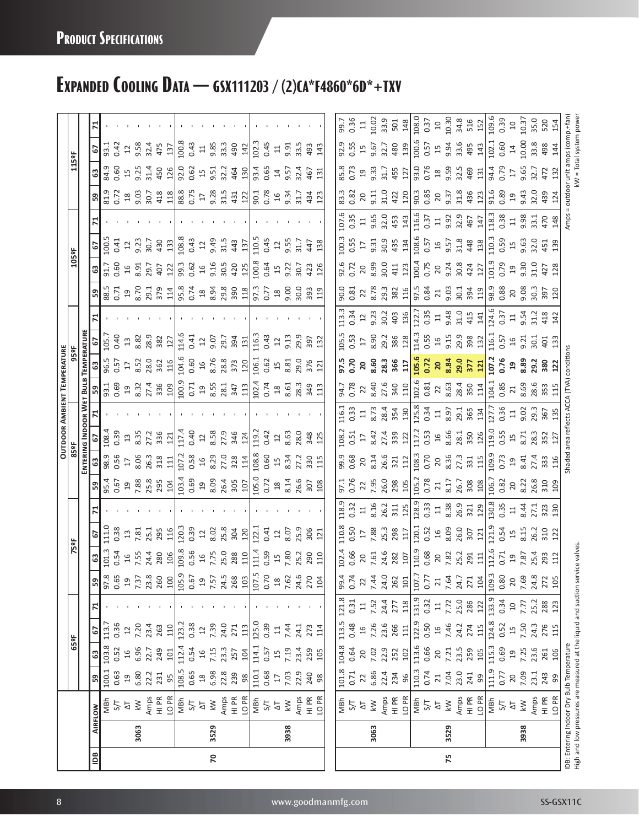### **Expanded Cooling Data — GSX111203 / (2)CA\*F4860\*6D\*+TXV**

|                |      |                                                                                                                            |                                              |                        |                        |                                                     |                                                                                                                                                                                                                                                                                                                                                                                        |                    |                                                                                                                                                                                                                                                                                                                                                      |                                                                                                                                                                                                                                                                                                                                                       |                                                                                                                                                                                                                                                                                                                                                      |                                                                                                                                                                                                                                                                                                                   | <b>OUTDOOR AMBIENT TEMPERATURE</b>                                                                                                                                                                                                                                                                                                                                                                                                                                                |                                                                                                                                                                                                                                                                   |                                                                                                                                                                                                                                                                                                                                        |                                                                                                                                                                                                                                                                                       |                                                           |                                                                                                                                                                                                                                                                                                                                                                             |                                                                                                                                                                                                                                                                                                                                                      |                                                                                                                                                                                                                                                                                                     |                                                                                                                                                                                                                                                                                   |                                                                  |                                                                                                                 |                                                                                            |                    |
|----------------|------|----------------------------------------------------------------------------------------------------------------------------|----------------------------------------------|------------------------|------------------------|-----------------------------------------------------|----------------------------------------------------------------------------------------------------------------------------------------------------------------------------------------------------------------------------------------------------------------------------------------------------------------------------------------------------------------------------------------|--------------------|------------------------------------------------------------------------------------------------------------------------------------------------------------------------------------------------------------------------------------------------------------------------------------------------------------------------------------------------------|-------------------------------------------------------------------------------------------------------------------------------------------------------------------------------------------------------------------------------------------------------------------------------------------------------------------------------------------------------|------------------------------------------------------------------------------------------------------------------------------------------------------------------------------------------------------------------------------------------------------------------------------------------------------------------------------------------------------|-------------------------------------------------------------------------------------------------------------------------------------------------------------------------------------------------------------------------------------------------------------------------------------------------------------------|-----------------------------------------------------------------------------------------------------------------------------------------------------------------------------------------------------------------------------------------------------------------------------------------------------------------------------------------------------------------------------------------------------------------------------------------------------------------------------------|-------------------------------------------------------------------------------------------------------------------------------------------------------------------------------------------------------------------------------------------------------------------|----------------------------------------------------------------------------------------------------------------------------------------------------------------------------------------------------------------------------------------------------------------------------------------------------------------------------------------|---------------------------------------------------------------------------------------------------------------------------------------------------------------------------------------------------------------------------------------------------------------------------------------|-----------------------------------------------------------|-----------------------------------------------------------------------------------------------------------------------------------------------------------------------------------------------------------------------------------------------------------------------------------------------------------------------------------------------------------------------------|------------------------------------------------------------------------------------------------------------------------------------------------------------------------------------------------------------------------------------------------------------------------------------------------------------------------------------------------------|-----------------------------------------------------------------------------------------------------------------------------------------------------------------------------------------------------------------------------------------------------------------------------------------------------|-----------------------------------------------------------------------------------------------------------------------------------------------------------------------------------------------------------------------------------------------------------------------------------|------------------------------------------------------------------|-----------------------------------------------------------------------------------------------------------------|--------------------------------------------------------------------------------------------|--------------------|
|                |      |                                                                                                                            |                                              | 65°F                   |                        |                                                     |                                                                                                                                                                                                                                                                                                                                                                                        | 75°F               |                                                                                                                                                                                                                                                                                                                                                      |                                                                                                                                                                                                                                                                                                                                                       |                                                                                                                                                                                                                                                                                                                                                      |                                                                                                                                                                                                                                                                                                                   |                                                                                                                                                                                                                                                                                                                                                                                                                                                                                   |                                                                                                                                                                                                                                                                   |                                                                                                                                                                                                                                                                                                                                        |                                                                                                                                                                                                                                                                                       |                                                           |                                                                                                                                                                                                                                                                                                                                                                             | 105°F                                                                                                                                                                                                                                                                                                                                                |                                                                                                                                                                                                                                                                                                     |                                                                                                                                                                                                                                                                                   |                                                                  | 115°F                                                                                                           |                                                                                            |                    |
|                |      |                                                                                                                            |                                              |                        |                        |                                                     |                                                                                                                                                                                                                                                                                                                                                                                        |                    |                                                                                                                                                                                                                                                                                                                                                      |                                                                                                                                                                                                                                                                                                                                                       |                                                                                                                                                                                                                                                                                                                                                      |                                                                                                                                                                                                                                                                                                                   |                                                                                                                                                                                                                                                                                                                                                                                                                                                                                   |                                                                                                                                                                                                                                                                   | ᇒ                                                                                                                                                                                                                                                                                                                                      | <b>TEMPERATUR</b>                                                                                                                                                                                                                                                                     |                                                           |                                                                                                                                                                                                                                                                                                                                                                             |                                                                                                                                                                                                                                                                                                                                                      |                                                                                                                                                                                                                                                                                                     |                                                                                                                                                                                                                                                                                   |                                                                  |                                                                                                                 |                                                                                            |                    |
| $\overline{a}$ |      | AIRFLOW                                                                                                                    | 59                                           | ය                      | 5                      | 7                                                   |                                                                                                                                                                                                                                                                                                                                                                                        |                    | 5                                                                                                                                                                                                                                                                                                                                                    |                                                                                                                                                                                                                                                                                                                                                       |                                                                                                                                                                                                                                                                                                                                                      |                                                                                                                                                                                                                                                                                                                   | 67                                                                                                                                                                                                                                                                                                                                                                                                                                                                                |                                                                                                                                                                                                                                                                   |                                                                                                                                                                                                                                                                                                                                        |                                                                                                                                                                                                                                                                                       |                                                           |                                                                                                                                                                                                                                                                                                                                                                             |                                                                                                                                                                                                                                                                                                                                                      |                                                                                                                                                                                                                                                                                                     |                                                                                                                                                                                                                                                                                   |                                                                  |                                                                                                                 | 2                                                                                          |                    |
|                |      | MBh                                                                                                                        | 100.1                                        | 103.8                  | 113.7                  |                                                     |                                                                                                                                                                                                                                                                                                                                                                                        |                    | 111.0                                                                                                                                                                                                                                                                                                                                                |                                                                                                                                                                                                                                                                                                                                                       |                                                                                                                                                                                                                                                                                                                                                      |                                                                                                                                                                                                                                                                                                                   | 108.4                                                                                                                                                                                                                                                                                                                                                                                                                                                                             |                                                                                                                                                                                                                                                                   |                                                                                                                                                                                                                                                                                                                                        | 96.5                                                                                                                                                                                                                                                                                  | 105.                                                      |                                                                                                                                                                                                                                                                                                                                                                             |                                                                                                                                                                                                                                                                                                                                                      |                                                                                                                                                                                                                                                                                                     |                                                                                                                                                                                                                                                                                   |                                                                  |                                                                                                                 | $\frac{1}{93}$                                                                             |                    |
|                |      | 5/7                                                                                                                        | 0.63                                         | 0.52                   | 0.36                   |                                                     |                                                                                                                                                                                                                                                                                                                                                                                        |                    |                                                                                                                                                                                                                                                                                                                                                      |                                                                                                                                                                                                                                                                                                                                                       |                                                                                                                                                                                                                                                                                                                                                      |                                                                                                                                                                                                                                                                                                                   |                                                                                                                                                                                                                                                                                                                                                                                                                                                                                   |                                                                                                                                                                                                                                                                   |                                                                                                                                                                                                                                                                                                                                        |                                                                                                                                                                                                                                                                                       | 0.40                                                      |                                                                                                                                                                                                                                                                                                                                                                             |                                                                                                                                                                                                                                                                                                                                                      |                                                                                                                                                                                                                                                                                                     |                                                                                                                                                                                                                                                                                   |                                                                  |                                                                                                                 | 0.42                                                                                       |                    |
|                | 3063 | $\lesssim$<br>$\Xi$                                                                                                        | 6.80<br>$\overline{a}$                       | 6.96<br>$\mathfrak{a}$ | 7.20<br>$\overline{1}$ |                                                     |                                                                                                                                                                                                                                                                                                                                                                                        |                    |                                                                                                                                                                                                                                                                                                                                                      |                                                                                                                                                                                                                                                                                                                                                       |                                                                                                                                                                                                                                                                                                                                                      |                                                                                                                                                                                                                                                                                                                   |                                                                                                                                                                                                                                                                                                                                                                                                                                                                                   |                                                                                                                                                                                                                                                                   |                                                                                                                                                                                                                                                                                                                                        |                                                                                                                                                                                                                                                                                       | $13$                                                      |                                                                                                                                                                                                                                                                                                                                                                             |                                                                                                                                                                                                                                                                                                                                                      |                                                                                                                                                                                                                                                                                                     |                                                                                                                                                                                                                                                                                   |                                                                  |                                                                                                                 |                                                                                            |                    |
|                |      | Amps                                                                                                                       | 22.2                                         | 22.7                   | 23.4                   |                                                     |                                                                                                                                                                                                                                                                                                                                                                                        |                    |                                                                                                                                                                                                                                                                                                                                                      |                                                                                                                                                                                                                                                                                                                                                       |                                                                                                                                                                                                                                                                                                                                                      |                                                                                                                                                                                                                                                                                                                   |                                                                                                                                                                                                                                                                                                                                                                                                                                                                                   |                                                                                                                                                                                                                                                                   |                                                                                                                                                                                                                                                                                                                                        |                                                                                                                                                                                                                                                                                       |                                                           |                                                                                                                                                                                                                                                                                                                                                                             |                                                                                                                                                                                                                                                                                                                                                      |                                                                                                                                                                                                                                                                                                     |                                                                                                                                                                                                                                                                                   |                                                                  |                                                                                                                 |                                                                                            |                    |
|                |      | $\frac{p}{n}$                                                                                                              | 231                                          | 249                    | 263                    |                                                     |                                                                                                                                                                                                                                                                                                                                                                                        |                    |                                                                                                                                                                                                                                                                                                                                                      |                                                                                                                                                                                                                                                                                                                                                       |                                                                                                                                                                                                                                                                                                                                                      |                                                                                                                                                                                                                                                                                                                   |                                                                                                                                                                                                                                                                                                                                                                                                                                                                                   |                                                                                                                                                                                                                                                                   |                                                                                                                                                                                                                                                                                                                                        |                                                                                                                                                                                                                                                                                       |                                                           |                                                                                                                                                                                                                                                                                                                                                                             |                                                                                                                                                                                                                                                                                                                                                      |                                                                                                                                                                                                                                                                                                     |                                                                                                                                                                                                                                                                                   |                                                                  |                                                                                                                 |                                                                                            |                    |
|                |      | LO PR                                                                                                                      | 95                                           | $101$                  | 110                    |                                                     | $\frac{3}{8}$<br>$\frac{8}{3}$<br>$\frac{8}{3}$<br>$\frac{8}{3}$<br>$\frac{8}{3}$<br>$\frac{8}{3}$<br>$\frac{8}{3}$<br>$\frac{8}{3}$<br>$\frac{8}{3}$<br>$\frac{8}{3}$<br>$\frac{8}{3}$<br>$\frac{8}{3}$<br>$\frac{8}{3}$<br>$\frac{8}{3}$<br>$\frac{8}{3}$<br>$\frac{8}{3}$<br>$\frac{8}{3}$<br>$\frac{8}{3}$<br>$\frac{8}{3}$<br>$\frac{8}{3}$<br>$\frac{8}{3}$<br>$\frac{8}{3}$<br> |                    | $\frac{38}{13}$ $\frac{3}{15}$ $\frac{1}{15}$ $\frac{3}{15}$ $\frac{1}{15}$                                                                                                                                                                                                                                                                          |                                                                                                                                                                                                                                                                                                                                                       | $\frac{1}{3}$<br>$\frac{1}{3}$<br>$\frac{1}{3}$<br>$\frac{1}{3}$<br>$\frac{1}{3}$<br>$\frac{1}{3}$<br>$\frac{1}{3}$<br>$\frac{1}{3}$<br>$\frac{1}{3}$<br>$\frac{1}{3}$<br>$\frac{1}{3}$<br>$\frac{1}{3}$<br>$\frac{1}{3}$<br>$\frac{1}{3}$<br>$\frac{1}{3}$<br>$\frac{1}{3}$<br>$\frac{1}{3}$<br>$\frac{1}{3}$<br>$\frac{1}{3}$<br>$\frac{1}{3}$<br> | $\begin{array}{c} 98.9 \\ 0.56 \\ 17 \\ 8.06 \\ 26.3 \\ 3.3 \\ 3.1 \\ \hline \end{array}$                                                                                                                                                                                                                         | $\frac{39}{3}$ $\frac{3}{3}$ $\frac{5}{3}$ $\frac{7}{3}$ $\frac{8}{3}$ $\frac{51}{3}$                                                                                                                                                                                                                                                                                                                                                                                             |                                                                                                                                                                                                                                                                   | $\begin{array}{l} 3.68 \hskip 1mm 0.99 \hskip 1mm 0.91 \hskip 1mm 0.93 \hskip 1mm 0.95 \hskip 1mm 0.97 \hskip 1mm 0.97 \hskip 1mm 0.97 \hskip 1mm 0.97 \hskip 1mm 0.97 \hskip 1mm 0.97 \hskip 1mm 0.97 \hskip 1mm 0.97 \hskip 1mm 0.97 \hskip 1mm 0.97 \hskip 1mm 0.97 \hskip 1mm 0.97 \hskip 1mm 0.97 \hskip 1mm 0.97 \hskip 1mm 0.9$ | $\frac{17}{2}$ 5<br>$\frac{25}{2}$<br>$\frac{25}{2}$<br>$\frac{25}{2}$<br>$\frac{25}{2}$                                                                                                                                                                                              | $\begin{array}{c} 8.82 \\ 28.9 \\ 382 \\ 127 \end{array}$ |                                                                                                                                                                                                                                                                                                                                                                             | $\frac{1}{3}$ , $\frac{1}{3}$ , $\frac{1}{3}$ , $\frac{1}{3}$ , $\frac{1}{3}$ , $\frac{1}{3}$ , $\frac{1}{3}$ , $\frac{1}{3}$ , $\frac{1}{3}$ , $\frac{1}{3}$ , $\frac{1}{3}$ , $\frac{1}{3}$ , $\frac{1}{3}$ , $\frac{1}{3}$ , $\frac{1}{3}$ , $\frac{1}{3}$ , $\frac{1}{3}$ , $\frac{1}{3}$ , $\frac{1}{3}$ , $\frac{1}{3}$ ,                      |                                                                                                                                                                                                                                                                                                     |                                                                                                                                                                                                                                                                                   | 0.72<br>0.72<br>0.9 0.73<br>0.73<br>0.75<br>0.75<br>0.75<br>0.75 | $\frac{3}{3}$ $\frac{3}{3}$ $\frac{3}{5}$ $\frac{5}{3}$ $\frac{4}{3}$ $\frac{5}{3}$ $\frac{6}{3}$ $\frac{6}{3}$ | $\begin{array}{c} 12 \\ 9.58 \\ 3.24 \\ 4.5 \end{array}$                                   |                    |
|                |      | MBh                                                                                                                        | 108.5                                        | 112.4                  | 123.2                  |                                                     |                                                                                                                                                                                                                                                                                                                                                                                        |                    | 120.3<br>0.39                                                                                                                                                                                                                                                                                                                                        |                                                                                                                                                                                                                                                                                                                                                       |                                                                                                                                                                                                                                                                                                                                                      | $\begin{array}{c c} 1012 \\ 1013 \\ 1023 \\ 1034 \\ 1035 \\ 1045 \\ 1056 \\ 1066 \\ 1083 \\ 1094 \\ 1018 \\ 1018 \\ 1019 \\ 1019 \\ 1019 \\ 1019 \\ 1119 \\ 1119 \\ 1129 \\ 1139 \\ 1219 \\ 1219 \\ 1219 \\ 1229 \\ 1239 \\ 1239 \\ 1239 \\ 1239 \\ 1239 \\ 1239 \\ 1239 \\ 1239 \\ 1239 \\ 1239 \\ 1239 \\ $     | $\begin{array}{c c}\n\hline\n1174 \\ 0.40 \\ 0.38 \\ 8.58 \\ 7.9 \\ 9.4 \\ 19.2 \\ 19.2 \\ 19.2 \\ 0.42 \\ 0.42\n\end{array}$                                                                                                                                                                                                                                                                                                                                                     |                                                                                                                                                                                                                                                                   |                                                                                                                                                                                                                                                                                                                                        |                                                                                                                                                                                                                                                                                       | 114.6                                                     |                                                                                                                                                                                                                                                                                                                                                                             |                                                                                                                                                                                                                                                                                                                                                      | $\begin{array}{c} 108.8 \\ 0.43 \\ 0.43 \\ 9.49 \\ 3.1.5 \\ 4.3 \\ 13 \end{array}$                                                                                                                                                                                                                  |                                                                                                                                                                                                                                                                                   |                                                                  |                                                                                                                 | $\begin{bmatrix} 0.8 \\ 0.43 \\ 0.43 \\ 1.45 \\ 9.85 \\ 3.33 \\ 4.90 \\ 4.2 \end{bmatrix}$ |                    |
|                |      | 5/7                                                                                                                        | 0.65                                         | 0.54                   | 0.38                   |                                                     |                                                                                                                                                                                                                                                                                                                                                                                        |                    |                                                                                                                                                                                                                                                                                                                                                      |                                                                                                                                                                                                                                                                                                                                                       |                                                                                                                                                                                                                                                                                                                                                      |                                                                                                                                                                                                                                                                                                                   |                                                                                                                                                                                                                                                                                                                                                                                                                                                                                   |                                                                                                                                                                                                                                                                   |                                                                                                                                                                                                                                                                                                                                        |                                                                                                                                                                                                                                                                                       | 0.41                                                      |                                                                                                                                                                                                                                                                                                                                                                             |                                                                                                                                                                                                                                                                                                                                                      |                                                                                                                                                                                                                                                                                                     |                                                                                                                                                                                                                                                                                   |                                                                  |                                                                                                                 |                                                                                            |                    |
|                |      | $\overline{\Delta}$                                                                                                        | $\widetilde{\Xi}$                            | $\frac{9}{2}$          | 12                     |                                                     |                                                                                                                                                                                                                                                                                                                                                                                        |                    |                                                                                                                                                                                                                                                                                                                                                      |                                                                                                                                                                                                                                                                                                                                                       |                                                                                                                                                                                                                                                                                                                                                      |                                                                                                                                                                                                                                                                                                                   |                                                                                                                                                                                                                                                                                                                                                                                                                                                                                   |                                                                                                                                                                                                                                                                   |                                                                                                                                                                                                                                                                                                                                        |                                                                                                                                                                                                                                                                                       | $\Xi$                                                     |                                                                                                                                                                                                                                                                                                                                                                             |                                                                                                                                                                                                                                                                                                                                                      |                                                                                                                                                                                                                                                                                                     |                                                                                                                                                                                                                                                                                   |                                                                  |                                                                                                                 |                                                                                            |                    |
| $\mathsf R$    | 3529 | $\overline{\mathsf{k}}$                                                                                                    |                                              | 7.15                   |                        |                                                     |                                                                                                                                                                                                                                                                                                                                                                                        |                    |                                                                                                                                                                                                                                                                                                                                                      |                                                                                                                                                                                                                                                                                                                                                       |                                                                                                                                                                                                                                                                                                                                                      |                                                                                                                                                                                                                                                                                                                   |                                                                                                                                                                                                                                                                                                                                                                                                                                                                                   |                                                                                                                                                                                                                                                                   |                                                                                                                                                                                                                                                                                                                                        |                                                                                                                                                                                                                                                                                       |                                                           |                                                                                                                                                                                                                                                                                                                                                                             |                                                                                                                                                                                                                                                                                                                                                      |                                                                                                                                                                                                                                                                                                     |                                                                                                                                                                                                                                                                                   |                                                                  |                                                                                                                 |                                                                                            |                    |
|                |      | Amps                                                                                                                       | 6.98<br>22.8                                 | 23.3                   | 7.39<br>24.0           |                                                     |                                                                                                                                                                                                                                                                                                                                                                                        |                    | $\begin{array}{c} 12 \\ 8.02 \\ 25.3 \\ 304 \\ 120 \end{array}$                                                                                                                                                                                                                                                                                      |                                                                                                                                                                                                                                                                                                                                                       |                                                                                                                                                                                                                                                                                                                                                      |                                                                                                                                                                                                                                                                                                                   |                                                                                                                                                                                                                                                                                                                                                                                                                                                                                   |                                                                                                                                                                                                                                                                   |                                                                                                                                                                                                                                                                                                                                        | $\begin{array}{c} 104.6 \\ 0.60 \\ 16 \\ 8.76 \\ 28.3 \\ 373 \\ 120 \end{array}$                                                                                                                                                                                                      | 9.07                                                      |                                                                                                                                                                                                                                                                                                                                                                             |                                                                                                                                                                                                                                                                                                                                                      |                                                                                                                                                                                                                                                                                                     |                                                                                                                                                                                                                                                                                   |                                                                  | $0.62$<br>$0.62$<br>$1.5$<br>$0.52$<br>$0.62$<br>$0.52$<br>$0.62$<br>$0.62$                                     |                                                                                            |                    |
|                |      | HI PR<br>LO PR                                                                                                             | 239                                          | 257                    | 271                    |                                                     |                                                                                                                                                                                                                                                                                                                                                                                        |                    |                                                                                                                                                                                                                                                                                                                                                      |                                                                                                                                                                                                                                                                                                                                                       |                                                                                                                                                                                                                                                                                                                                                      |                                                                                                                                                                                                                                                                                                                   |                                                                                                                                                                                                                                                                                                                                                                                                                                                                                   |                                                                                                                                                                                                                                                                   |                                                                                                                                                                                                                                                                                                                                        |                                                                                                                                                                                                                                                                                       | 394<br>131                                                |                                                                                                                                                                                                                                                                                                                                                                             |                                                                                                                                                                                                                                                                                                                                                      |                                                                                                                                                                                                                                                                                                     |                                                                                                                                                                                                                                                                                   |                                                                  |                                                                                                                 |                                                                                            |                    |
|                |      |                                                                                                                            | 98                                           | 104                    | $113$                  |                                                     |                                                                                                                                                                                                                                                                                                                                                                                        |                    |                                                                                                                                                                                                                                                                                                                                                      |                                                                                                                                                                                                                                                                                                                                                       |                                                                                                                                                                                                                                                                                                                                                      |                                                                                                                                                                                                                                                                                                                   |                                                                                                                                                                                                                                                                                                                                                                                                                                                                                   |                                                                                                                                                                                                                                                                   |                                                                                                                                                                                                                                                                                                                                        |                                                                                                                                                                                                                                                                                       |                                                           |                                                                                                                                                                                                                                                                                                                                                                             |                                                                                                                                                                                                                                                                                                                                                      |                                                                                                                                                                                                                                                                                                     |                                                                                                                                                                                                                                                                                   |                                                                  |                                                                                                                 |                                                                                            |                    |
|                |      |                                                                                                                            | $\begin{array}{c} 110.1 \\ 0.68 \end{array}$ | 114.1                  | 125.0                  |                                                     |                                                                                                                                                                                                                                                                                                                                                                                        |                    | $\frac{122.1}{0.41}$                                                                                                                                                                                                                                                                                                                                 |                                                                                                                                                                                                                                                                                                                                                       |                                                                                                                                                                                                                                                                                                                                                      |                                                                                                                                                                                                                                                                                                                   |                                                                                                                                                                                                                                                                                                                                                                                                                                                                                   |                                                                                                                                                                                                                                                                   |                                                                                                                                                                                                                                                                                                                                        | $\frac{1}{106.1}$ and $\frac{2}{100}$ and $\frac{2}{100}$ and $\frac{2}{100}$ and $\frac{2}{100}$ and $\frac{2}{100}$ and $\frac{2}{100}$ and $\frac{2}{100}$ and $\frac{2}{100}$ and $\frac{2}{100}$ and $\frac{2}{100}$ and $\frac{2}{100}$ and $\frac{2}{100}$ and $\frac{2}{100}$ | 116.3<br>0.43                                             |                                                                                                                                                                                                                                                                                                                                                                             |                                                                                                                                                                                                                                                                                                                                                      | $\frac{110.5}{0.45}$                                                                                                                                                                                                                                                                                |                                                                                                                                                                                                                                                                                   | $\frac{83.5}{31.31}$ $\frac{21}{30.78}$ $\frac{83.5}{31.34}$     | 93.4                                                                                                            | $\frac{102.3}{0.45}$                                                                       |                    |
|                |      | $\frac{27}{15}$                                                                                                            |                                              | 0.57                   | 0.39                   |                                                     |                                                                                                                                                                                                                                                                                                                                                                                        |                    |                                                                                                                                                                                                                                                                                                                                                      |                                                                                                                                                                                                                                                                                                                                                       |                                                                                                                                                                                                                                                                                                                                                      |                                                                                                                                                                                                                                                                                                                   |                                                                                                                                                                                                                                                                                                                                                                                                                                                                                   |                                                                                                                                                                                                                                                                   |                                                                                                                                                                                                                                                                                                                                        |                                                                                                                                                                                                                                                                                       |                                                           |                                                                                                                                                                                                                                                                                                                                                                             |                                                                                                                                                                                                                                                                                                                                                      |                                                                                                                                                                                                                                                                                                     |                                                                                                                                                                                                                                                                                   |                                                                  |                                                                                                                 |                                                                                            |                    |
|                |      | $\overline{\Delta}$                                                                                                        | $17$                                         | 15                     | $\overline{1}$         |                                                     |                                                                                                                                                                                                                                                                                                                                                                                        |                    |                                                                                                                                                                                                                                                                                                                                                      |                                                                                                                                                                                                                                                                                                                                                       |                                                                                                                                                                                                                                                                                                                                                      |                                                                                                                                                                                                                                                                                                                   |                                                                                                                                                                                                                                                                                                                                                                                                                                                                                   |                                                                                                                                                                                                                                                                   |                                                                                                                                                                                                                                                                                                                                        |                                                                                                                                                                                                                                                                                       | $\Xi$                                                     |                                                                                                                                                                                                                                                                                                                                                                             |                                                                                                                                                                                                                                                                                                                                                      |                                                                                                                                                                                                                                                                                                     |                                                                                                                                                                                                                                                                                   |                                                                  | $14\,$                                                                                                          |                                                                                            |                    |
|                | 3938 | $\leq$                                                                                                                     | 7.03                                         | 7.19                   | 7.44                   |                                                     |                                                                                                                                                                                                                                                                                                                                                                                        |                    | $\frac{12}{8.07}$                                                                                                                                                                                                                                                                                                                                    |                                                                                                                                                                                                                                                                                                                                                       |                                                                                                                                                                                                                                                                                                                                                      |                                                                                                                                                                                                                                                                                                                   | $\begin{array}{c} 12 \\ 8.63 \\ 2.83 \\ 3.45 \\ \end{array}$                                                                                                                                                                                                                                                                                                                                                                                                                      |                                                                                                                                                                                                                                                                   |                                                                                                                                                                                                                                                                                                                                        |                                                                                                                                                                                                                                                                                       | 9.13                                                      |                                                                                                                                                                                                                                                                                                                                                                             | $15$<br>$9.22$<br>$30.7$                                                                                                                                                                                                                                                                                                                             | $12$ 9.55<br>9.55                                                                                                                                                                                                                                                                                   |                                                                                                                                                                                                                                                                                   |                                                                  | 9.57                                                                                                            | $11\over 9.91$                                                                             |                    |
|                |      | Amps                                                                                                                       | 22.9                                         | 23.4                   | 24.1                   |                                                     |                                                                                                                                                                                                                                                                                                                                                                                        |                    | 25.9                                                                                                                                                                                                                                                                                                                                                 |                                                                                                                                                                                                                                                                                                                                                       |                                                                                                                                                                                                                                                                                                                                                      |                                                                                                                                                                                                                                                                                                                   |                                                                                                                                                                                                                                                                                                                                                                                                                                                                                   |                                                                                                                                                                                                                                                                   |                                                                                                                                                                                                                                                                                                                                        |                                                                                                                                                                                                                                                                                       | 29.9                                                      |                                                                                                                                                                                                                                                                                                                                                                             |                                                                                                                                                                                                                                                                                                                                                      |                                                                                                                                                                                                                                                                                                     |                                                                                                                                                                                                                                                                                   |                                                                  | 32.4                                                                                                            |                                                                                            |                    |
|                |      | HI PR                                                                                                                      | 240<br>98                                    | 259                    | 273                    |                                                     |                                                                                                                                                                                                                                                                                                                                                                                        | 25.2<br>290<br>110 | $\begin{array}{c} 306 \\ 121 \end{array}$                                                                                                                                                                                                                                                                                                            |                                                                                                                                                                                                                                                                                                                                                       |                                                                                                                                                                                                                                                                                                                                                      |                                                                                                                                                                                                                                                                                                                   |                                                                                                                                                                                                                                                                                                                                                                                                                                                                                   |                                                                                                                                                                                                                                                                   |                                                                                                                                                                                                                                                                                                                                        | 29.0<br>376<br>121                                                                                                                                                                                                                                                                    | 397                                                       |                                                                                                                                                                                                                                                                                                                                                                             | 423<br>126                                                                                                                                                                                                                                                                                                                                           | 447<br>138                                                                                                                                                                                                                                                                                          |                                                                                                                                                                                                                                                                                   | 31.7<br>434<br>123                                               | 467<br>131                                                                                                      | 33.5<br>493<br>143                                                                         |                    |
|                |      | LO <sub>PR</sub>                                                                                                           |                                              | 105                    | 114                    |                                                     |                                                                                                                                                                                                                                                                                                                                                                                        |                    |                                                                                                                                                                                                                                                                                                                                                      |                                                                                                                                                                                                                                                                                                                                                       |                                                                                                                                                                                                                                                                                                                                                      |                                                                                                                                                                                                                                                                                                                   |                                                                                                                                                                                                                                                                                                                                                                                                                                                                                   |                                                                                                                                                                                                                                                                   |                                                                                                                                                                                                                                                                                                                                        |                                                                                                                                                                                                                                                                                       | 132                                                       |                                                                                                                                                                                                                                                                                                                                                                             |                                                                                                                                                                                                                                                                                                                                                      |                                                                                                                                                                                                                                                                                                     |                                                                                                                                                                                                                                                                                   |                                                                  |                                                                                                                 |                                                                                            |                    |
|                |      |                                                                                                                            |                                              |                        |                        |                                                     |                                                                                                                                                                                                                                                                                                                                                                                        |                    |                                                                                                                                                                                                                                                                                                                                                      |                                                                                                                                                                                                                                                                                                                                                       |                                                                                                                                                                                                                                                                                                                                                      |                                                                                                                                                                                                                                                                                                                   |                                                                                                                                                                                                                                                                                                                                                                                                                                                                                   |                                                                                                                                                                                                                                                                   |                                                                                                                                                                                                                                                                                                                                        |                                                                                                                                                                                                                                                                                       |                                                           |                                                                                                                                                                                                                                                                                                                                                                             |                                                                                                                                                                                                                                                                                                                                                      |                                                                                                                                                                                                                                                                                                     |                                                                                                                                                                                                                                                                                   |                                                                  |                                                                                                                 |                                                                                            |                    |
|                |      | MBh                                                                                                                        | 101.8                                        | 104.8                  | 113.5                  | 121.8                                               |                                                                                                                                                                                                                                                                                                                                                                                        |                    |                                                                                                                                                                                                                                                                                                                                                      |                                                                                                                                                                                                                                                                                                                                                       | 97.1                                                                                                                                                                                                                                                                                                                                                 |                                                                                                                                                                                                                                                                                                                   |                                                                                                                                                                                                                                                                                                                                                                                                                                                                                   |                                                                                                                                                                                                                                                                   |                                                                                                                                                                                                                                                                                                                                        |                                                                                                                                                                                                                                                                                       |                                                           |                                                                                                                                                                                                                                                                                                                                                                             |                                                                                                                                                                                                                                                                                                                                                      |                                                                                                                                                                                                                                                                                                     |                                                                                                                                                                                                                                                                                   | 83.3<br>0.82                                                     | 85.8<br>0.73                                                                                                    | 92.9                                                                                       | 99.7<br>0.36       |
|                |      | 5/7                                                                                                                        | 0.71                                         | 0.64                   | 0.48                   | 0.31                                                |                                                                                                                                                                                                                                                                                                                                                                                        |                    |                                                                                                                                                                                                                                                                                                                                                      |                                                                                                                                                                                                                                                                                                                                                       |                                                                                                                                                                                                                                                                                                                                                      |                                                                                                                                                                                                                                                                                                                   |                                                                                                                                                                                                                                                                                                                                                                                                                                                                                   |                                                                                                                                                                                                                                                                   |                                                                                                                                                                                                                                                                                                                                        |                                                                                                                                                                                                                                                                                       |                                                           |                                                                                                                                                                                                                                                                                                                                                                             |                                                                                                                                                                                                                                                                                                                                                      |                                                                                                                                                                                                                                                                                                     |                                                                                                                                                                                                                                                                                   |                                                                  |                                                                                                                 |                                                                                            |                    |
|                |      | $\overline{\Delta}$                                                                                                        | 22                                           | $\overline{20}$        | $16$                   | $\Xi$                                               |                                                                                                                                                                                                                                                                                                                                                                                        |                    |                                                                                                                                                                                                                                                                                                                                                      |                                                                                                                                                                                                                                                                                                                                                       |                                                                                                                                                                                                                                                                                                                                                      | 99.9<br>0.68<br>20                                                                                                                                                                                                                                                                                                | $\begin{array}{c} 108.2 \\ 0.51 \\ 17 \end{array}$                                                                                                                                                                                                                                                                                                                                                                                                                                |                                                                                                                                                                                                                                                                   |                                                                                                                                                                                                                                                                                                                                        |                                                                                                                                                                                                                                                                                       |                                                           |                                                                                                                                                                                                                                                                                                                                                                             |                                                                                                                                                                                                                                                                                                                                                      |                                                                                                                                                                                                                                                                                                     |                                                                                                                                                                                                                                                                                   |                                                                  |                                                                                                                 |                                                                                            |                    |
|                | 3063 | $\leq$                                                                                                                     |                                              | 7.02                   |                        |                                                     |                                                                                                                                                                                                                                                                                                                                                                                        |                    |                                                                                                                                                                                                                                                                                                                                                      |                                                                                                                                                                                                                                                                                                                                                       |                                                                                                                                                                                                                                                                                                                                                      |                                                                                                                                                                                                                                                                                                                   |                                                                                                                                                                                                                                                                                                                                                                                                                                                                                   |                                                                                                                                                                                                                                                                   |                                                                                                                                                                                                                                                                                                                                        |                                                                                                                                                                                                                                                                                       |                                                           |                                                                                                                                                                                                                                                                                                                                                                             |                                                                                                                                                                                                                                                                                                                                                      |                                                                                                                                                                                                                                                                                                     |                                                                                                                                                                                                                                                                                   |                                                                  |                                                                                                                 |                                                                                            |                    |
|                |      | Amps                                                                                                                       | 6.86<br>22.4                                 | 22.9                   | 7.26<br>23.6<br>266    | 7.52<br>24.4                                        |                                                                                                                                                                                                                                                                                                                                                                                        |                    | $\begin{array}{c} 110.8 \\ 0.50 \\ 7.88 \\ 7.83 \\ 298 \\ 11 \\ \hline \end{array}$                                                                                                                                                                                                                                                                  |                                                                                                                                                                                                                                                                                                                                                       |                                                                                                                                                                                                                                                                                                                                                      |                                                                                                                                                                                                                                                                                                                   |                                                                                                                                                                                                                                                                                                                                                                                                                                                                                   |                                                                                                                                                                                                                                                                   |                                                                                                                                                                                                                                                                                                                                        |                                                                                                                                                                                                                                                                                       |                                                           |                                                                                                                                                                                                                                                                                                                                                                             |                                                                                                                                                                                                                                                                                                                                                      |                                                                                                                                                                                                                                                                                                     |                                                                                                                                                                                                                                                                                   |                                                                  |                                                                                                                 |                                                                                            |                    |
|                |      | HI PR                                                                                                                      | 234                                          | 252                    |                        | 277                                                 |                                                                                                                                                                                                                                                                                                                                                                                        |                    |                                                                                                                                                                                                                                                                                                                                                      |                                                                                                                                                                                                                                                                                                                                                       |                                                                                                                                                                                                                                                                                                                                                      |                                                                                                                                                                                                                                                                                                                   |                                                                                                                                                                                                                                                                                                                                                                                                                                                                                   |                                                                                                                                                                                                                                                                   |                                                                                                                                                                                                                                                                                                                                        |                                                                                                                                                                                                                                                                                       |                                                           |                                                                                                                                                                                                                                                                                                                                                                             |                                                                                                                                                                                                                                                                                                                                                      |                                                                                                                                                                                                                                                                                                     |                                                                                                                                                                                                                                                                                   |                                                                  |                                                                                                                 |                                                                                            |                    |
|                |      | LO PR                                                                                                                      | 96                                           | 102                    | $11\overline{1}$       | 118                                                 |                                                                                                                                                                                                                                                                                                                                                                                        |                    |                                                                                                                                                                                                                                                                                                                                                      |                                                                                                                                                                                                                                                                                                                                                       |                                                                                                                                                                                                                                                                                                                                                      |                                                                                                                                                                                                                                                                                                                   |                                                                                                                                                                                                                                                                                                                                                                                                                                                                                   |                                                                                                                                                                                                                                                                   |                                                                                                                                                                                                                                                                                                                                        |                                                                                                                                                                                                                                                                                       |                                                           |                                                                                                                                                                                                                                                                                                                                                                             |                                                                                                                                                                                                                                                                                                                                                      |                                                                                                                                                                                                                                                                                                     |                                                                                                                                                                                                                                                                                   |                                                                  |                                                                                                                 |                                                                                            |                    |
|                |      | MBh                                                                                                                        | 110.3                                        | 113.6                  | 122.9                  | 131.9<br>0.32                                       |                                                                                                                                                                                                                                                                                                                                                                                        |                    |                                                                                                                                                                                                                                                                                                                                                      |                                                                                                                                                                                                                                                                                                                                                       |                                                                                                                                                                                                                                                                                                                                                      |                                                                                                                                                                                                                                                                                                                   |                                                                                                                                                                                                                                                                                                                                                                                                                                                                                   |                                                                                                                                                                                                                                                                   |                                                                                                                                                                                                                                                                                                                                        |                                                                                                                                                                                                                                                                                       |                                                           |                                                                                                                                                                                                                                                                                                                                                                             |                                                                                                                                                                                                                                                                                                                                                      |                                                                                                                                                                                                                                                                                                     |                                                                                                                                                                                                                                                                                   |                                                                  |                                                                                                                 |                                                                                            |                    |
|                |      | 5/7                                                                                                                        | 0.74                                         | 0.66                   | 0.50                   |                                                     |                                                                                                                                                                                                                                                                                                                                                                                        |                    |                                                                                                                                                                                                                                                                                                                                                      |                                                                                                                                                                                                                                                                                                                                                       |                                                                                                                                                                                                                                                                                                                                                      |                                                                                                                                                                                                                                                                                                                   |                                                                                                                                                                                                                                                                                                                                                                                                                                                                                   |                                                                                                                                                                                                                                                                   |                                                                                                                                                                                                                                                                                                                                        |                                                                                                                                                                                                                                                                                       |                                                           |                                                                                                                                                                                                                                                                                                                                                                             |                                                                                                                                                                                                                                                                                                                                                      |                                                                                                                                                                                                                                                                                                     |                                                                                                                                                                                                                                                                                   |                                                                  |                                                                                                                 |                                                                                            |                    |
|                |      | $\overline{\Delta}$                                                                                                        | 21                                           | 20                     | 16                     | $\Xi$                                               |                                                                                                                                                                                                                                                                                                                                                                                        |                    |                                                                                                                                                                                                                                                                                                                                                      |                                                                                                                                                                                                                                                                                                                                                       |                                                                                                                                                                                                                                                                                                                                                      |                                                                                                                                                                                                                                                                                                                   |                                                                                                                                                                                                                                                                                                                                                                                                                                                                                   |                                                                                                                                                                                                                                                                   |                                                                                                                                                                                                                                                                                                                                        |                                                                                                                                                                                                                                                                                       |                                                           |                                                                                                                                                                                                                                                                                                                                                                             |                                                                                                                                                                                                                                                                                                                                                      |                                                                                                                                                                                                                                                                                                     |                                                                                                                                                                                                                                                                                   |                                                                  |                                                                                                                 |                                                                                            |                    |
| 75             | 3529 | $\overline{\mathsf{k}}$                                                                                                    | 7.04                                         | 7.21                   | 7.46<br>24.2           | 7.72                                                |                                                                                                                                                                                                                                                                                                                                                                                        |                    |                                                                                                                                                                                                                                                                                                                                                      |                                                                                                                                                                                                                                                                                                                                                       |                                                                                                                                                                                                                                                                                                                                                      |                                                                                                                                                                                                                                                                                                                   |                                                                                                                                                                                                                                                                                                                                                                                                                                                                                   |                                                                                                                                                                                                                                                                   |                                                                                                                                                                                                                                                                                                                                        |                                                                                                                                                                                                                                                                                       |                                                           |                                                                                                                                                                                                                                                                                                                                                                             |                                                                                                                                                                                                                                                                                                                                                      |                                                                                                                                                                                                                                                                                                     |                                                                                                                                                                                                                                                                                   |                                                                  |                                                                                                                 |                                                                                            |                    |
|                |      | Amps                                                                                                                       | 23.0                                         | 23.5                   |                        |                                                     |                                                                                                                                                                                                                                                                                                                                                                                        |                    |                                                                                                                                                                                                                                                                                                                                                      |                                                                                                                                                                                                                                                                                                                                                       |                                                                                                                                                                                                                                                                                                                                                      |                                                                                                                                                                                                                                                                                                                   |                                                                                                                                                                                                                                                                                                                                                                                                                                                                                   |                                                                                                                                                                                                                                                                   |                                                                                                                                                                                                                                                                                                                                        |                                                                                                                                                                                                                                                                                       |                                                           |                                                                                                                                                                                                                                                                                                                                                                             |                                                                                                                                                                                                                                                                                                                                                      |                                                                                                                                                                                                                                                                                                     |                                                                                                                                                                                                                                                                                   |                                                                  |                                                                                                                 |                                                                                            |                    |
|                |      | HI PR                                                                                                                      | 241<br>99                                    | 259                    | 274                    | $\begin{array}{r} 25.0 \\ 286 \\ 133.9 \end{array}$ |                                                                                                                                                                                                                                                                                                                                                                                        |                    | $\begin{array}{c c}\n\hline\n120.1 & 0.52 \\ 0.52 & 8.09 \\ 8.09 & 2.57 \\ \hline\n24.0 & 2.01 \\ \hline\n36.0 & 2.01 \\ \hline\n21.0 & 2.01 \\ \hline\n22.0 & 2.01 \\ \hline\n23.0 & 2.01 \\ \hline\n24.0 & 2.01 \\ \hline\n25.0 & 2.01 \\ \hline\n27.0 & 2.01 \\ \hline\n28.0 & 2.01 \\ \hline\n29.0 & 2.01 \\ \hline\n20.0 & 2.01 \\ \hline\n21.$ | $\begin{array}{cccc}\n1 & 8 & 3 & 2 & 1 \\ 0 & 3 & 2 & 1 & 1 \\ 2 & 3 & 2 & 1 & 1 \\ 3 & 4 & 1 & 1 & 1 \\ 4 & 1 & 1 & 1 & 1 \\ 5 & 1 & 1 & 1 & 1 \\ 6 & 1 & 1 & 1 & 1 \\ 6 & 1 & 1 & 1 & 1 \\ 7 & 1 & 1 & 1 & 1 \\ 8 & 1 & 1 & 1 & 1 \\ 9 & 1 & 1 & 1 & 1 \\ 1 & 1 & 1 & 1 & 1 \\ 1 & 1 & 1 & 1 & 1 \\ 1 & 1 & 1 & 1 & 1 \\ 1 & 1 & 1 & 1 & 1 \\ 1 &$ | $\begin{array}{c c} 22 & 50 & 50 \\ 7 & 50 & 50 & 50 \\ 7 & 80 & 50 & 50 \\ 8 & 10 & 10 & 50 \\ 10 & 10 & 10 & 50 \\ 11 & 11 & 11 & 10 \\ 13 & 13 & 13 & 10 \\ 14 & 15 & 10 & 10 \\ 16 & 10 & 10 & 10 \\ 17 & 10 & 10 & 10 \\ 18 & 10 & 10 & 10 \\ 19 & 10 & 10 & 10 \\ 10 & 10 & 10 & 10 \\ 11 & 11 & 1$                                            | $\begin{array}{l} 8.14 \\ 26.6 \\ 37.1 \\ 21 \\ 26.7 \\ 37.8 \\ 41 \\ 21 \\ 23.0 \\ 57.3 \\ 68.3 \\ 7.3 \\ 7.4 \\ 8.7 \\ 1 \\ 21 \\ 22.4 \\ 23.4 \\ 24.4 \\ 25.4 \\ 27.4 \\ 28.4 \\ 29.4 \\ 21.4 \\ 22.4 \\ 23.4 \\ 24.4 \\ 25.4 \\ 27.4 \\ 28.4 \\ 29.4 \\ 21.4 \\ 21.4 \\ 22.4 \\ 23.4 \\ 24.4 \\ 25.4 \\ 26.4$ |                                                                                                                                                                                                                                                                                                                                                                                                                                                                                   | $\begin{array}{l} 11\,63\\ 13\,35\\ 15\,43\\ 16\,36\\ 17\,45\\ 18\,46\\ 19\,46\\ 10\,43\\ 11\,45\\ 12\,45\\ 13\,46\\ 13\,47\\ 16\,47\\ 17\,48\\ 18\,49\\ 19\,42\\ 10\,43\\ 13\,45\\ 16\,46\\ 19\,47\\ 10\,48\\ 13\,49\\ 14\,48\\ 16\,49\\ 18\,49\\ 19\,49\\ 19\,$ | $\frac{1}{36}$ $\frac{1}{36}$ $\frac{1}{36}$ $\frac{1}{36}$ $\frac{1}{36}$ $\frac{1}{36}$ $\frac{1}{36}$ $\frac{1}{36}$ $\frac{1}{36}$ $\frac{1}{36}$ $\frac{1}{36}$ $\frac{1}{36}$ $\frac{1}{36}$ $\frac{1}{36}$ $\frac{1}{36}$ $\frac{1}{36}$ $\frac{1}{36}$ $\frac{1}{36}$ $\frac{1}{36}$ $\frac{1}{36}$                            | $5.75$ $8.83$ $8.81$ $10.75$ $8.83$ $8.81$ $11.25$ $8.83$ $8.81$ $11.25$ $8.83$ $8.81$ $8.81$ $8.81$ $8.81$ $8.81$ $8.81$ $8.81$ $8.81$ $8.81$ $8.81$ $8.81$ $8.81$ $8.81$ $8.81$ $8.81$ $8.81$ $8.81$ $8.81$ $8.81$ $8.81$                                                           |                                                           | $\begin{array}{cccc}\n\text{13.3}\n\text{3.4}\n\text{5.5}\n\text{6.7}\n\text{7.8}\n\text{7.8}\n\text{8.8}\n\text{8.8}\n\text{9.8}\n\text{1}\n\text{1}\n\text{1}\n\text{2}\n\text{1}\n\text{3}\n\text{3}\n\text{3}\n\text{4}\n\text{3}\n\text{4}\n\text{4}\n\text{5}\n\text{6}\n\text{6}\n\text{7}\n\text{7}\n\text{8}\n\text{7}\n\text{9}\n\text{1}\n\text{1}\n\text{1}\n\$ | $\frac{1}{3}$<br>$\frac{1}{3}$<br>$\frac{1}{3}$<br>$\frac{1}{3}$<br>$\frac{1}{3}$<br>$\frac{1}{3}$<br>$\frac{1}{3}$<br>$\frac{1}{3}$<br>$\frac{1}{3}$<br>$\frac{1}{3}$<br>$\frac{1}{3}$<br>$\frac{1}{3}$<br>$\frac{1}{3}$<br>$\frac{1}{3}$<br>$\frac{1}{3}$<br>$\frac{1}{3}$<br>$\frac{1}{3}$<br>$\frac{1}{3}$<br>$\frac{1}{3}$<br>$\frac{1}{3}$<br> |                                                                                                                                                                                                                                                                                                     | $\begin{array}{ccccccccc}\n12.6 & 12.8 & 12.8 & 12.8 & 12.8 & 12.8 & 12.8 & 12.8 & 12.8 & 12.8 & 12.8 & 12.8 & 12.8 & 12.8 & 12.8 & 12.8 & 12.8 & 12.8 & 12.8 & 12.8 & 12.8 & 12.8 & 12.8 & 12.8 & 12.8 & 12.8 & 12.8 & 12.8 & 12.8 & 12.8 & 12.8 & 12.8 & 12.8 & 12.8 & 12.8 & $ |                                                                  |                                                                                                                 |                                                                                            |                    |
|                |      | LO PR                                                                                                                      |                                              | 105                    | 115                    |                                                     |                                                                                                                                                                                                                                                                                                                                                                                        |                    |                                                                                                                                                                                                                                                                                                                                                      |                                                                                                                                                                                                                                                                                                                                                       |                                                                                                                                                                                                                                                                                                                                                      |                                                                                                                                                                                                                                                                                                                   |                                                                                                                                                                                                                                                                                                                                                                                                                                                                                   |                                                                                                                                                                                                                                                                   |                                                                                                                                                                                                                                                                                                                                        |                                                                                                                                                                                                                                                                                       |                                                           |                                                                                                                                                                                                                                                                                                                                                                             |                                                                                                                                                                                                                                                                                                                                                      |                                                                                                                                                                                                                                                                                                     |                                                                                                                                                                                                                                                                                   |                                                                  |                                                                                                                 |                                                                                            |                    |
|                |      | MBh                                                                                                                        | 111.9                                        | 115.3                  | 124.8                  |                                                     |                                                                                                                                                                                                                                                                                                                                                                                        |                    |                                                                                                                                                                                                                                                                                                                                                      |                                                                                                                                                                                                                                                                                                                                                       |                                                                                                                                                                                                                                                                                                                                                      |                                                                                                                                                                                                                                                                                                                   |                                                                                                                                                                                                                                                                                                                                                                                                                                                                                   |                                                                                                                                                                                                                                                                   |                                                                                                                                                                                                                                                                                                                                        |                                                                                                                                                                                                                                                                                       |                                                           |                                                                                                                                                                                                                                                                                                                                                                             |                                                                                                                                                                                                                                                                                                                                                      |                                                                                                                                                                                                                                                                                                     |                                                                                                                                                                                                                                                                                   | 91.6                                                             |                                                                                                                 |                                                                                            |                    |
|                |      | 5/7                                                                                                                        | 0.77                                         | 0.69                   | 0.52                   | 0.34                                                |                                                                                                                                                                                                                                                                                                                                                                                        |                    | $0.54$<br>15                                                                                                                                                                                                                                                                                                                                         |                                                                                                                                                                                                                                                                                                                                                       |                                                                                                                                                                                                                                                                                                                                                      |                                                                                                                                                                                                                                                                                                                   |                                                                                                                                                                                                                                                                                                                                                                                                                                                                                   |                                                                                                                                                                                                                                                                   |                                                                                                                                                                                                                                                                                                                                        |                                                                                                                                                                                                                                                                                       |                                                           |                                                                                                                                                                                                                                                                                                                                                                             |                                                                                                                                                                                                                                                                                                                                                      |                                                                                                                                                                                                                                                                                                     |                                                                                                                                                                                                                                                                                   | 0.89                                                             |                                                                                                                 |                                                                                            |                    |
|                |      | $\overline{\Delta}$                                                                                                        | 20                                           | $\overline{c}$         | $15$                   | $\Xi$                                               |                                                                                                                                                                                                                                                                                                                                                                                        |                    |                                                                                                                                                                                                                                                                                                                                                      |                                                                                                                                                                                                                                                                                                                                                       |                                                                                                                                                                                                                                                                                                                                                      |                                                                                                                                                                                                                                                                                                                   |                                                                                                                                                                                                                                                                                                                                                                                                                                                                                   |                                                                                                                                                                                                                                                                   |                                                                                                                                                                                                                                                                                                                                        |                                                                                                                                                                                                                                                                                       |                                                           |                                                                                                                                                                                                                                                                                                                                                                             |                                                                                                                                                                                                                                                                                                                                                      |                                                                                                                                                                                                                                                                                                     |                                                                                                                                                                                                                                                                                   | 19                                                               | $\overline{\mathfrak{U}}$                                                                                       |                                                                                            | $\Xi$              |
|                | 3938 | $\leq$                                                                                                                     | 7.09                                         | 7.25                   | 7.50                   | 7.77                                                |                                                                                                                                                                                                                                                                                                                                                                                        |                    |                                                                                                                                                                                                                                                                                                                                                      | $8.44$<br>27.1                                                                                                                                                                                                                                                                                                                                        |                                                                                                                                                                                                                                                                                                                                                      |                                                                                                                                                                                                                                                                                                                   |                                                                                                                                                                                                                                                                                                                                                                                                                                                                                   |                                                                                                                                                                                                                                                                   |                                                                                                                                                                                                                                                                                                                                        | 8.89<br>29.2<br>380                                                                                                                                                                                                                                                                   |                                                           |                                                                                                                                                                                                                                                                                                                                                                             |                                                                                                                                                                                                                                                                                                                                                      |                                                                                                                                                                                                                                                                                                     |                                                                                                                                                                                                                                                                                   | 9.43<br>32.0<br>439                                              | 9.65                                                                                                            |                                                                                            | 10.37              |
|                |      | Amps                                                                                                                       | 23.1                                         | 23.6                   | 24.3                   | 25.2                                                |                                                                                                                                                                                                                                                                                                                                                                                        |                    |                                                                                                                                                                                                                                                                                                                                                      |                                                                                                                                                                                                                                                                                                                                                       |                                                                                                                                                                                                                                                                                                                                                      |                                                                                                                                                                                                                                                                                                                   |                                                                                                                                                                                                                                                                                                                                                                                                                                                                                   |                                                                                                                                                                                                                                                                   |                                                                                                                                                                                                                                                                                                                                        |                                                                                                                                                                                                                                                                                       |                                                           |                                                                                                                                                                                                                                                                                                                                                                             |                                                                                                                                                                                                                                                                                                                                                      |                                                                                                                                                                                                                                                                                                     | 33.1<br>470                                                                                                                                                                                                                                                                       |                                                                  |                                                                                                                 |                                                                                            |                    |
|                |      | HI PR<br>LO PR                                                                                                             | 243<br>99                                    | 261<br>106             | 276<br>115             | 288<br>123                                          | 99.72 22 32 32 32 32 32 33 33 34 35 36 36 37 38 39 30 30 30 30 30 30 30 30 30 31 32 32 32 32 32 32 3                                                                                                                                                                                                                                                                                   | 25.4<br>293<br>112 | 8.15<br>26.2<br>310<br>32                                                                                                                                                                                                                                                                                                                            | $\begin{array}{c} 323 \\ 130 \end{array}$                                                                                                                                                                                                                                                                                                             | 8.23<br>26.8<br>3109                                                                                                                                                                                                                                                                                                                                 | 333                                                                                                                                                                                                                                                                                                               | $\frac{3}{2} \times \frac{1}{2} \times \frac{1}{2} \times \frac{1}{2} \times \frac{1}{2} \times \frac{1}{2} \times \frac{1}{2} \times \frac{1}{2} \times \frac{1}{2} \times \frac{1}{2} \times \frac{1}{2} \times \frac{1}{2} \times \frac{1}{2} \times \frac{1}{2} \times \frac{1}{2} \times \frac{1}{2} \times \frac{1}{2} \times \frac{1}{2} \times \frac{1}{2} \times \frac{1}{2} \times \frac{1}{2} \times \frac{1}{2} \times \frac{1}{2} \times \frac{1}{2} \times \frac{1$ |                                                                                                                                                                                                                                                                   |                                                                                                                                                                                                                                                                                                                                        |                                                                                                                                                                                                                                                                                       | 3.71<br>30.71<br>40.73                                    | 9.54<br>31.2<br>42<br>142                                                                                                                                                                                                                                                                                                                                                   | 9.30<br>31.0<br>427<br>128                                                                                                                                                                                                                                                                                                                           | $\begin{array}{l} 23.53 \\ 25.52 \\ 26.53 \\ 27.54 \\ 28.55 \\ 29.53 \\ 21.54 \\ 22.55 \\ 23.55 \\ 24.55 \\ 25.56 \\ 26.57 \\ 27.57 \\ 28.57 \\ 29.57 \\ 20.57 \\ 24.57 \\ 25.57 \\ 26.57 \\ 27.57 \\ 28.57 \\ 29.57 \\ 29.57 \\ 21.58 \\ 22.59 \\ 23.59 \\ 24.59 \\ 25.59 \\ 26.59 \\ 27.59 \\ 28$ |                                                                                                                                                                                                                                                                                   |                                                                  | 32.7<br>472<br>132                                                                                              | $\begin{array}{c} 14 \\ 10.00 \\ 3.3 \\ 49 \\ 44 \\ \end{array}$                           | 35.0<br>520<br>154 |
|                |      |                                                                                                                            |                                              |                        |                        |                                                     |                                                                                                                                                                                                                                                                                                                                                                                        |                    |                                                                                                                                                                                                                                                                                                                                                      |                                                                                                                                                                                                                                                                                                                                                       |                                                                                                                                                                                                                                                                                                                                                      |                                                                                                                                                                                                                                                                                                                   | ihaded area reflects ACCA (TVA)                                                                                                                                                                                                                                                                                                                                                                                                                                                   |                                                                                                                                                                                                                                                                   |                                                                                                                                                                                                                                                                                                                                        |                                                                                                                                                                                                                                                                                       |                                                           |                                                                                                                                                                                                                                                                                                                                                                             |                                                                                                                                                                                                                                                                                                                                                      |                                                                                                                                                                                                                                                                                                     |                                                                                                                                                                                                                                                                                   |                                                                  |                                                                                                                 |                                                                                            |                    |
|                |      | High and low pressures are measured at the liquid and suction service valves.<br>IDB: Entering Indoor Dry Bulb Temperature |                                              |                        |                        |                                                     |                                                                                                                                                                                                                                                                                                                                                                                        |                    |                                                                                                                                                                                                                                                                                                                                                      |                                                                                                                                                                                                                                                                                                                                                       |                                                                                                                                                                                                                                                                                                                                                      |                                                                                                                                                                                                                                                                                                                   |                                                                                                                                                                                                                                                                                                                                                                                                                                                                                   |                                                                                                                                                                                                                                                                   |                                                                                                                                                                                                                                                                                                                                        | conditions                                                                                                                                                                                                                                                                            |                                                           |                                                                                                                                                                                                                                                                                                                                                                             |                                                                                                                                                                                                                                                                                                                                                      |                                                                                                                                                                                                                                                                                                     |                                                                                                                                                                                                                                                                                   |                                                                  | kW = Total system power<br>outdoor unit amps (comp.+fan                                                         |                                                                                            |                    |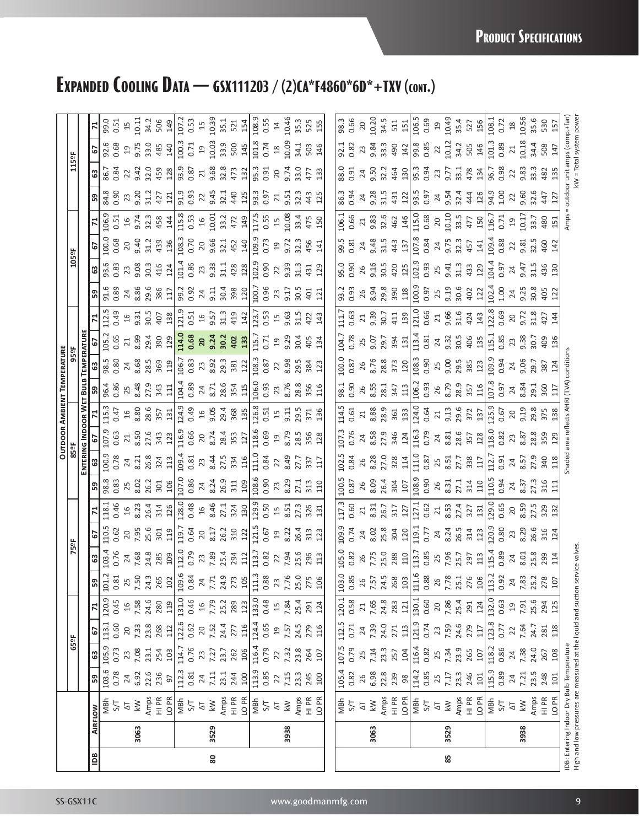|     |      |                                                                  |       |       |                |                |      |                                                                                         |                                                                                                                                                                                                                                                                                                           |                                                                                                                                                                                                                                                                                                                       |                                                                                                                                                                                                                                |                                                                                                                                                                                                                                                                                                       |                                                                                                                                                                                                                                                                                                                                                   |                                                                    | <b>OUTDOOR AMBIENT TEMPERATURE</b>                                                                                                                                                                                                                                                                    |                                                                                                                                                                                                                                                                                                                                |                                                                                                                          |                                                                                                                 |                                                                                                                                                                         |                                                                                                                                                                                                                                                                                |                                                                                                                                                                                                                                                                                                                                                   |                                                                                                                                                                                                                                                                                                               |                                                                                                                       |                                                            |                                                                                                                                                                                                                                                                                                           |                                                                                           |
|-----|------|------------------------------------------------------------------|-------|-------|----------------|----------------|------|-----------------------------------------------------------------------------------------|-----------------------------------------------------------------------------------------------------------------------------------------------------------------------------------------------------------------------------------------------------------------------------------------------------------|-----------------------------------------------------------------------------------------------------------------------------------------------------------------------------------------------------------------------------------------------------------------------------------------------------------------------|--------------------------------------------------------------------------------------------------------------------------------------------------------------------------------------------------------------------------------|-------------------------------------------------------------------------------------------------------------------------------------------------------------------------------------------------------------------------------------------------------------------------------------------------------|---------------------------------------------------------------------------------------------------------------------------------------------------------------------------------------------------------------------------------------------------------------------------------------------------------------------------------------------------|--------------------------------------------------------------------|-------------------------------------------------------------------------------------------------------------------------------------------------------------------------------------------------------------------------------------------------------------------------------------------------------|--------------------------------------------------------------------------------------------------------------------------------------------------------------------------------------------------------------------------------------------------------------------------------------------------------------------------------|--------------------------------------------------------------------------------------------------------------------------|-----------------------------------------------------------------------------------------------------------------|-------------------------------------------------------------------------------------------------------------------------------------------------------------------------|--------------------------------------------------------------------------------------------------------------------------------------------------------------------------------------------------------------------------------------------------------------------------------|---------------------------------------------------------------------------------------------------------------------------------------------------------------------------------------------------------------------------------------------------------------------------------------------------------------------------------------------------|---------------------------------------------------------------------------------------------------------------------------------------------------------------------------------------------------------------------------------------------------------------------------------------------------------------|-----------------------------------------------------------------------------------------------------------------------|------------------------------------------------------------|-----------------------------------------------------------------------------------------------------------------------------------------------------------------------------------------------------------------------------------------------------------------------------------------------------------|-------------------------------------------------------------------------------------------|
|     |      |                                                                  |       | 65°F  |                |                |      |                                                                                         | 75°F                                                                                                                                                                                                                                                                                                      |                                                                                                                                                                                                                                                                                                                       |                                                                                                                                                                                                                                |                                                                                                                                                                                                                                                                                                       |                                                                                                                                                                                                                                                                                                                                                   |                                                                    |                                                                                                                                                                                                                                                                                                       |                                                                                                                                                                                                                                                                                                                                |                                                                                                                          |                                                                                                                 |                                                                                                                                                                         | 105°F                                                                                                                                                                                                                                                                          |                                                                                                                                                                                                                                                                                                                                                   |                                                                                                                                                                                                                                                                                                               |                                                                                                                       | 115°F                                                      |                                                                                                                                                                                                                                                                                                           |                                                                                           |
|     |      |                                                                  |       |       |                |                |      |                                                                                         |                                                                                                                                                                                                                                                                                                           |                                                                                                                                                                                                                                                                                                                       |                                                                                                                                                                                                                                |                                                                                                                                                                                                                                                                                                       |                                                                                                                                                                                                                                                                                                                                                   | INDOOR WET                                                         | 힒                                                                                                                                                                                                                                                                                                     | TEMPERATUR                                                                                                                                                                                                                                                                                                                     |                                                                                                                          |                                                                                                                 |                                                                                                                                                                         |                                                                                                                                                                                                                                                                                |                                                                                                                                                                                                                                                                                                                                                   |                                                                                                                                                                                                                                                                                                               |                                                                                                                       |                                                            |                                                                                                                                                                                                                                                                                                           |                                                                                           |
| ÎОВ |      | AIRFLOW                                                          | 59    | ය     | 5              | $\mathbf{z}$   | 59   |                                                                                         | 67                                                                                                                                                                                                                                                                                                        |                                                                                                                                                                                                                                                                                                                       | 59                                                                                                                                                                                                                             |                                                                                                                                                                                                                                                                                                       |                                                                                                                                                                                                                                                                                                                                                   |                                                                    |                                                                                                                                                                                                                                                                                                       |                                                                                                                                                                                                                                                                                                                                |                                                                                                                          |                                                                                                                 | ၛၟ                                                                                                                                                                      |                                                                                                                                                                                                                                                                                | 5                                                                                                                                                                                                                                                                                                                                                 |                                                                                                                                                                                                                                                                                                               |                                                                                                                       |                                                            |                                                                                                                                                                                                                                                                                                           |                                                                                           |
|     |      | MBh                                                              | 103.6 | 105.9 | 113.1          | 120.9          | 101. | 103.                                                                                    | 110.5                                                                                                                                                                                                                                                                                                     | 118.1                                                                                                                                                                                                                                                                                                                 | 98.8                                                                                                                                                                                                                           | $100$ .                                                                                                                                                                                                                                                                                               | 107.9                                                                                                                                                                                                                                                                                                                                             |                                                                    | $\begin{array}{l} 96.86 \\ 0.87 \\ 8.87 \\ 8.73 \\ 8.73 \\ 8.73 \\ 8.71 \\ 104.8 \\ 144.8 \\ 145.8 \\ 145.8 \\ 151.8 \\ 151.8 \\ 151.8 \\ 151.8 \\ 151.8 \\ 151.8 \\ 151.8 \\ 151.8 \\ 151.8 \\ 151.8 \\ 151.8 \\ 151.8 \\ 151.8 \\ 151.8 \\ 151.8 \\ 151.8 \\ 151.8 \\ 151.8 \\ 151.8 \\ 151.8 \\ 1$ | 98.5<br>0.80 4 8 8.5<br>8.68 5 9 119                                                                                                                                                                                                                                                                                           | 105.                                                                                                                     | 112.5<br>0.49                                                                                                   | 91.6                                                                                                                                                                    | $\begin{array}{c} 93.6 \\ 0.83 \\ 0.9 \\ 0.08 \\ \end{array} \begin{array}{c} 3 \\ 0.3 \\ 3 \\ 0.04 \\ \end{array}$                                                                                                                                                            | $\overline{\frac{100.0}{2}}$                                                                                                                                                                                                                                                                                                                      |                                                                                                                                                                                                                                                                                                               | 84.8<br>0.90                                                                                                          | 86.7                                                       | 99.0                                                                                                                                                                                                                                                                                                      |                                                                                           |
|     |      | 5/T                                                              | 0.78  | 0.73  | 0.60           | 0.45           | 0.81 |                                                                                         | 0.62                                                                                                                                                                                                                                                                                                      | 0.46                                                                                                                                                                                                                                                                                                                  |                                                                                                                                                                                                                                |                                                                                                                                                                                                                                                                                                       |                                                                                                                                                                                                                                                                                                                                                   |                                                                    |                                                                                                                                                                                                                                                                                                       |                                                                                                                                                                                                                                                                                                                                |                                                                                                                          |                                                                                                                 |                                                                                                                                                                         |                                                                                                                                                                                                                                                                                |                                                                                                                                                                                                                                                                                                                                                   |                                                                                                                                                                                                                                                                                                               |                                                                                                                       | 0.84                                                       | 0.51                                                                                                                                                                                                                                                                                                      |                                                                                           |
|     |      | $\overline{\Delta}$                                              | 24    | 23    | 20             | $\frac{1}{2}$  | 25   |                                                                                         |                                                                                                                                                                                                                                                                                                           |                                                                                                                                                                                                                                                                                                                       |                                                                                                                                                                                                                                |                                                                                                                                                                                                                                                                                                       |                                                                                                                                                                                                                                                                                                                                                   |                                                                    |                                                                                                                                                                                                                                                                                                       |                                                                                                                                                                                                                                                                                                                                |                                                                                                                          |                                                                                                                 |                                                                                                                                                                         |                                                                                                                                                                                                                                                                                |                                                                                                                                                                                                                                                                                                                                                   |                                                                                                                                                                                                                                                                                                               | 23<br>9.20<br>31.2                                                                                                    | 22<br>9.42<br>32.0                                         | $15$                                                                                                                                                                                                                                                                                                      |                                                                                           |
|     | 3063 | $\leq$                                                           | 6.92  | 7.08  | 7.33           | 7.58           | 7.50 |                                                                                         |                                                                                                                                                                                                                                                                                                           |                                                                                                                                                                                                                                                                                                                       |                                                                                                                                                                                                                                |                                                                                                                                                                                                                                                                                                       |                                                                                                                                                                                                                                                                                                                                                   |                                                                    |                                                                                                                                                                                                                                                                                                       |                                                                                                                                                                                                                                                                                                                                |                                                                                                                          |                                                                                                                 |                                                                                                                                                                         |                                                                                                                                                                                                                                                                                |                                                                                                                                                                                                                                                                                                                                                   |                                                                                                                                                                                                                                                                                                               |                                                                                                                       |                                                            |                                                                                                                                                                                                                                                                                                           |                                                                                           |
|     |      | Amps                                                             | 22.6  | 23.1  | 23.8           | 24.6           | 24.3 |                                                                                         | $7.95$<br>$7.95$<br>$5.6$<br>$3.01$<br>$119$                                                                                                                                                                                                                                                              | $\begin{array}{c} 16 \\ 8.23 \\ 26.4 \\ 314 \\ \hline \end{array}$                                                                                                                                                                                                                                                    | $\frac{25}{25}$ $\frac{25}{25}$ $\frac{25}{25}$ $\frac{25}{25}$                                                                                                                                                                | $\frac{28}{24}$<br>$\frac{21}{25.3}$<br>$\frac{25}{25.3}$<br>$\frac{11}{25}$                                                                                                                                                                                                                          | $0.63$<br>$2.1$<br>$8.50$<br>$2.43$<br>$3.43$                                                                                                                                                                                                                                                                                                     |                                                                    |                                                                                                                                                                                                                                                                                                       |                                                                                                                                                                                                                                                                                                                                | 0.65<br>21<br>8.99<br>29.4<br>390<br>329                                                                                 | $\begin{array}{c} 16 \\ 9 \cdot 31 \\ 30 \cdot 5 \\ 407 \\ 121 \cdot 9 \\ 121 \cdot 9 \\ \hline \end{array}$    | $\begin{array}{c} 24 \\ 8.86 \\ 29.6 \\ 386 \\ 117 \end{array}$                                                                                                         |                                                                                                                                                                                                                                                                                | $20$<br>$9.40$<br>$4.39$<br>$4.39$                                                                                                                                                                                                                                                                                                                |                                                                                                                                                                                                                                                                                                               |                                                                                                                       |                                                            | 10.11<br>34.2<br>506<br>149                                                                                                                                                                                                                                                                               |                                                                                           |
|     |      | HI PR                                                            | 236   | 254   | 268            | 280            | 265  |                                                                                         |                                                                                                                                                                                                                                                                                                           |                                                                                                                                                                                                                                                                                                                       |                                                                                                                                                                                                                                |                                                                                                                                                                                                                                                                                                       |                                                                                                                                                                                                                                                                                                                                                   |                                                                    |                                                                                                                                                                                                                                                                                                       |                                                                                                                                                                                                                                                                                                                                |                                                                                                                          |                                                                                                                 |                                                                                                                                                                         |                                                                                                                                                                                                                                                                                |                                                                                                                                                                                                                                                                                                                                                   |                                                                                                                                                                                                                                                                                                               | 427                                                                                                                   | 459                                                        |                                                                                                                                                                                                                                                                                                           |                                                                                           |
|     |      | LO <sub>PR</sub>                                                 | 57    | 103   | 112            | 119            | 102  |                                                                                         |                                                                                                                                                                                                                                                                                                           |                                                                                                                                                                                                                                                                                                                       |                                                                                                                                                                                                                                |                                                                                                                                                                                                                                                                                                       | 123                                                                                                                                                                                                                                                                                                                                               |                                                                    |                                                                                                                                                                                                                                                                                                       |                                                                                                                                                                                                                                                                                                                                |                                                                                                                          |                                                                                                                 |                                                                                                                                                                         |                                                                                                                                                                                                                                                                                |                                                                                                                                                                                                                                                                                                                                                   |                                                                                                                                                                                                                                                                                                               | 121                                                                                                                   | 128                                                        |                                                                                                                                                                                                                                                                                                           |                                                                                           |
|     |      | MBh                                                              | 112.3 | 114.7 | 122.6          | 131.0          | 109. |                                                                                         |                                                                                                                                                                                                                                                                                                           |                                                                                                                                                                                                                                                                                                                       |                                                                                                                                                                                                                                |                                                                                                                                                                                                                                                                                                       |                                                                                                                                                                                                                                                                                                                                                   |                                                                    |                                                                                                                                                                                                                                                                                                       |                                                                                                                                                                                                                                                                                                                                |                                                                                                                          |                                                                                                                 | $\frac{1}{99.2}$                                                                                                                                                        |                                                                                                                                                                                                                                                                                |                                                                                                                                                                                                                                                                                                                                                   |                                                                                                                                                                                                                                                                                                               | 91.9                                                                                                                  | 93.9<br>0.87<br>21                                         |                                                                                                                                                                                                                                                                                                           |                                                                                           |
|     |      | 5/7                                                              | 0.81  | 0.76  | 0.62           | 0.46           | 0.84 |                                                                                         |                                                                                                                                                                                                                                                                                                           |                                                                                                                                                                                                                                                                                                                       |                                                                                                                                                                                                                                |                                                                                                                                                                                                                                                                                                       |                                                                                                                                                                                                                                                                                                                                                   |                                                                    |                                                                                                                                                                                                                                                                                                       |                                                                                                                                                                                                                                                                                                                                |                                                                                                                          |                                                                                                                 |                                                                                                                                                                         |                                                                                                                                                                                                                                                                                |                                                                                                                                                                                                                                                                                                                                                   |                                                                                                                                                                                                                                                                                                               |                                                                                                                       |                                                            |                                                                                                                                                                                                                                                                                                           |                                                                                           |
|     |      | $\Xi$                                                            | 24    | 23    | 20             | $16$           | 24   |                                                                                         |                                                                                                                                                                                                                                                                                                           |                                                                                                                                                                                                                                                                                                                       |                                                                                                                                                                                                                                |                                                                                                                                                                                                                                                                                                       |                                                                                                                                                                                                                                                                                                                                                   |                                                                    |                                                                                                                                                                                                                                                                                                       |                                                                                                                                                                                                                                                                                                                                |                                                                                                                          |                                                                                                                 |                                                                                                                                                                         |                                                                                                                                                                                                                                                                                |                                                                                                                                                                                                                                                                                                                                                   |                                                                                                                                                                                                                                                                                                               |                                                                                                                       |                                                            |                                                                                                                                                                                                                                                                                                           |                                                                                           |
| 80  | 3529 | $\leq$                                                           | 7.11  | 7.27  | 7.52           | 7.79           | 7.71 |                                                                                         |                                                                                                                                                                                                                                                                                                           |                                                                                                                                                                                                                                                                                                                       |                                                                                                                                                                                                                                |                                                                                                                                                                                                                                                                                                       |                                                                                                                                                                                                                                                                                                                                                   |                                                                    |                                                                                                                                                                                                                                                                                                       |                                                                                                                                                                                                                                                                                                                                |                                                                                                                          |                                                                                                                 |                                                                                                                                                                         |                                                                                                                                                                                                                                                                                |                                                                                                                                                                                                                                                                                                                                                   |                                                                                                                                                                                                                                                                                                               |                                                                                                                       |                                                            |                                                                                                                                                                                                                                                                                                           |                                                                                           |
|     |      | Amps                                                             | 23.1  | 23.7  | 24.4           | 25.2           | 24.9 |                                                                                         |                                                                                                                                                                                                                                                                                                           |                                                                                                                                                                                                                                                                                                                       |                                                                                                                                                                                                                                |                                                                                                                                                                                                                                                                                                       |                                                                                                                                                                                                                                                                                                                                                   |                                                                    |                                                                                                                                                                                                                                                                                                       |                                                                                                                                                                                                                                                                                                                                |                                                                                                                          |                                                                                                                 |                                                                                                                                                                         |                                                                                                                                                                                                                                                                                |                                                                                                                                                                                                                                                                                                                                                   |                                                                                                                                                                                                                                                                                                               |                                                                                                                       | $\frac{368}{323}$                                          |                                                                                                                                                                                                                                                                                                           |                                                                                           |
|     |      | $\frac{R}{L}$                                                    | 244   | 262   | 277            | 289            | 273  |                                                                                         |                                                                                                                                                                                                                                                                                                           |                                                                                                                                                                                                                                                                                                                       |                                                                                                                                                                                                                                |                                                                                                                                                                                                                                                                                                       |                                                                                                                                                                                                                                                                                                                                                   |                                                                    |                                                                                                                                                                                                                                                                                                       |                                                                                                                                                                                                                                                                                                                                |                                                                                                                          |                                                                                                                 |                                                                                                                                                                         |                                                                                                                                                                                                                                                                                |                                                                                                                                                                                                                                                                                                                                                   |                                                                                                                                                                                                                                                                                                               |                                                                                                                       |                                                            |                                                                                                                                                                                                                                                                                                           |                                                                                           |
|     |      | LO <sub>PR</sub>                                                 | 100   | 106   | 116            | 123            | 105  |                                                                                         |                                                                                                                                                                                                                                                                                                           |                                                                                                                                                                                                                                                                                                                       |                                                                                                                                                                                                                                |                                                                                                                                                                                                                                                                                                       |                                                                                                                                                                                                                                                                                                                                                   |                                                                    |                                                                                                                                                                                                                                                                                                       |                                                                                                                                                                                                                                                                                                                                |                                                                                                                          |                                                                                                                 |                                                                                                                                                                         |                                                                                                                                                                                                                                                                                |                                                                                                                                                                                                                                                                                                                                                   |                                                                                                                                                                                                                                                                                                               |                                                                                                                       |                                                            |                                                                                                                                                                                                                                                                                                           |                                                                                           |
|     |      | MBh                                                              | 113.9 | 116.4 | 124.4          | 133.0          | 111. |                                                                                         | $\begin{array}{ l l } \hline 13.5 & 0.0000 & 0.0000 \\ 0.0000 & 0.0000 & 0.0000 \\ 0.0000 & 0.0000 & 0.0000 \\ 0.0000 & 0.0000 & 0.0000 \\ 0.0000 & 0.0000 & 0.0000 \\ \hline \end{array}$                                                                                                                | $\begin{array}{c c c c c c} \hline \text{0.38} & \text{0.49} & \text{0.50} & \text{0.51} & \text{0.52} \\ \text{0.48} & \text{0.51} & \text{0.53} & \text{0.55} & \text{0.57} & \text{0.58} \\ \text{0.51} & \text{0.52} & \text{0.53} & \text{0.55} & \text{0.57} & \text{0.58} & \text{0.58} \\ \hline \end{array}$ |                                                                                                                                                                                                                                | $\begin{array}{ l l } \hline 1 & 0 & 0 & 0 & 0 \\ \hline 0 & 0 & 0 & 0 & 0 & 0 \\ \hline 1 & 0 & 0 & 0 & 0 & 0 \\ \hline 0 & 0 & 0 & 0 & 0 & 0 \\ \hline 0 & 0 & 0 & 0 & 0 & 0 \\ \hline 0 & 0 & 0 & 0 & 0 & 0 \\ \hline 0 & 0 & 0 & 0 & 0 & 0 \\ \hline 0 & 0 & 0 & 0 & 0 & 0 \\ \hline \end{array}$ | $\begin{array}{c c}\n16.9 & 8.74 & 1.21 \\ 0.66 & 8.74 & 3.53 \\ 8.74 & 8.53 & 1.21 \\ 10.6 & 1.21 & 1.81 \\ 0.6 & 0.9 & 1.21 \\ 0.0 & 0.9 & 1.21\n\end{array}$                                                                                                                                                                                   |                                                                    |                                                                                                                                                                                                                                                                                                       | $\begin{array}{ l } \hline 0.33 \\[-4pt] 0.83 \\[-4pt] 0.83 \\[-4pt] 0.83 \\[-4pt] 0.83 \\[-4pt] 0.83 \\[-4pt] 0.83 \\[-4pt] 0.83 \\[-4pt] 0.83 \\[-4pt] 0.83 \\[-4pt] 0.83 \\[-4pt] 0.83 \\[-4pt] 0.83 \\[-4pt] 0.83 \\[-4pt] 0.83 \\[-4pt] 0.83 \\[-4pt] 0.83 \\[-4pt] 0.83 \\[-4pt] 0.83 \\[-4pt] 0.83 \\[-4pt] 0.83 \\[-4$ | $\begin{array}{c c} 14.0 & 0.68 \\ 0.68 & 0.24 & 0.24 \\ 9.24 & 0.24 & 0.11 \\ 40.2 & 0.71 & 0.71 \\ \hline \end{array}$ | $0.51$<br>$0.51$<br>$0.51$<br>$0.31$<br>$0.53$<br>$0.53$<br>$0.53$<br>$0.53$<br>$0.52$<br>$0.52$                | $0.92$<br>$24$<br>$3.11$<br>$3.98$<br>$3.20$<br>$100.7$<br>$0.96$<br>$0.33$                                                                                             | $\begin{array}{ l l }\n\hline\n1 & 0.86 & 0.31 & 0.31 & 0.31 & 0.31 & 0.31 & 0.31 & 0.31 & 0.31 & 0.31 & 0.31 & 0.31 & 0.31 & 0.31 & 0.31 & 0.31 & 0.31 & 0.31 & 0.31 & 0.31 & 0.31 & 0.31 & 0.31 & 0.31 & 0.31 & 0.31 & 0.31 & 0.31 & 0.31 & 0.31 & 0.31 & 0.31 & 0.31 & 0.3$ | $\begin{array}{c c}\n 0.83 \\  0.78 \\  0.66 \\  0.51 \\  0.72 \\  0.66 \\  0.73 \\  0.73 \\  0.73 \\  0.73 \\  0.73 \\  0.73 \\  0.73 \\  0.73 \\  0.73 \\  0.73 \\  0.73 \\  0.73 \\  0.73 \\  0.73 \\  0.73 \\  0.73 \\  0.73 \\  0.73 \\  0.73 \\  0.73 \\  0.73 \\  0.73 \\  0.73 \\  0.73 \\  0.73 \\  0.73 \\  0.73 \\  0.73 \\  0.73 \\ $ |                                                                                                                                                                                                                                                                                                               | $0.93$ $2.45$ $3.43$ $4.49$ $3.33$ $3.43$ $3.43$ $3.5$ $3.5$                                                          | $\frac{3}{5}$ .<br>$\frac{3}{5}$ .<br>$\frac{3}{5}$ .      |                                                                                                                                                                                                                                                                                                           |                                                                                           |
|     |      | 5/7                                                              | 0.85  | 0.79  | 0.65           | 0.48           | 0.88 |                                                                                         |                                                                                                                                                                                                                                                                                                           |                                                                                                                                                                                                                                                                                                                       |                                                                                                                                                                                                                                |                                                                                                                                                                                                                                                                                                       |                                                                                                                                                                                                                                                                                                                                                   |                                                                    |                                                                                                                                                                                                                                                                                                       |                                                                                                                                                                                                                                                                                                                                |                                                                                                                          |                                                                                                                 |                                                                                                                                                                         |                                                                                                                                                                                                                                                                                |                                                                                                                                                                                                                                                                                                                                                   |                                                                                                                                                                                                                                                                                                               |                                                                                                                       |                                                            |                                                                                                                                                                                                                                                                                                           |                                                                                           |
|     |      | $\overline{\Delta}$                                              | 22    | 22    | $\overline{a}$ | 15             | 23   |                                                                                         |                                                                                                                                                                                                                                                                                                           |                                                                                                                                                                                                                                                                                                                       |                                                                                                                                                                                                                                |                                                                                                                                                                                                                                                                                                       |                                                                                                                                                                                                                                                                                                                                                   |                                                                    |                                                                                                                                                                                                                                                                                                       |                                                                                                                                                                                                                                                                                                                                | $\overline{1}9$                                                                                                          |                                                                                                                 |                                                                                                                                                                         |                                                                                                                                                                                                                                                                                |                                                                                                                                                                                                                                                                                                                                                   |                                                                                                                                                                                                                                                                                                               |                                                                                                                       | 20                                                         |                                                                                                                                                                                                                                                                                                           |                                                                                           |
|     | 3938 | $\leq$                                                           | 7.15  | 7.32  | 7.57           | 7.84           | 7.76 |                                                                                         |                                                                                                                                                                                                                                                                                                           |                                                                                                                                                                                                                                                                                                                       |                                                                                                                                                                                                                                |                                                                                                                                                                                                                                                                                                       |                                                                                                                                                                                                                                                                                                                                                   |                                                                    |                                                                                                                                                                                                                                                                                                       |                                                                                                                                                                                                                                                                                                                                | 9.29                                                                                                                     |                                                                                                                 | 9.17                                                                                                                                                                    | $22$ $9.39$<br>$31.3$                                                                                                                                                                                                                                                          |                                                                                                                                                                                                                                                                                                                                                   |                                                                                                                                                                                                                                                                                                               | 71, 51, 32, 32                                                                                                        | 9.74                                                       |                                                                                                                                                                                                                                                                                                           |                                                                                           |
|     |      | Amps                                                             | 23.3  | 23.8  | 24.5           | 25.4           | 25.C |                                                                                         |                                                                                                                                                                                                                                                                                                           |                                                                                                                                                                                                                                                                                                                       |                                                                                                                                                                                                                                | 27.7                                                                                                                                                                                                                                                                                                  |                                                                                                                                                                                                                                                                                                                                                   | 29.5                                                               |                                                                                                                                                                                                                                                                                                       | 29.5                                                                                                                                                                                                                                                                                                                           | 30.4                                                                                                                     |                                                                                                                 | 30.5                                                                                                                                                                    |                                                                                                                                                                                                                                                                                |                                                                                                                                                                                                                                                                                                                                                   |                                                                                                                                                                                                                                                                                                               |                                                                                                                       | 33.0                                                       |                                                                                                                                                                                                                                                                                                           |                                                                                           |
|     |      | HI PR                                                            | 245   | 264   | 279            | 291            | 275  |                                                                                         |                                                                                                                                                                                                                                                                                                           |                                                                                                                                                                                                                                                                                                                       |                                                                                                                                                                                                                                | 337                                                                                                                                                                                                                                                                                                   | 8.79<br>28.5<br>356<br>128                                                                                                                                                                                                                                                                                                                        |                                                                    | 28.8<br>356                                                                                                                                                                                                                                                                                           |                                                                                                                                                                                                                                                                                                                                | 405                                                                                                                      |                                                                                                                 | 401                                                                                                                                                                     | 431                                                                                                                                                                                                                                                                            | 456                                                                                                                                                                                                                                                                                                                                               | 475                                                                                                                                                                                                                                                                                                           | 443                                                                                                                   | 34.1<br>503<br>477                                         |                                                                                                                                                                                                                                                                                                           |                                                                                           |
|     |      | LO <sub>PR</sub>                                                 | 100   | 107   | 116            | 124            | 106  |                                                                                         |                                                                                                                                                                                                                                                                                                           | 131                                                                                                                                                                                                                                                                                                                   | 110                                                                                                                                                                                                                            | 11                                                                                                                                                                                                                                                                                                    |                                                                                                                                                                                                                                                                                                                                                   | 136                                                                | 116                                                                                                                                                                                                                                                                                                   | 384<br>123                                                                                                                                                                                                                                                                                                                     | 134                                                                                                                      | 143                                                                                                             |                                                                                                                                                                         | 129                                                                                                                                                                                                                                                                            | 141                                                                                                                                                                                                                                                                                                                                               | 150                                                                                                                                                                                                                                                                                                           | 125                                                                                                                   | 146<br>133                                                 |                                                                                                                                                                                                                                                                                                           |                                                                                           |
|     |      |                                                                  |       |       |                |                |      |                                                                                         |                                                                                                                                                                                                                                                                                                           |                                                                                                                                                                                                                                                                                                                       |                                                                                                                                                                                                                                |                                                                                                                                                                                                                                                                                                       |                                                                                                                                                                                                                                                                                                                                                   |                                                                    |                                                                                                                                                                                                                                                                                                       |                                                                                                                                                                                                                                                                                                                                |                                                                                                                          |                                                                                                                 |                                                                                                                                                                         |                                                                                                                                                                                                                                                                                |                                                                                                                                                                                                                                                                                                                                                   |                                                                                                                                                                                                                                                                                                               |                                                                                                                       |                                                            |                                                                                                                                                                                                                                                                                                           |                                                                                           |
|     |      | MBh                                                              | 105.4 | 107.5 | 112.5          | 120.1          | 103. | 105.0                                                                                   | 109.9                                                                                                                                                                                                                                                                                                     | 117.3                                                                                                                                                                                                                                                                                                                 | 100.5                                                                                                                                                                                                                          | 102.5                                                                                                                                                                                                                                                                                                 | 107.3                                                                                                                                                                                                                                                                                                                                             |                                                                    | 98.1                                                                                                                                                                                                                                                                                                  |                                                                                                                                                                                                                                                                                                                                | 104.7                                                                                                                    | 111.7                                                                                                           | 93.2                                                                                                                                                                    | 95.0                                                                                                                                                                                                                                                                           | 99.5                                                                                                                                                                                                                                                                                                                                              |                                                                                                                                                                                                                                                                                                               |                                                                                                                       | 88.0                                                       |                                                                                                                                                                                                                                                                                                           |                                                                                           |
|     |      | 5/7                                                              | 0.82  | 0.79  | 0.71           | 0.58           | 0.85 | 0.82                                                                                    | 0.74                                                                                                                                                                                                                                                                                                      | 0.60                                                                                                                                                                                                                                                                                                                  |                                                                                                                                                                                                                                | 0.84                                                                                                                                                                                                                                                                                                  | 0.76                                                                                                                                                                                                                                                                                                                                              |                                                                    | 0.90                                                                                                                                                                                                                                                                                                  |                                                                                                                                                                                                                                                                                                                                | 0.78                                                                                                                     | 0.63                                                                                                            |                                                                                                                                                                         | 0.90                                                                                                                                                                                                                                                                           | 0.81                                                                                                                                                                                                                                                                                                                                              | 106.1<br>0.66                                                                                                                                                                                                                                                                                                 | 86.3<br>0.94                                                                                                          | 0.91                                                       | 92.1<br>0.82                                                                                                                                                                                                                                                                                              |                                                                                           |
|     |      | $\overline{\omega}$                                              | 26    | 25    | 24             | 21             | 26   |                                                                                         | 24                                                                                                                                                                                                                                                                                                        |                                                                                                                                                                                                                                                                                                                       |                                                                                                                                                                                                                                | 26                                                                                                                                                                                                                                                                                                    |                                                                                                                                                                                                                                                                                                                                                   |                                                                    |                                                                                                                                                                                                                                                                                                       |                                                                                                                                                                                                                                                                                                                                | 25                                                                                                                       |                                                                                                                 |                                                                                                                                                                         | 26                                                                                                                                                                                                                                                                             | 24                                                                                                                                                                                                                                                                                                                                                | 21                                                                                                                                                                                                                                                                                                            | 24                                                                                                                    |                                                            | 23                                                                                                                                                                                                                                                                                                        | 98.3<br>0.66<br>20<br>20<br>34.5                                                          |
|     | 3063 | $\leq$                                                           | 6.98  | 7.14  | 7.39           | 7.65           | 7.57 | 26<br>7.75<br>25.0<br>288                                                               |                                                                                                                                                                                                                                                                                                           |                                                                                                                                                                                                                                                                                                                       |                                                                                                                                                                                                                                |                                                                                                                                                                                                                                                                                                       |                                                                                                                                                                                                                                                                                                                                                   |                                                                    |                                                                                                                                                                                                                                                                                                       |                                                                                                                                                                                                                                                                                                                                |                                                                                                                          |                                                                                                                 |                                                                                                                                                                         |                                                                                                                                                                                                                                                                                |                                                                                                                                                                                                                                                                                                                                                   |                                                                                                                                                                                                                                                                                                               |                                                                                                                       | $24$<br>9.50                                               |                                                                                                                                                                                                                                                                                                           |                                                                                           |
|     |      | Amps                                                             | 22.8  | 23.3  | 24.0           | 24.8           | 24.5 |                                                                                         |                                                                                                                                                                                                                                                                                                           |                                                                                                                                                                                                                                                                                                                       |                                                                                                                                                                                                                                |                                                                                                                                                                                                                                                                                                       |                                                                                                                                                                                                                                                                                                                                                   |                                                                    |                                                                                                                                                                                                                                                                                                       |                                                                                                                                                                                                                                                                                                                                |                                                                                                                          |                                                                                                                 |                                                                                                                                                                         | 9.16<br>30.5                                                                                                                                                                                                                                                                   |                                                                                                                                                                                                                                                                                                                                                   |                                                                                                                                                                                                                                                                                                               | 9.28<br>31.5<br>431                                                                                                   | 32.2                                                       |                                                                                                                                                                                                                                                                                                           |                                                                                           |
|     |      | $\frac{R}{L}$                                                    | 239   | 257   | 271            | 283            | 268  |                                                                                         |                                                                                                                                                                                                                                                                                                           |                                                                                                                                                                                                                                                                                                                       |                                                                                                                                                                                                                                |                                                                                                                                                                                                                                                                                                       |                                                                                                                                                                                                                                                                                                                                                   |                                                                    |                                                                                                                                                                                                                                                                                                       |                                                                                                                                                                                                                                                                                                                                |                                                                                                                          |                                                                                                                 |                                                                                                                                                                         |                                                                                                                                                                                                                                                                                |                                                                                                                                                                                                                                                                                                                                                   |                                                                                                                                                                                                                                                                                                               |                                                                                                                       |                                                            |                                                                                                                                                                                                                                                                                                           | 511                                                                                       |
|     |      | LO <sub>PR</sub>                                                 | 98    | 104   | 113            | 121            | 103  | 110                                                                                     | $\begin{array}{c} 6.02\\ 25.8\\ 21\\ 304\\ 21\\ 11\\ 21\\ 7\\ 7\\ 8\\ 24\\ 7\\ 8\\ 1\\ 2\\ 1\\ 2\\ 3\\ 1\\ 2\\ 3\\ 1\\ 2\\ 1\\ 2\\ 2\\ 3\\ 1\\ 2\\ 1\\ 2\\ 2\\ 3\\ 3\\ 3\\ 4\\ 2\\ 1\\ 2\\ 2\\ 3\\ 3\\ 3\\ 4\\ 2\\ 3\\ 4\\ 3\\ 4\\ 2\\ 4\\ 2\\ 3\\ 3\\ 4\\ 3\\ 4\\ 3\\ 4\\ 3\\ 4\\ 3\\ 4\\ 3\\ 4\\ 3\\ 4$ |                                                                                                                                                                                                                                                                                                                       | $0.876$ $8.83$ $6.83$ $6.83$ $6.83$ $6.83$ $6.83$ $6.83$ $6.83$ $6.83$ $6.83$ $6.83$ $6.83$ $6.83$ $6.83$ $6.83$ $6.83$ $6.83$ $6.83$ $6.83$ $6.83$ $6.83$ $6.83$ $6.83$ $6.83$ $6.83$ $6.83$ $6.83$ $6.83$ $6.83$ $6.83$ $6.$ | $\begin{array}{c} 8.28 \\ 27.0 \\ 328 \\ 111.0 \\ 111.0 \\ 111.0 \\ 111.0 \\ 111.0 \\ 111.0 \\ 111.0 \\ 111.0 \\ 111.0 \\ 112.0 \\ 113.0 \\ 112.0 \\ 113.0 \\ 123.0 \\ 124.0 \\ 125.0 \\ 126.0 \\ 127.0 \\ 128.0 \\ 129.0 \\ 129.0 \\ 129.0 \\ 129.0 \\ 129.0 \\ 129.0 \\ 129.0 \\ 129.0 \\ 129.0 \\$ | $\begin{array}{c}\n 24 \\  8.58 \\  27.9 \\  344 \\  14.3 \\  0.79 \\  24.8 \\  36.6 \\  28.7 \\  29.8 \\  29.0 \\  21.0 \\  23.0 \\  24.0 \\  25.7 \\  24.0 \\  25.0 \\  26.0 \\  27.0 \\  28.0 \\  29.0 \\  29.0 \\  20.0 \\  20.0 \\  24.0 \\  25.0 \\  27.0 \\  28.0 \\  29.0 \\  29.0 \\  29.0 \\  29.0 \\  29.0 \\  29.0 \\  29.0 \\  29.0$ |                                                                    | $\begin{array}{c}\n 26 \\  85 \\  281 \\  241 \\  293 \\  361 \\  203 \\  362 \\  363 \\  375 \\  4\n \end{array}$                                                                                                                                                                                    | $\begin{array}{c c} 0.00000 \\ 0.87 \\ 2.68 \\ 2.88 \\ 2.72 \\ 2.89 \\ 2.89 \\ 2.89 \\ 2.89 \\ 2.89 \\ 2.89 \\ 2.89 \\ 2.89 \\ 2.89 \\ 2.89 \\ 2.89 \\ 2.89 \\ 2.89 \\ 2.89 \\ 2.89 \\ 2.89 \\ 2.89 \\ 2.89 \\ 2.89 \\ 2.89 \\ 2.89 \\ 2.89 \\ 2.89 \\ 2.89 \\ 2.89 \\ 2.89 \\ 2.89 \\ 2.89 \\ 2.89 \\ 2.8$                    | 9.07<br>29.7<br>394                                                                                                      | 9.30<br>30.7<br>413<br>139                                                                                      | $\frac{33}{23}$<br>$\frac{35}{23}$<br>$\frac{35}{23}$<br>$\frac{35}{23}$<br>$\frac{35}{23}$<br>$\frac{35}{23}$<br>$\frac{35}{23}$<br>$\frac{35}{23}$<br>$\frac{35}{23}$ | $\begin{bmatrix} 20 \\ 125 \\ 0.93 \\ 0.93 \\ 0.91 \\ 0.41 \\ 3.43 \\ 4.3 \\ 4.3 \\ 4.29 \\ 129$                                                                                                                                                                               | $9.48$<br>$31.5$<br>$443$<br>$137$                                                                                                                                                                                                                                                                                                                | $\begin{array}{l} 9.83 \\ 3.2.6 \\ 4.62 \\ 4.61 \\ 1.45 \\ 0.68 \\ 0.03 \\ 0.01 \\ 0.03 \\ 0.01 \\ 0.01 \\ 0.01 \\ 0.01 \\ 0.01 \\ 0.01 \\ 0.01 \\ 0.01 \\ 0.01 \\ 0.01 \\ 0.01 \\ 0.01 \\ 0.01 \\ 0.01 \\ 0.01 \\ 0.01 \\ 0.01 \\ 0.01 \\ 0.01 \\ 0.01 \\ 0.01 \\ 0.01 \\ 0.01 \\ 0.01 \\ 0.01 \\ 0.01 \\ 0$ | 122                                                                                                                   | 464                                                        | $\frac{33}{33}$ $\frac{33}{39}$ $\frac{33}{39}$ $\frac{33}{39}$ $\frac{33}{39}$ $\frac{33}{29}$ $\frac{33}{29}$ $\frac{33}{29}$ $\frac{33}{29}$ $\frac{33}{29}$ $\frac{33}{29}$ $\frac{33}{29}$ $\frac{33}{29}$ $\frac{33}{29}$ $\frac{33}{29}$ $\frac{33}{29}$ $\frac{33}{29}$ $\frac{33}{29}$ $\frac{3$ | $\begin{array}{c cc}\n151 \\ 106.5 \\ 0.69 \\ 19.49 \\ 10.49 \\ 15.7 \\ 156\n\end{array}$ |
|     |      | MBh                                                              | 114.2 | 116.4 | 121.9          | 130.1          | 111. |                                                                                         |                                                                                                                                                                                                                                                                                                           |                                                                                                                                                                                                                                                                                                                       |                                                                                                                                                                                                                                |                                                                                                                                                                                                                                                                                                       |                                                                                                                                                                                                                                                                                                                                                   |                                                                    |                                                                                                                                                                                                                                                                                                       |                                                                                                                                                                                                                                                                                                                                |                                                                                                                          |                                                                                                                 |                                                                                                                                                                         |                                                                                                                                                                                                                                                                                |                                                                                                                                                                                                                                                                                                                                                   |                                                                                                                                                                                                                                                                                                               |                                                                                                                       |                                                            |                                                                                                                                                                                                                                                                                                           |                                                                                           |
|     |      | 5/7                                                              | 0.85  | 0.82  | 0.74           | 0.60           | 0.88 |                                                                                         |                                                                                                                                                                                                                                                                                                           |                                                                                                                                                                                                                                                                                                                       |                                                                                                                                                                                                                                |                                                                                                                                                                                                                                                                                                       |                                                                                                                                                                                                                                                                                                                                                   |                                                                    |                                                                                                                                                                                                                                                                                                       |                                                                                                                                                                                                                                                                                                                                |                                                                                                                          |                                                                                                                 |                                                                                                                                                                         |                                                                                                                                                                                                                                                                                |                                                                                                                                                                                                                                                                                                                                                   |                                                                                                                                                                                                                                                                                                               |                                                                                                                       | 95.3<br>0.94<br>9.77                                       |                                                                                                                                                                                                                                                                                                           |                                                                                           |
|     |      | $\overline{\Delta}$                                              | 25    | 25    | 23             | 20             | 26   |                                                                                         |                                                                                                                                                                                                                                                                                                           |                                                                                                                                                                                                                                                                                                                       |                                                                                                                                                                                                                                |                                                                                                                                                                                                                                                                                                       |                                                                                                                                                                                                                                                                                                                                                   |                                                                    |                                                                                                                                                                                                                                                                                                       |                                                                                                                                                                                                                                                                                                                                |                                                                                                                          |                                                                                                                 |                                                                                                                                                                         |                                                                                                                                                                                                                                                                                |                                                                                                                                                                                                                                                                                                                                                   |                                                                                                                                                                                                                                                                                                               |                                                                                                                       |                                                            |                                                                                                                                                                                                                                                                                                           |                                                                                           |
| 85  | 3529 | $\leq$                                                           | 7.17  | 7.34  | 7.59           | 7.86           | 7.78 |                                                                                         |                                                                                                                                                                                                                                                                                                           |                                                                                                                                                                                                                                                                                                                       |                                                                                                                                                                                                                                |                                                                                                                                                                                                                                                                                                       |                                                                                                                                                                                                                                                                                                                                                   |                                                                    |                                                                                                                                                                                                                                                                                                       |                                                                                                                                                                                                                                                                                                                                |                                                                                                                          |                                                                                                                 |                                                                                                                                                                         |                                                                                                                                                                                                                                                                                |                                                                                                                                                                                                                                                                                                                                                   |                                                                                                                                                                                                                                                                                                               |                                                                                                                       |                                                            |                                                                                                                                                                                                                                                                                                           |                                                                                           |
|     |      | Amps                                                             | 23.3  | 23.9  | 24.6           | 25.4           | 25.1 |                                                                                         |                                                                                                                                                                                                                                                                                                           |                                                                                                                                                                                                                                                                                                                       |                                                                                                                                                                                                                                |                                                                                                                                                                                                                                                                                                       |                                                                                                                                                                                                                                                                                                                                                   |                                                                    |                                                                                                                                                                                                                                                                                                       |                                                                                                                                                                                                                                                                                                                                |                                                                                                                          |                                                                                                                 |                                                                                                                                                                         |                                                                                                                                                                                                                                                                                |                                                                                                                                                                                                                                                                                                                                                   |                                                                                                                                                                                                                                                                                                               |                                                                                                                       | 33.1                                                       |                                                                                                                                                                                                                                                                                                           |                                                                                           |
|     |      | HI PR                                                            | 246   | 265   | 279            | 291            | 276  |                                                                                         |                                                                                                                                                                                                                                                                                                           | $\begin{array}{c} 127.1 \\ 0.62 \\ 21 \\ 8.53 \\ 27.4 \\ 327 \\ \hline \end{array}$                                                                                                                                                                                                                                   |                                                                                                                                                                                                                                |                                                                                                                                                                                                                                                                                                       |                                                                                                                                                                                                                                                                                                                                                   |                                                                    |                                                                                                                                                                                                                                                                                                       |                                                                                                                                                                                                                                                                                                                                | $\begin{array}{c} 113.4 \\ 0.81 \\ 2.4 \\ 9.32 \\ 406 \\ 435 \end{array}$                                                |                                                                                                                 |                                                                                                                                                                         |                                                                                                                                                                                                                                                                                | $\begin{array}{c} 107.8 \\ 0.84 \\ 2.75 \\ 9.75 \\ 3.2.7 \\ 4.5 \\ 7.4 \\ \hline \end{array}$                                                                                                                                                                                                                                                     |                                                                                                                                                                                                                                                                                                               | $\begin{array}{c} 1.5 \\ 0.97 \\ 0.97 \\ 0.97 \\ 0.54 \\ 0.04 \\ 0.04 \\ 0.04 \\ 0.04 \\ 0.04 \\ 0.06 \\ \end{array}$ | 478<br>134                                                 |                                                                                                                                                                                                                                                                                                           |                                                                                           |
|     |      | LO <sub>PR</sub>                                                 | 101   | 107   | 117            | 124            | 106  | $\begin{array}{c} 113.7 \\ 0.85 \\ 7.96 \\ 25.7 \\ 297 \\ 111.4 \\ 0.89 \\ \end{array}$ |                                                                                                                                                                                                                                                                                                           |                                                                                                                                                                                                                                                                                                                       |                                                                                                                                                                                                                                |                                                                                                                                                                                                                                                                                                       |                                                                                                                                                                                                                                                                                                                                                   |                                                                    |                                                                                                                                                                                                                                                                                                       |                                                                                                                                                                                                                                                                                                                                |                                                                                                                          | $\begin{array}{c c}\n121.0 & 0.66 \\ 0.66 & 21.66 \\ 0.66 & 31.424 \\ 121.8 & 0.69 \\ 0.69 & 0.72\n\end{array}$ |                                                                                                                                                                         |                                                                                                                                                                                                                                                                                |                                                                                                                                                                                                                                                                                                                                                   |                                                                                                                                                                                                                                                                                                               |                                                                                                                       |                                                            |                                                                                                                                                                                                                                                                                                           |                                                                                           |
|     |      | MBh                                                              | 115.9 | 118.2 | 123.8          | 132.0          | 113. |                                                                                         |                                                                                                                                                                                                                                                                                                           |                                                                                                                                                                                                                                                                                                                       |                                                                                                                                                                                                                                |                                                                                                                                                                                                                                                                                                       |                                                                                                                                                                                                                                                                                                                                                   |                                                                    |                                                                                                                                                                                                                                                                                                       | $\frac{109.9}{0.94}$                                                                                                                                                                                                                                                                                                           |                                                                                                                          |                                                                                                                 |                                                                                                                                                                         | $\frac{104.4}{0.97}$                                                                                                                                                                                                                                                           | 109.4                                                                                                                                                                                                                                                                                                                                             |                                                                                                                                                                                                                                                                                                               |                                                                                                                       | $\begin{array}{c} 1.3 \\ 0.89 \end{array}$<br>96.7<br>0.98 | $\frac{108.1}{0.72}$                                                                                                                                                                                                                                                                                      |                                                                                           |
|     |      | 5/7                                                              | 0.89  | 0.86  | 0.77           | 0.63           | 0.92 |                                                                                         |                                                                                                                                                                                                                                                                                                           |                                                                                                                                                                                                                                                                                                                       |                                                                                                                                                                                                                                | $\frac{1}{12}$ , $\frac{1}{12}$ , $\frac{1}{2}$ , $\frac{1}{4}$ , $\frac{1}{8}$ , $\frac{1}{5}$                                                                                                                                                                                                       |                                                                                                                                                                                                                                                                                                                                                   | $\begin{array}{c} 25.9 \\ 25.9 \\ 0.67 \\ 2.9 \\ 9.19 \end{array}$ | $\frac{107.8}{0.97}$<br>0.97<br>8.84                                                                                                                                                                                                                                                                  |                                                                                                                                                                                                                                                                                                                                | $\frac{15.1}{0.85}$                                                                                                      |                                                                                                                 | $\frac{1}{2}$<br>$\frac{1}{2}$<br>$\frac{3}{4}$<br>$\frac{3}{5}$<br>3.25                                                                                                |                                                                                                                                                                                                                                                                                |                                                                                                                                                                                                                                                                                                                                                   |                                                                                                                                                                                                                                                                                                               | $\frac{9}{94.00}$ 22                                                                                                  |                                                            |                                                                                                                                                                                                                                                                                                           |                                                                                           |
|     |      | $\overline{\mathcal{L}}$                                         | 24    | 24    | 22             | $\mathfrak{g}$ | 24   |                                                                                         |                                                                                                                                                                                                                                                                                                           |                                                                                                                                                                                                                                                                                                                       |                                                                                                                                                                                                                                |                                                                                                                                                                                                                                                                                                       | 23                                                                                                                                                                                                                                                                                                                                                |                                                                    |                                                                                                                                                                                                                                                                                                       | $24$<br>9.06                                                                                                                                                                                                                                                                                                                   |                                                                                                                          |                                                                                                                 |                                                                                                                                                                         | 24                                                                                                                                                                                                                                                                             | $\overline{2}$                                                                                                                                                                                                                                                                                                                                    |                                                                                                                                                                                                                                                                                                               |                                                                                                                       | 22                                                         | $18$<br>$10.56$                                                                                                                                                                                                                                                                                           |                                                                                           |
|     | 3938 | $\leq$                                                           | 7.21  | 7.38  | 7.64           | 7.91           | 7.83 |                                                                                         |                                                                                                                                                                                                                                                                                                           |                                                                                                                                                                                                                                                                                                                       |                                                                                                                                                                                                                                |                                                                                                                                                                                                                                                                                                       | 8.87                                                                                                                                                                                                                                                                                                                                              |                                                                    |                                                                                                                                                                                                                                                                                                       |                                                                                                                                                                                                                                                                                                                                | 9.38                                                                                                                     |                                                                                                                 |                                                                                                                                                                         | 9.47                                                                                                                                                                                                                                                                           | 9.81                                                                                                                                                                                                                                                                                                                                              |                                                                                                                                                                                                                                                                                                               | 9.60                                                                                                                  | 9.83                                                       |                                                                                                                                                                                                                                                                                                           |                                                                                           |
|     |      | Amps                                                             | 23.5  | 24.0  | 24.7           | 25.6           | 25.2 |                                                                                         |                                                                                                                                                                                                                                                                                                           | <br> 29.65<br> 29.52.73<br> 29.73                                                                                                                                                                                                                                                                                     |                                                                                                                                                                                                                                | 27.9                                                                                                                                                                                                                                                                                                  | 28.8<br>359                                                                                                                                                                                                                                                                                                                                       | 29.8<br>375                                                        | 29.1<br>360                                                                                                                                                                                                                                                                                           |                                                                                                                                                                                                                                                                                                                                | 30.7                                                                                                                     | 31.8                                                                                                            | 30.8                                                                                                                                                                    | 31.5                                                                                                                                                                                                                                                                           | 32.5                                                                                                                                                                                                                                                                                                                                              |                                                                                                                                                                                                                                                                                                               | 32.6                                                                                                                  | 33.3                                                       | 35.6                                                                                                                                                                                                                                                                                                      |                                                                                           |
|     |      | HI PR                                                            | 248   | 267   | 281            | 294            | 278  | $74.58$<br>$8.58$<br>$794$<br>$714$                                                     | 23<br>8.29<br>26.6<br>3124                                                                                                                                                                                                                                                                                |                                                                                                                                                                                                                                                                                                                       |                                                                                                                                                                                                                                | 340                                                                                                                                                                                                                                                                                                   |                                                                                                                                                                                                                                                                                                                                                   |                                                                    |                                                                                                                                                                                                                                                                                                       | 29.7<br>387<br>124                                                                                                                                                                                                                                                                                                             | 409                                                                                                                      | 427                                                                                                             | 405                                                                                                                                                                     | 436                                                                                                                                                                                                                                                                            | 460<br>142                                                                                                                                                                                                                                                                                                                                        | 33.7<br>480<br>151                                                                                                                                                                                                                                                                                            | 447                                                                                                                   | 482                                                        | 530<br>$\begin{array}{c} 21 \\ 10.18 \\ 34.4 \\ 508 \\ 147 \end{array}$                                                                                                                                                                                                                                   |                                                                                           |
|     |      | LO <sub>PR</sub>                                                 | 101   | 108   | 118            | 125            | 107  |                                                                                         |                                                                                                                                                                                                                                                                                                           | $\overline{32}$                                                                                                                                                                                                                                                                                                       | $\Xi$                                                                                                                                                                                                                          | 118                                                                                                                                                                                                                                                                                                   |                                                                                                                                                                                                                                                                                                                                                   |                                                                    |                                                                                                                                                                                                                                                                                                       |                                                                                                                                                                                                                                                                                                                                |                                                                                                                          |                                                                                                                 | 122                                                                                                                                                                     | 130                                                                                                                                                                                                                                                                            |                                                                                                                                                                                                                                                                                                                                                   |                                                                                                                                                                                                                                                                                                               |                                                                                                                       |                                                            | 157                                                                                                                                                                                                                                                                                                       |                                                                                           |
|     |      | IDB: Entering Indoor Dry Bulb Temperature                        |       |       |                |                |      |                                                                                         |                                                                                                                                                                                                                                                                                                           |                                                                                                                                                                                                                                                                                                                       |                                                                                                                                                                                                                                | Shaded                                                                                                                                                                                                                                                                                                | area reflects AHRI (TVA)                                                                                                                                                                                                                                                                                                                          |                                                                    |                                                                                                                                                                                                                                                                                                       | conditions                                                                                                                                                                                                                                                                                                                     |                                                                                                                          |                                                                                                                 |                                                                                                                                                                         |                                                                                                                                                                                                                                                                                |                                                                                                                                                                                                                                                                                                                                                   |                                                                                                                                                                                                                                                                                                               | outdoor unit an                                                                                                       |                                                            | nps (comp.+fan                                                                                                                                                                                                                                                                                            |                                                                                           |
|     |      | High and low pressures are measured at the liquid and suction se |       |       |                |                |      |                                                                                         |                                                                                                                                                                                                                                                                                                           |                                                                                                                                                                                                                                                                                                                       |                                                                                                                                                                                                                                |                                                                                                                                                                                                                                                                                                       |                                                                                                                                                                                                                                                                                                                                                   |                                                                    |                                                                                                                                                                                                                                                                                                       |                                                                                                                                                                                                                                                                                                                                |                                                                                                                          |                                                                                                                 |                                                                                                                                                                         |                                                                                                                                                                                                                                                                                |                                                                                                                                                                                                                                                                                                                                                   |                                                                                                                                                                                                                                                                                                               |                                                                                                                       | $W = Total system$                                         |                                                                                                                                                                                                                                                                                                           |                                                                                           |

## **Expanded Cooling Data — GSX111203 / (2)CA\*F4860\*6D\*+TXV (cont.)**

**Product Specifications Product Specifications**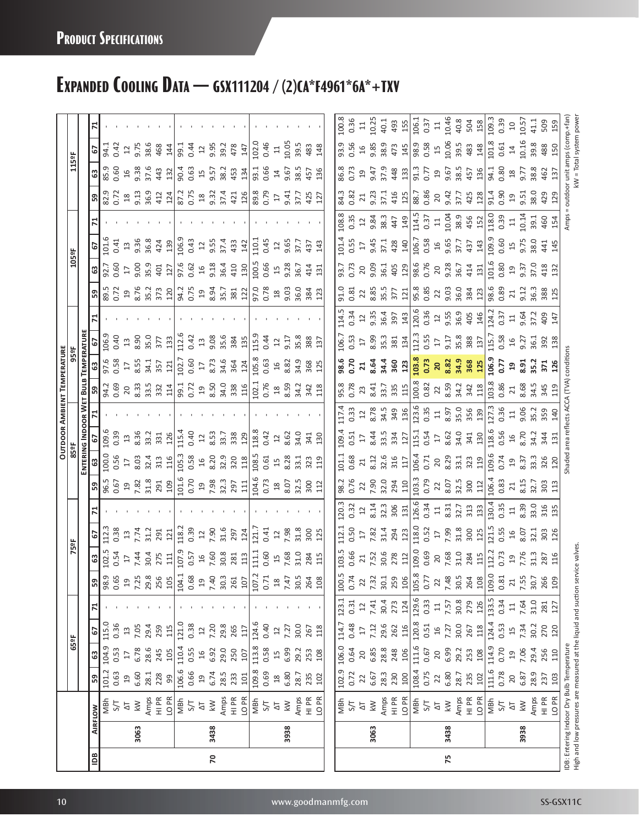### **Expanded Cooling Data — GSX111204 / (2)CA\*F4961\*6A\*+TXV**

|    |      |                                                                                                                           |                |                         |                 |                     |    |                                                                                                                                                                                                                                                                                                                                                     |                                                                                                                                                                                                                                                                                                                                                 |                                                                                                                                                                                                                                                                                                                                                                                                                     |                                                                                                                                                                                                                                                                       |                                                                                                                                                                                                                                                                                                                        | <b>OUTDOOR AMBIENT TEMPERATURE</b>                                                                                                                                                                                                                                                                                   |                                                                                                                                                                                                                                                                                                          |                                    |                                                                                                                                                                                                                                                                                                           |                                                                                                                                                                                                                          |                                                                                                                                                                                                                                                                                                               |                                                                                                                                                                                                                                                                                                                             |    |                                                                                                                                                                                                                                                                                                     |                                                                   |                                                                                                                                                                                                                                |                                                                                                                                                                                                                                                                                                            |
|----|------|---------------------------------------------------------------------------------------------------------------------------|----------------|-------------------------|-----------------|---------------------|----|-----------------------------------------------------------------------------------------------------------------------------------------------------------------------------------------------------------------------------------------------------------------------------------------------------------------------------------------------------|-------------------------------------------------------------------------------------------------------------------------------------------------------------------------------------------------------------------------------------------------------------------------------------------------------------------------------------------------|---------------------------------------------------------------------------------------------------------------------------------------------------------------------------------------------------------------------------------------------------------------------------------------------------------------------------------------------------------------------------------------------------------------------|-----------------------------------------------------------------------------------------------------------------------------------------------------------------------------------------------------------------------------------------------------------------------|------------------------------------------------------------------------------------------------------------------------------------------------------------------------------------------------------------------------------------------------------------------------------------------------------------------------|----------------------------------------------------------------------------------------------------------------------------------------------------------------------------------------------------------------------------------------------------------------------------------------------------------------------|----------------------------------------------------------------------------------------------------------------------------------------------------------------------------------------------------------------------------------------------------------------------------------------------------------|------------------------------------|-----------------------------------------------------------------------------------------------------------------------------------------------------------------------------------------------------------------------------------------------------------------------------------------------------------|--------------------------------------------------------------------------------------------------------------------------------------------------------------------------------------------------------------------------|---------------------------------------------------------------------------------------------------------------------------------------------------------------------------------------------------------------------------------------------------------------------------------------------------------------|-----------------------------------------------------------------------------------------------------------------------------------------------------------------------------------------------------------------------------------------------------------------------------------------------------------------------------|----|-----------------------------------------------------------------------------------------------------------------------------------------------------------------------------------------------------------------------------------------------------------------------------------------------------|-------------------------------------------------------------------|--------------------------------------------------------------------------------------------------------------------------------------------------------------------------------------------------------------------------------|------------------------------------------------------------------------------------------------------------------------------------------------------------------------------------------------------------------------------------------------------------------------------------------------------------|
|    |      |                                                                                                                           |                |                         | 65°F            |                     |    |                                                                                                                                                                                                                                                                                                                                                     | 75°F                                                                                                                                                                                                                                                                                                                                            |                                                                                                                                                                                                                                                                                                                                                                                                                     |                                                                                                                                                                                                                                                                       |                                                                                                                                                                                                                                                                                                                        |                                                                                                                                                                                                                                                                                                                      |                                                                                                                                                                                                                                                                                                          |                                    |                                                                                                                                                                                                                                                                                                           |                                                                                                                                                                                                                          |                                                                                                                                                                                                                                                                                                               | 105°F                                                                                                                                                                                                                                                                                                                       |    |                                                                                                                                                                                                                                                                                                     | 115°F                                                             |                                                                                                                                                                                                                                |                                                                                                                                                                                                                                                                                                            |
|    |      |                                                                                                                           |                |                         |                 |                     |    |                                                                                                                                                                                                                                                                                                                                                     |                                                                                                                                                                                                                                                                                                                                                 |                                                                                                                                                                                                                                                                                                                                                                                                                     |                                                                                                                                                                                                                                                                       |                                                                                                                                                                                                                                                                                                                        |                                                                                                                                                                                                                                                                                                                      |                                                                                                                                                                                                                                                                                                          |                                    |                                                                                                                                                                                                                                                                                                           |                                                                                                                                                                                                                          |                                                                                                                                                                                                                                                                                                               |                                                                                                                                                                                                                                                                                                                             |    |                                                                                                                                                                                                                                                                                                     |                                                                   |                                                                                                                                                                                                                                |                                                                                                                                                                                                                                                                                                            |
| ÎО |      | AIRFLOW                                                                                                                   | S              | යි                      | 5               |                     | 59 |                                                                                                                                                                                                                                                                                                                                                     |                                                                                                                                                                                                                                                                                                                                                 |                                                                                                                                                                                                                                                                                                                                                                                                                     |                                                                                                                                                                                                                                                                       |                                                                                                                                                                                                                                                                                                                        |                                                                                                                                                                                                                                                                                                                      |                                                                                                                                                                                                                                                                                                          |                                    |                                                                                                                                                                                                                                                                                                           |                                                                                                                                                                                                                          |                                                                                                                                                                                                                                                                                                               |                                                                                                                                                                                                                                                                                                                             | 57 |                                                                                                                                                                                                                                                                                                     |                                                                   | 이                                                                                                                                                                                                                              |                                                                                                                                                                                                                                                                                                            |
|    |      | МBh                                                                                                                       | 101.2          | 104.9                   | 115.0           |                     |    |                                                                                                                                                                                                                                                                                                                                                     |                                                                                                                                                                                                                                                                                                                                                 |                                                                                                                                                                                                                                                                                                                                                                                                                     |                                                                                                                                                                                                                                                                       | 109.6                                                                                                                                                                                                                                                                                                                  |                                                                                                                                                                                                                                                                                                                      |                                                                                                                                                                                                                                                                                                          |                                    | 106.9                                                                                                                                                                                                                                                                                                     |                                                                                                                                                                                                                          |                                                                                                                                                                                                                                                                                                               |                                                                                                                                                                                                                                                                                                                             |    |                                                                                                                                                                                                                                                                                                     |                                                                   |                                                                                                                                                                                                                                |                                                                                                                                                                                                                                                                                                            |
|    |      | 5/1                                                                                                                       | 0.63           | 0.53                    | 0.36            |                     |    |                                                                                                                                                                                                                                                                                                                                                     |                                                                                                                                                                                                                                                                                                                                                 |                                                                                                                                                                                                                                                                                                                                                                                                                     |                                                                                                                                                                                                                                                                       |                                                                                                                                                                                                                                                                                                                        |                                                                                                                                                                                                                                                                                                                      |                                                                                                                                                                                                                                                                                                          |                                    | 0.40                                                                                                                                                                                                                                                                                                      |                                                                                                                                                                                                                          |                                                                                                                                                                                                                                                                                                               |                                                                                                                                                                                                                                                                                                                             |    |                                                                                                                                                                                                                                                                                                     |                                                                   |                                                                                                                                                                                                                                |                                                                                                                                                                                                                                                                                                            |
|    |      | $\overline{\mathcal{L}}$                                                                                                  | $\overline{a}$ | $\overline{\mathbb{L}}$ | $13$            |                     |    |                                                                                                                                                                                                                                                                                                                                                     |                                                                                                                                                                                                                                                                                                                                                 |                                                                                                                                                                                                                                                                                                                                                                                                                     |                                                                                                                                                                                                                                                                       |                                                                                                                                                                                                                                                                                                                        |                                                                                                                                                                                                                                                                                                                      |                                                                                                                                                                                                                                                                                                          |                                    |                                                                                                                                                                                                                                                                                                           |                                                                                                                                                                                                                          |                                                                                                                                                                                                                                                                                                               |                                                                                                                                                                                                                                                                                                                             |    |                                                                                                                                                                                                                                                                                                     |                                                                   |                                                                                                                                                                                                                                |                                                                                                                                                                                                                                                                                                            |
|    | 3063 | $\overline{\mathsf{k}}$                                                                                                   | 6.60           | 6.78                    | 7.05            |                     |    |                                                                                                                                                                                                                                                                                                                                                     |                                                                                                                                                                                                                                                                                                                                                 |                                                                                                                                                                                                                                                                                                                                                                                                                     |                                                                                                                                                                                                                                                                       |                                                                                                                                                                                                                                                                                                                        |                                                                                                                                                                                                                                                                                                                      |                                                                                                                                                                                                                                                                                                          |                                    |                                                                                                                                                                                                                                                                                                           |                                                                                                                                                                                                                          |                                                                                                                                                                                                                                                                                                               |                                                                                                                                                                                                                                                                                                                             |    |                                                                                                                                                                                                                                                                                                     |                                                                   |                                                                                                                                                                                                                                |                                                                                                                                                                                                                                                                                                            |
|    |      | Amps                                                                                                                      | 28.1           | 28.6                    | 29.4            |                     |    |                                                                                                                                                                                                                                                                                                                                                     |                                                                                                                                                                                                                                                                                                                                                 |                                                                                                                                                                                                                                                                                                                                                                                                                     |                                                                                                                                                                                                                                                                       |                                                                                                                                                                                                                                                                                                                        |                                                                                                                                                                                                                                                                                                                      |                                                                                                                                                                                                                                                                                                          |                                    | $\begin{array}{c} 13 \\ 8.90 \\ 35.0 \end{array}$                                                                                                                                                                                                                                                         |                                                                                                                                                                                                                          |                                                                                                                                                                                                                                                                                                               |                                                                                                                                                                                                                                                                                                                             |    |                                                                                                                                                                                                                                                                                                     |                                                                   |                                                                                                                                                                                                                                |                                                                                                                                                                                                                                                                                                            |
|    |      | $\frac{\text{d} \Sigma}{\text{d} \Sigma}$                                                                                 | 228            | 245                     | 259             |                     |    | $\begin{bmatrix} 16 & 16 & 16 \\ 10 & 16 & 16 \\ 10 & 16 & 16 \\ 10 & 16 & 16 \\ 10 & 16 & 16 \\ 10 & 16 & 16 \\ 10 & 16 & 16 \\ 11 & 16 & 16 \\ 11 & 11 & 11 \\ 11 & 11 & 16 \\ 11 & 11 & 16 \\ 11 & 11 & 16 \\ 11 & 11 & 16 \\ 11 & 11 & 16 \\ 11 & 11 & 16 \\ 11 & 11 & 16 \\ 11 & 11 & 16 \\ 11 & 11 & 1$                                       | $\begin{array}{c c c c c c} \text{11.33} & \text{12.45} & \text{13.55} & \text{14.55} & \text{15.55} & \text{16.55} & \text{17.55} & \text{17.55} & \text{18.55} & \text{19.55} & \text{19.55} & \text{19.55} & \text{19.55} & \text{19.55} & \text{19.55} & \text{19.55} & \text{19.55} & \text{19.55} & \text{19.55} & \text{19.55} & \text{$ |                                                                                                                                                                                                                                                                                                                                                                                                                     | 96.5<br>0.67 22 32 31 32 31 32 32 33 34 35 36 36 37 38 37 38 37 38 37 38 37 38 37 38 41 46 46 52 36 37 38 38 41                                                                                                                                                       | $\frac{1}{2}$<br>$\frac{1}{2}$ $\frac{1}{3}$ $\frac{1}{3}$ $\frac{1}{3}$ $\frac{1}{4}$ $\frac{1}{5}$ $\frac{1}{5}$ $\frac{1}{5}$ $\frac{1}{5}$ $\frac{1}{5}$ $\frac{1}{5}$ $\frac{1}{5}$ $\frac{1}{5}$ $\frac{1}{5}$ $\frac{1}{5}$ $\frac{1}{5}$ $\frac{1}{5}$ $\frac{1}{5}$ $\frac{1}{5}$ $\frac{1}{5}$ $\frac{1}{5}$ |                                                                                                                                                                                                                                                                                                                      | $3.68$ $2.8$ $3.3$ $3.3$<br>$3.4$ $4$ $1.5$ $2.5$<br>$3.5$ $3.5$ $3.5$ $3.5$<br>$3.5$ $3.5$ $3.5$<br>$3.5$ $3.5$<br>$3.5$<br>$3.5$<br>$3.5$<br>$3.5$<br>$3.5$<br>$3.5$<br>$3.5$<br>$3.5$<br>$3.5$<br>$3.5$<br>$3.5$<br>$3.5$<br>$3.5$<br>$3.5$<br>$3.5$<br>$3.5$<br>$3.5$<br>$3.5$<br>$3.5$<br>$3.5$<br> |                                    | 377                                                                                                                                                                                                                                                                                                       |                                                                                                                                                                                                                          | $\begin{array}{l} 89.5 \\ 80.7 \\ 20.8 \\ 30.7 \\ 40.8 \\ 50.8 \\ 60.8 \\ 70.8 \\ 70.8 \\ 70.8 \\ 70.8 \\ 70.8 \\ 70.8 \\ 70.8 \\ 70.8 \\ 70.8 \\ 70.8 \\ 70.8 \\ 70.8 \\ 70.8 \\ 70.8 \\ 70.8 \\ 70.8 \\ 70.8 \\ 70.8 \\ 70.8 \\ 70.8 \\ 70.8 \\ 70.8 \\ 70.8 \\ 70.8 \\ 70.8 \\ 70.8 \\ 70.8 \\ 70.8 \\ 70$ | $\frac{1}{32}$ , $\frac{1}{32}$ , $\frac{1}{32}$ , $\frac{1}{32}$ , $\frac{1}{32}$ , $\frac{1}{32}$ , $\frac{1}{32}$ , $\frac{1}{32}$ , $\frac{1}{32}$ , $\frac{1}{32}$ , $\frac{1}{32}$ , $\frac{1}{32}$ , $\frac{1}{32}$ , $\frac{1}{32}$ , $\frac{1}{32}$ , $\frac{1}{32}$ , $\frac{1}{32}$ , $\frac{1}{32}$ , $\frac{1$ |    | $8.078$ $8.378$ $8.42$ $8.42$ $8.52$ $8.42$ $8.52$ $8.42$ $8.42$ $8.42$ $8.42$ $8.42$ $8.42$                                                                                                                                                                                                        |                                                                   | $3.327$ $3.588$ $3.847$ $3.327$ $3.327$ $3.327$ $3.327$ $3.327$ $3.327$ $3.327$ $3.327$ $3.327$ $3.327$ $3.327$ $3.327$ $3.327$ $3.327$ $3.327$ $3.327$ $3.327$ $3.327$ $3.327$ $3.327$ $3.327$ $3.327$ $3.327$ $3.327$ $3.32$ |                                                                                                                                                                                                                                                                                                            |
|    |      | LO <sub>PR</sub>                                                                                                          | 99             | 105                     | 115             |                     |    |                                                                                                                                                                                                                                                                                                                                                     |                                                                                                                                                                                                                                                                                                                                                 |                                                                                                                                                                                                                                                                                                                                                                                                                     |                                                                                                                                                                                                                                                                       |                                                                                                                                                                                                                                                                                                                        |                                                                                                                                                                                                                                                                                                                      |                                                                                                                                                                                                                                                                                                          |                                    |                                                                                                                                                                                                                                                                                                           |                                                                                                                                                                                                                          |                                                                                                                                                                                                                                                                                                               |                                                                                                                                                                                                                                                                                                                             |    |                                                                                                                                                                                                                                                                                                     |                                                                   |                                                                                                                                                                                                                                |                                                                                                                                                                                                                                                                                                            |
|    |      | MBh                                                                                                                       | 106.6          | 110.4                   | 121.0           |                     |    |                                                                                                                                                                                                                                                                                                                                                     |                                                                                                                                                                                                                                                                                                                                                 |                                                                                                                                                                                                                                                                                                                                                                                                                     |                                                                                                                                                                                                                                                                       |                                                                                                                                                                                                                                                                                                                        |                                                                                                                                                                                                                                                                                                                      |                                                                                                                                                                                                                                                                                                          |                                    | $\frac{13}{112}$ , $\frac{6}{11}$                                                                                                                                                                                                                                                                         |                                                                                                                                                                                                                          |                                                                                                                                                                                                                                                                                                               |                                                                                                                                                                                                                                                                                                                             |    |                                                                                                                                                                                                                                                                                                     |                                                                   |                                                                                                                                                                                                                                |                                                                                                                                                                                                                                                                                                            |
|    |      | 5/7                                                                                                                       | 0.66           | 0.55                    | 0.38            |                     |    |                                                                                                                                                                                                                                                                                                                                                     |                                                                                                                                                                                                                                                                                                                                                 |                                                                                                                                                                                                                                                                                                                                                                                                                     |                                                                                                                                                                                                                                                                       |                                                                                                                                                                                                                                                                                                                        |                                                                                                                                                                                                                                                                                                                      |                                                                                                                                                                                                                                                                                                          |                                    |                                                                                                                                                                                                                                                                                                           |                                                                                                                                                                                                                          |                                                                                                                                                                                                                                                                                                               |                                                                                                                                                                                                                                                                                                                             |    |                                                                                                                                                                                                                                                                                                     |                                                                   |                                                                                                                                                                                                                                |                                                                                                                                                                                                                                                                                                            |
|    |      | $\overline{\Delta}$                                                                                                       | 19             | $\frac{16}{1}$          | $\frac{1}{2}$   |                     |    |                                                                                                                                                                                                                                                                                                                                                     |                                                                                                                                                                                                                                                                                                                                                 |                                                                                                                                                                                                                                                                                                                                                                                                                     |                                                                                                                                                                                                                                                                       |                                                                                                                                                                                                                                                                                                                        |                                                                                                                                                                                                                                                                                                                      |                                                                                                                                                                                                                                                                                                          |                                    |                                                                                                                                                                                                                                                                                                           |                                                                                                                                                                                                                          |                                                                                                                                                                                                                                                                                                               |                                                                                                                                                                                                                                                                                                                             |    |                                                                                                                                                                                                                                                                                                     |                                                                   |                                                                                                                                                                                                                                |                                                                                                                                                                                                                                                                                                            |
| 20 | 3438 | $\overline{\mathsf{k}}$                                                                                                   | 6.74           | 6.92                    | 7.20            |                     |    |                                                                                                                                                                                                                                                                                                                                                     |                                                                                                                                                                                                                                                                                                                                                 |                                                                                                                                                                                                                                                                                                                                                                                                                     |                                                                                                                                                                                                                                                                       |                                                                                                                                                                                                                                                                                                                        |                                                                                                                                                                                                                                                                                                                      |                                                                                                                                                                                                                                                                                                          |                                    |                                                                                                                                                                                                                                                                                                           |                                                                                                                                                                                                                          |                                                                                                                                                                                                                                                                                                               |                                                                                                                                                                                                                                                                                                                             |    |                                                                                                                                                                                                                                                                                                     |                                                                   |                                                                                                                                                                                                                                |                                                                                                                                                                                                                                                                                                            |
|    |      | Amps                                                                                                                      | 28.5           | 29.0                    | 29.8            |                     |    |                                                                                                                                                                                                                                                                                                                                                     |                                                                                                                                                                                                                                                                                                                                                 |                                                                                                                                                                                                                                                                                                                                                                                                                     |                                                                                                                                                                                                                                                                       |                                                                                                                                                                                                                                                                                                                        |                                                                                                                                                                                                                                                                                                                      |                                                                                                                                                                                                                                                                                                          |                                    |                                                                                                                                                                                                                                                                                                           |                                                                                                                                                                                                                          |                                                                                                                                                                                                                                                                                                               |                                                                                                                                                                                                                                                                                                                             |    |                                                                                                                                                                                                                                                                                                     |                                                                   |                                                                                                                                                                                                                                |                                                                                                                                                                                                                                                                                                            |
|    |      | HI PR                                                                                                                     | 233            | 250                     | 265             |                     |    |                                                                                                                                                                                                                                                                                                                                                     |                                                                                                                                                                                                                                                                                                                                                 |                                                                                                                                                                                                                                                                                                                                                                                                                     |                                                                                                                                                                                                                                                                       |                                                                                                                                                                                                                                                                                                                        |                                                                                                                                                                                                                                                                                                                      |                                                                                                                                                                                                                                                                                                          |                                    |                                                                                                                                                                                                                                                                                                           |                                                                                                                                                                                                                          |                                                                                                                                                                                                                                                                                                               |                                                                                                                                                                                                                                                                                                                             |    |                                                                                                                                                                                                                                                                                                     |                                                                   |                                                                                                                                                                                                                                |                                                                                                                                                                                                                                                                                                            |
|    |      | LO PR                                                                                                                     | 101            | 107                     | 117             |                     |    |                                                                                                                                                                                                                                                                                                                                                     |                                                                                                                                                                                                                                                                                                                                                 |                                                                                                                                                                                                                                                                                                                                                                                                                     |                                                                                                                                                                                                                                                                       |                                                                                                                                                                                                                                                                                                                        |                                                                                                                                                                                                                                                                                                                      |                                                                                                                                                                                                                                                                                                          |                                    |                                                                                                                                                                                                                                                                                                           |                                                                                                                                                                                                                          |                                                                                                                                                                                                                                                                                                               |                                                                                                                                                                                                                                                                                                                             |    |                                                                                                                                                                                                                                                                                                     |                                                                   |                                                                                                                                                                                                                                |                                                                                                                                                                                                                                                                                                            |
|    |      | MBh                                                                                                                       | 109.8          | 113.8                   | 124.6           |                     |    |                                                                                                                                                                                                                                                                                                                                                     |                                                                                                                                                                                                                                                                                                                                                 |                                                                                                                                                                                                                                                                                                                                                                                                                     |                                                                                                                                                                                                                                                                       |                                                                                                                                                                                                                                                                                                                        |                                                                                                                                                                                                                                                                                                                      |                                                                                                                                                                                                                                                                                                          |                                    |                                                                                                                                                                                                                                                                                                           |                                                                                                                                                                                                                          |                                                                                                                                                                                                                                                                                                               |                                                                                                                                                                                                                                                                                                                             |    |                                                                                                                                                                                                                                                                                                     |                                                                   |                                                                                                                                                                                                                                |                                                                                                                                                                                                                                                                                                            |
|    |      | 5/7                                                                                                                       | 0.69           | 0.58                    | 0.40            |                     |    |                                                                                                                                                                                                                                                                                                                                                     |                                                                                                                                                                                                                                                                                                                                                 |                                                                                                                                                                                                                                                                                                                                                                                                                     |                                                                                                                                                                                                                                                                       |                                                                                                                                                                                                                                                                                                                        |                                                                                                                                                                                                                                                                                                                      |                                                                                                                                                                                                                                                                                                          |                                    | $9.08$<br>$35.6$<br>$384$<br>$115.9$<br>$0.44$                                                                                                                                                                                                                                                            |                                                                                                                                                                                                                          |                                                                                                                                                                                                                                                                                                               |                                                                                                                                                                                                                                                                                                                             |    |                                                                                                                                                                                                                                                                                                     |                                                                   |                                                                                                                                                                                                                                |                                                                                                                                                                                                                                                                                                            |
|    |      | $\overline{\Delta}$                                                                                                       | $\frac{8}{18}$ | $\frac{1}{2}$           | $22$            |                     |    |                                                                                                                                                                                                                                                                                                                                                     | $\ensuremath{\mathfrak{Q}}$                                                                                                                                                                                                                                                                                                                     |                                                                                                                                                                                                                                                                                                                                                                                                                     |                                                                                                                                                                                                                                                                       |                                                                                                                                                                                                                                                                                                                        |                                                                                                                                                                                                                                                                                                                      |                                                                                                                                                                                                                                                                                                          |                                    | $\ensuremath{\mathop{\mathsf{2}}}\xspace$                                                                                                                                                                                                                                                                 |                                                                                                                                                                                                                          |                                                                                                                                                                                                                                                                                                               |                                                                                                                                                                                                                                                                                                                             |    |                                                                                                                                                                                                                                                                                                     |                                                                   |                                                                                                                                                                                                                                |                                                                                                                                                                                                                                                                                                            |
|    | 3938 | $\overline{\mathsf{k}}$ W                                                                                                 | 6.80           | 6.99                    | 7.27            |                     |    |                                                                                                                                                                                                                                                                                                                                                     |                                                                                                                                                                                                                                                                                                                                                 |                                                                                                                                                                                                                                                                                                                                                                                                                     |                                                                                                                                                                                                                                                                       |                                                                                                                                                                                                                                                                                                                        |                                                                                                                                                                                                                                                                                                                      |                                                                                                                                                                                                                                                                                                          |                                    |                                                                                                                                                                                                                                                                                                           |                                                                                                                                                                                                                          |                                                                                                                                                                                                                                                                                                               |                                                                                                                                                                                                                                                                                                                             |    |                                                                                                                                                                                                                                                                                                     |                                                                   |                                                                                                                                                                                                                                |                                                                                                                                                                                                                                                                                                            |
|    |      | Amps                                                                                                                      | 28.7           | 29.2                    | 30.0            |                     |    |                                                                                                                                                                                                                                                                                                                                                     | 7.38<br>31.8<br>300                                                                                                                                                                                                                                                                                                                             |                                                                                                                                                                                                                                                                                                                                                                                                                     |                                                                                                                                                                                                                                                                       | $\begin{array}{c} 12 \\ 8.61 \\ 8.41 \\ 130 \end{array}$                                                                                                                                                                                                                                                               |                                                                                                                                                                                                                                                                                                                      |                                                                                                                                                                                                                                                                                                          |                                    | 9.17<br>35.8<br>388<br>337                                                                                                                                                                                                                                                                                |                                                                                                                                                                                                                          |                                                                                                                                                                                                                                                                                                               |                                                                                                                                                                                                                                                                                                                             |    |                                                                                                                                                                                                                                                                                                     |                                                                   | $11$ 0.05<br>10.05<br>39.5<br>48<br>148                                                                                                                                                                                        |                                                                                                                                                                                                                                                                                                            |
|    |      | HI PR                                                                                                                     | 235            | 253                     | 267             |                     |    |                                                                                                                                                                                                                                                                                                                                                     |                                                                                                                                                                                                                                                                                                                                                 |                                                                                                                                                                                                                                                                                                                                                                                                                     |                                                                                                                                                                                                                                                                       |                                                                                                                                                                                                                                                                                                                        |                                                                                                                                                                                                                                                                                                                      |                                                                                                                                                                                                                                                                                                          |                                    |                                                                                                                                                                                                                                                                                                           |                                                                                                                                                                                                                          |                                                                                                                                                                                                                                                                                                               |                                                                                                                                                                                                                                                                                                                             |    |                                                                                                                                                                                                                                                                                                     |                                                                   |                                                                                                                                                                                                                                |                                                                                                                                                                                                                                                                                                            |
|    |      | LO PR                                                                                                                     | 102            | 108                     | 118             |                     |    |                                                                                                                                                                                                                                                                                                                                                     |                                                                                                                                                                                                                                                                                                                                                 |                                                                                                                                                                                                                                                                                                                                                                                                                     |                                                                                                                                                                                                                                                                       |                                                                                                                                                                                                                                                                                                                        |                                                                                                                                                                                                                                                                                                                      |                                                                                                                                                                                                                                                                                                          |                                    |                                                                                                                                                                                                                                                                                                           |                                                                                                                                                                                                                          |                                                                                                                                                                                                                                                                                                               |                                                                                                                                                                                                                                                                                                                             |    |                                                                                                                                                                                                                                                                                                     |                                                                   |                                                                                                                                                                                                                                |                                                                                                                                                                                                                                                                                                            |
|    |      |                                                                                                                           |                |                         |                 |                     |    |                                                                                                                                                                                                                                                                                                                                                     |                                                                                                                                                                                                                                                                                                                                                 |                                                                                                                                                                                                                                                                                                                                                                                                                     |                                                                                                                                                                                                                                                                       |                                                                                                                                                                                                                                                                                                                        |                                                                                                                                                                                                                                                                                                                      |                                                                                                                                                                                                                                                                                                          |                                    |                                                                                                                                                                                                                                                                                                           |                                                                                                                                                                                                                          |                                                                                                                                                                                                                                                                                                               |                                                                                                                                                                                                                                                                                                                             |    |                                                                                                                                                                                                                                                                                                     |                                                                   |                                                                                                                                                                                                                                |                                                                                                                                                                                                                                                                                                            |
|    |      | MBh                                                                                                                       | 102.9          | 106.0                   | 114.7           | 123.1               |    |                                                                                                                                                                                                                                                                                                                                                     |                                                                                                                                                                                                                                                                                                                                                 |                                                                                                                                                                                                                                                                                                                                                                                                                     |                                                                                                                                                                                                                                                                       |                                                                                                                                                                                                                                                                                                                        |                                                                                                                                                                                                                                                                                                                      |                                                                                                                                                                                                                                                                                                          |                                    |                                                                                                                                                                                                                                                                                                           |                                                                                                                                                                                                                          |                                                                                                                                                                                                                                                                                                               |                                                                                                                                                                                                                                                                                                                             |    |                                                                                                                                                                                                                                                                                                     | 86.8                                                              | 93.9                                                                                                                                                                                                                           |                                                                                                                                                                                                                                                                                                            |
|    |      | 5/7                                                                                                                       | 0.72           | 0.64                    | 0.48            | 0.31                |    |                                                                                                                                                                                                                                                                                                                                                     |                                                                                                                                                                                                                                                                                                                                                 |                                                                                                                                                                                                                                                                                                                                                                                                                     | 98.2<br>0.76                                                                                                                                                                                                                                                          |                                                                                                                                                                                                                                                                                                                        |                                                                                                                                                                                                                                                                                                                      |                                                                                                                                                                                                                                                                                                          |                                    |                                                                                                                                                                                                                                                                                                           |                                                                                                                                                                                                                          |                                                                                                                                                                                                                                                                                                               |                                                                                                                                                                                                                                                                                                                             |    | 84.3<br>0.82                                                                                                                                                                                                                                                                                        |                                                                   |                                                                                                                                                                                                                                | 100.8<br>0.36                                                                                                                                                                                                                                                                                              |
|    |      | $\overline{\Delta}$                                                                                                       | 22             | 20                      | $\overline{17}$ | $2 \overline{1}$    |    |                                                                                                                                                                                                                                                                                                                                                     |                                                                                                                                                                                                                                                                                                                                                 | $\begin{array}{c} 120.3 \\ 0.32 \\ 12 \end{array}$                                                                                                                                                                                                                                                                                                                                                                  |                                                                                                                                                                                                                                                                       |                                                                                                                                                                                                                                                                                                                        |                                                                                                                                                                                                                                                                                                                      |                                                                                                                                                                                                                                                                                                          |                                    | $\frac{106.7}{0.53}$                                                                                                                                                                                                                                                                                      |                                                                                                                                                                                                                          |                                                                                                                                                                                                                                                                                                               |                                                                                                                                                                                                                                                                                                                             |    |                                                                                                                                                                                                                                                                                                     | $\overline{a}$                                                    |                                                                                                                                                                                                                                |                                                                                                                                                                                                                                                                                                            |
|    | 3063 | $\overline{\mathsf{k}}$ W                                                                                                 | 6.67           | 6.85                    | 7.12            | 7.41                |    |                                                                                                                                                                                                                                                                                                                                                     |                                                                                                                                                                                                                                                                                                                                                 |                                                                                                                                                                                                                                                                                                                                                                                                                     |                                                                                                                                                                                                                                                                       |                                                                                                                                                                                                                                                                                                                        |                                                                                                                                                                                                                                                                                                                      |                                                                                                                                                                                                                                                                                                          |                                    |                                                                                                                                                                                                                                                                                                           |                                                                                                                                                                                                                          |                                                                                                                                                                                                                                                                                                               |                                                                                                                                                                                                                                                                                                                             |    |                                                                                                                                                                                                                                                                                                     |                                                                   |                                                                                                                                                                                                                                |                                                                                                                                                                                                                                                                                                            |
|    |      | Amps                                                                                                                      | 28.3           | 28.8<br>248             | 29.6            | 30.4                |    |                                                                                                                                                                                                                                                                                                                                                     |                                                                                                                                                                                                                                                                                                                                                 |                                                                                                                                                                                                                                                                                                                                                                                                                     |                                                                                                                                                                                                                                                                       |                                                                                                                                                                                                                                                                                                                        |                                                                                                                                                                                                                                                                                                                      |                                                                                                                                                                                                                                                                                                          |                                    |                                                                                                                                                                                                                                                                                                           |                                                                                                                                                                                                                          |                                                                                                                                                                                                                                                                                                               |                                                                                                                                                                                                                                                                                                                             |    |                                                                                                                                                                                                                                                                                                     |                                                                   |                                                                                                                                                                                                                                |                                                                                                                                                                                                                                                                                                            |
|    |      | HI PR                                                                                                                     | 230            |                         | 262             | 273                 |    |                                                                                                                                                                                                                                                                                                                                                     |                                                                                                                                                                                                                                                                                                                                                 |                                                                                                                                                                                                                                                                                                                                                                                                                     |                                                                                                                                                                                                                                                                       |                                                                                                                                                                                                                                                                                                                        |                                                                                                                                                                                                                                                                                                                      |                                                                                                                                                                                                                                                                                                          |                                    |                                                                                                                                                                                                                                                                                                           |                                                                                                                                                                                                                          |                                                                                                                                                                                                                                                                                                               |                                                                                                                                                                                                                                                                                                                             |    |                                                                                                                                                                                                                                                                                                     |                                                                   |                                                                                                                                                                                                                                |                                                                                                                                                                                                                                                                                                            |
|    |      | LO PR                                                                                                                     | 100            | 106                     | 116             | 124                 |    |                                                                                                                                                                                                                                                                                                                                                     | $\begin{array}{c c c c c} 112.1 & 0.50 & 0.51 & 0.50 & 0.51 & 0.51 & 0.51 & 0.51 & 0.51 & 0.51 & 0.51 & 0.51 & 0.51 & 0.51 & 0.51 & 0.51 & 0.51 & 0.51 & 0.51 & 0.51 & 0.51 & 0.51 & 0.51 & 0.51 & 0.51 & 0.51 & 0.51 & 0.51 & 0.51 & 0.51 & 0.51 & 0.51 & 0.51 & 0.51 &$                                                                       |                                                                                                                                                                                                                                                                                                                                                                                                                     |                                                                                                                                                                                                                                                                       |                                                                                                                                                                                                                                                                                                                        |                                                                                                                                                                                                                                                                                                                      |                                                                                                                                                                                                                                                                                                          |                                    |                                                                                                                                                                                                                                                                                                           |                                                                                                                                                                                                                          |                                                                                                                                                                                                                                                                                                               | $\begin{bmatrix} 17.73 \\ 0.73 \end{bmatrix}$<br>$\begin{bmatrix} 2 & 0 & 0 \\ 0.9 & 0.75 & 0 \\ 0.9 & 0.75 & 0 \\ 0.9 & 0.75 & 0 \\ 0.9 & 0.75 & 0 \\ 0.9 & 0.75 & 0 \\ 0.9 & 0.75 & 0 \\ 0.0 & 0.75 & 0 \\ 0.0 & 0.75 & 0 \\ 0.0 & 0.75 & 0 \\ 0.0 & 0.75 & 0 \\ 0.0 & 0.75 & 0 \\ 0.0 & 0.75 & 0 \\ 0.0 & 0.7$           |    | $\begin{array}{c} 3.716 \\ 3.717 \\ 4.718 \\ 6.830 \\ 7.750 \\ 8.850 \\ 9.47 \\ 1.750 \\ 9.42 \\ 1.750 \\ 1.750 \\ 1.750 \\ 1.750 \\ 1.750 \\ 1.750 \\ 1.750 \\ 1.750 \\ 1.750 \\ 1.750 \\ 1.750 \\ 1.750 \\ 1.750 \\ 1.750 \\ 1.750 \\ 1.750 \\ 1.750 \\ 1.750 \\ 1.750 \\ 1.750 \\ 1.750 \\ 1.75$ |                                                                   |                                                                                                                                                                                                                                | $\begin{array}{c c c c c c} 11 & 0.25 & 0.35 & 0.37 & 0.38 & 0.39 \\ 11 & 4 & 4 & 5 & 5 & 5 & 5 & 5 \\ 11 & 4 & 4 & 5 & 5 & 5 & 5 & 5 \\ 12 & 4 & 5 & 5 & 5 & 5 & 5 & 5 \\ 13 & 5 & 5 & 5 & 5 & 5 & 5 & 5 \\ 14 & 5 & 5 & 5 & 5 & 5 & 5 & 5 \\ 15 & 5 & 5 & 5 & 5 & 5 & 5 & 5 \\ 16 & 5 & 5 & 5 & 5 & 5 &$ |
|    |      | MBh                                                                                                                       | 108.4          | 111.6                   | 120.8           | 129.6               |    |                                                                                                                                                                                                                                                                                                                                                     |                                                                                                                                                                                                                                                                                                                                                 |                                                                                                                                                                                                                                                                                                                                                                                                                     |                                                                                                                                                                                                                                                                       |                                                                                                                                                                                                                                                                                                                        |                                                                                                                                                                                                                                                                                                                      |                                                                                                                                                                                                                                                                                                          |                                    |                                                                                                                                                                                                                                                                                                           |                                                                                                                                                                                                                          |                                                                                                                                                                                                                                                                                                               |                                                                                                                                                                                                                                                                                                                             |    |                                                                                                                                                                                                                                                                                                     |                                                                   |                                                                                                                                                                                                                                |                                                                                                                                                                                                                                                                                                            |
|    |      | 5/7                                                                                                                       | 0.75           | 0.67                    | 0.51            | 0.33                |    |                                                                                                                                                                                                                                                                                                                                                     |                                                                                                                                                                                                                                                                                                                                                 |                                                                                                                                                                                                                                                                                                                                                                                                                     |                                                                                                                                                                                                                                                                       |                                                                                                                                                                                                                                                                                                                        |                                                                                                                                                                                                                                                                                                                      |                                                                                                                                                                                                                                                                                                          |                                    |                                                                                                                                                                                                                                                                                                           |                                                                                                                                                                                                                          |                                                                                                                                                                                                                                                                                                               |                                                                                                                                                                                                                                                                                                                             |    |                                                                                                                                                                                                                                                                                                     |                                                                   |                                                                                                                                                                                                                                |                                                                                                                                                                                                                                                                                                            |
|    |      | $\overline{\Delta}$                                                                                                       | 22             | 20                      | 16              | $\Xi$               |    |                                                                                                                                                                                                                                                                                                                                                     |                                                                                                                                                                                                                                                                                                                                                 |                                                                                                                                                                                                                                                                                                                                                                                                                     |                                                                                                                                                                                                                                                                       |                                                                                                                                                                                                                                                                                                                        |                                                                                                                                                                                                                                                                                                                      |                                                                                                                                                                                                                                                                                                          |                                    |                                                                                                                                                                                                                                                                                                           |                                                                                                                                                                                                                          |                                                                                                                                                                                                                                                                                                               |                                                                                                                                                                                                                                                                                                                             |    |                                                                                                                                                                                                                                                                                                     |                                                                   |                                                                                                                                                                                                                                |                                                                                                                                                                                                                                                                                                            |
| 75 | 3438 | $\overline{\mathsf{k}}$                                                                                                   | 6.80           | 6.99                    | 7.27            | 7.57<br>30.8<br>279 |    |                                                                                                                                                                                                                                                                                                                                                     |                                                                                                                                                                                                                                                                                                                                                 |                                                                                                                                                                                                                                                                                                                                                                                                                     |                                                                                                                                                                                                                                                                       |                                                                                                                                                                                                                                                                                                                        |                                                                                                                                                                                                                                                                                                                      |                                                                                                                                                                                                                                                                                                          |                                    |                                                                                                                                                                                                                                                                                                           |                                                                                                                                                                                                                          |                                                                                                                                                                                                                                                                                                               |                                                                                                                                                                                                                                                                                                                             |    |                                                                                                                                                                                                                                                                                                     |                                                                   |                                                                                                                                                                                                                                |                                                                                                                                                                                                                                                                                                            |
|    |      | Amps                                                                                                                      | 28.7           | 29.2                    | 30.0            |                     |    |                                                                                                                                                                                                                                                                                                                                                     |                                                                                                                                                                                                                                                                                                                                                 |                                                                                                                                                                                                                                                                                                                                                                                                                     |                                                                                                                                                                                                                                                                       |                                                                                                                                                                                                                                                                                                                        |                                                                                                                                                                                                                                                                                                                      |                                                                                                                                                                                                                                                                                                          |                                    |                                                                                                                                                                                                                                                                                                           |                                                                                                                                                                                                                          |                                                                                                                                                                                                                                                                                                               |                                                                                                                                                                                                                                                                                                                             |    |                                                                                                                                                                                                                                                                                                     |                                                                   |                                                                                                                                                                                                                                |                                                                                                                                                                                                                                                                                                            |
|    |      | HI PR                                                                                                                     | 235            | 253                     | 267             |                     |    |                                                                                                                                                                                                                                                                                                                                                     |                                                                                                                                                                                                                                                                                                                                                 |                                                                                                                                                                                                                                                                                                                                                                                                                     |                                                                                                                                                                                                                                                                       |                                                                                                                                                                                                                                                                                                                        |                                                                                                                                                                                                                                                                                                                      |                                                                                                                                                                                                                                                                                                          |                                    |                                                                                                                                                                                                                                                                                                           |                                                                                                                                                                                                                          |                                                                                                                                                                                                                                                                                                               |                                                                                                                                                                                                                                                                                                                             |    |                                                                                                                                                                                                                                                                                                     |                                                                   |                                                                                                                                                                                                                                |                                                                                                                                                                                                                                                                                                            |
|    |      | LO PR                                                                                                                     | 102            | 108                     | 118             | 126                 |    |                                                                                                                                                                                                                                                                                                                                                     |                                                                                                                                                                                                                                                                                                                                                 |                                                                                                                                                                                                                                                                                                                                                                                                                     |                                                                                                                                                                                                                                                                       |                                                                                                                                                                                                                                                                                                                        |                                                                                                                                                                                                                                                                                                                      |                                                                                                                                                                                                                                                                                                          |                                    |                                                                                                                                                                                                                                                                                                           |                                                                                                                                                                                                                          |                                                                                                                                                                                                                                                                                                               |                                                                                                                                                                                                                                                                                                                             |    |                                                                                                                                                                                                                                                                                                     |                                                                   |                                                                                                                                                                                                                                |                                                                                                                                                                                                                                                                                                            |
|    |      | MBh                                                                                                                       | 111.6          | 114.9                   | 124.4           | 133.5               |    |                                                                                                                                                                                                                                                                                                                                                     |                                                                                                                                                                                                                                                                                                                                                 |                                                                                                                                                                                                                                                                                                                                                                                                                     |                                                                                                                                                                                                                                                                       |                                                                                                                                                                                                                                                                                                                        |                                                                                                                                                                                                                                                                                                                      |                                                                                                                                                                                                                                                                                                          |                                    |                                                                                                                                                                                                                                                                                                           |                                                                                                                                                                                                                          |                                                                                                                                                                                                                                                                                                               |                                                                                                                                                                                                                                                                                                                             |    |                                                                                                                                                                                                                                                                                                     |                                                                   |                                                                                                                                                                                                                                |                                                                                                                                                                                                                                                                                                            |
|    |      | 5/7                                                                                                                       | 0.78           | 0.70                    | 0.53            | 0.34                |    |                                                                                                                                                                                                                                                                                                                                                     |                                                                                                                                                                                                                                                                                                                                                 |                                                                                                                                                                                                                                                                                                                                                                                                                     |                                                                                                                                                                                                                                                                       |                                                                                                                                                                                                                                                                                                                        |                                                                                                                                                                                                                                                                                                                      |                                                                                                                                                                                                                                                                                                          |                                    |                                                                                                                                                                                                                                                                                                           |                                                                                                                                                                                                                          |                                                                                                                                                                                                                                                                                                               |                                                                                                                                                                                                                                                                                                                             |    |                                                                                                                                                                                                                                                                                                     |                                                                   |                                                                                                                                                                                                                                |                                                                                                                                                                                                                                                                                                            |
|    |      | $\overline{\Delta}$                                                                                                       | 20             | 19                      | 15              | $\Xi$               |    |                                                                                                                                                                                                                                                                                                                                                     |                                                                                                                                                                                                                                                                                                                                                 |                                                                                                                                                                                                                                                                                                                                                                                                                     |                                                                                                                                                                                                                                                                       |                                                                                                                                                                                                                                                                                                                        |                                                                                                                                                                                                                                                                                                                      |                                                                                                                                                                                                                                                                                                          |                                    |                                                                                                                                                                                                                                                                                                           |                                                                                                                                                                                                                          |                                                                                                                                                                                                                                                                                                               |                                                                                                                                                                                                                                                                                                                             |    |                                                                                                                                                                                                                                                                                                     |                                                                   |                                                                                                                                                                                                                                | $\begin{array}{c} 10 \\ 10.57 \end{array}$                                                                                                                                                                                                                                                                 |
|    | 3938 | $\overline{\mathsf{k}}$ W                                                                                                 | 6.87           | 7.06                    | 7.34            | 7.64                |    |                                                                                                                                                                                                                                                                                                                                                     |                                                                                                                                                                                                                                                                                                                                                 |                                                                                                                                                                                                                                                                                                                                                                                                                     |                                                                                                                                                                                                                                                                       |                                                                                                                                                                                                                                                                                                                        |                                                                                                                                                                                                                                                                                                                      |                                                                                                                                                                                                                                                                                                          | 106.9<br>0.77<br>19<br>35.2<br>371 |                                                                                                                                                                                                                                                                                                           |                                                                                                                                                                                                                          |                                                                                                                                                                                                                                                                                                               |                                                                                                                                                                                                                                                                                                                             |    |                                                                                                                                                                                                                                                                                                     |                                                                   |                                                                                                                                                                                                                                |                                                                                                                                                                                                                                                                                                            |
|    |      | Amps                                                                                                                      | 28.9           | 29.4                    | 30.2            | 31.0                |    |                                                                                                                                                                                                                                                                                                                                                     |                                                                                                                                                                                                                                                                                                                                                 |                                                                                                                                                                                                                                                                                                                                                                                                                     |                                                                                                                                                                                                                                                                       |                                                                                                                                                                                                                                                                                                                        |                                                                                                                                                                                                                                                                                                                      |                                                                                                                                                                                                                                                                                                          |                                    |                                                                                                                                                                                                                                                                                                           |                                                                                                                                                                                                                          |                                                                                                                                                                                                                                                                                                               |                                                                                                                                                                                                                                                                                                                             |    |                                                                                                                                                                                                                                                                                                     |                                                                   |                                                                                                                                                                                                                                |                                                                                                                                                                                                                                                                                                            |
|    |      | LO PR<br>HI PR                                                                                                            | 237<br>103     | 256<br>110              | 270<br>120      | <b>281</b><br>127   |    | $103.5$ $\frac{1}{2}$<br>$\frac{1}{2}$<br>$\frac{1}{2}$<br>$\frac{1}{2}$<br>$\frac{1}{2}$<br>$\frac{1}{2}$<br>$\frac{1}{2}$<br>$\frac{1}{2}$<br>$\frac{1}{2}$<br>$\frac{1}{2}$<br>$\frac{1}{2}$<br>$\frac{1}{2}$<br>$\frac{1}{2}$<br>$\frac{1}{2}$<br>$\frac{1}{2}$<br>$\frac{1}{2}$<br>$\frac{1}{2}$<br>$\frac{1}{2}$<br>$\frac{1}{2}$<br>$\frac{$ |                                                                                                                                                                                                                                                                                                                                                 | $\frac{37}{32} \cdot \frac{38}{38} \approx \frac{13}{32} \cdot \frac{13}{32} \cdot \frac{13}{32} \cdot \frac{13}{32} \cdot \frac{13}{32} \cdot \frac{13}{32} \cdot \frac{13}{32} \cdot \frac{13}{32} \cdot \frac{13}{32} \cdot \frac{13}{32} \cdot \frac{13}{32} \cdot \frac{13}{32} \cdot \frac{13}{32} \cdot \frac{13}{32} \cdot \frac{13}{32} \cdot \frac{13}{32} \cdot \frac{13}{32} \cdot \frac{13}{32} \cdot$ | $\begin{array}{c} 23.833 & 23.83 & 23.83 & 23.83 & 23.83 & 23.83 & 23.83 & 23.83 & 23.83 & 23.83 & 23.83 & 23.83 & 23.83 & 23.83 & 23.83 & 23.83 & 23.83 & 23.83 & 23.83 & 23.83 & 23.83 & 23.83 & 23.83 & 23.83 & 23.83 & 23.83 & 23.83 & 23.83 & 23.83 & 23.83 & 2$ | 34.2<br>344<br>131                                                                                                                                                                                                                                                                                                     | $\frac{1}{12}$ $\frac{1}{3}$ $\frac{1}{3}$ $\frac{1}{3}$ $\frac{1}{3}$ $\frac{1}{3}$ $\frac{1}{3}$ $\frac{1}{3}$ $\frac{1}{3}$ $\frac{1}{3}$ $\frac{1}{3}$ $\frac{1}{3}$ $\frac{1}{3}$ $\frac{1}{3}$ $\frac{1}{3}$ $\frac{1}{3}$ $\frac{1}{3}$ $\frac{1}{3}$ $\frac{1}{3}$ $\frac{1}{3}$ $\frac{1}{3}$ $\frac{1}{3}$ |                                                                                                                                                                                                                                                                                                          |                                    | $\frac{25}{25}$ $\frac{25}{25}$ $\frac{25}{25}$ $\frac{25}{25}$ $\frac{25}{25}$ $\frac{25}{25}$ $\frac{25}{25}$ $\frac{25}{25}$ $\frac{25}{25}$ $\frac{25}{25}$ $\frac{25}{25}$ $\frac{25}{25}$ $\frac{25}{25}$ $\frac{25}{25}$ $\frac{25}{25}$ $\frac{25}{25}$ $\frac{25}{25}$ $\frac{25}{25}$ $\frac{2$ | $133 \times 153$<br>$133 \times 153$<br>$133 \times 153$<br>$134 \times 153$<br>$135 \times 153$<br>$136 \times 153$<br>$137 \times 153$<br>$137 \times 153$<br>$138 \times 153$<br>$139 \times 153$<br>$139 \times 153$ |                                                                                                                                                                                                                                                                                                               | $\begin{array}{c} 101.6 \\ 0.80 \\ 19 \\ 9.37 \\ 4.32 \\ \end{array}$                                                                                                                                                                                                                                                       |    | $3.50$ $3.50$ $3.50$ $4.29$                                                                                                                                                                                                                                                                         | 94.1<br>0.80<br>19,77<br>38.8<br>462                              | $\begin{array}{c} 101.8 \\ 0.61 \\ 14 \\ 10.16 \\ 39.8 \\ 48 \\ 8 \end{array}$                                                                                                                                                 | 41.1<br>509<br>159                                                                                                                                                                                                                                                                                         |
|    |      |                                                                                                                           |                |                         |                 |                     |    |                                                                                                                                                                                                                                                                                                                                                     |                                                                                                                                                                                                                                                                                                                                                 |                                                                                                                                                                                                                                                                                                                                                                                                                     |                                                                                                                                                                                                                                                                       |                                                                                                                                                                                                                                                                                                                        |                                                                                                                                                                                                                                                                                                                      |                                                                                                                                                                                                                                                                                                          |                                    |                                                                                                                                                                                                                                                                                                           |                                                                                                                                                                                                                          |                                                                                                                                                                                                                                                                                                               |                                                                                                                                                                                                                                                                                                                             |    |                                                                                                                                                                                                                                                                                                     |                                                                   |                                                                                                                                                                                                                                |                                                                                                                                                                                                                                                                                                            |
|    |      | High and low pressures are measured at the liquid and suction service valves<br>IDB: Entering Indoor Dry Bulb Temperature |                |                         |                 |                     |    |                                                                                                                                                                                                                                                                                                                                                     |                                                                                                                                                                                                                                                                                                                                                 |                                                                                                                                                                                                                                                                                                                                                                                                                     |                                                                                                                                                                                                                                                                       |                                                                                                                                                                                                                                                                                                                        |                                                                                                                                                                                                                                                                                                                      |                                                                                                                                                                                                                                                                                                          |                                    |                                                                                                                                                                                                                                                                                                           |                                                                                                                                                                                                                          |                                                                                                                                                                                                                                                                                                               |                                                                                                                                                                                                                                                                                                                             |    |                                                                                                                                                                                                                                                                                                     | <w =="" power<="" system="" th="" total=""><th></th><th></th></w> |                                                                                                                                                                                                                                |                                                                                                                                                                                                                                                                                                            |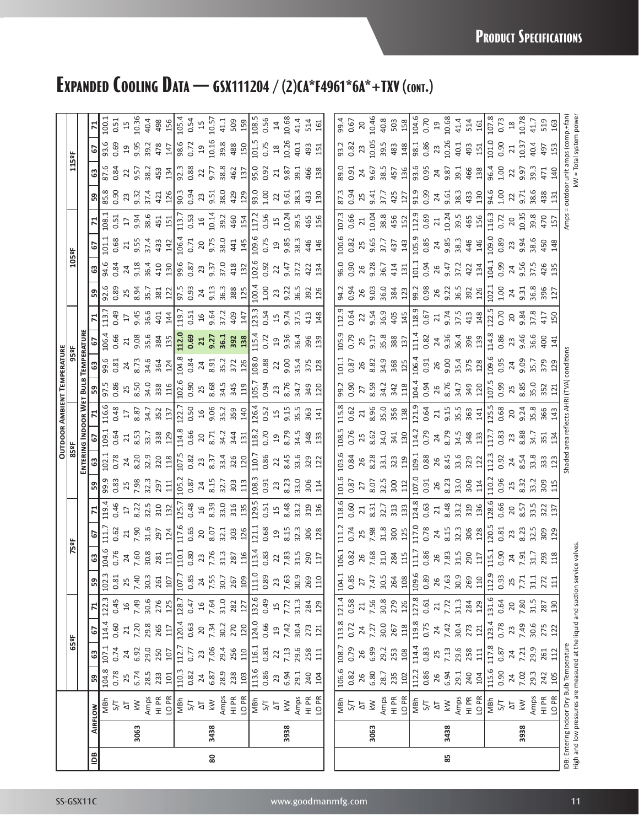|     |      |                                                                                                                           |       |                 |                |              |                  |                                                                       |                                |                      |                                                                                                             |                      |                    |                           | <b>OUTDOOR AMBIENT TEMPERATURE</b> |                                              |                    |                         |                                   |                 |                |                           |                              |                         |                                                                                                                                                                                        |                                                       |
|-----|------|---------------------------------------------------------------------------------------------------------------------------|-------|-----------------|----------------|--------------|------------------|-----------------------------------------------------------------------|--------------------------------|----------------------|-------------------------------------------------------------------------------------------------------------|----------------------|--------------------|---------------------------|------------------------------------|----------------------------------------------|--------------------|-------------------------|-----------------------------------|-----------------|----------------|---------------------------|------------------------------|-------------------------|----------------------------------------------------------------------------------------------------------------------------------------------------------------------------------------|-------------------------------------------------------|
|     |      |                                                                                                                           |       |                 | 65°F           |              |                  | 75°F                                                                  |                                |                      |                                                                                                             |                      |                    |                           |                                    | 95°F                                         |                    |                         |                                   | 105°F           |                |                           |                              | 115°F                   |                                                                                                                                                                                        |                                                       |
|     |      |                                                                                                                           |       |                 |                |              |                  |                                                                       |                                |                      |                                                                                                             | ENTERING             |                    | <b>INDOOR WET</b>         | BulB                               | TEMPERATURE                                  |                    |                         |                                   |                 |                |                           |                              |                         |                                                                                                                                                                                        |                                                       |
| Вqı |      | AIRFLOW                                                                                                                   | 59    | 63              | 5              | $\mathbf{z}$ | SS               | 63                                                                    | 67                             |                      | ဌ                                                                                                           |                      |                    |                           |                                    | යි                                           | 5                  |                         |                                   | $63\,$          | 67             |                           |                              |                         | 5                                                                                                                                                                                      | $\mathbf{z}$                                          |
|     |      | MBh                                                                                                                       | 104.8 | 107.1           | 114.4          | 122.3        | 102.             | 104.6                                                                 | 11.7                           | 119.4                | 99.9                                                                                                        | 102.                 | 109.               | 116.6                     | 97.5                               | 99.6                                         | 106.4              | 113.7                   | 92.6                              | 94.6<br>0.84    | 101.1          | 108.1                     | 85.8<br>0.90                 |                         | 93.6                                                                                                                                                                                   | 100.1                                                 |
|     |      | S/Τ                                                                                                                       | 0.78  | 0.74            | 0.60           | 0.45         | $0.\overline{8}$ | 0.76                                                                  | 0.62                           | 0.46                 | 0.83                                                                                                        | 0.78                 | 0.64               | 0.48                      | 0.86                               | 0.81                                         | 0.66               | 0.49                    | 0.89                              |                 | 0.68           | 0.51                      |                              | 0.84                    | 0.69                                                                                                                                                                                   | 0.51                                                  |
|     |      | $\overline{\Delta}$                                                                                                       | 25    | 24              | 21             | $16$         | 25               | 24                                                                    | $7.\overline{31}.\overline{6}$ | $\overline{17}$      | 25<br>7.98<br>32.3<br>297                                                                                   | $rac{24}{8.20}$      | 21                 | $\Gamma$                  | 25<br>8.50                         | $24$<br>8.73                                 | 21                 | $\overline{\mathbb{L}}$ | $75$<br>$8.94$<br>$35.7$<br>$381$ |                 | $21\,$         | $\overline{\mathbb{L}}$   | 23                           | 22                      | $\overline{c}$                                                                                                                                                                         | $15$<br>$10.36$                                       |
|     | 3063 | $\leq$                                                                                                                    | 6.74  | 6.92            | 7.20           | 7.49         | 7.4C             |                                                                       |                                | 8.22                 |                                                                                                             |                      | 8.53               | 8.87<br>34.7              |                                    |                                              | 9.08<br>35.6       | 9.45                    |                                   | 9.18<br>36.4    | 9.55           | 9.94<br>38.6              | 9.32<br>37.4                 | 9.57                    | 9.95                                                                                                                                                                                   |                                                       |
|     |      | Amps                                                                                                                      | 28.5  | 29.0            | 29.8           | 30.6         | 30.3             | $7.60$<br>$30.8$<br>$281$                                             |                                | 32.5                 |                                                                                                             | 32.9                 | 33.7<br>338<br>129 |                           | 34.0                               | 34.6                                         |                    | 36.6                    |                                   |                 | 37.4           |                           |                              | 38.2                    | 39.2                                                                                                                                                                                   | 40.4                                                  |
|     |      | $\frac{R}{T}$                                                                                                             | 233   | 250             | 265            | 276          | 261              |                                                                       | 297                            |                      |                                                                                                             | 320                  |                    | 352                       | 338                                | 364<br>124                                   | 384                | 401                     |                                   | 410             | 433            | 451<br>151                | 421                          | 453                     | 478                                                                                                                                                                                    | 498<br>156                                            |
|     |      | LO PR                                                                                                                     | 101   | 107             | 117            | 125          | 107              |                                                                       | $\frac{124}{117.6}$            | 132                  | 11                                                                                                          | 118                  |                    | 137                       | 116                                |                                              | 135                | 144                     | 122                               | 130             | 142            |                           | 126                          | 134                     | 147                                                                                                                                                                                    |                                                       |
|     |      | MBh                                                                                                                       | 110.3 | 112.7           | 120.4          | 128.7        | 107.             | $\begin{array}{c} 113 \\ 110.1 \\ 0.80 \\ 7.76 \\ 8.3 \\ \end{array}$ |                                | $\frac{125.7}{ }$    | $\begin{array}{l} 105.2 \\ 0.87 \\ 0.81 \\ 8.15 \\ 3.27 \\ 3.03 \\ 10 \\ 10 \\ 0.91 \\ 0.91 \\ \end{array}$ | 107.5                | 114.8              | $\frac{1}{22.7}$          | $\frac{102.6}{0.90}$               | 104.8                                        | 112.0              | $\frac{119.7}{ }$       | 97.5                              | 99.6<br>0.87    | 106.4          | $\sqrt{13.7}$             | 90.3                         | 92.3                    | 98.6                                                                                                                                                                                   | $\begin{array}{c} 105.4 \\ 0.54 \\ 10.57 \end{array}$ |
|     |      | 5/7                                                                                                                       | 0.82  | 0.77            | 0.63           | 0.47         | 0.85             |                                                                       | 0.65                           | 0.48                 |                                                                                                             | 0.82                 | 0.66               | $0.50$<br>16              |                                    |                                              | 0.69               | 0.51                    | 0.93                              |                 | 0.71           | $0.53$<br>16              | 0.94                         | 0.88                    | 0.72                                                                                                                                                                                   |                                                       |
|     |      | $\overline{\Delta}$                                                                                                       | 24    | 23              | 20             | $16$         | 24               |                                                                       | 20                             |                      |                                                                                                             | 23                   | 20                 |                           |                                    |                                              | $\overline{21}$    | 16                      | 24                                | 23              | 20             |                           | 23                           | $\overline{2}$          | $\mathfrak{g}% _{0}^{0}(\mathbf{z})=\mathfrak{g}_{0}^{0}(\mathbf{z})\qquad\mathfrak{g}% _{0}^{0}(\mathbf{z})=\mathfrak{g}_{0}^{0}(\mathbf{z})\qquad\mathfrak{g}% _{0}^{0}(\mathbf{z})$ |                                                       |
| 80  | 3438 | $\overline{\mathsf{k}}$ W                                                                                                 | 6.87  | 7.06            | 7.34           | 7.64         | 7.55             |                                                                       | 8.07                           | $16$<br>8.39         |                                                                                                             |                      | 8.71               |                           |                                    |                                              |                    | 9.64                    | 9.13                              |                 | 9.75           | 10.14                     |                              | 9.77                    |                                                                                                                                                                                        |                                                       |
|     |      | Amps                                                                                                                      | 28.9  | 29.4            | 30.2           | 31.0         | $-30.7$          |                                                                       | 32.1                           | 33.0                 |                                                                                                             | 8.37<br>33.4         | 34.2               | 9.06<br>35.2              | 25<br>8.68<br>34.5                 | 0.84<br>24<br>8.91<br>35.2<br>372            | 9.27<br>36.1       | 37.2                    | 36.3                              | 9.37<br>37.0    | 38.0           | 39.2                      | 9.51<br>38.0                 | 38.8                    | $\begin{array}{c} 10.16 \\ 39.8 \\ 488 \\ 150 \end{array}$                                                                                                                             |                                                       |
|     |      | HI PR                                                                                                                     | 238   | 256             | 270            | 282          | 267              | 287                                                                   |                                |                      |                                                                                                             |                      | 344                | 359                       | 345                                |                                              |                    | 409                     |                                   | 418             | 441            |                           |                              | 462                     |                                                                                                                                                                                        | 41.1<br>509                                           |
|     |      | LO PR                                                                                                                     | 103   | 110             | 120            | 127          | 109              | 116                                                                   | $303$<br>$126$                 | $\frac{315}{135}$    |                                                                                                             | $\frac{326}{120}$    | 131                | 140                       | 119                                | 126                                          | 392<br>138         | 147                     | 388<br>125                        | $\frac{132}{2}$ | 145            | 460<br>154                | 429<br>129                   | 137                     |                                                                                                                                                                                        | 159                                                   |
|     |      | MBh                                                                                                                       | 113.6 | 116.1           | 124.0          | 132.6        | 111.             |                                                                       |                                |                      |                                                                                                             | 110.7                | 118.2              | 126.4                     | 105.7                              |                                              | 115.4              | 123.3                   | 100.4                             | 102.6           | 109.6          | 117.2                     |                              | 95.0                    |                                                                                                                                                                                        |                                                       |
|     |      | 5/7                                                                                                                       | 0.86  | 0.81            | 0.66           | 0.49         | 0.85             | 113.4<br>0.83                                                         | $121.1$<br>$0.68$              | $\frac{129.5}{0.51}$ |                                                                                                             | 0.86                 | 0.70               | 0.52                      | 0.94                               | $\begin{array}{c} 108.0 \\ 0.88 \end{array}$ | 0.72               | 0.54                    | $1.00$                            | 0.92            | 0.75           | 0.56                      | 93.0<br>1.00                 | 0.92                    | 101.5<br>0.75                                                                                                                                                                          | 108.5<br>0.56                                         |
|     |      | $\overline{\Delta}$                                                                                                       | 23    | 22              | $\overline{c}$ | 15           | 23               | 22                                                                    | $\Xi$                          |                      | 23                                                                                                          | $\overline{2}$       | $\overline{c}$     | 15                        | 23                                 | 22                                           | $\overline{c}$     | 15                      | 23                                | 22              | $\overline{a}$ | 15                        | 22                           | 21                      | $\frac{8}{18}$                                                                                                                                                                         | $\overline{14}$                                       |
|     | 3938 | $\leq$                                                                                                                    | 6.94  | 7.13            | 7.42           | 7.72         | 7.63             | 7.83                                                                  | 8.15                           | 8.48                 | 8.23                                                                                                        | 8.45                 | 8.79               |                           | 8.76                               | 9.00                                         | 9.36               | 9.74                    | 9.22                              | 9.47            | 9.85           | 10.24                     | 9.61                         | 9.87                    | 10.26                                                                                                                                                                                  | 10.68                                                 |
|     |      |                                                                                                                           | 29.1  | 29.6            | 30.4           | 31.3         | 30.5             | 31.5                                                                  | 32.3                           | 33.2                 | 33.0                                                                                                        | 33.6                 | 34.5               | 9.15<br>35.5              | 34.7                               | 35.4                                         | 36.4               | 37.5                    | 36.5                              | 37.2            | 38.3           | 39.5                      | 38.3                         | 39.1                    | 40.1                                                                                                                                                                                   | 41.4                                                  |
|     |      | Amps                                                                                                                      |       |                 |                |              |                  |                                                                       |                                |                      |                                                                                                             |                      |                    |                           |                                    |                                              |                    |                         |                                   |                 |                |                           |                              |                         |                                                                                                                                                                                        |                                                       |
|     |      | HI PR                                                                                                                     | 240   | 258             | 273            | 284          | 269              | 290                                                                   | 306                            | 319                  | 306                                                                                                         | 329                  | 348                | 363                       | 349                                | 375                                          | 396                | 413                     | 392                               | 422             | 446            | 465                       | 433                          | 466                     | 493                                                                                                                                                                                    | 514                                                   |
|     |      | LO PR                                                                                                                     | 104   | $\Xi$           | 121            | 129          | $\frac{10}{2}$   | 11                                                                    | 128                            | 136                  | 114                                                                                                         | 122                  | 133                | 141                       | 120                                | 128                                          | 139                | 148                     | 126                               | 134             | 146            | 156                       | 130                          | 138                     | 151                                                                                                                                                                                    | 161                                                   |
|     |      |                                                                                                                           |       |                 |                |              |                  |                                                                       |                                |                      |                                                                                                             |                      |                    |                           |                                    |                                              |                    |                         |                                   |                 |                |                           |                              |                         |                                                                                                                                                                                        |                                                       |
|     |      | MBh                                                                                                                       | 106.6 | 108.7           | 113.8          | 121.4        | 104.             | 106.1                                                                 | 111.2                          | 118.6                | 101.6                                                                                                       | 103.6                | 108.5              |                           | 99.2                               | 101.1                                        | 105.9              | 112.9                   | 94.2                              | 96.0            | 100.6          | 107.3                     |                              | 89.0                    | 93.2                                                                                                                                                                                   | 99.4                                                  |
|     |      | 5/7                                                                                                                       | 0.82  | 0.79            | 0.72           | 0.58         | 0.85             | 0.82                                                                  | 0.74                           | 0.60                 | 0.87                                                                                                        | 0.84                 | 0.76               |                           | 0.90                               | 0.87                                         |                    |                         |                                   |                 | 0.82           | 0.66                      |                              | 0.91                    | 0.82                                                                                                                                                                                   | 0.67                                                  |
|     |      | $\overline{\Delta}$                                                                                                       | 26    | 26              | 24             | 21           | 27               | 26                                                                    | 25                             | 21                   | 27                                                                                                          | 26                   | 25                 | $115.8$<br>$0.62$<br>$21$ | 27                                 | 26                                           | 25                 | 22                      |                                   | 26              | 25             | $21\,$                    | 25                           | 24                      | 23                                                                                                                                                                                     | 20                                                    |
|     | 3063 | $\leq$                                                                                                                    | 6.80  | 6.99            | 7.27           | 7.56         | 7.47             | 7.68                                                                  | 7.98                           | 8.31                 |                                                                                                             | 8.28                 | 8.62               |                           | 8.59                               | 8.82                                         | 9:17               | 9.54                    | 9.03                              | 9.28            | 9.65           |                           |                              | 9.67                    | 10.05                                                                                                                                                                                  | 10.46                                                 |
|     |      | Amps                                                                                                                      | 28.7  | 29.2            | 30.0           | 30.8         | 30.5             | 31.0                                                                  | 31.8                           |                      |                                                                                                             | 33.1                 |                    | 8.96<br>35.0              | 34.2                               | 34.9                                         |                    | 36.9                    | 36.0                              | 36.7            | 37.7           |                           | 9.41<br>37.7                 | 38.5                    |                                                                                                                                                                                        |                                                       |
|     |      | $\frac{P}{T}$                                                                                                             | 235   | 253             | 267            | 279          | 264              | 284                                                                   | 300                            | 32.7<br>313          |                                                                                                             | 323                  | 34.0<br>341        | 356                       | 342                                | 368                                          |                    | 405                     |                                   | 414             | 437            |                           | 425                          | 457                     |                                                                                                                                                                                        |                                                       |
|     |      | LO <sub>PR</sub>                                                                                                          | 102   | 108             | 118            | 126          | 108              | 115                                                                   | 125                            | 133                  | $\frac{8.07}{32.5}$                                                                                         | 119                  | 130                | 138                       | 118                                | 125                                          | 35.8<br>388<br>137 | 145                     | 384<br>123                        | 131             | 143            | $10.04$<br>$456$<br>$452$ | 127                          | 136                     | $39.5$<br>$483$<br>$148$                                                                                                                                                               | $40.8$<br>503<br>158                                  |
|     |      | MBh                                                                                                                       | 112.2 | 114.4           | 119.8          | 127.8        | 109.             | 111.7                                                                 | 117.0                          | $\frac{124.8}{0.63}$ | $\frac{107.0}{0.91}$                                                                                        |                      | 114.2<br>0.79      | $121.9$<br>$0.64$         | 104.4<br>0.94                      | $106.4$<br>$0.91$                            | 111.4              | 118.9<br>0.67           | 99.2<br>0.98                      | 101.1           | 105.9<br>0.85  | $\frac{12.9}{0.69}$       | 91.9<br>0.99                 | 93.6                    | 98.1<br>0.86                                                                                                                                                                           | $\frac{104.6}{0.70}$                                  |
|     |      | 5/7                                                                                                                       | 0.86  | 0.83            | 0.75           | 0.61         | 0.85             | 0.86                                                                  | 0.78                           |                      |                                                                                                             | $\frac{109.1}{0.88}$ |                    |                           |                                    |                                              | 0.82               |                         |                                   | 0.94            |                |                           |                              | 0.95                    |                                                                                                                                                                                        |                                                       |
|     |      | $\overline{\omega}$                                                                                                       | 26    | 25              | 24             | 21           | 26               | 26                                                                    | 24                             | $\overline{21}$      | 26                                                                                                          |                      | 24<br>8.79         | $\mathbf{21}$             | 26                                 | 26                                           | 24                 | 21                      | 26                                | 26              | 24             | $\frac{21}{10.24}$        | 24                           | $\overline{24}$         | 23<br>10.26                                                                                                                                                                            | $\begin{array}{c} 19 \\ 10.68 \end{array}$            |
| 85  | 3438 | $\leq$                                                                                                                    | 6.94  | 7.13            | 7.42           | 7.72         | 7.63             | 7.83                                                                  | 8.15                           | 8.48                 | 8.23                                                                                                        | 8.45                 |                    | 9.15<br>35.5              | 8.76                               | 9.00                                         | 9.36               | 9.74                    | 9.22                              | 9.47            | 9.85           |                           | 9.61                         | 9.87                    |                                                                                                                                                                                        |                                                       |
|     |      | Amps                                                                                                                      | 29.1  | 29.6            | 30.4           | 31.3         | 30.              | 31.5                                                                  | 32.3                           | 33.2                 |                                                                                                             | 33.6                 | 34.5               |                           | 34.7                               | 35.4                                         | 36.4               | 37.5                    | 36.5                              | 37.2            | 38.3           | 39.5                      | 38.3                         | 39.1                    | 40.1                                                                                                                                                                                   | 41.4                                                  |
|     |      | HI PR                                                                                                                     | 240   | 258             | 273            | 284          | 269              | 290                                                                   | 306                            | 319                  | 33.0<br>306                                                                                                 | 329                  | 348                | 363                       | 349                                | 375                                          | 396                | 413                     | 392                               | 422             | 446            | 465                       | 433                          | 466                     | 493                                                                                                                                                                                    | 514                                                   |
|     |      | LO <sub>PR</sub>                                                                                                          | 104   | $\overline{11}$ | 121            | 129          | 110              | $\frac{117}{115.1}$                                                   | $\frac{128}{120.5}$            | 136                  | 114                                                                                                         | 122                  | 133                | $\frac{141}{125.5}$       | 120                                | 128                                          | 139                | 148                     | 126                               | 134             | 146            | 156                       | 130                          | 138                     | 151                                                                                                                                                                                    | 161                                                   |
|     |      | MBh                                                                                                                       | 115.6 | 117.8           | 123.4          | 131.6        | 112.             |                                                                       |                                | 128.6<br>0.66        | 110.2                                                                                                       | 112.3                | 117.7              |                           | 107.5                              | 109.6                                        | 114.8              | 122.                    | 102.                              | 104.            | 109.0          | 116.3                     | 94.6                         | 96.4                    | 101.0                                                                                                                                                                                  | 107.8                                                 |
|     |      | <b>S/T</b>                                                                                                                | 0.90  | 0.87            | 0.78           | 0.64         | $0.\overline{9}$ | 0.90                                                                  | 0.81                           |                      | 0.96                                                                                                        | 0.92                 | 0.83               | 0.68                      | 0.99                               | 0.95                                         | 0.86               | 0.70                    | 1.00                              | 0.99            | 0.89           | 0.72                      | 1.00                         | 1.00                    | 0.90                                                                                                                                                                                   | 0.73                                                  |
|     |      | $\overline{\mathcal{L}}$                                                                                                  | 24    | 24              | 23             | 20           | 25               | 24                                                                    | 23                             | 20                   |                                                                                                             | 24                   | 23                 | $\overline{20}$           | 25                                 | 24                                           | 23                 | 20                      | 24                                | 24              | 23             | $20$                      | 22                           | 22                      | 21                                                                                                                                                                                     | $^{28}$                                               |
|     | 3938 | $\leq$                                                                                                                    | 7.02  | 7.21            | 7.49           | 7.80         | 7.71             | 7.91                                                                  | 8.23                           | 8.57                 | 8.32                                                                                                        | 8.54                 | 8.88               | 9.24                      | 8.85                               | 9.09                                         | 9.46               | 9.84                    | 9.31                              | 9.56            | 9.94           | 10.35                     | 9.71                         | 9.97                    | 10.37                                                                                                                                                                                  | 10.78                                                 |
|     |      | Amps                                                                                                                      | 29.3  | 29.9            | 30.6           | 31.5         | 31.              | 31.7                                                                  | 32.5                           | 33.5                 | 33.2                                                                                                        | 33.8                 | 34.7               | 35.8                      | 35.0                               | 35.7                                         | 36.6               | 37.8                    | 36.8                              | 37.5            | 38.6           | 39.8                      | 38.6                         | 39.3                    | 40.4                                                                                                                                                                                   | 41.7                                                  |
|     |      | HI PR                                                                                                                     | 242   | 261             | 275            | 287          | 272              | 293                                                                   | 309                            | 322                  | 309                                                                                                         | 333                  | 351                | 366                       | 352                                | 379                                          | 400                | 417                     | 396                               | 426             | 450            | 470                       | 438                          | 471                     | 497<br>153                                                                                                                                                                             | 519                                                   |
|     |      | LO PR                                                                                                                     | 105   | 112             | 122            | 130          | 111              | 118                                                                   | 129                            | 137                  | 115                                                                                                         |                      |                    |                           |                                    |                                              |                    | SQ                      |                                   |                 |                | 157                       |                              |                         |                                                                                                                                                                                        | 163                                                   |
|     |      | High and low pressures are measured at the liquid and suction service valves<br>IDB: Entering Indoor Dry Bulb Temperature |       |                 |                |              |                  |                                                                       |                                |                      |                                                                                                             | haded                |                    | ects AHRI (TVA)           |                                    | condition                                    |                    |                         |                                   |                 |                |                           | putdoor unit amps (comp.+fan | kW = Total system power |                                                                                                                                                                                        |                                                       |

**Expanded Cooling Data — GSX111204 / (2)CA\*F4961\*6A\*+TXV (cont.)**

SS-GSX11C **SS-GSX11C** www.goodmanmfg.com 11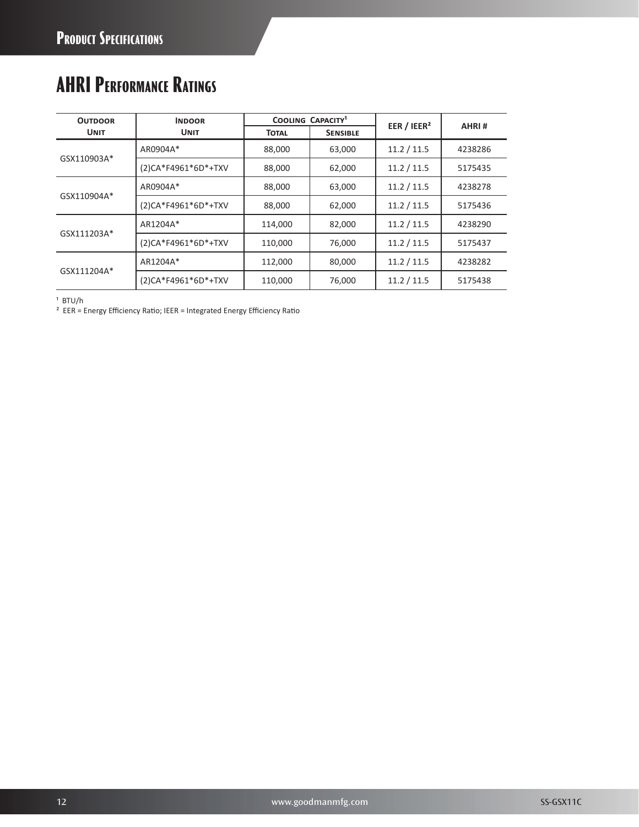### **AHRI Performance Ratings**

| <b>OUTDOOR</b> | <b>INDOOR</b>       |         | COOLING CAPACITY <sup>1</sup> |                         |         |
|----------------|---------------------|---------|-------------------------------|-------------------------|---------|
| <b>UNIT</b>    | <b>UNIT</b>         | TOTAL   | <b>SENSIBLE</b>               | EER / IEER <sup>2</sup> | AHRI#   |
| GSX110903A*    | AR0904A*            | 88,000  | 63,000                        | 11.2 / 11.5             | 4238286 |
|                | (2)CA*F4961*6D*+TXV | 88,000  | 62,000                        | 11.2 / 11.5             | 5175435 |
|                | AR0904A*            | 88,000  | 63,000                        | 11.2 / 11.5             | 4238278 |
| GSX110904A*    | (2)CA*F4961*6D*+TXV | 88,000  | 62,000                        | 11.2 / 11.5             | 5175436 |
|                | AR1204A*            | 114.000 | 82,000                        | 11.2 / 11.5             | 4238290 |
| GSX111203A*    | (2)CA*F4961*6D*+TXV | 110.000 | 76,000                        | 11.2 / 11.5             | 5175437 |
|                | AR1204A*            | 112.000 | 80,000                        | 11.2 / 11.5             | 4238282 |
| GSX111204A*    | (2)CA*F4961*6D*+TXV | 110,000 | 76,000                        | 11.2 / 11.5             | 5175438 |

 $1$  BTU/h

² EER = Energy Efficiency Ratio; IEER = Integrated Energy Efficiency Ratio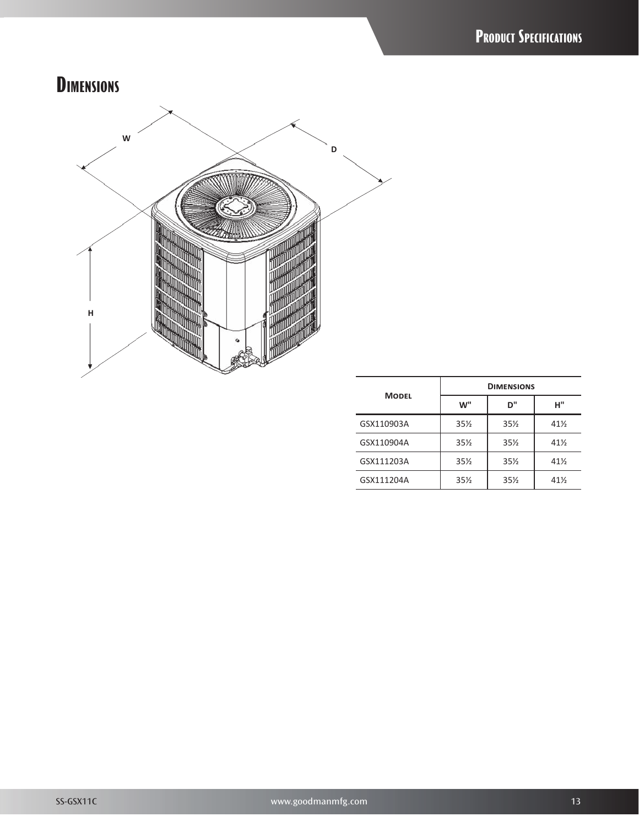#### **Dimensions**



|              |                 | <b>DIMENSIONS</b> |                 |
|--------------|-----------------|-------------------|-----------------|
| <b>MODEL</b> | w"              | D"                | н"              |
| GSX110903A   | $35\frac{1}{2}$ | $35\frac{1}{2}$   | 41%             |
| GSX110904A   | $35\frac{1}{2}$ | $35\frac{1}{2}$   | $41\%$          |
| GSX111203A   | $35\frac{1}{2}$ | $35\%$            | $41\frac{1}{2}$ |
| GSX111204A   | $35\frac{1}{2}$ | $35\%$            | 41%             |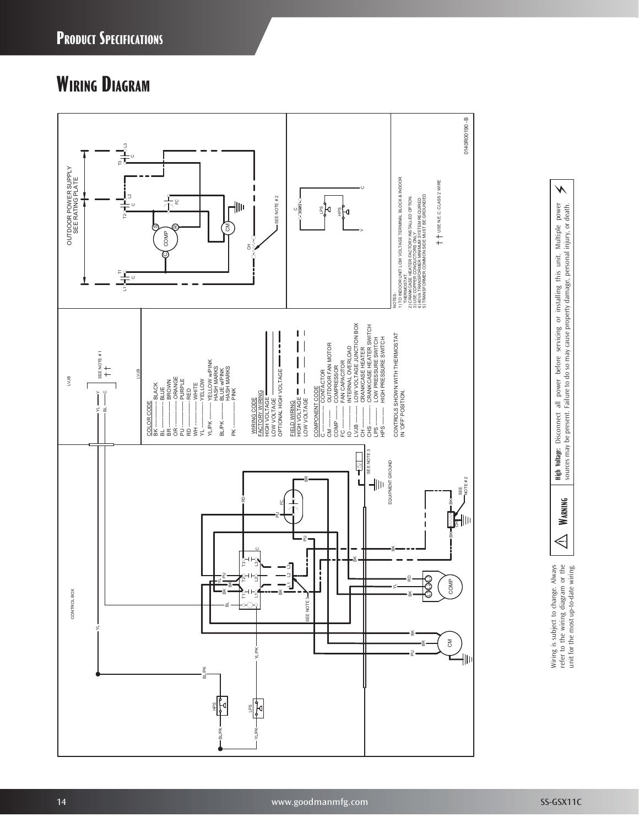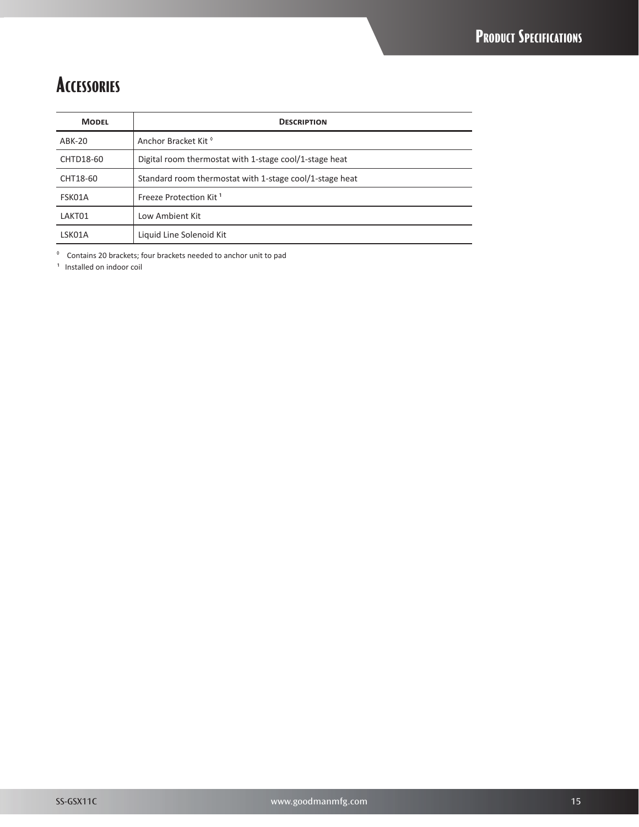#### **Accessories**

| <b>MODEL</b>  | <b>DESCRIPTION</b>                                      |
|---------------|---------------------------------------------------------|
| <b>ABK-20</b> | Anchor Bracket Kit <sup>®</sup>                         |
| CHTD18-60     | Digital room thermostat with 1-stage cool/1-stage heat  |
| CHT18-60      | Standard room thermostat with 1-stage cool/1-stage heat |
| FSK01A        | Freeze Protection Kit <sup>1</sup>                      |
| LAKT01        | Low Ambient Kit                                         |
| LSK01A        | Liquid Line Solenoid Kit                                |

◊ Contains 20 brackets; four brackets needed to anchor unit to pad

<sup>1</sup> Installed on indoor coil